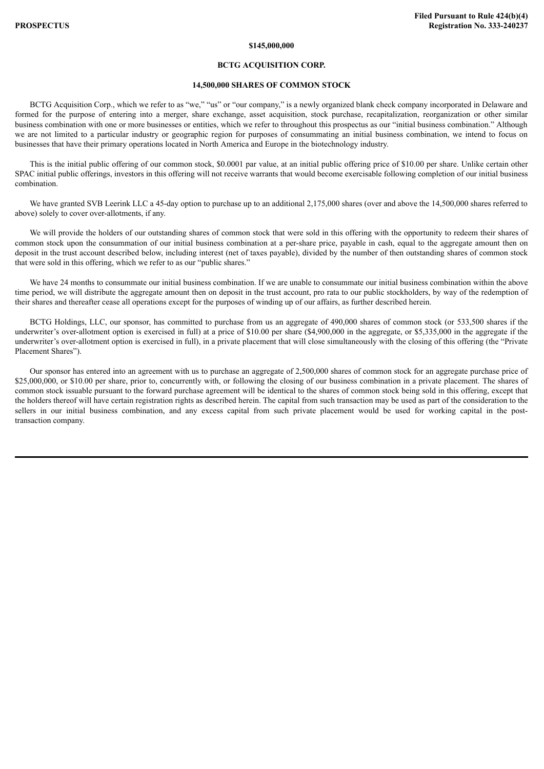#### **\$145,000,000**

## **BCTG ACQUISITION CORP.**

## **14,500,000 SHARES OF COMMON STOCK**

BCTG Acquisition Corp., which we refer to as "we," "us" or "our company," is a newly organized blank check company incorporated in Delaware and formed for the purpose of entering into a merger, share exchange, asset acquisition, stock purchase, recapitalization, reorganization or other similar business combination with one or more businesses or entities, which we refer to throughout this prospectus as our "initial business combination." Although we are not limited to a particular industry or geographic region for purposes of consummating an initial business combination, we intend to focus on businesses that have their primary operations located in North America and Europe in the biotechnology industry.

This is the initial public offering of our common stock, \$0.0001 par value, at an initial public offering price of \$10.00 per share. Unlike certain other SPAC initial public offerings, investors in this offering will not receive warrants that would become exercisable following completion of our initial business combination.

We have granted SVB Leerink LLC a 45-day option to purchase up to an additional 2,175,000 shares (over and above the 14,500,000 shares referred to above) solely to cover over-allotments, if any.

We will provide the holders of our outstanding shares of common stock that were sold in this offering with the opportunity to redeem their shares of common stock upon the consummation of our initial business combination at a per-share price, payable in cash, equal to the aggregate amount then on deposit in the trust account described below, including interest (net of taxes payable), divided by the number of then outstanding shares of common stock that were sold in this offering, which we refer to as our "public shares."

We have 24 months to consummate our initial business combination. If we are unable to consummate our initial business combination within the above time period, we will distribute the aggregate amount then on deposit in the trust account, pro rata to our public stockholders, by way of the redemption of their shares and thereafter cease all operations except for the purposes of winding up of our affairs, as further described herein.

BCTG Holdings, LLC, our sponsor, has committed to purchase from us an aggregate of 490,000 shares of common stock (or 533,500 shares if the underwriter's over-allotment option is exercised in full) at a price of \$10.00 per share (\$4,900,000 in the aggregate, or \$5,335,000 in the aggregate if the underwriter's over-allotment option is exercised in full), in a private placement that will close simultaneously with the closing of this offering (the "Private Placement Shares").

Our sponsor has entered into an agreement with us to purchase an aggregate of 2,500,000 shares of common stock for an aggregate purchase price of \$25,000,000, or \$10.00 per share, prior to, concurrently with, or following the closing of our business combination in a private placement. The shares of common stock issuable pursuant to the forward purchase agreement will be identical to the shares of common stock being sold in this offering, except that the holders thereof will have certain registration rights as described herein. The capital from such transaction may be used as part of the consideration to the sellers in our initial business combination, and any excess capital from such private placement would be used for working capital in the posttransaction company.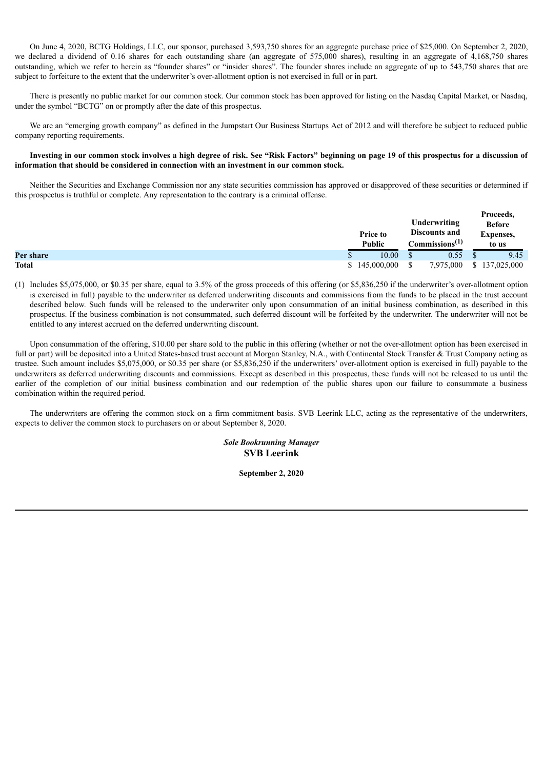On June 4, 2020, BCTG Holdings, LLC, our sponsor, purchased 3,593,750 shares for an aggregate purchase price of \$25,000. On September 2, 2020, we declared a dividend of 0.16 shares for each outstanding share (an aggregate of 575,000 shares), resulting in an aggregate of 4,168,750 shares outstanding, which we refer to herein as "founder shares" or "insider shares". The founder shares include an aggregate of up to 543,750 shares that are subject to forfeiture to the extent that the underwriter's over-allotment option is not exercised in full or in part.

There is presently no public market for our common stock. Our common stock has been approved for listing on the Nasdaq Capital Market, or Nasdaq, under the symbol "BCTG" on or promptly after the date of this prospectus.

We are an "emerging growth company" as defined in the Jumpstart Our Business Startups Act of 2012 and will therefore be subject to reduced public company reporting requirements.

## Investing in our common stock involves a high degree of risk. See "Risk Factors" beginning on page 19 of this prospectus for a discussion of **information that should be considered in connection with an investment in our common stock.**

Neither the Securities and Exchange Commission nor any state securities commission has approved or disapproved of these securities or determined if this prospectus is truthful or complete. Any representation to the contrary is a criminal offense.

|              | <b>Price to</b><br><b>Public</b> | Underwriting<br>Discounts and<br>Commission <sup>(1)</sup> |           | Proceeds,<br><b>Before</b><br>Expenses,<br>to us |             |
|--------------|----------------------------------|------------------------------------------------------------|-----------|--------------------------------------------------|-------------|
| Per share    | 10.00                            |                                                            | 0.55      |                                                  | 9.45        |
| <b>Total</b> | \$145,000,000                    | S.                                                         | 7,975,000 |                                                  | 137,025,000 |

(1) Includes \$5,075,000, or \$0.35 per share, equal to 3.5% of the gross proceeds of this offering (or \$5,836,250 if the underwriter's over-allotment option is exercised in full) payable to the underwriter as deferred underwriting discounts and commissions from the funds to be placed in the trust account described below. Such funds will be released to the underwriter only upon consummation of an initial business combination, as described in this prospectus. If the business combination is not consummated, such deferred discount will be forfeited by the underwriter. The underwriter will not be entitled to any interest accrued on the deferred underwriting discount.

Upon consummation of the offering, \$10.00 per share sold to the public in this offering (whether or not the over-allotment option has been exercised in full or part) will be deposited into a United States-based trust account at Morgan Stanley, N.A., with Continental Stock Transfer & Trust Company acting as trustee. Such amount includes \$5,075,000, or \$0.35 per share (or \$5,836,250 if the underwriters' over-allotment option is exercised in full) payable to the underwriters as deferred underwriting discounts and commissions. Except as described in this prospectus, these funds will not be released to us until the earlier of the completion of our initial business combination and our redemption of the public shares upon our failure to consummate a business combination within the required period.

The underwriters are offering the common stock on a firm commitment basis. SVB Leerink LLC, acting as the representative of the underwriters, expects to deliver the common stock to purchasers on or about September 8, 2020.

# *Sole Bookrunning Manager* **SVB Leerink**

**September 2, 2020**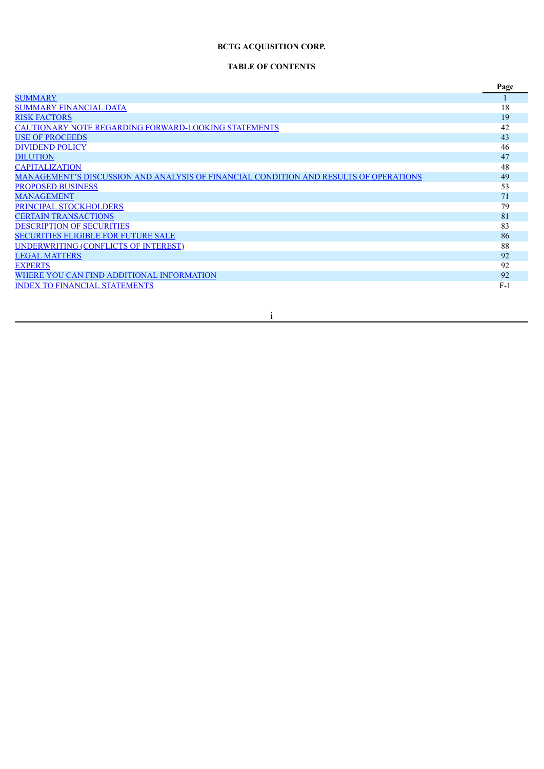# **BCTG ACQUISITION CORP.**

# **TABLE OF CONTENTS**

|                                                                                       | Page  |
|---------------------------------------------------------------------------------------|-------|
| SUMMARY                                                                               |       |
| <b>SUMMARY FINANCIAL DATA</b>                                                         | 18    |
| <b>RISK FACTORS</b>                                                                   | 19    |
| <b>CAUTIONARY NOTE REGARDING FORWARD-LOOKING STATEMENTS</b>                           | 42    |
| <b>USE OF PROCEEDS</b>                                                                | 43    |
| <b>DIVIDEND POLICY</b>                                                                | 46    |
| <b>DILUTION</b>                                                                       | 47    |
| <b>CAPITALIZATION</b>                                                                 | 48    |
| MANAGEMENT'S DISCUSSION AND ANALYSIS OF FINANCIAL CONDITION AND RESULTS OF OPERATIONS | 49    |
| <b>PROPOSED BUSINESS</b>                                                              | 53    |
| <b>MANAGEMENT</b>                                                                     | 71    |
| PRINCIPAL STOCKHOLDERS                                                                | 79    |
| <b>CERTAIN TRANSACTIONS</b>                                                           | 81    |
| <b>DESCRIPTION OF SECURITIES</b>                                                      | 83    |
| <b>SECURITIES ELIGIBLE FOR FUTURE SALE</b>                                            | 86    |
| UNDERWRITING (CONFLICTS OF INTEREST)                                                  | 88    |
| <b>LEGAL MATTERS</b>                                                                  | 92    |
| <b>EXPERTS</b>                                                                        | 92    |
| WHERE YOU CAN FIND ADDITIONAL INFORMATION                                             | 92    |
| <b>INDEX TO FINANCIAL STATEMENTS</b>                                                  | $F-1$ |

i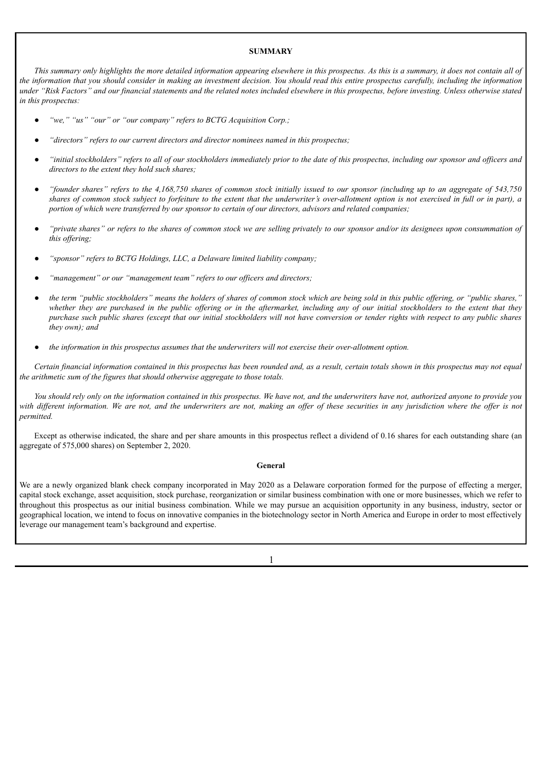## **SUMMARY**

<span id="page-3-0"></span>This summary only highlights the more detailed information appearing elsewhere in this prospectus. As this is a summary, it does not contain all of the information that you should consider in making an investment decision. You should read this entire prospectus carefully, including the information under "Risk Factors" and our financial statements and the related notes included elsewhere in this prospectus, before investing. Unless otherwise stated *in this prospectus:*

- *● "we," "us" "our" or "our company" refers to BCTG Acquisition Corp.;*
- *● "directors" refers to our current directors and director nominees named in this prospectus;*
- "initial stockholders" refers to all of our stockholders immediately prior to the date of this prospectus, including our sponsor and officers and *directors to the extent they hold such shares;*
- "founder shares" refers to the 4,168,750 shares of common stock initially issued to our sponsor (including up to an aggregate of 543,750 shares of common stock subject to forfeiture to the extent that the underwriter's over-allotment option is not exercised in full or in part), a portion of which were transferred by our sponsor to certain of our directors, advisors and related companies;
- "private shares" or refers to the shares of common stock we are selling privately to our sponsor and/or its designees upon consummation of *this offering*:
- *● "sponsor" refers to BCTG Holdings, LLC, a Delaware limited liability company;*
- *● "management" or our "management team" refers to our of icers and directors;*
- the term "public stockholders" means the holders of shares of common stock which are being sold in this public offering, or "public shares," whether they are purchased in the public offering or in the aftermarket, including any of our initial stockholders to the extent that they purchase such public shares (except that our initial stockholders will not have conversion or tender rights with respect to any public shares *they own); and*
- the information in this prospectus assumes that the underwriters will not exercise their over-allotment option.

Certain financial information contained in this prospectus has been rounded and, as a result, certain totals shown in this prospectus may not equal *the arithmetic sum of the figures that should otherwise aggregate to those totals.*

You should rely only on the information contained in this prospectus. We have not, and the underwriters have not, authorized anyone to provide you with different information. We are not, and the underwriters are not, making an offer of these securities in any jurisdiction where the offer is not *permitted.*

Except as otherwise indicated, the share and per share amounts in this prospectus reflect a dividend of 0.16 shares for each outstanding share (an aggregate of 575,000 shares) on September 2, 2020.

#### **General**

We are a newly organized blank check company incorporated in May 2020 as a Delaware corporation formed for the purpose of effecting a merger, capital stock exchange, asset acquisition, stock purchase, reorganization or similar business combination with one or more businesses, which we refer to throughout this prospectus as our initial business combination. While we may pursue an acquisition opportunity in any business, industry, sector or geographical location, we intend to focus on innovative companies in the biotechnology sector in North America and Europe in order to most effectively leverage our management team's background and expertise.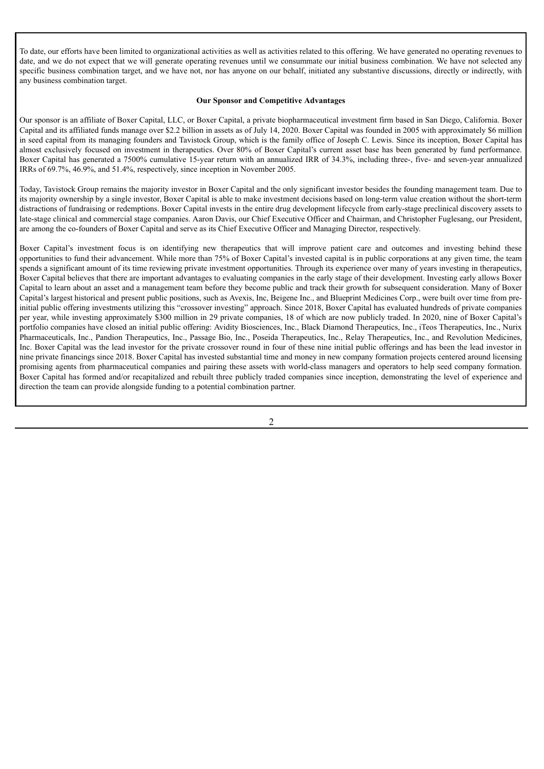To date, our efforts have been limited to organizational activities as well as activities related to this offering. We have generated no operating revenues to date, and we do not expect that we will generate operating revenues until we consummate our initial business combination. We have not selected any specific business combination target, and we have not, nor has anyone on our behalf, initiated any substantive discussions, directly or indirectly, with any business combination target.

#### **Our Sponsor and Competitive Advantages**

Our sponsor is an affiliate of Boxer Capital, LLC, or Boxer Capital, a private biopharmaceutical investment firm based in San Diego, California. Boxer Capital and its affiliated funds manage over \$2.2 billion in assets as of July 14, 2020. Boxer Capital was founded in 2005 with approximately \$6 million in seed capital from its managing founders and Tavistock Group, which is the family office of Joseph C. Lewis. Since its inception, Boxer Capital has almost exclusively focused on investment in therapeutics. Over 80% of Boxer Capital's current asset base has been generated by fund performance. Boxer Capital has generated a 7500% cumulative 15-year return with an annualized IRR of 34.3%, including three-, five- and seven-year annualized IRRs of 69.7%, 46.9%, and 51.4%, respectively, since inception in November 2005.

Today, Tavistock Group remains the majority investor in Boxer Capital and the only significant investor besides the founding management team. Due to its majority ownership by a single investor, Boxer Capital is able to make investment decisions based on long-term value creation without the short-term distractions of fundraising or redemptions. Boxer Capital invests in the entire drug development lifecycle from early-stage preclinical discovery assets to late-stage clinical and commercial stage companies. Aaron Davis, our Chief Executive Officer and Chairman, and Christopher Fuglesang, our President, are among the co-founders of Boxer Capital and serve as its Chief Executive Officer and Managing Director, respectively.

Boxer Capital's investment focus is on identifying new therapeutics that will improve patient care and outcomes and investing behind these opportunities to fund their advancement. While more than 75% of Boxer Capital's invested capital is in public corporations at any given time, the team spends a significant amount of its time reviewing private investment opportunities. Through its experience over many of years investing in therapeutics, Boxer Capital believes that there are important advantages to evaluating companies in the early stage of their development. Investing early allows Boxer Capital to learn about an asset and a management team before they become public and track their growth for subsequent consideration. Many of Boxer Capital's largest historical and present public positions, such as Avexis, Inc, Beigene Inc., and Blueprint Medicines Corp., were built over time from preinitial public offering investments utilizing this "crossover investing" approach. Since 2018, Boxer Capital has evaluated hundreds of private companies per year, while investing approximately \$300 million in 29 private companies, 18 of which are now publicly traded. In 2020, nine of Boxer Capital's portfolio companies have closed an initial public offering: Avidity Biosciences, Inc., Black Diamond Therapeutics, Inc., iTeos Therapeutics, Inc., Nurix Pharmaceuticals, Inc., Pandion Therapeutics, Inc., Passage Bio, Inc., Poseida Therapeutics, Inc., Relay Therapeutics, Inc., and Revolution Medicines, Inc. Boxer Capital was the lead investor for the private crossover round in four of these nine initial public offerings and has been the lead investor in nine private financings since 2018. Boxer Capital has invested substantial time and money in new company formation projects centered around licensing promising agents from pharmaceutical companies and pairing these assets with world-class managers and operators to help seed company formation. Boxer Capital has formed and/or recapitalized and rebuilt three publicly traded companies since inception, demonstrating the level of experience and direction the team can provide alongside funding to a potential combination partner.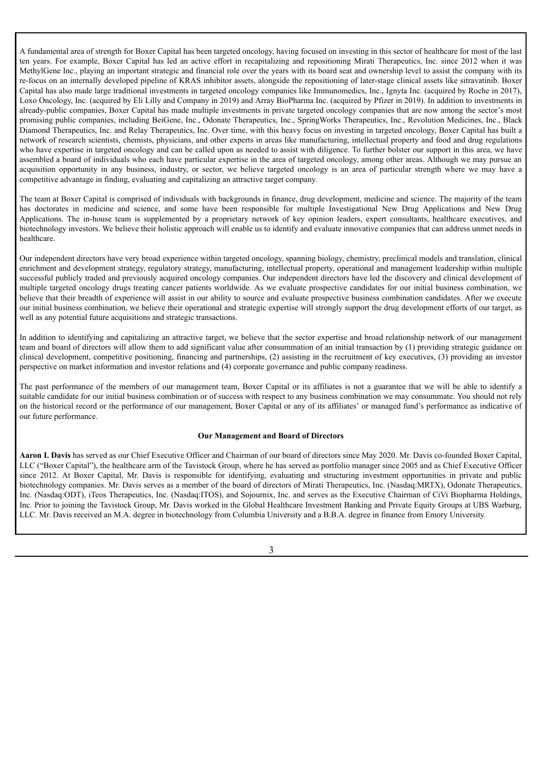A fundamental area of strength for Boxer Capital has been targeted oncology, having focused on investing in this sector of healthcare for most of the last ten years. For example, Boxer Capital has led an active effort in recapitalizing and repositioning Mirati Therapeutics, Inc. since 2012 when it was MethylGene Inc., playing an important strategic and financial role over the years with its board seat and ownership level to assist the company with its re-focus on an internally developed pipeline of KRAS inhibitor assets, alongside the repositioning of later-stage clinical assets like sitravatinib. Boxer Capital has also made large traditional investments in targeted oncology companies like Immunomedics, Inc., Ignyta Inc. (acquired by Roche in 2017), Loxo Oncology, Inc. (acquired by Eli Lilly and Company in 2019) and Array BioPharma Inc. (acquired by Pfizer in 2019). In addition to investments in already-public companies, Boxer Capital has made multiple investments in private targeted oncology companies that are now among the sector's most promising public companies, including BeiGene, Inc., Odonate Therapeutics, Inc., SpringWorks Therapeutics, Inc., Revolution Medicines, Inc., Black Diamond Therapeutics, Inc. and Relay Therapeutics, Inc. Over time, with this heavy focus on investing in targeted oncology, Boxer Capital has built a network of research scientists, chemists, physicians, and other experts in areas like manufacturing, intellectual property and food and drug regulations who have expertise in targeted oncology and can be called upon as needed to assist with diligence. To further bolster our support in this area, we have assembled a board of individuals who each have particular expertise in the area of targeted oncology, among other areas. Although we may pursue an acquisition opportunity in any business, industry, or sector, we believe targeted oncology is an area of particular strength where we may have a competitive advantage in finding, evaluating and capitalizing an attractive target company.

The team at Boxer Capital is comprised of individuals with backgrounds in finance, drug development, medicine and science. The majority of the team has doctorates in medicine and science, and some have been responsible for multiple Investigational New Drug Applications and New Drug Applications. The in-house team is supplemented by a proprietary network of key opinion leaders, expert consultants, healthcare executives, and biotechnology investors. We believe their holistic approach will enable us to identify and evaluate innovative companies that can address unmet needs in healthcare.

Our independent directors have very broad experience within targeted oncology, spanning biology, chemistry, preclinical models and translation, clinical enrichment and development strategy, regulatory strategy, manufacturing, intellectual property, operational and management leadership within multiple successful publicly traded and previously acquired oncology companies. Our independent directors have led the discovery and clinical development of multiple targeted oncology drugs treating cancer patients worldwide. As we evaluate prospective candidates for our initial business combination, we believe that their breadth of experience will assist in our ability to source and evaluate prospective business combination candidates. After we execute our initial business combination, we believe their operational and strategic expertise will strongly support the drug development efforts of our target, as well as any potential future acquisitions and strategic transactions.

In addition to identifying and capitalizing an attractive target, we believe that the sector expertise and broad relationship network of our management team and board of directors will allow them to add significant value after consummation of an initial transaction by (1) providing strategic guidance on clinical development, competitive positioning, financing and partnerships, (2) assisting in the recruitment of key executives, (3) providing an investor perspective on market information and investor relations and (4) corporate governance and public company readiness.

The past performance of the members of our management team, Boxer Capital or its affiliates is not a guarantee that we will be able to identify a suitable candidate for our initial business combination or of success with respect to any business combination we may consummate. You should not rely on the historical record or the performance of our management, Boxer Capital or any of its affiliates' or managed fund's performance as indicative of our future performance.

## **Our Management and Board of Directors**

**Aaron I. Davis** has served as our Chief Executive Officer and Chairman of our board of directors since May 2020. Mr. Davis co-founded Boxer Capital, LLC ("Boxer Capital"), the healthcare arm of the Tavistock Group, where he has served as portfolio manager since 2005 and as Chief Executive Officer since 2012. At Boxer Capital, Mr. Davis is responsible for identifying, evaluating and structuring investment opportunities in private and public biotechnology companies. Mr. Davis serves as a member of the board of directors of Mirati Therapeutics, Inc. (Nasdaq:MRTX), Odonate Therapeutics, Inc. (Nasdaq:ODT), iTeos Therapeutics, Inc. (Nasdaq:ITOS), and Sojournix, Inc. and serves as the Executive Chairman of CiVi Biopharma Holdings, Inc. Prior to joining the Tavistock Group, Mr. Davis worked in the Global Healthcare Investment Banking and Private Equity Groups at UBS Warburg, LLC. Mr. Davis received an M.A. degree in biotechnology from Columbia University and a B.B.A. degree in finance from Emory University.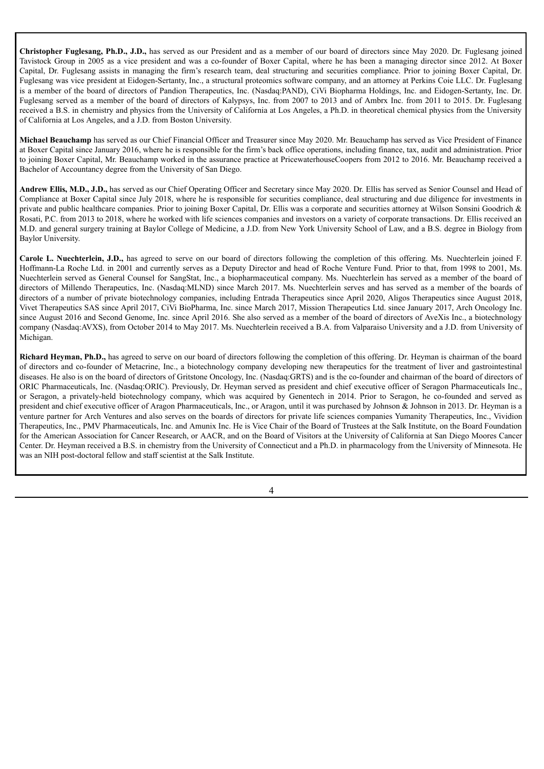**Christopher Fuglesang, Ph.D., J.D.,** has served as our President and as a member of our board of directors since May 2020. Dr. Fuglesang joined Tavistock Group in 2005 as a vice president and was a co-founder of Boxer Capital, where he has been a managing director since 2012. At Boxer Capital, Dr. Fuglesang assists in managing the firm's research team, deal structuring and securities compliance. Prior to joining Boxer Capital, Dr. Fuglesang was vice president at Eidogen-Sertanty, Inc., a structural proteomics software company, and an attorney at Perkins Coie LLC. Dr. Fuglesang is a member of the board of directors of Pandion Therapeutics, Inc. (Nasdaq:PAND), CiVi Biopharma Holdings, Inc. and Eidogen-Sertanty, Inc. Dr. Fuglesang served as a member of the board of directors of Kalypsys, Inc. from 2007 to 2013 and of Ambrx Inc. from 2011 to 2015. Dr. Fuglesang received a B.S. in chemistry and physics from the University of California at Los Angeles, a Ph.D. in theoretical chemical physics from the University of California at Los Angeles, and a J.D. from Boston University.

**Michael Beauchamp** has served as our Chief Financial Officer and Treasurer since May 2020. Mr. Beauchamp has served as Vice President of Finance at Boxer Capital since January 2016, where he is responsible for the firm's back office operations, including finance, tax, audit and administration. Prior to joining Boxer Capital, Mr. Beauchamp worked in the assurance practice at PricewaterhouseCoopers from 2012 to 2016. Mr. Beauchamp received a Bachelor of Accountancy degree from the University of San Diego.

**Andrew Ellis, M.D., J.D.,** has served as our Chief Operating Officer and Secretary since May 2020. Dr. Ellis has served as Senior Counsel and Head of Compliance at Boxer Capital since July 2018, where he is responsible for securities compliance, deal structuring and due diligence for investments in private and public healthcare companies. Prior to joining Boxer Capital, Dr. Ellis was a corporate and securities attorney at Wilson Sonsini Goodrich & Rosati, P.C. from 2013 to 2018, where he worked with life sciences companies and investors on a variety of corporate transactions. Dr. Ellis received an M.D. and general surgery training at Baylor College of Medicine, a J.D. from New York University School of Law, and a B.S. degree in Biology from Baylor University.

**Carole L. Nuechterlein, J.D.,** has agreed to serve on our board of directors following the completion of this offering. Ms. Nuechterlein joined F. Hoffmann-La Roche Ltd. in 2001 and currently serves as a Deputy Director and head of Roche Venture Fund. Prior to that, from 1998 to 2001, Ms. Nuechterlein served as General Counsel for SangStat, Inc., a biopharmaceutical company. Ms. Nuechterlein has served as a member of the board of directors of Millendo Therapeutics, Inc. (Nasdaq:MLND) since March 2017. Ms. Nuechterlein serves and has served as a member of the boards of directors of a number of private biotechnology companies, including Entrada Therapeutics since April 2020, Aligos Therapeutics since August 2018, Vivet Therapeutics SAS since April 2017, CiVi BioPharma, Inc. since March 2017, Mission Therapeutics Ltd. since January 2017, Arch Oncology Inc. since August 2016 and Second Genome, Inc. since April 2016. She also served as a member of the board of directors of AveXis Inc., a biotechnology company (Nasdaq:AVXS), from October 2014 to May 2017. Ms. Nuechterlein received a B.A. from Valparaiso University and a J.D. from University of Michigan.

**Richard Heyman, Ph.D.,** has agreed to serve on our board of directors following the completion of this offering. Dr. Heyman is chairman of the board of directors and co-founder of Metacrine, Inc., a biotechnology company developing new therapeutics for the treatment of liver and gastrointestinal diseases. He also is on the board of directors of Gritstone Oncology, Inc. (Nasdaq:GRTS) and is the co-founder and chairman of the board of directors of ORIC Pharmaceuticals, Inc. (Nasdaq:ORIC). Previously, Dr. Heyman served as president and chief executive officer of Seragon Pharmaceuticals Inc., or Seragon, a privately-held biotechnology company, which was acquired by Genentech in 2014. Prior to Seragon, he co-founded and served as president and chief executive officer of Aragon Pharmaceuticals, Inc., or Aragon, until it was purchased by Johnson & Johnson in 2013. Dr. Heyman is a venture partner for Arch Ventures and also serves on the boards of directors for private life sciences companies Yumanity Therapeutics, Inc., Vividion Therapeutics, Inc., PMV Pharmaceuticals, Inc. and Amunix Inc. He is Vice Chair of the Board of Trustees at the Salk Institute, on the Board Foundation for the American Association for Cancer Research, or AACR, and on the Board of Visitors at the University of California at San Diego Moores Cancer Center. Dr. Heyman received a B.S. in chemistry from the University of Connecticut and a Ph.D. in pharmacology from the University of Minnesota. He was an NIH post-doctoral fellow and staff scientist at the Salk Institute.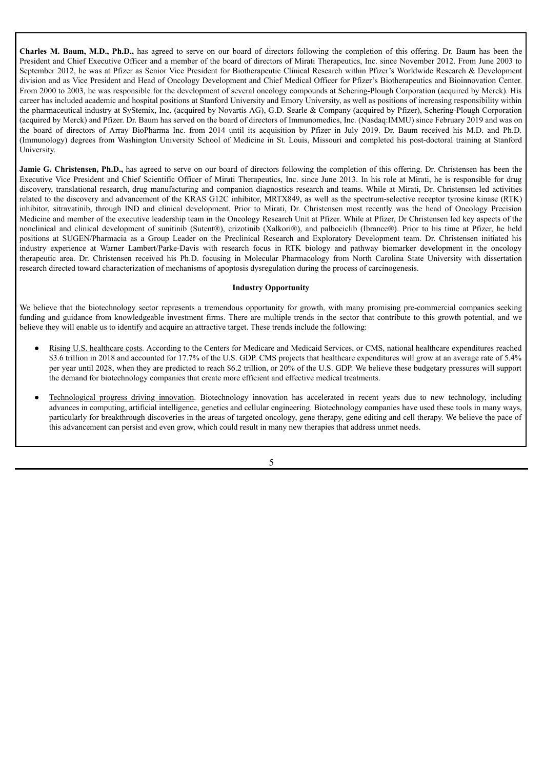**Charles M. Baum, M.D., Ph.D.,** has agreed to serve on our board of directors following the completion of this offering. Dr. Baum has been the President and Chief Executive Officer and a member of the board of directors of Mirati Therapeutics, Inc. since November 2012. From June 2003 to September 2012, he was at Pfizer as Senior Vice President for Biotherapeutic Clinical Research within Pfizer's Worldwide Research & Development division and as Vice President and Head of Oncology Development and Chief Medical Officer for Pfizer's Biotherapeutics and Bioinnovation Center. From 2000 to 2003, he was responsible for the development of several oncology compounds at Schering-Plough Corporation (acquired by Merck). His career has included academic and hospital positions at Stanford University and Emory University, as well as positions of increasing responsibility within the pharmaceutical industry at SyStemix, Inc. (acquired by Novartis AG), G.D. Searle & Company (acquired by Pfizer), Schering-Plough Corporation (acquired by Merck) and Pfizer. Dr. Baum has served on the board of directors of Immunomedics, Inc. (Nasdaq:IMMU) since February 2019 and was on the board of directors of Array BioPharma Inc. from 2014 until its acquisition by Pfizer in July 2019. Dr. Baum received his M.D. and Ph.D. (Immunology) degrees from Washington University School of Medicine in St. Louis, Missouri and completed his post-doctoral training at Stanford University.

**Jamie G. Christensen, Ph.D.,** has agreed to serve on our board of directors following the completion of this offering. Dr. Christensen has been the Executive Vice President and Chief Scientific Officer of Mirati Therapeutics, Inc. since June 2013. In his role at Mirati, he is responsible for drug discovery, translational research, drug manufacturing and companion diagnostics research and teams. While at Mirati, Dr. Christensen led activities related to the discovery and advancement of the KRAS G12C inhibitor, MRTX849, as well as the spectrum-selective receptor tyrosine kinase (RTK) inhibitor, sitravatinib, through IND and clinical development. Prior to Mirati, Dr. Christensen most recently was the head of Oncology Precision Medicine and member of the executive leadership team in the Oncology Research Unit at Pfizer. While at Pfizer, Dr Christensen led key aspects of the nonclinical and clinical development of sunitinib (Sutent®), crizotinib (Xalkori®), and palbociclib (Ibrance®). Prior to his time at Pfizer, he held positions at SUGEN/Pharmacia as a Group Leader on the Preclinical Research and Exploratory Development team. Dr. Christensen initiated his industry experience at Warner Lambert/Parke-Davis with research focus in RTK biology and pathway biomarker development in the oncology therapeutic area. Dr. Christensen received his Ph.D. focusing in Molecular Pharmacology from North Carolina State University with dissertation research directed toward characterization of mechanisms of apoptosis dysregulation during the process of carcinogenesis.

## **Industry Opportunity**

We believe that the biotechnology sector represents a tremendous opportunity for growth, with many promising pre-commercial companies seeking funding and guidance from knowledgeable investment firms. There are multiple trends in the sector that contribute to this growth potential, and we believe they will enable us to identify and acquire an attractive target. These trends include the following:

- Rising U.S. healthcare costs. According to the Centers for Medicare and Medicaid Services, or CMS, national healthcare expenditures reached \$3.6 trillion in 2018 and accounted for 17.7% of the U.S. GDP. CMS projects that healthcare expenditures will grow at an average rate of 5.4% per year until 2028, when they are predicted to reach \$6.2 trillion, or 20% of the U.S. GDP. We believe these budgetary pressures will support the demand for biotechnology companies that create more efficient and effective medical treatments.
- Technological progress driving innovation. Biotechnology innovation has accelerated in recent years due to new technology, including advances in computing, artificial intelligence, genetics and cellular engineering. Biotechnology companies have used these tools in many ways, particularly for breakthrough discoveries in the areas of targeted oncology, gene therapy, gene editing and cell therapy. We believe the pace of this advancement can persist and even grow, which could result in many new therapies that address unmet needs.

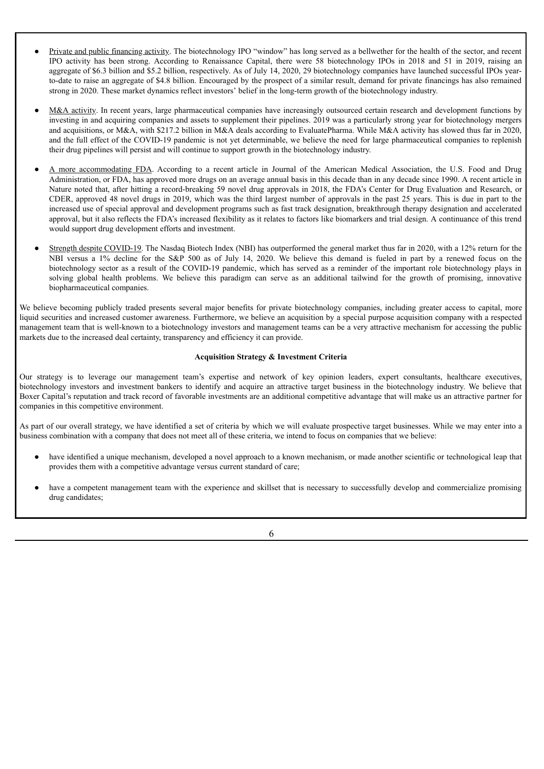- Private and public financing activity. The biotechnology IPO "window" has long served as a bellwether for the health of the sector, and recent IPO activity has been strong. According to Renaissance Capital, there were 58 biotechnology IPOs in 2018 and 51 in 2019, raising an aggregate of \$6.3 billion and \$5.2 billion, respectively. As of July 14, 2020, 29 biotechnology companies have launched successful IPOs yearto-date to raise an aggregate of \$4.8 billion. Encouraged by the prospect of a similar result, demand for private financings has also remained strong in 2020. These market dynamics reflect investors' belief in the long-term growth of the biotechnology industry.
- M&A activity. In recent years, large pharmaceutical companies have increasingly outsourced certain research and development functions by investing in and acquiring companies and assets to supplement their pipelines. 2019 was a particularly strong year for biotechnology mergers and acquisitions, or M&A, with \$217.2 billion in M&A deals according to EvaluatePharma. While M&A activity has slowed thus far in 2020, and the full effect of the COVID-19 pandemic is not yet determinable, we believe the need for large pharmaceutical companies to replenish their drug pipelines will persist and will continue to support growth in the biotechnology industry.
- A more accommodating FDA. According to a recent article in Journal of the American Medical Association, the U.S. Food and Drug Administration, or FDA, has approved more drugs on an average annual basis in this decade than in any decade since 1990. A recent article in Nature noted that, after hitting a record-breaking 59 novel drug approvals in 2018, the FDA's Center for Drug Evaluation and Research, or CDER, approved 48 novel drugs in 2019, which was the third largest number of approvals in the past 25 years. This is due in part to the increased use of special approval and development programs such as fast track designation, breakthrough therapy designation and accelerated approval, but it also reflects the FDA's increased flexibility as it relates to factors like biomarkers and trial design. A continuance of this trend would support drug development efforts and investment.
- Strength despite COVID-19. The Nasdaq Biotech Index (NBI) has outperformed the general market thus far in 2020, with a 12% return for the NBI versus a 1% decline for the S&P 500 as of July 14, 2020. We believe this demand is fueled in part by a renewed focus on the biotechnology sector as a result of the COVID-19 pandemic, which has served as a reminder of the important role biotechnology plays in solving global health problems. We believe this paradigm can serve as an additional tailwind for the growth of promising, innovative biopharmaceutical companies.

We believe becoming publicly traded presents several major benefits for private biotechnology companies, including greater access to capital, more liquid securities and increased customer awareness. Furthermore, we believe an acquisition by a special purpose acquisition company with a respected management team that is well-known to a biotechnology investors and management teams can be a very attractive mechanism for accessing the public markets due to the increased deal certainty, transparency and efficiency it can provide.

## **Acquisition Strategy & Investment Criteria**

Our strategy is to leverage our management team's expertise and network of key opinion leaders, expert consultants, healthcare executives, biotechnology investors and investment bankers to identify and acquire an attractive target business in the biotechnology industry. We believe that Boxer Capital's reputation and track record of favorable investments are an additional competitive advantage that will make us an attractive partner for companies in this competitive environment.

As part of our overall strategy, we have identified a set of criteria by which we will evaluate prospective target businesses. While we may enter into a business combination with a company that does not meet all of these criteria, we intend to focus on companies that we believe:

- have identified a unique mechanism, developed a novel approach to a known mechanism, or made another scientific or technological leap that provides them with a competitive advantage versus current standard of care;
- have a competent management team with the experience and skillset that is necessary to successfully develop and commercialize promising drug candidates;

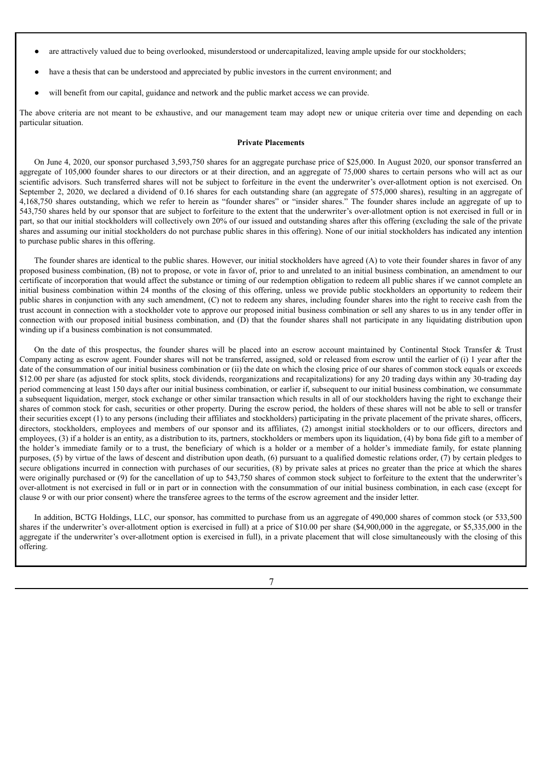- are attractively valued due to being overlooked, misunderstood or undercapitalized, leaving ample upside for our stockholders;
- have a thesis that can be understood and appreciated by public investors in the current environment; and
- will benefit from our capital, guidance and network and the public market access we can provide.

The above criteria are not meant to be exhaustive, and our management team may adopt new or unique criteria over time and depending on each particular situation.

#### **Private Placements**

On June 4, 2020, our sponsor purchased 3,593,750 shares for an aggregate purchase price of \$25,000. In August 2020, our sponsor transferred an aggregate of 105,000 founder shares to our directors or at their direction, and an aggregate of 75,000 shares to certain persons who will act as our scientific advisors. Such transferred shares will not be subject to forfeiture in the event the underwriter's over-allotment option is not exercised. On September 2, 2020, we declared a dividend of 0.16 shares for each outstanding share (an aggregate of 575,000 shares), resulting in an aggregate of 4,168,750 shares outstanding, which we refer to herein as "founder shares" or "insider shares." The founder shares include an aggregate of up to 543,750 shares held by our sponsor that are subject to forfeiture to the extent that the underwriter's over-allotment option is not exercised in full or in part, so that our initial stockholders will collectively own 20% of our issued and outstanding shares after this offering (excluding the sale of the private shares and assuming our initial stockholders do not purchase public shares in this offering). None of our initial stockholders has indicated any intention to purchase public shares in this offering.

The founder shares are identical to the public shares. However, our initial stockholders have agreed (A) to vote their founder shares in favor of any proposed business combination, (B) not to propose, or vote in favor of, prior to and unrelated to an initial business combination, an amendment to our certificate of incorporation that would affect the substance or timing of our redemption obligation to redeem all public shares if we cannot complete an initial business combination within 24 months of the closing of this offering, unless we provide public stockholders an opportunity to redeem their public shares in conjunction with any such amendment, (C) not to redeem any shares, including founder shares into the right to receive cash from the trust account in connection with a stockholder vote to approve our proposed initial business combination or sell any shares to us in any tender offer in connection with our proposed initial business combination, and (D) that the founder shares shall not participate in any liquidating distribution upon winding up if a business combination is not consummated.

On the date of this prospectus, the founder shares will be placed into an escrow account maintained by Continental Stock Transfer & Trust Company acting as escrow agent. Founder shares will not be transferred, assigned, sold or released from escrow until the earlier of (i) 1 year after the date of the consummation of our initial business combination or (ii) the date on which the closing price of our shares of common stock equals or exceeds \$12.00 per share (as adjusted for stock splits, stock dividends, reorganizations and recapitalizations) for any 20 trading days within any 30-trading day period commencing at least 150 days after our initial business combination, or earlier if, subsequent to our initial business combination, we consummate a subsequent liquidation, merger, stock exchange or other similar transaction which results in all of our stockholders having the right to exchange their shares of common stock for cash, securities or other property. During the escrow period, the holders of these shares will not be able to sell or transfer their securities except (1) to any persons (including their affiliates and stockholders) participating in the private placement of the private shares, officers, directors, stockholders, employees and members of our sponsor and its affiliates, (2) amongst initial stockholders or to our officers, directors and employees, (3) if a holder is an entity, as a distribution to its, partners, stockholders or members upon its liquidation, (4) by bona fide gift to a member of the holder's immediate family or to a trust, the beneficiary of which is a holder or a member of a holder's immediate family, for estate planning purposes, (5) by virtue of the laws of descent and distribution upon death, (6) pursuant to a qualified domestic relations order, (7) by certain pledges to secure obligations incurred in connection with purchases of our securities, (8) by private sales at prices no greater than the price at which the shares were originally purchased or (9) for the cancellation of up to 543,750 shares of common stock subject to forfeiture to the extent that the underwriter's over-allotment is not exercised in full or in part or in connection with the consummation of our initial business combination, in each case (except for clause 9 or with our prior consent) where the transferee agrees to the terms of the escrow agreement and the insider letter.

In addition, BCTG Holdings, LLC, our sponsor, has committed to purchase from us an aggregate of 490,000 shares of common stock (or 533,500 shares if the underwriter's over-allotment option is exercised in full) at a price of \$10.00 per share (\$4,900,000 in the aggregate, or \$5,335,000 in the aggregate if the underwriter's over-allotment option is exercised in full), in a private placement that will close simultaneously with the closing of this offering.

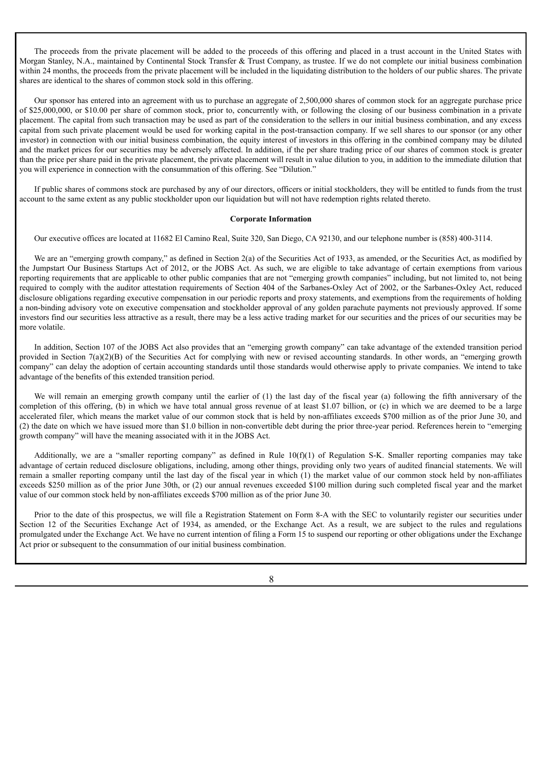The proceeds from the private placement will be added to the proceeds of this offering and placed in a trust account in the United States with Morgan Stanley, N.A., maintained by Continental Stock Transfer & Trust Company, as trustee. If we do not complete our initial business combination within 24 months, the proceeds from the private placement will be included in the liquidating distribution to the holders of our public shares. The private shares are identical to the shares of common stock sold in this offering.

Our sponsor has entered into an agreement with us to purchase an aggregate of 2,500,000 shares of common stock for an aggregate purchase price of \$25,000,000, or \$10.00 per share of common stock, prior to, concurrently with, or following the closing of our business combination in a private placement. The capital from such transaction may be used as part of the consideration to the sellers in our initial business combination, and any excess capital from such private placement would be used for working capital in the post-transaction company. If we sell shares to our sponsor (or any other investor) in connection with our initial business combination, the equity interest of investors in this offering in the combined company may be diluted and the market prices for our securities may be adversely affected. In addition, if the per share trading price of our shares of common stock is greater than the price per share paid in the private placement, the private placement will result in value dilution to you, in addition to the immediate dilution that you will experience in connection with the consummation of this offering. See "Dilution."

If public shares of commons stock are purchased by any of our directors, officers or initial stockholders, they will be entitled to funds from the trust account to the same extent as any public stockholder upon our liquidation but will not have redemption rights related thereto.

#### **Corporate Information**

Our executive offices are located at 11682 El Camino Real, Suite 320, San Diego, CA 92130, and our telephone number is (858) 400-3114.

We are an "emerging growth company," as defined in Section 2(a) of the Securities Act of 1933, as amended, or the Securities Act, as modified by the Jumpstart Our Business Startups Act of 2012, or the JOBS Act. As such, we are eligible to take advantage of certain exemptions from various reporting requirements that are applicable to other public companies that are not "emerging growth companies" including, but not limited to, not being required to comply with the auditor attestation requirements of Section 404 of the Sarbanes-Oxley Act of 2002, or the Sarbanes-Oxley Act, reduced disclosure obligations regarding executive compensation in our periodic reports and proxy statements, and exemptions from the requirements of holding a non-binding advisory vote on executive compensation and stockholder approval of any golden parachute payments not previously approved. If some investors find our securities less attractive as a result, there may be a less active trading market for our securities and the prices of our securities may be more volatile.

In addition, Section 107 of the JOBS Act also provides that an "emerging growth company" can take advantage of the extended transition period provided in Section 7(a)(2)(B) of the Securities Act for complying with new or revised accounting standards. In other words, an "emerging growth company" can delay the adoption of certain accounting standards until those standards would otherwise apply to private companies. We intend to take advantage of the benefits of this extended transition period.

We will remain an emerging growth company until the earlier of (1) the last day of the fiscal year (a) following the fifth anniversary of the completion of this offering, (b) in which we have total annual gross revenue of at least \$1.07 billion, or (c) in which we are deemed to be a large accelerated filer, which means the market value of our common stock that is held by non-affiliates exceeds \$700 million as of the prior June 30, and (2) the date on which we have issued more than \$1.0 billion in non-convertible debt during the prior three-year period. References herein to "emerging growth company" will have the meaning associated with it in the JOBS Act.

Additionally, we are a "smaller reporting company" as defined in Rule  $10(f)(1)$  of Regulation S-K. Smaller reporting companies may take advantage of certain reduced disclosure obligations, including, among other things, providing only two years of audited financial statements. We will remain a smaller reporting company until the last day of the fiscal year in which (1) the market value of our common stock held by non-affiliates exceeds \$250 million as of the prior June 30th, or (2) our annual revenues exceeded \$100 million during such completed fiscal year and the market value of our common stock held by non-affiliates exceeds \$700 million as of the prior June 30.

Prior to the date of this prospectus, we will file a Registration Statement on Form 8-A with the SEC to voluntarily register our securities under Section 12 of the Securities Exchange Act of 1934, as amended, or the Exchange Act. As a result, we are subject to the rules and regulations promulgated under the Exchange Act. We have no current intention of filing a Form 15 to suspend our reporting or other obligations under the Exchange Act prior or subsequent to the consummation of our initial business combination.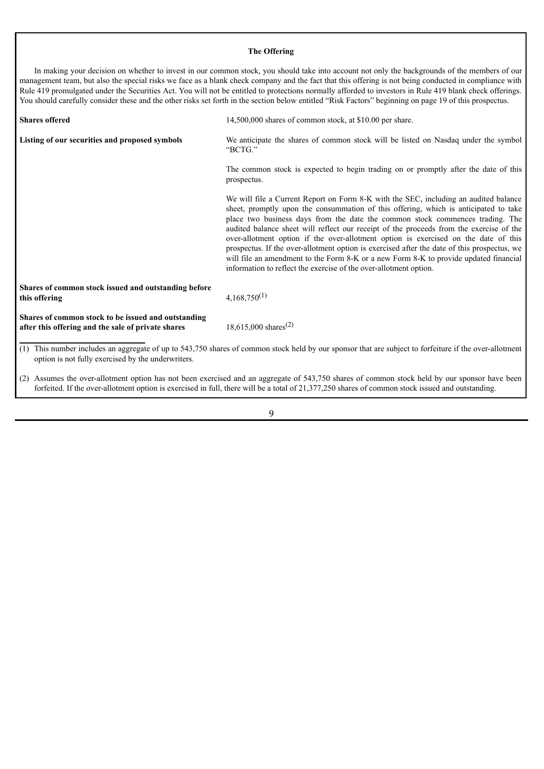## **The Offering**

In making your decision on whether to invest in our common stock, you should take into account not only the backgrounds of the members of our management team, but also the special risks we face as a blank check company and the fact that this offering is not being conducted in compliance with Rule 419 promulgated under the Securities Act. You will not be entitled to protections normally afforded to investors in Rule 419 blank check offerings. You should carefully consider these and the other risks set forth in the section below entitled "Risk Factors" beginning on page 19 of this prospectus.

| <b>Shares offered</b>                                                                                     | 14,500,000 shares of common stock, at \$10.00 per share.                                                                                                                                                                                                                                                                                                                                                                                                                                                                                                                                                                                                                                                     |
|-----------------------------------------------------------------------------------------------------------|--------------------------------------------------------------------------------------------------------------------------------------------------------------------------------------------------------------------------------------------------------------------------------------------------------------------------------------------------------------------------------------------------------------------------------------------------------------------------------------------------------------------------------------------------------------------------------------------------------------------------------------------------------------------------------------------------------------|
| Listing of our securities and proposed symbols                                                            | We anticipate the shares of common stock will be listed on Nasdaq under the symbol<br>"BCTG."                                                                                                                                                                                                                                                                                                                                                                                                                                                                                                                                                                                                                |
|                                                                                                           | The common stock is expected to begin trading on or promptly after the date of this<br>prospectus.                                                                                                                                                                                                                                                                                                                                                                                                                                                                                                                                                                                                           |
|                                                                                                           | We will file a Current Report on Form 8-K with the SEC, including an audited balance<br>sheet, promptly upon the consummation of this offering, which is anticipated to take<br>place two business days from the date the common stock commences trading. The<br>audited balance sheet will reflect our receipt of the proceeds from the exercise of the<br>over-allotment option if the over-allotment option is exercised on the date of this<br>prospectus. If the over-allotment option is exercised after the date of this prospectus, we<br>will file an amendment to the Form 8-K or a new Form 8-K to provide updated financial<br>information to reflect the exercise of the over-allotment option. |
| Shares of common stock issued and outstanding before<br>this offering                                     | $4,168,750^{(1)}$                                                                                                                                                                                                                                                                                                                                                                                                                                                                                                                                                                                                                                                                                            |
| Shares of common stock to be issued and outstanding<br>after this offering and the sale of private shares | $18,615,000$ shares <sup>(2)</sup>                                                                                                                                                                                                                                                                                                                                                                                                                                                                                                                                                                                                                                                                           |
| option is not fully exercised by the underwriters.                                                        | (1) This number includes an aggregate of up to 543,750 shares of common stock held by our sponsor that are subject to forfeiture if the over-allotment                                                                                                                                                                                                                                                                                                                                                                                                                                                                                                                                                       |
|                                                                                                           | $(0)$ (a) $(1)$ (1) $(1)$ (1) $(1)$ (1) $(1)$ (1) $(1)$ (1) $(1)$ (1) $(1)$ (1) $(1)$ (1) $(1)$ (1) $(1)$ (1) $(1)$ (1) $(1)$ (1) $(1)$ (1) $(1)$ (1) $(1)$ (1) $(1)$ (1) $(1)$ (1) $(1)$ (1) $(1)$ (1) $(1)$ (1) $(1)$ (1)                                                                                                                                                                                                                                                                                                                                                                                                                                                                                  |

(2) Assumes the over-allotment option has not been exercised and an aggregate of 543,750 shares of common stock held by our sponsor have been forfeited. If the over-allotment option is exercised in full, there will be a total of 21,377,250 shares of common stock issued and outstanding.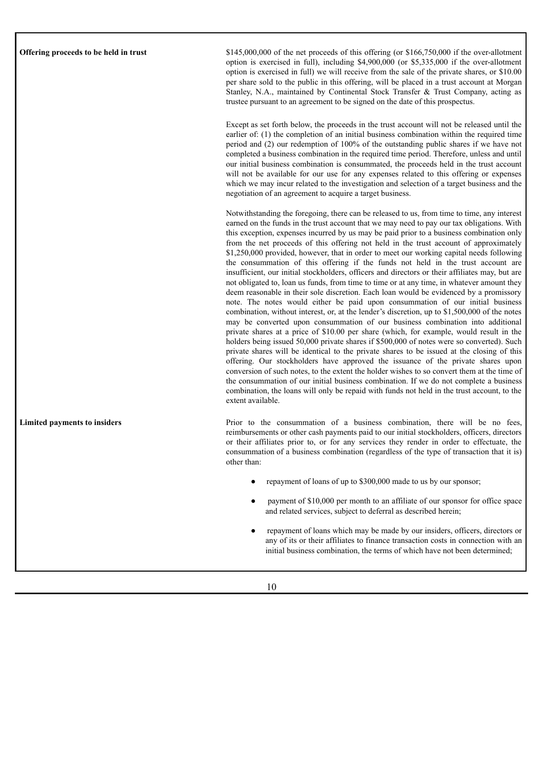**Offering proceeds to be held in trust** \$145,000,000 of the net proceeds of this offering (or \$166,750,000 if the over-allotment option is exercised in full), including \$4,900,000 (or \$5,335,000 if the over-allotment option is exercised in full) we will receive from the sale of the private shares, or \$10.00 per share sold to the public in this offering, will be placed in a trust account at Morgan Stanley, N.A., maintained by Continental Stock Transfer & Trust Company, acting as trustee pursuant to an agreement to be signed on the date of this prospectus.

> Except as set forth below, the proceeds in the trust account will not be released until the earlier of: (1) the completion of an initial business combination within the required time period and (2) our redemption of 100% of the outstanding public shares if we have not completed a business combination in the required time period. Therefore, unless and until our initial business combination is consummated, the proceeds held in the trust account will not be available for our use for any expenses related to this offering or expenses which we may incur related to the investigation and selection of a target business and the negotiation of an agreement to acquire a target business.

> Notwithstanding the foregoing, there can be released to us, from time to time, any interest earned on the funds in the trust account that we may need to pay our tax obligations. With this exception, expenses incurred by us may be paid prior to a business combination only from the net proceeds of this offering not held in the trust account of approximately \$1,250,000 provided, however, that in order to meet our working capital needs following the consummation of this offering if the funds not held in the trust account are insufficient, our initial stockholders, officers and directors or their affiliates may, but are not obligated to, loan us funds, from time to time or at any time, in whatever amount they deem reasonable in their sole discretion. Each loan would be evidenced by a promissory note. The notes would either be paid upon consummation of our initial business combination, without interest, or, at the lender's discretion, up to \$1,500,000 of the notes may be converted upon consummation of our business combination into additional private shares at a price of \$10.00 per share (which, for example, would result in the holders being issued 50,000 private shares if \$500,000 of notes were so converted). Such private shares will be identical to the private shares to be issued at the closing of this offering. Our stockholders have approved the issuance of the private shares upon conversion of such notes, to the extent the holder wishes to so convert them at the time of the consummation of our initial business combination. If we do not complete a business combination, the loans will only be repaid with funds not held in the trust account, to the extent available.

**Limited payments to insiders particles Prior** to the consummation of a business combination, there will be no fees, reimbursements or other cash payments paid to our initial stockholders, officers, directors or their affiliates prior to, or for any services they render in order to effectuate, the consummation of a business combination (regardless of the type of transaction that it is) other than:

- repayment of loans of up to \$300,000 made to us by our sponsor;
- payment of \$10,000 per month to an affiliate of our sponsor for office space and related services, subject to deferral as described herein;
- repayment of loans which may be made by our insiders, officers, directors or any of its or their affiliates to finance transaction costs in connection with an initial business combination, the terms of which have not been determined;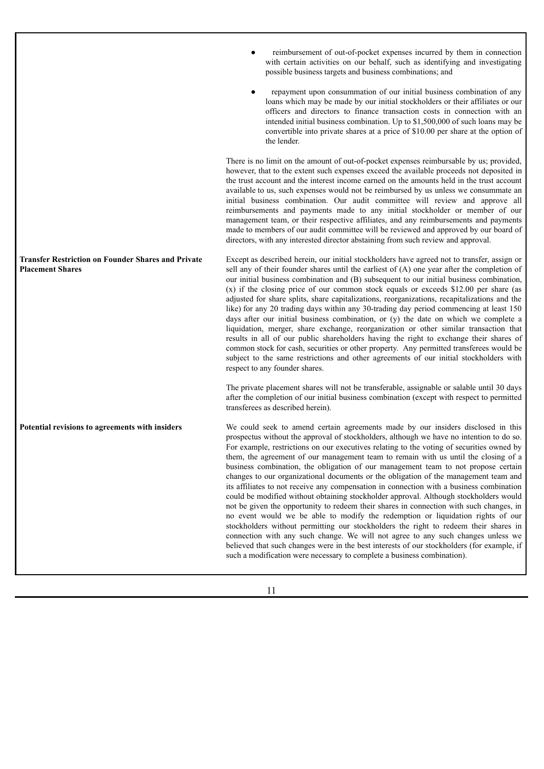| $\bullet$                                                | reimbursement of out-of-pocket expenses incurred by them in connection       |  |  |  |  |
|----------------------------------------------------------|------------------------------------------------------------------------------|--|--|--|--|
|                                                          | with certain activities on our behalf, such as identifying and investigating |  |  |  |  |
| possible business targets and business combinations; and |                                                                              |  |  |  |  |

repayment upon consummation of our initial business combination of any loans which may be made by our initial stockholders or their affiliates or our officers and directors to finance transaction costs in connection with an intended initial business combination. Up to \$1,500,000 of such loans may be convertible into private shares at a price of \$10.00 per share at the option of the lender.

There is no limit on the amount of out-of-pocket expenses reimbursable by us; provided, however, that to the extent such expenses exceed the available proceeds not deposited in the trust account and the interest income earned on the amounts held in the trust account available to us, such expenses would not be reimbursed by us unless we consummate an initial business combination. Our audit committee will review and approve all reimbursements and payments made to any initial stockholder or member of our management team, or their respective affiliates, and any reimbursements and payments made to members of our audit committee will be reviewed and approved by our board of directors, with any interested director abstaining from such review and approval.

**Transfer Restriction on Founder Shares and Private Placement Shares** Except as described herein, our initial stockholders have agreed not to transfer, assign or sell any of their founder shares until the earliest of (A) one year after the completion of our initial business combination and (B) subsequent to our initial business combination, (x) if the closing price of our common stock equals or exceeds \$12.00 per share (as adjusted for share splits, share capitalizations, reorganizations, recapitalizations and the like) for any 20 trading days within any 30-trading day period commencing at least 150 days after our initial business combination, or (y) the date on which we complete a liquidation, merger, share exchange, reorganization or other similar transaction that results in all of our public shareholders having the right to exchange their shares of common stock for cash, securities or other property. Any permitted transferees would be subject to the same restrictions and other agreements of our initial stockholders with respect to any founder shares. The private placement shares will not be transferable, assignable or salable until 30 days after the completion of our initial business combination (except with respect to permitted transferees as described herein).

**Potential revisions to agreements with insiders** We could seek to amend certain agreements made by our insiders disclosed in this prospectus without the approval of stockholders, although we have no intention to do so. For example, restrictions on our executives relating to the voting of securities owned by them, the agreement of our management team to remain with us until the closing of a business combination, the obligation of our management team to not propose certain changes to our organizational documents or the obligation of the management team and its affiliates to not receive any compensation in connection with a business combination could be modified without obtaining stockholder approval. Although stockholders would not be given the opportunity to redeem their shares in connection with such changes, in no event would we be able to modify the redemption or liquidation rights of our stockholders without permitting our stockholders the right to redeem their shares in connection with any such change. We will not agree to any such changes unless we believed that such changes were in the best interests of our stockholders (for example, if such a modification were necessary to complete a business combination).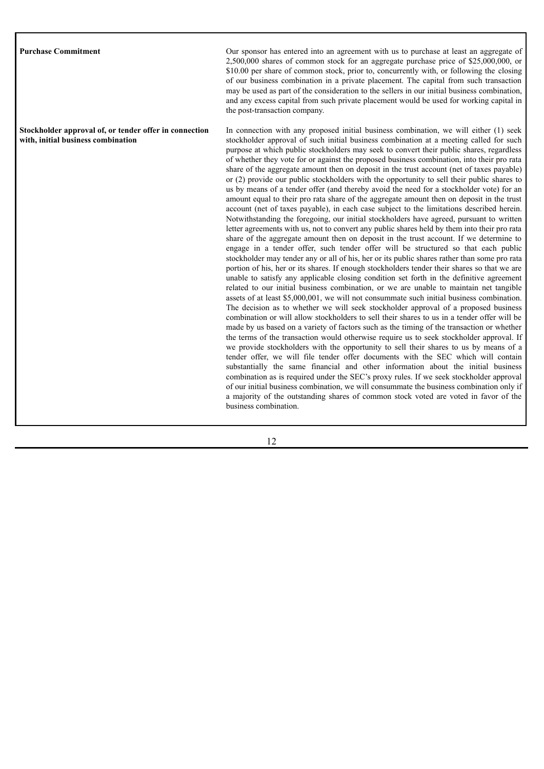**Purchase Commitment Commitment Commitment Commitment Commitment Commitment Commitment Commitment Commitment Commitment Commitment Commitment Commitment Commitment Commitment Commitment Comm** 2,500,000 shares of common stock for an aggregate purchase price of \$25,000,000, or \$10.00 per share of common stock, prior to, concurrently with, or following the closing of our business combination in a private placement. The capital from such transaction may be used as part of the consideration to the sellers in our initial business combination, and any excess capital from such private placement would be used for working capital in the post-transaction company.

**Stockholder approval of, or tender offer in connection with, initial business combination**

In connection with any proposed initial business combination, we will either (1) seek stockholder approval of such initial business combination at a meeting called for such purpose at which public stockholders may seek to convert their public shares, regardless of whether they vote for or against the proposed business combination, into their pro rata share of the aggregate amount then on deposit in the trust account (net of taxes payable) or (2) provide our public stockholders with the opportunity to sell their public shares to us by means of a tender offer (and thereby avoid the need for a stockholder vote) for an amount equal to their pro rata share of the aggregate amount then on deposit in the trust account (net of taxes payable), in each case subject to the limitations described herein. Notwithstanding the foregoing, our initial stockholders have agreed, pursuant to written letter agreements with us, not to convert any public shares held by them into their pro rata share of the aggregate amount then on deposit in the trust account. If we determine to engage in a tender offer, such tender offer will be structured so that each public stockholder may tender any or all of his, her or its public shares rather than some pro rata portion of his, her or its shares. If enough stockholders tender their shares so that we are unable to satisfy any applicable closing condition set forth in the definitive agreement related to our initial business combination, or we are unable to maintain net tangible assets of at least \$5,000,001, we will not consummate such initial business combination. The decision as to whether we will seek stockholder approval of a proposed business combination or will allow stockholders to sell their shares to us in a tender offer will be made by us based on a variety of factors such as the timing of the transaction or whether the terms of the transaction would otherwise require us to seek stockholder approval. If we provide stockholders with the opportunity to sell their shares to us by means of a tender offer, we will file tender offer documents with the SEC which will contain substantially the same financial and other information about the initial business combination as is required under the SEC's proxy rules. If we seek stockholder approval of our initial business combination, we will consummate the business combination only if a majority of the outstanding shares of common stock voted are voted in favor of the business combination.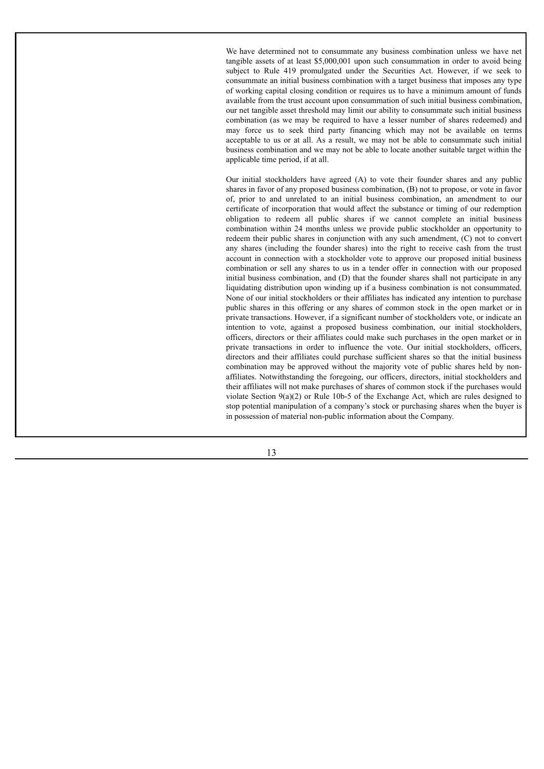We have determined not to consummate any business combination unless we have net tangible assets of at least \$5,000,001 upon such consummation in order to avoid being subject to Rule 419 promulgated under the Securities Act. However, if we seek to consummate an initial business combination with a target business that imposes any type of working capital closing condition or requires us to have a minimum amount of funds available from the trust account upon consummation of such initial business combination, our net tangible asset threshold may limit our ability to consummate such initial business combination (as we may be required to have a lesser number of shares redeemed) and may force us to seek third party financing which may not be available on terms acceptable to us or at all. As a result, we may not be able to consummate such initial business combination and we may not be able to locate another suitable target within the applicable time period, if at all.

Our initial stockholders have agreed (A) to vote their founder shares and any public shares in favor of any proposed business combination, (B) not to propose, or vote in favor of, prior to and unrelated to an initial business combination, an amendment to our certificate of incorporation that would affect the substance or timing of our redemption obligation to redeem all public shares if we cannot complete an initial business combination within 24 months unless we provide public stockholder an opportunity to redeem their public shares in conjunction with any such amendment, (C) not to convert any shares (including the founder shares) into the right to receive cash from the trust account in connection with a stockholder vote to approve our proposed initial business combination or sell any shares to us in a tender offer in connection with our proposed initial business combination, and (D) that the founder shares shall not participate in any liquidating distribution upon winding up if a business combination is not consummated. None of our initial stockholders or their affiliates has indicated any intention to purchase public shares in this offering or any shares of common stock in the open market or in private transactions. However, if a significant number of stockholders vote, or indicate an intention to vote, against a proposed business combination, our initial stockholders, officers, directors or their affiliates could make such purchases in the open market or in private transactions in order to influence the vote. Our initial stockholders, officers, directors and their affiliates could purchase sufficient shares so that the initial business combination may be approved without the majority vote of public shares held by nonaffiliates. Notwithstanding the foregoing, our officers, directors, initial stockholders and their affiliates will not make purchases of shares of common stock if the purchases would violate Section  $9(a)(2)$  or Rule 10b-5 of the Exchange Act, which are rules designed to stop potential manipulation of a company's stock or purchasing shares when the buyer is in possession of material non-public information about the Company.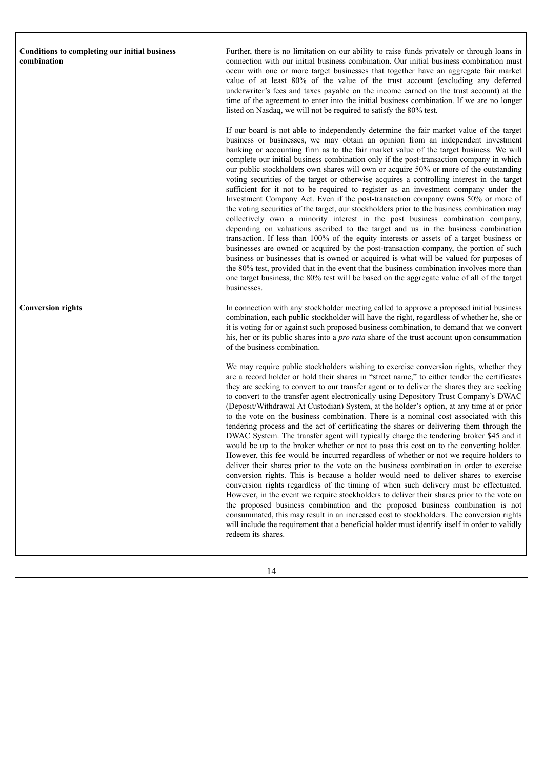**Conditions to completing our initial business combination**

Further, there is no limitation on our ability to raise funds privately or through loans in connection with our initial business combination. Our initial business combination must occur with one or more target businesses that together have an aggregate fair market value of at least 80% of the value of the trust account (excluding any deferred underwriter's fees and taxes payable on the income earned on the trust account) at the time of the agreement to enter into the initial business combination. If we are no longer listed on Nasdaq, we will not be required to satisfy the 80% test.

If our board is not able to independently determine the fair market value of the target business or businesses, we may obtain an opinion from an independent investment banking or accounting firm as to the fair market value of the target business. We will complete our initial business combination only if the post-transaction company in which our public stockholders own shares will own or acquire 50% or more of the outstanding voting securities of the target or otherwise acquires a controlling interest in the target sufficient for it not to be required to register as an investment company under the Investment Company Act. Even if the post-transaction company owns 50% or more of the voting securities of the target, our stockholders prior to the business combination may collectively own a minority interest in the post business combination company, depending on valuations ascribed to the target and us in the business combination transaction. If less than 100% of the equity interests or assets of a target business or businesses are owned or acquired by the post-transaction company, the portion of such business or businesses that is owned or acquired is what will be valued for purposes of the 80% test, provided that in the event that the business combination involves more than one target business, the 80% test will be based on the aggregate value of all of the target businesses.

**Conversion rights In connection** with any stockholder meeting called to approve a proposed initial business combination, each public stockholder will have the right, regardless of whether he, she or it is voting for or against such proposed business combination, to demand that we convert his, her or its public shares into a *pro rata* share of the trust account upon consummation of the business combination.

> We may require public stockholders wishing to exercise conversion rights, whether they are a record holder or hold their shares in "street name," to either tender the certificates they are seeking to convert to our transfer agent or to deliver the shares they are seeking to convert to the transfer agent electronically using Depository Trust Company's DWAC (Deposit/Withdrawal At Custodian) System, at the holder's option, at any time at or prior to the vote on the business combination. There is a nominal cost associated with this tendering process and the act of certificating the shares or delivering them through the DWAC System. The transfer agent will typically charge the tendering broker \$45 and it would be up to the broker whether or not to pass this cost on to the converting holder. However, this fee would be incurred regardless of whether or not we require holders to deliver their shares prior to the vote on the business combination in order to exercise conversion rights. This is because a holder would need to deliver shares to exercise conversion rights regardless of the timing of when such delivery must be effectuated. However, in the event we require stockholders to deliver their shares prior to the vote on the proposed business combination and the proposed business combination is not consummated, this may result in an increased cost to stockholders. The conversion rights will include the requirement that a beneficial holder must identify itself in order to validly redeem its shares.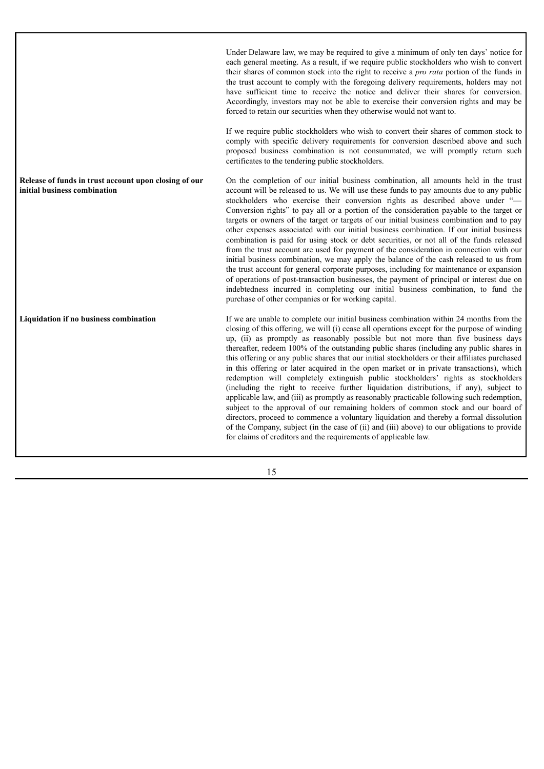|                                                                                       | Under Delaware law, we may be required to give a minimum of only ten days' notice for<br>each general meeting. As a result, if we require public stockholders who wish to convert<br>their shares of common stock into the right to receive a <i>pro rata</i> portion of the funds in<br>the trust account to comply with the foregoing delivery requirements, holders may not<br>have sufficient time to receive the notice and deliver their shares for conversion.<br>Accordingly, investors may not be able to exercise their conversion rights and may be<br>forced to retain our securities when they otherwise would not want to.                                                                                                                                                                                                                                                                                                                                                                                                                                                                                                                                                             |
|---------------------------------------------------------------------------------------|------------------------------------------------------------------------------------------------------------------------------------------------------------------------------------------------------------------------------------------------------------------------------------------------------------------------------------------------------------------------------------------------------------------------------------------------------------------------------------------------------------------------------------------------------------------------------------------------------------------------------------------------------------------------------------------------------------------------------------------------------------------------------------------------------------------------------------------------------------------------------------------------------------------------------------------------------------------------------------------------------------------------------------------------------------------------------------------------------------------------------------------------------------------------------------------------------|
|                                                                                       | If we require public stockholders who wish to convert their shares of common stock to<br>comply with specific delivery requirements for conversion described above and such<br>proposed business combination is not consummated, we will promptly return such<br>certificates to the tendering public stockholders.                                                                                                                                                                                                                                                                                                                                                                                                                                                                                                                                                                                                                                                                                                                                                                                                                                                                                  |
| Release of funds in trust account upon closing of our<br>initial business combination | On the completion of our initial business combination, all amounts held in the trust<br>account will be released to us. We will use these funds to pay amounts due to any public<br>stockholders who exercise their conversion rights as described above under "-<br>Conversion rights" to pay all or a portion of the consideration payable to the target or<br>targets or owners of the target or targets of our initial business combination and to pay<br>other expenses associated with our initial business combination. If our initial business<br>combination is paid for using stock or debt securities, or not all of the funds released<br>from the trust account are used for payment of the consideration in connection with our<br>initial business combination, we may apply the balance of the cash released to us from<br>the trust account for general corporate purposes, including for maintenance or expansion<br>of operations of post-transaction businesses, the payment of principal or interest due on<br>indebtedness incurred in completing our initial business combination, to fund the<br>purchase of other companies or for working capital.                         |
| Liquidation if no business combination                                                | If we are unable to complete our initial business combination within 24 months from the<br>closing of this offering, we will (i) cease all operations except for the purpose of winding<br>up, (ii) as promptly as reasonably possible but not more than five business days<br>thereafter, redeem 100% of the outstanding public shares (including any public shares in<br>this offering or any public shares that our initial stockholders or their affiliates purchased<br>in this offering or later acquired in the open market or in private transactions), which<br>redemption will completely extinguish public stockholders' rights as stockholders<br>(including the right to receive further liquidation distributions, if any), subject to<br>applicable law, and (iii) as promptly as reasonably practicable following such redemption,<br>subject to the approval of our remaining holders of common stock and our board of<br>directors, proceed to commence a voluntary liquidation and thereby a formal dissolution<br>of the Company, subject (in the case of (ii) and (iii) above) to our obligations to provide<br>for claims of creditors and the requirements of applicable law. |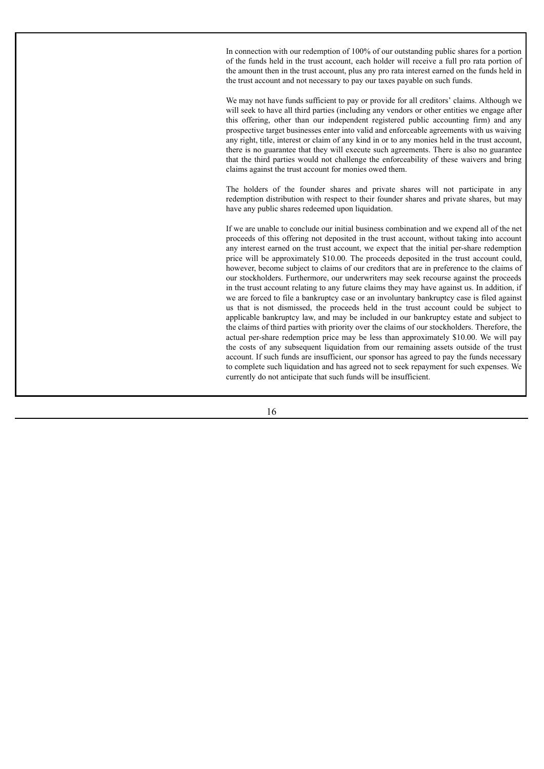In connection with our redemption of 100% of our outstanding public shares for a portion of the funds held in the trust account, each holder will receive a full pro rata portion of the amount then in the trust account, plus any pro rata interest earned on the funds held in the trust account and not necessary to pay our taxes payable on such funds.

We may not have funds sufficient to pay or provide for all creditors' claims. Although we will seek to have all third parties (including any vendors or other entities we engage after this offering, other than our independent registered public accounting firm) and any prospective target businesses enter into valid and enforceable agreements with us waiving any right, title, interest or claim of any kind in or to any monies held in the trust account, there is no guarantee that they will execute such agreements. There is also no guarantee that the third parties would not challenge the enforceability of these waivers and bring claims against the trust account for monies owed them.

The holders of the founder shares and private shares will not participate in any redemption distribution with respect to their founder shares and private shares, but may have any public shares redeemed upon liquidation.

If we are unable to conclude our initial business combination and we expend all of the net proceeds of this offering not deposited in the trust account, without taking into account any interest earned on the trust account, we expect that the initial per-share redemption price will be approximately \$10.00. The proceeds deposited in the trust account could, however, become subject to claims of our creditors that are in preference to the claims of our stockholders. Furthermore, our underwriters may seek recourse against the proceeds in the trust account relating to any future claims they may have against us. In addition, if we are forced to file a bankruptcy case or an involuntary bankruptcy case is filed against us that is not dismissed, the proceeds held in the trust account could be subject to applicable bankruptcy law, and may be included in our bankruptcy estate and subject to the claims of third parties with priority over the claims of our stockholders. Therefore, the actual per-share redemption price may be less than approximately \$10.00. We will pay the costs of any subsequent liquidation from our remaining assets outside of the trust account. If such funds are insufficient, our sponsor has agreed to pay the funds necessary to complete such liquidation and has agreed not to seek repayment for such expenses. We currently do not anticipate that such funds will be insufficient.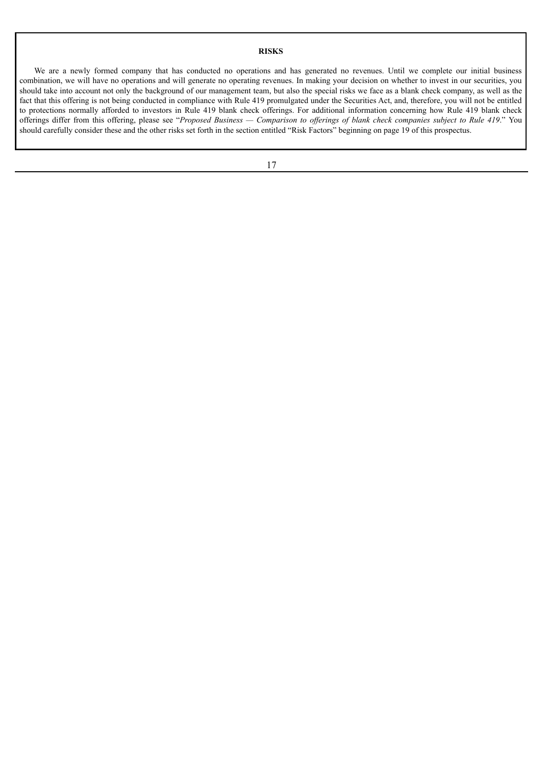## **RISKS**

We are a newly formed company that has conducted no operations and has generated no revenues. Until we complete our initial business combination, we will have no operations and will generate no operating revenues. In making your decision on whether to invest in our securities, you should take into account not only the background of our management team, but also the special risks we face as a blank check company, as well as the fact that this offering is not being conducted in compliance with Rule 419 promulgated under the Securities Act, and, therefore, you will not be entitled to protections normally afforded to investors in Rule 419 blank check offerings. For additional information concerning how Rule 419 blank check offerings differ from this offering, please see "Proposed Business - Comparison to offerings of blank check companies subject to Rule 419." You should carefully consider these and the other risks set forth in the section entitled "Risk Factors" beginning on page 19 of this prospectus.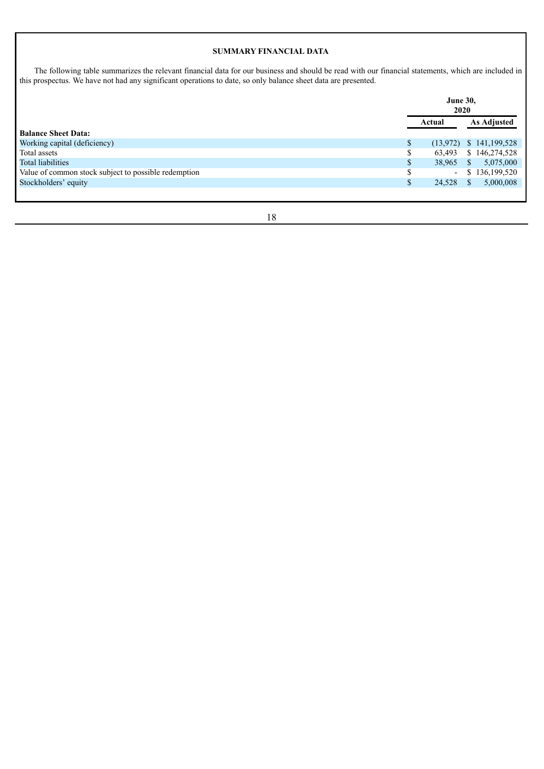## **SUMMARY FINANCIAL DATA**

<span id="page-20-0"></span>The following table summarizes the relevant financial data for our business and should be read with our financial statements, which are included in this prospectus. We have not had any significant operations to date, so only balance sheet data are presented.

|                                                      |    | <b>June 30,</b><br>2020      |                           |  |
|------------------------------------------------------|----|------------------------------|---------------------------|--|
|                                                      |    | <b>As Adjusted</b><br>Actual |                           |  |
| <b>Balance Sheet Data:</b>                           |    |                              |                           |  |
| Working capital (deficiency)                         |    |                              | $(13,972)$ \$ 141,199,528 |  |
| Total assets                                         | S  | 63,493                       | \$146,274,528             |  |
| <b>Total liabilities</b>                             | \$ | $38,965$ \$                  | 5,075,000                 |  |
| Value of common stock subject to possible redemption |    | $\sim$                       | \$136,199,520             |  |
| Stockholders' equity                                 | \$ | 24,528                       | 5,000,008<br><sup>S</sup> |  |
|                                                      |    |                              |                           |  |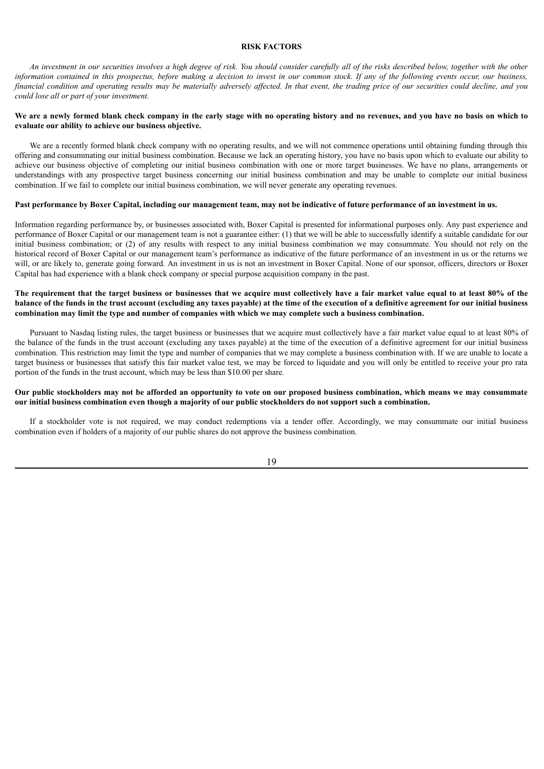## **RISK FACTORS**

<span id="page-21-0"></span>An investment in our securities involves a high degree of risk. You should consider carefully all of the risks described below, together with the other information contained in this prospectus, before making a decision to invest in our common stock. If any of the following events occur, our business, financial condition and operating results may be materially adversely affected. In that event, the trading price of our securities could decline, and you *could lose all or part of your investment.*

## We are a newly formed blank check company in the early stage with no operating history and no revenues, and you have no basis on which to **evaluate our ability to achieve our business objective.**

We are a recently formed blank check company with no operating results, and we will not commence operations until obtaining funding through this offering and consummating our initial business combination. Because we lack an operating history, you have no basis upon which to evaluate our ability to achieve our business objective of completing our initial business combination with one or more target businesses. We have no plans, arrangements or understandings with any prospective target business concerning our initial business combination and may be unable to complete our initial business combination. If we fail to complete our initial business combination, we will never generate any operating revenues.

#### Past performance by Boxer Capital, including our management team, may not be indicative of future performance of an investment in us.

Information regarding performance by, or businesses associated with, Boxer Capital is presented for informational purposes only. Any past experience and performance of Boxer Capital or our management team is not a guarantee either: (1) that we will be able to successfully identify a suitable candidate for our initial business combination; or (2) of any results with respect to any initial business combination we may consummate. You should not rely on the historical record of Boxer Capital or our management team's performance as indicative of the future performance of an investment in us or the returns we will, or are likely to, generate going forward. An investment in us is not an investment in Boxer Capital. None of our sponsor, officers, directors or Boxer Capital has had experience with a blank check company or special purpose acquisition company in the past.

## The requirement that the target business or businesses that we acquire must collectively have a fair market value equal to at least 80% of the balance of the funds in the trust account (excluding any taxes payable) at the time of the execution of a definitive agreement for our initial business combination may limit the type and number of companies with which we may complete such a business combination.

Pursuant to Nasdaq listing rules, the target business or businesses that we acquire must collectively have a fair market value equal to at least 80% of the balance of the funds in the trust account (excluding any taxes payable) at the time of the execution of a definitive agreement for our initial business combination. This restriction may limit the type and number of companies that we may complete a business combination with. If we are unable to locate a target business or businesses that satisfy this fair market value test, we may be forced to liquidate and you will only be entitled to receive your pro rata portion of the funds in the trust account, which may be less than \$10.00 per share.

#### Our public stockholders may not be afforded an opportunity to vote on our proposed business combination, which means we may consummate our initial business combination even though a majority of our public stockholders do not support such a combination.

If a stockholder vote is not required, we may conduct redemptions via a tender offer. Accordingly, we may consummate our initial business combination even if holders of a majority of our public shares do not approve the business combination.

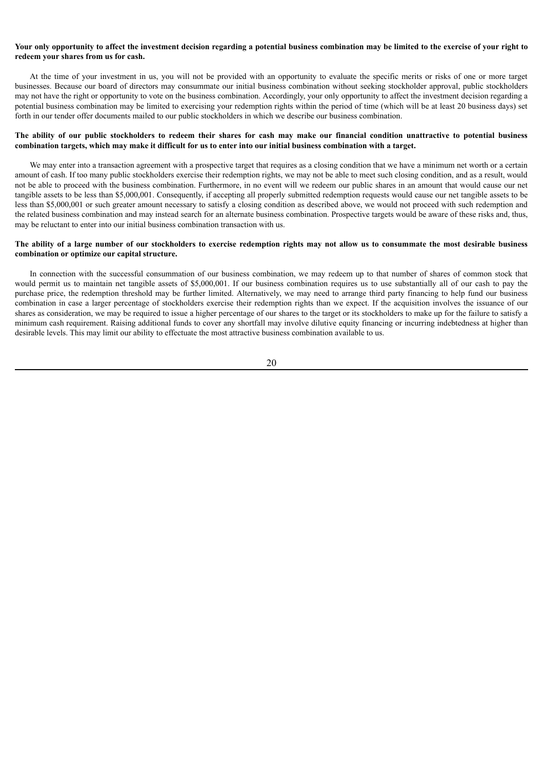## Your only opportunity to affect the investment decision regarding a potential business combination may be limited to the exercise of your right to **redeem your shares from us for cash.**

At the time of your investment in us, you will not be provided with an opportunity to evaluate the specific merits or risks of one or more target businesses. Because our board of directors may consummate our initial business combination without seeking stockholder approval, public stockholders may not have the right or opportunity to vote on the business combination. Accordingly, your only opportunity to affect the investment decision regarding a potential business combination may be limited to exercising your redemption rights within the period of time (which will be at least 20 business days) set forth in our tender offer documents mailed to our public stockholders in which we describe our business combination.

## The ability of our public stockholders to redeem their shares for cash may make our financial condition unattractive to potential business combination targets, which may make it difficult for us to enter into our initial business combination with a target.

We may enter into a transaction agreement with a prospective target that requires as a closing condition that we have a minimum net worth or a certain amount of cash. If too many public stockholders exercise their redemption rights, we may not be able to meet such closing condition, and as a result, would not be able to proceed with the business combination. Furthermore, in no event will we redeem our public shares in an amount that would cause our net tangible assets to be less than \$5,000,001. Consequently, if accepting all properly submitted redemption requests would cause our net tangible assets to be less than \$5,000,001 or such greater amount necessary to satisfy a closing condition as described above, we would not proceed with such redemption and the related business combination and may instead search for an alternate business combination. Prospective targets would be aware of these risks and, thus, may be reluctant to enter into our initial business combination transaction with us.

## The ability of a large number of our stockholders to exercise redemption rights may not allow us to consummate the most desirable business **combination or optimize our capital structure.**

In connection with the successful consummation of our business combination, we may redeem up to that number of shares of common stock that would permit us to maintain net tangible assets of \$5,000,001. If our business combination requires us to use substantially all of our cash to pay the purchase price, the redemption threshold may be further limited. Alternatively, we may need to arrange third party financing to help fund our business combination in case a larger percentage of stockholders exercise their redemption rights than we expect. If the acquisition involves the issuance of our shares as consideration, we may be required to issue a higher percentage of our shares to the target or its stockholders to make up for the failure to satisfy a minimum cash requirement. Raising additional funds to cover any shortfall may involve dilutive equity financing or incurring indebtedness at higher than desirable levels. This may limit our ability to effectuate the most attractive business combination available to us.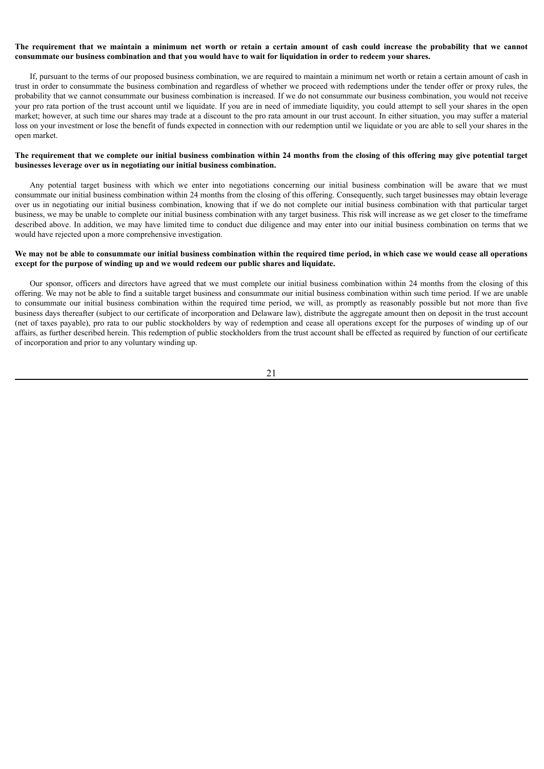## The requirement that we maintain a minimum net worth or retain a certain amount of cash could increase the probability that we cannot consummate our business combination and that you would have to wait for liquidation in order to redeem your shares.

If, pursuant to the terms of our proposed business combination, we are required to maintain a minimum net worth or retain a certain amount of cash in trust in order to consummate the business combination and regardless of whether we proceed with redemptions under the tender offer or proxy rules, the probability that we cannot consummate our business combination is increased. If we do not consummate our business combination, you would not receive your pro rata portion of the trust account until we liquidate. If you are in need of immediate liquidity, you could attempt to sell your shares in the open market; however, at such time our shares may trade at a discount to the pro rata amount in our trust account. In either situation, you may suffer a material loss on your investment or lose the benefit of funds expected in connection with our redemption until we liquidate or you are able to sell your shares in the open market.

#### The requirement that we complete our initial business combination within 24 months from the closing of this offering may give potential target **businesses leverage over us in negotiating our initial business combination.**

Any potential target business with which we enter into negotiations concerning our initial business combination will be aware that we must consummate our initial business combination within 24 months from the closing of this offering. Consequently, such target businesses may obtain leverage over us in negotiating our initial business combination, knowing that if we do not complete our initial business combination with that particular target business, we may be unable to complete our initial business combination with any target business. This risk will increase as we get closer to the timeframe described above. In addition, we may have limited time to conduct due diligence and may enter into our initial business combination on terms that we would have rejected upon a more comprehensive investigation.

## We may not be able to consummate our initial business combination within the required time period, in which case we would cease all operations **except for the purpose of winding up and we would redeem our public shares and liquidate.**

Our sponsor, officers and directors have agreed that we must complete our initial business combination within 24 months from the closing of this offering. We may not be able to find a suitable target business and consummate our initial business combination within such time period. If we are unable to consummate our initial business combination within the required time period, we will, as promptly as reasonably possible but not more than five business days thereafter (subject to our certificate of incorporation and Delaware law), distribute the aggregate amount then on deposit in the trust account (net of taxes payable), pro rata to our public stockholders by way of redemption and cease all operations except for the purposes of winding up of our affairs, as further described herein. This redemption of public stockholders from the trust account shall be effected as required by function of our certificate of incorporation and prior to any voluntary winding up.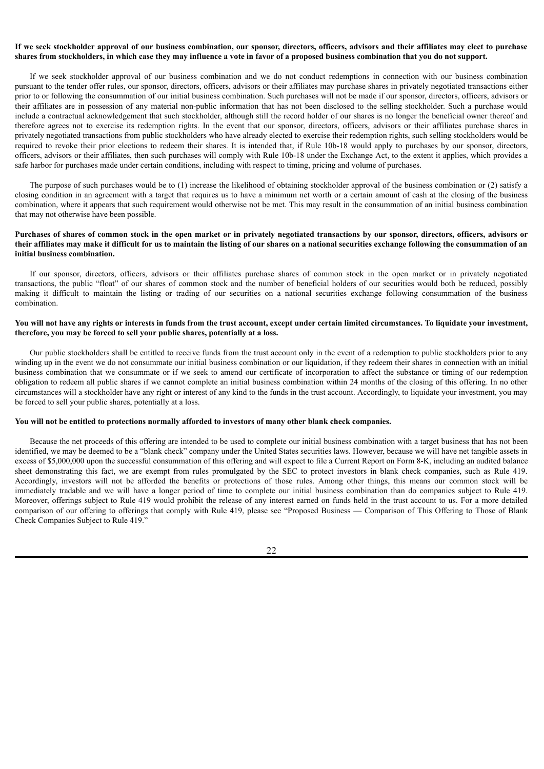## If we seek stockholder approval of our business combination, our sponsor, directors, officers, advisors and their affiliates may elect to purchase shares from stockholders, in which case they may influence a vote in favor of a proposed business combination that you do not support.

If we seek stockholder approval of our business combination and we do not conduct redemptions in connection with our business combination pursuant to the tender offer rules, our sponsor, directors, officers, advisors or their affiliates may purchase shares in privately negotiated transactions either prior to or following the consummation of our initial business combination. Such purchases will not be made if our sponsor, directors, officers, advisors or their affiliates are in possession of any material non-public information that has not been disclosed to the selling stockholder. Such a purchase would include a contractual acknowledgement that such stockholder, although still the record holder of our shares is no longer the beneficial owner thereof and therefore agrees not to exercise its redemption rights. In the event that our sponsor, directors, officers, advisors or their affiliates purchase shares in privately negotiated transactions from public stockholders who have already elected to exercise their redemption rights, such selling stockholders would be required to revoke their prior elections to redeem their shares. It is intended that, if Rule 10b-18 would apply to purchases by our sponsor, directors, officers, advisors or their affiliates, then such purchases will comply with Rule 10b-18 under the Exchange Act, to the extent it applies, which provides a safe harbor for purchases made under certain conditions, including with respect to timing, pricing and volume of purchases.

The purpose of such purchases would be to (1) increase the likelihood of obtaining stockholder approval of the business combination or (2) satisfy a closing condition in an agreement with a target that requires us to have a minimum net worth or a certain amount of cash at the closing of the business combination, where it appears that such requirement would otherwise not be met. This may result in the consummation of an initial business combination that may not otherwise have been possible.

## Purchases of shares of common stock in the open market or in privately negotiated transactions by our sponsor, directors, officers, advisors or their affiliates may make it difficult for us to maintain the listing of our shares on a national securities exchange following the consummation of an **initial business combination.**

If our sponsor, directors, officers, advisors or their affiliates purchase shares of common stock in the open market or in privately negotiated transactions, the public "float" of our shares of common stock and the number of beneficial holders of our securities would both be reduced, possibly making it difficult to maintain the listing or trading of our securities on a national securities exchange following consummation of the business combination.

## You will not have any rights or interests in funds from the trust account, except under certain limited circumstances. To liquidate your investment, **therefore, you may be forced to sell your public shares, potentially at a loss.**

Our public stockholders shall be entitled to receive funds from the trust account only in the event of a redemption to public stockholders prior to any winding up in the event we do not consummate our initial business combination or our liquidation, if they redeem their shares in connection with an initial business combination that we consummate or if we seek to amend our certificate of incorporation to affect the substance or timing of our redemption obligation to redeem all public shares if we cannot complete an initial business combination within 24 months of the closing of this offering. In no other circumstances will a stockholder have any right or interest of any kind to the funds in the trust account. Accordingly, to liquidate your investment, you may be forced to sell your public shares, potentially at a loss.

#### You will not be entitled to protections normally afforded to investors of many other blank check companies.

Because the net proceeds of this offering are intended to be used to complete our initial business combination with a target business that has not been identified, we may be deemed to be a "blank check" company under the United States securities laws. However, because we will have net tangible assets in excess of \$5,000,000 upon the successful consummation of this offering and will expect to file a Current Report on Form 8-K, including an audited balance sheet demonstrating this fact, we are exempt from rules promulgated by the SEC to protect investors in blank check companies, such as Rule 419. Accordingly, investors will not be afforded the benefits or protections of those rules. Among other things, this means our common stock will be immediately tradable and we will have a longer period of time to complete our initial business combination than do companies subject to Rule 419. Moreover, offerings subject to Rule 419 would prohibit the release of any interest earned on funds held in the trust account to us. For a more detailed comparison of our offering to offerings that comply with Rule 419, please see "Proposed Business — Comparison of This Offering to Those of Blank Check Companies Subject to Rule 419."

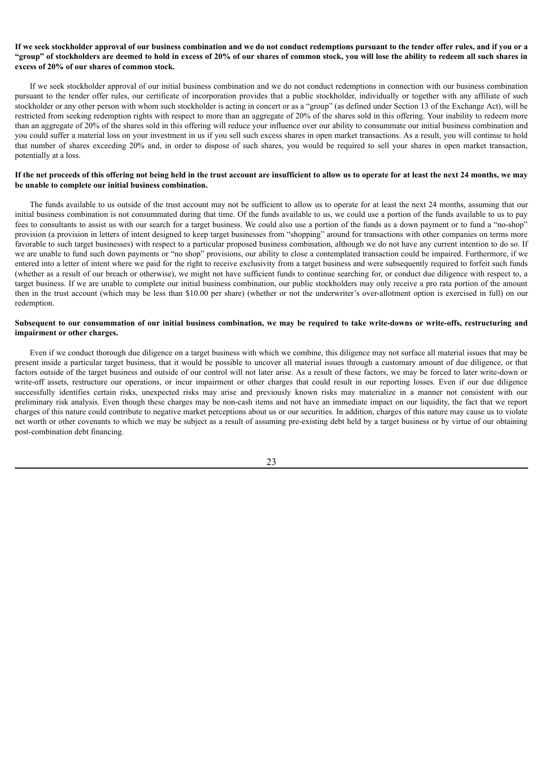## If we seek stockholder approval of our business combination and we do not conduct redemptions pursuant to the tender offer rules, and if you or a "group" of stockholders are deemed to hold in excess of 20% of our shares of common stock, you will lose the ability to redeem all such shares in **excess of 20% of our shares of common stock.**

If we seek stockholder approval of our initial business combination and we do not conduct redemptions in connection with our business combination pursuant to the tender offer rules, our certificate of incorporation provides that a public stockholder, individually or together with any affiliate of such stockholder or any other person with whom such stockholder is acting in concert or as a "group" (as defined under Section 13 of the Exchange Act), will be restricted from seeking redemption rights with respect to more than an aggregate of 20% of the shares sold in this offering. Your inability to redeem more than an aggregate of 20% of the shares sold in this offering will reduce your influence over our ability to consummate our initial business combination and you could suffer a material loss on your investment in us if you sell such excess shares in open market transactions. As a result, you will continue to hold that number of shares exceeding 20% and, in order to dispose of such shares, you would be required to sell your shares in open market transaction, potentially at a loss.

## If the net proceeds of this offering not being held in the trust account are insufficient to allow us to operate for at least the next 24 months, we may **be unable to complete our initial business combination.**

The funds available to us outside of the trust account may not be sufficient to allow us to operate for at least the next 24 months, assuming that our initial business combination is not consummated during that time. Of the funds available to us, we could use a portion of the funds available to us to pay fees to consultants to assist us with our search for a target business. We could also use a portion of the funds as a down payment or to fund a "no-shop" provision (a provision in letters of intent designed to keep target businesses from "shopping" around for transactions with other companies on terms more favorable to such target businesses) with respect to a particular proposed business combination, although we do not have any current intention to do so. If we are unable to fund such down payments or "no shop" provisions, our ability to close a contemplated transaction could be impaired. Furthermore, if we entered into a letter of intent where we paid for the right to receive exclusivity from a target business and were subsequently required to forfeit such funds (whether as a result of our breach or otherwise), we might not have sufficient funds to continue searching for, or conduct due diligence with respect to, a target business. If we are unable to complete our initial business combination, our public stockholders may only receive a pro rata portion of the amount then in the trust account (which may be less than \$10.00 per share) (whether or not the underwriter's over-allotment option is exercised in full) on our redemption.

## Subsequent to our consummation of our initial business combination, we may be required to take write-downs or write-offs, restructuring and **impairment or other charges.**

Even if we conduct thorough due diligence on a target business with which we combine, this diligence may not surface all material issues that may be present inside a particular target business, that it would be possible to uncover all material issues through a customary amount of due diligence, or that factors outside of the target business and outside of our control will not later arise. As a result of these factors, we may be forced to later write-down or write-off assets, restructure our operations, or incur impairment or other charges that could result in our reporting losses. Even if our due diligence successfully identifies certain risks, unexpected risks may arise and previously known risks may materialize in a manner not consistent with our preliminary risk analysis. Even though these charges may be non-cash items and not have an immediate impact on our liquidity, the fact that we report charges of this nature could contribute to negative market perceptions about us or our securities. In addition, charges of this nature may cause us to violate net worth or other covenants to which we may be subject as a result of assuming pre-existing debt held by a target business or by virtue of our obtaining post-combination debt financing.

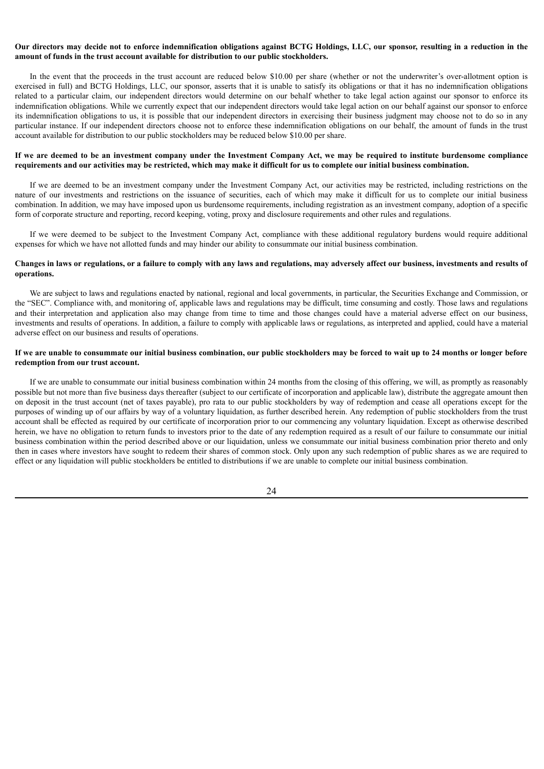## Our directors may decide not to enforce indemnification obligations against BCTG Holdings, LLC, our sponsor, resulting in a reduction in the **amount of funds in the trust account available for distribution to our public stockholders.**

In the event that the proceeds in the trust account are reduced below \$10.00 per share (whether or not the underwriter's over-allotment option is exercised in full) and BCTG Holdings, LLC, our sponsor, asserts that it is unable to satisfy its obligations or that it has no indemnification obligations related to a particular claim, our independent directors would determine on our behalf whether to take legal action against our sponsor to enforce its indemnification obligations. While we currently expect that our independent directors would take legal action on our behalf against our sponsor to enforce its indemnification obligations to us, it is possible that our independent directors in exercising their business judgment may choose not to do so in any particular instance. If our independent directors choose not to enforce these indemnification obligations on our behalf, the amount of funds in the trust account available for distribution to our public stockholders may be reduced below \$10.00 per share.

#### If we are deemed to be an investment company under the Investment Company Act, we may be required to institute burdensome compliance requirements and our activities may be restricted, which may make it difficult for us to complete our initial business combination.

If we are deemed to be an investment company under the Investment Company Act, our activities may be restricted, including restrictions on the nature of our investments and restrictions on the issuance of securities, each of which may make it difficult for us to complete our initial business combination. In addition, we may have imposed upon us burdensome requirements, including registration as an investment company, adoption of a specific form of corporate structure and reporting, record keeping, voting, proxy and disclosure requirements and other rules and regulations.

If we were deemed to be subject to the Investment Company Act, compliance with these additional regulatory burdens would require additional expenses for which we have not allotted funds and may hinder our ability to consummate our initial business combination.

## Changes in laws or regulations, or a failure to comply with any laws and regulations, may adversely affect our business, investments and results of **operations.**

We are subject to laws and regulations enacted by national, regional and local governments, in particular, the Securities Exchange and Commission, or the "SEC". Compliance with, and monitoring of, applicable laws and regulations may be difficult, time consuming and costly. Those laws and regulations and their interpretation and application also may change from time to time and those changes could have a material adverse effect on our business, investments and results of operations. In addition, a failure to comply with applicable laws or regulations, as interpreted and applied, could have a material adverse effect on our business and results of operations.

## If we are unable to consummate our initial business combination, our public stockholders may be forced to wait up to 24 months or longer before **redemption from our trust account.**

If we are unable to consummate our initial business combination within 24 months from the closing of this offering, we will, as promptly as reasonably possible but not more than five business days thereafter (subject to our certificate of incorporation and applicable law), distribute the aggregate amount then on deposit in the trust account (net of taxes payable), pro rata to our public stockholders by way of redemption and cease all operations except for the purposes of winding up of our affairs by way of a voluntary liquidation, as further described herein. Any redemption of public stockholders from the trust account shall be effected as required by our certificate of incorporation prior to our commencing any voluntary liquidation. Except as otherwise described herein, we have no obligation to return funds to investors prior to the date of any redemption required as a result of our failure to consummate our initial business combination within the period described above or our liquidation, unless we consummate our initial business combination prior thereto and only then in cases where investors have sought to redeem their shares of common stock. Only upon any such redemption of public shares as we are required to effect or any liquidation will public stockholders be entitled to distributions if we are unable to complete our initial business combination.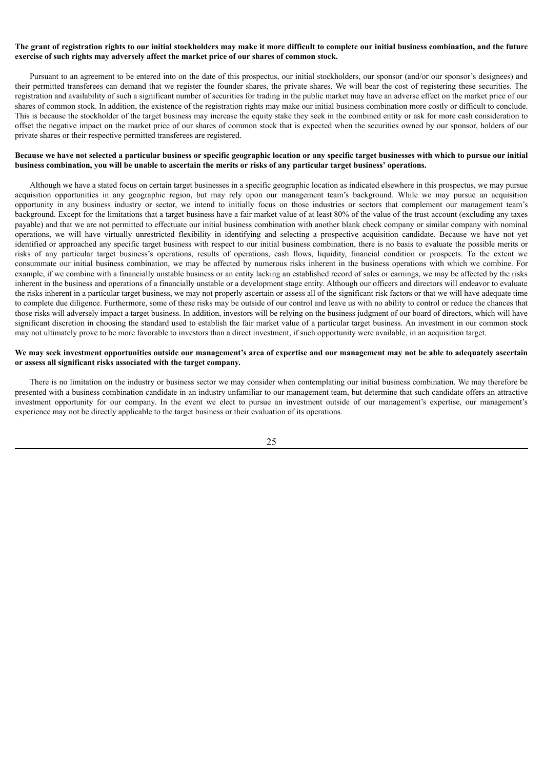## The grant of registration rights to our initial stockholders may make it more difficult to complete our initial business combination, and the future **exercise of such rights may adversely affect the market price of our shares of common stock.**

Pursuant to an agreement to be entered into on the date of this prospectus, our initial stockholders, our sponsor (and/or our sponsor's designees) and their permitted transferees can demand that we register the founder shares, the private shares. We will bear the cost of registering these securities. The registration and availability of such a significant number of securities for trading in the public market may have an adverse effect on the market price of our shares of common stock. In addition, the existence of the registration rights may make our initial business combination more costly or difficult to conclude. This is because the stockholder of the target business may increase the equity stake they seek in the combined entity or ask for more cash consideration to offset the negative impact on the market price of our shares of common stock that is expected when the securities owned by our sponsor, holders of our private shares or their respective permitted transferees are registered.

## Because we have not selected a particular business or specific geographic location or any specific target businesses with which to pursue our initial business combination, you will be unable to ascertain the merits or risks of any particular target business' operations.

Although we have a stated focus on certain target businesses in a specific geographic location as indicated elsewhere in this prospectus, we may pursue acquisition opportunities in any geographic region, but may rely upon our management team's background. While we may pursue an acquisition opportunity in any business industry or sector, we intend to initially focus on those industries or sectors that complement our management team's background. Except for the limitations that a target business have a fair market value of at least 80% of the value of the trust account (excluding any taxes payable) and that we are not permitted to effectuate our initial business combination with another blank check company or similar company with nominal operations, we will have virtually unrestricted flexibility in identifying and selecting a prospective acquisition candidate. Because we have not yet identified or approached any specific target business with respect to our initial business combination, there is no basis to evaluate the possible merits or risks of any particular target business's operations, results of operations, cash flows, liquidity, financial condition or prospects. To the extent we consummate our initial business combination, we may be affected by numerous risks inherent in the business operations with which we combine. For example, if we combine with a financially unstable business or an entity lacking an established record of sales or earnings, we may be affected by the risks inherent in the business and operations of a financially unstable or a development stage entity. Although our officers and directors will endeavor to evaluate the risks inherent in a particular target business, we may not properly ascertain or assess all of the significant risk factors or that we will have adequate time to complete due diligence. Furthermore, some of these risks may be outside of our control and leave us with no ability to control or reduce the chances that those risks will adversely impact a target business. In addition, investors will be relying on the business judgment of our board of directors, which will have significant discretion in choosing the standard used to establish the fair market value of a particular target business. An investment in our common stock may not ultimately prove to be more favorable to investors than a direct investment, if such opportunity were available, in an acquisition target.

#### We may seek investment opportunities outside our management's area of expertise and our management may not be able to adequately ascertain **or assess all significant risks associated with the target company.**

There is no limitation on the industry or business sector we may consider when contemplating our initial business combination. We may therefore be presented with a business combination candidate in an industry unfamiliar to our management team, but determine that such candidate offers an attractive investment opportunity for our company. In the event we elect to pursue an investment outside of our management's expertise, our management's experience may not be directly applicable to the target business or their evaluation of its operations.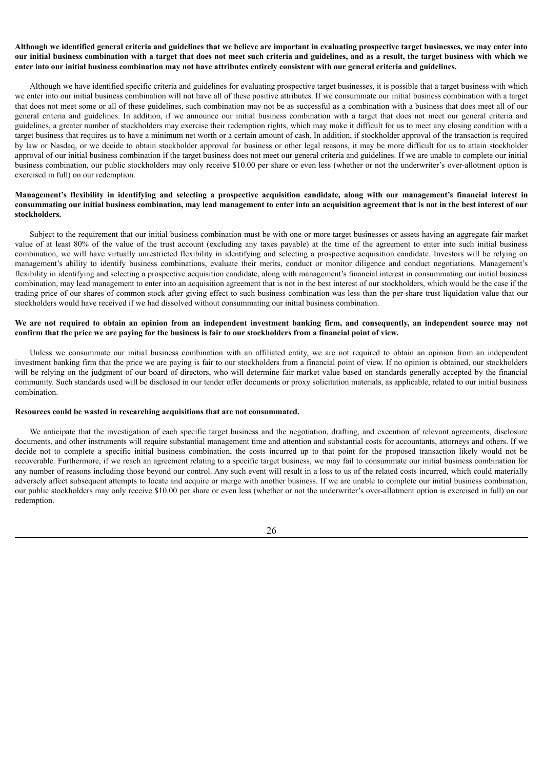## Although we identified general criteria and guidelines that we believe are important in evaluating prospective target businesses, we may enter into our initial business combination with a target that does not meet such criteria and guidelines, and as a result, the target business with which we enter into our initial business combination may not have attributes entirely consistent with our general criteria and guidelines.

Although we have identified specific criteria and guidelines for evaluating prospective target businesses, it is possible that a target business with which we enter into our initial business combination will not have all of these positive attributes. If we consummate our initial business combination with a target that does not meet some or all of these guidelines, such combination may not be as successful as a combination with a business that does meet all of our general criteria and guidelines. In addition, if we announce our initial business combination with a target that does not meet our general criteria and guidelines, a greater number of stockholders may exercise their redemption rights, which may make it difficult for us to meet any closing condition with a target business that requires us to have a minimum net worth or a certain amount of cash. In addition, if stockholder approval of the transaction is required by law or Nasdaq, or we decide to obtain stockholder approval for business or other legal reasons, it may be more difficult for us to attain stockholder approval of our initial business combination if the target business does not meet our general criteria and guidelines. If we are unable to complete our initial business combination, our public stockholders may only receive \$10.00 per share or even less (whether or not the underwriter's over-allotment option is exercised in full) on our redemption.

## Management's flexibility in identifying and selecting a prospective acquisition candidate, along with our management's financial interest in consummating our initial business combination, may lead management to enter into an acquisition agreement that is not in the best interest of our **stockholders.**

Subject to the requirement that our initial business combination must be with one or more target businesses or assets having an aggregate fair market value of at least 80% of the value of the trust account (excluding any taxes payable) at the time of the agreement to enter into such initial business combination, we will have virtually unrestricted flexibility in identifying and selecting a prospective acquisition candidate. Investors will be relying on management's ability to identify business combinations, evaluate their merits, conduct or monitor diligence and conduct negotiations. Management's flexibility in identifying and selecting a prospective acquisition candidate, along with management's financial interest in consummating our initial business combination, may lead management to enter into an acquisition agreement that is not in the best interest of our stockholders, which would be the case if the trading price of our shares of common stock after giving effect to such business combination was less than the per-share trust liquidation value that our stockholders would have received if we had dissolved without consummating our initial business combination.

## We are not required to obtain an opinion from an independent investment banking firm, and consequently, an independent source may not confirm that the price we are paying for the business is fair to our stockholders from a financial point of view.

Unless we consummate our initial business combination with an affiliated entity, we are not required to obtain an opinion from an independent investment banking firm that the price we are paying is fair to our stockholders from a financial point of view. If no opinion is obtained, our stockholders will be relying on the judgment of our board of directors, who will determine fair market value based on standards generally accepted by the financial community. Such standards used will be disclosed in our tender offer documents or proxy solicitation materials, as applicable, related to our initial business combination.

#### **Resources could be wasted in researching acquisitions that are not consummated.**

We anticipate that the investigation of each specific target business and the negotiation, drafting, and execution of relevant agreements, disclosure documents, and other instruments will require substantial management time and attention and substantial costs for accountants, attorneys and others. If we decide not to complete a specific initial business combination, the costs incurred up to that point for the proposed transaction likely would not be recoverable. Furthermore, if we reach an agreement relating to a specific target business, we may fail to consummate our initial business combination for any number of reasons including those beyond our control. Any such event will result in a loss to us of the related costs incurred, which could materially adversely affect subsequent attempts to locate and acquire or merge with another business. If we are unable to complete our initial business combination, our public stockholders may only receive \$10.00 per share or even less (whether or not the underwriter's over-allotment option is exercised in full) on our redemption.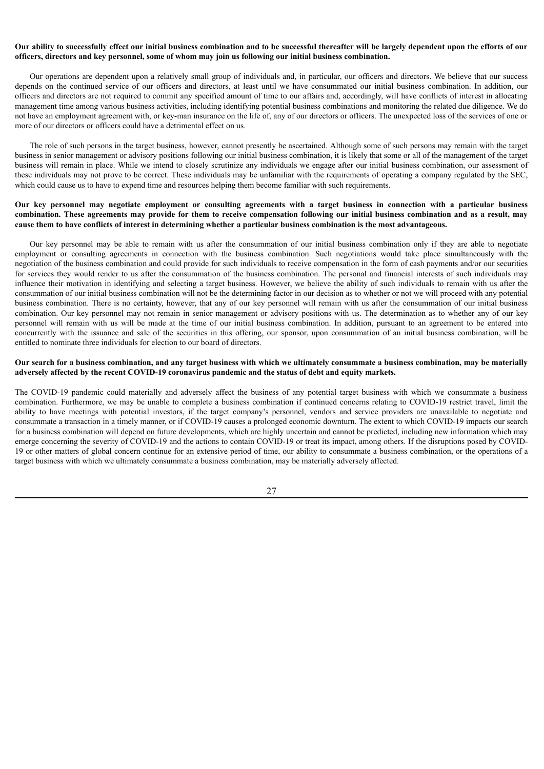## Our ability to successfully effect our initial business combination and to be successful thereafter will be largely dependent upon the efforts of our **officers, directors and key personnel, some of whom may join us following our initial business combination.**

Our operations are dependent upon a relatively small group of individuals and, in particular, our officers and directors. We believe that our success depends on the continued service of our officers and directors, at least until we have consummated our initial business combination. In addition, our officers and directors are not required to commit any specified amount of time to our affairs and, accordingly, will have conflicts of interest in allocating management time among various business activities, including identifying potential business combinations and monitoring the related due diligence. We do not have an employment agreement with, or key-man insurance on the life of, any of our directors or officers. The unexpected loss of the services of one or more of our directors or officers could have a detrimental effect on us.

The role of such persons in the target business, however, cannot presently be ascertained. Although some of such persons may remain with the target business in senior management or advisory positions following our initial business combination, it is likely that some or all of the management of the target business will remain in place. While we intend to closely scrutinize any individuals we engage after our initial business combination, our assessment of these individuals may not prove to be correct. These individuals may be unfamiliar with the requirements of operating a company regulated by the SEC, which could cause us to have to expend time and resources helping them become familiar with such requirements.

## Our key personnel may negotiate employment or consulting agreements with a target business in connection with a particular business combination. These agreements may provide for them to receive compensation following our initial business combination and as a result, may cause them to have conflicts of interest in determining whether a particular business combination is the most advantageous.

Our key personnel may be able to remain with us after the consummation of our initial business combination only if they are able to negotiate employment or consulting agreements in connection with the business combination. Such negotiations would take place simultaneously with the negotiation of the business combination and could provide for such individuals to receive compensation in the form of cash payments and/or our securities for services they would render to us after the consummation of the business combination. The personal and financial interests of such individuals may influence their motivation in identifying and selecting a target business. However, we believe the ability of such individuals to remain with us after the consummation of our initial business combination will not be the determining factor in our decision as to whether or not we will proceed with any potential business combination. There is no certainty, however, that any of our key personnel will remain with us after the consummation of our initial business combination. Our key personnel may not remain in senior management or advisory positions with us. The determination as to whether any of our key personnel will remain with us will be made at the time of our initial business combination. In addition, pursuant to an agreement to be entered into concurrently with the issuance and sale of the securities in this offering, our sponsor, upon consummation of an initial business combination, will be entitled to nominate three individuals for election to our board of directors.

## Our search for a business combination, and any target business with which we ultimately consummate a business combination, may be materially **adversely affected by the recent COVID-19 coronavirus pandemic and the status of debt and equity markets.**

The COVID-19 pandemic could materially and adversely affect the business of any potential target business with which we consummate a business combination. Furthermore, we may be unable to complete a business combination if continued concerns relating to COVID-19 restrict travel, limit the ability to have meetings with potential investors, if the target company's personnel, vendors and service providers are unavailable to negotiate and consummate a transaction in a timely manner, or if COVID-19 causes a prolonged economic downturn. The extent to which COVID-19 impacts our search for a business combination will depend on future developments, which are highly uncertain and cannot be predicted, including new information which may emerge concerning the severity of COVID-19 and the actions to contain COVID-19 or treat its impact, among others. If the disruptions posed by COVID-19 or other matters of global concern continue for an extensive period of time, our ability to consummate a business combination, or the operations of a target business with which we ultimately consummate a business combination, may be materially adversely affected.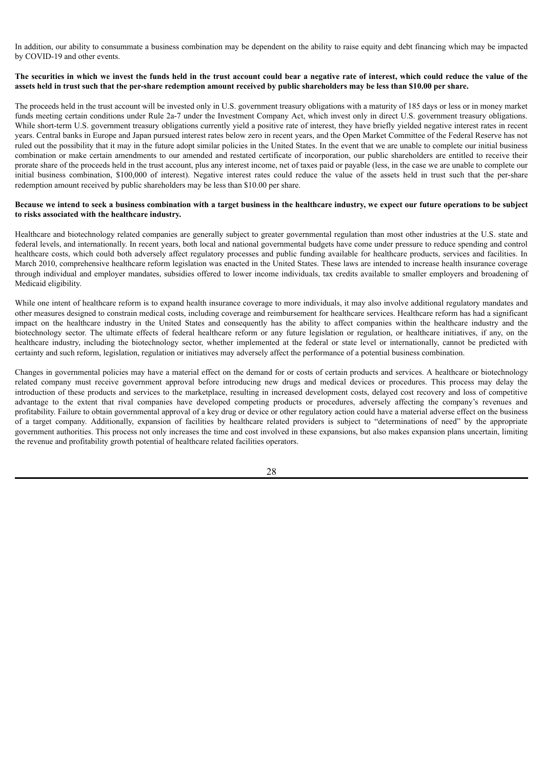In addition, our ability to consummate a business combination may be dependent on the ability to raise equity and debt financing which may be impacted by COVID-19 and other events.

### The securities in which we invest the funds held in the trust account could bear a negative rate of interest, which could reduce the value of the assets held in trust such that the per-share redemption amount received by public shareholders may be less than \$10.00 per share.

The proceeds held in the trust account will be invested only in U.S. government treasury obligations with a maturity of 185 days or less or in money market funds meeting certain conditions under Rule 2a-7 under the Investment Company Act, which invest only in direct U.S. government treasury obligations. While short-term U.S. government treasury obligations currently yield a positive rate of interest, they have briefly yielded negative interest rates in recent years. Central banks in Europe and Japan pursued interest rates below zero in recent years, and the Open Market Committee of the Federal Reserve has not ruled out the possibility that it may in the future adopt similar policies in the United States. In the event that we are unable to complete our initial business combination or make certain amendments to our amended and restated certificate of incorporation, our public shareholders are entitled to receive their prorate share of the proceeds held in the trust account, plus any interest income, net of taxes paid or payable (less, in the case we are unable to complete our initial business combination, \$100,000 of interest). Negative interest rates could reduce the value of the assets held in trust such that the per-share redemption amount received by public shareholders may be less than \$10.00 per share.

#### Because we intend to seek a business combination with a target business in the healthcare industry, we expect our future operations to be subject **to risks associated with the healthcare industry.**

Healthcare and biotechnology related companies are generally subject to greater governmental regulation than most other industries at the U.S. state and federal levels, and internationally. In recent years, both local and national governmental budgets have come under pressure to reduce spending and control healthcare costs, which could both adversely affect regulatory processes and public funding available for healthcare products, services and facilities. In March 2010, comprehensive healthcare reform legislation was enacted in the United States. These laws are intended to increase health insurance coverage through individual and employer mandates, subsidies offered to lower income individuals, tax credits available to smaller employers and broadening of Medicaid eligibility.

While one intent of healthcare reform is to expand health insurance coverage to more individuals, it may also involve additional regulatory mandates and other measures designed to constrain medical costs, including coverage and reimbursement for healthcare services. Healthcare reform has had a significant impact on the healthcare industry in the United States and consequently has the ability to affect companies within the healthcare industry and the biotechnology sector. The ultimate effects of federal healthcare reform or any future legislation or regulation, or healthcare initiatives, if any, on the healthcare industry, including the biotechnology sector, whether implemented at the federal or state level or internationally, cannot be predicted with certainty and such reform, legislation, regulation or initiatives may adversely affect the performance of a potential business combination.

Changes in governmental policies may have a material effect on the demand for or costs of certain products and services. A healthcare or biotechnology related company must receive government approval before introducing new drugs and medical devices or procedures. This process may delay the introduction of these products and services to the marketplace, resulting in increased development costs, delayed cost recovery and loss of competitive advantage to the extent that rival companies have developed competing products or procedures, adversely affecting the company's revenues and profitability. Failure to obtain governmental approval of a key drug or device or other regulatory action could have a material adverse effect on the business of a target company. Additionally, expansion of facilities by healthcare related providers is subject to "determinations of need" by the appropriate government authorities. This process not only increases the time and cost involved in these expansions, but also makes expansion plans uncertain, limiting the revenue and profitability growth potential of healthcare related facilities operators.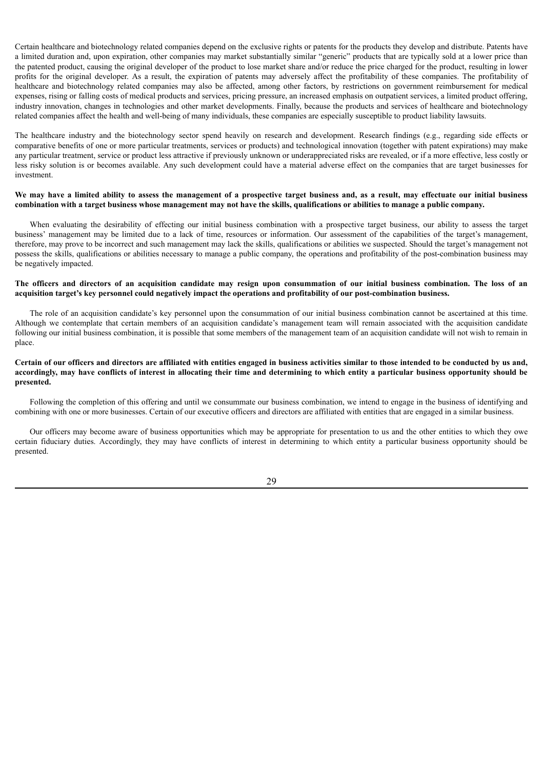Certain healthcare and biotechnology related companies depend on the exclusive rights or patents for the products they develop and distribute. Patents have a limited duration and, upon expiration, other companies may market substantially similar "generic" products that are typically sold at a lower price than the patented product, causing the original developer of the product to lose market share and/or reduce the price charged for the product, resulting in lower profits for the original developer. As a result, the expiration of patents may adversely affect the profitability of these companies. The profitability of healthcare and biotechnology related companies may also be affected, among other factors, by restrictions on government reimbursement for medical expenses, rising or falling costs of medical products and services, pricing pressure, an increased emphasis on outpatient services, a limited product offering, industry innovation, changes in technologies and other market developments. Finally, because the products and services of healthcare and biotechnology related companies affect the health and well-being of many individuals, these companies are especially susceptible to product liability lawsuits.

The healthcare industry and the biotechnology sector spend heavily on research and development. Research findings (e.g., regarding side effects or comparative benefits of one or more particular treatments, services or products) and technological innovation (together with patent expirations) may make any particular treatment, service or product less attractive if previously unknown or underappreciated risks are revealed, or if a more effective, less costly or less risky solution is or becomes available. Any such development could have a material adverse effect on the companies that are target businesses for investment.

## We may have a limited ability to assess the management of a prospective target business and, as a result, may effectuate our initial business combination with a target business whose management may not have the skills, qualifications or abilities to manage a public company.

When evaluating the desirability of effecting our initial business combination with a prospective target business, our ability to assess the target business' management may be limited due to a lack of time, resources or information. Our assessment of the capabilities of the target's management, therefore, may prove to be incorrect and such management may lack the skills, qualifications or abilities we suspected. Should the target's management not possess the skills, qualifications or abilities necessary to manage a public company, the operations and profitability of the post-combination business may be negatively impacted.

## The officers and directors of an acquisition candidate may resign upon consummation of our initial business combination. The loss of an acquisition target's key personnel could negatively impact the operations and profitability of our post-combination business.

The role of an acquisition candidate's key personnel upon the consummation of our initial business combination cannot be ascertained at this time. Although we contemplate that certain members of an acquisition candidate's management team will remain associated with the acquisition candidate following our initial business combination, it is possible that some members of the management team of an acquisition candidate will not wish to remain in place.

## Certain of our officers and directors are affiliated with entities engaged in business activities similar to those intended to be conducted by us and, accordingly, may have conflicts of interest in allocating their time and determining to which entity a particular business opportunity should be **presented.**

Following the completion of this offering and until we consummate our business combination, we intend to engage in the business of identifying and combining with one or more businesses. Certain of our executive officers and directors are affiliated with entities that are engaged in a similar business.

Our officers may become aware of business opportunities which may be appropriate for presentation to us and the other entities to which they owe certain fiduciary duties. Accordingly, they may have conflicts of interest in determining to which entity a particular business opportunity should be presented.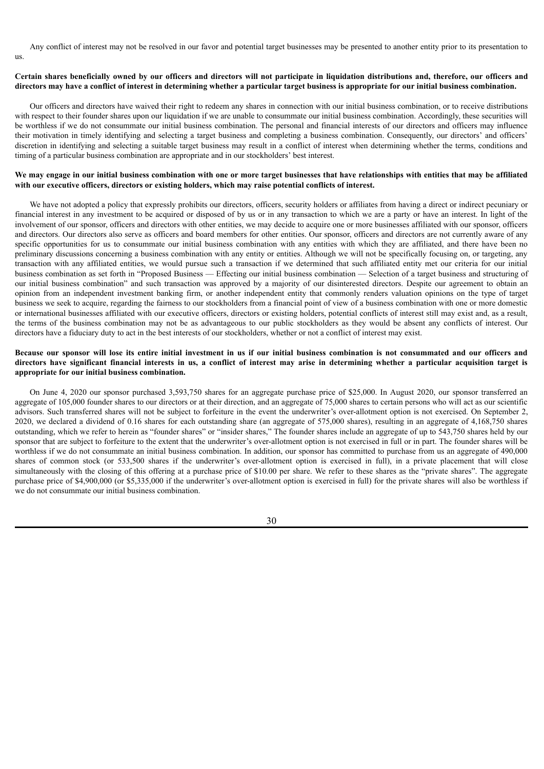Any conflict of interest may not be resolved in our favor and potential target businesses may be presented to another entity prior to its presentation to us.

## Certain shares beneficially owned by our officers and directors will not participate in liquidation distributions and, therefore, our officers and directors may have a conflict of interest in determining whether a particular target business is appropriate for our initial business combination.

Our officers and directors have waived their right to redeem any shares in connection with our initial business combination, or to receive distributions with respect to their founder shares upon our liquidation if we are unable to consummate our initial business combination. Accordingly, these securities will be worthless if we do not consummate our initial business combination. The personal and financial interests of our directors and officers may influence their motivation in timely identifying and selecting a target business and completing a business combination. Consequently, our directors' and officers' discretion in identifying and selecting a suitable target business may result in a conflict of interest when determining whether the terms, conditions and timing of a particular business combination are appropriate and in our stockholders' best interest.

## We may engage in our initial business combination with one or more target businesses that have relationships with entities that may be affiliated **with our executive officers, directors or existing holders, which may raise potential conflicts of interest.**

We have not adopted a policy that expressly prohibits our directors, officers, security holders or affiliates from having a direct or indirect pecuniary or financial interest in any investment to be acquired or disposed of by us or in any transaction to which we are a party or have an interest. In light of the involvement of our sponsor, officers and directors with other entities, we may decide to acquire one or more businesses affiliated with our sponsor, officers and directors. Our directors also serve as officers and board members for other entities. Our sponsor, officers and directors are not currently aware of any specific opportunities for us to consummate our initial business combination with any entities with which they are affiliated, and there have been no preliminary discussions concerning a business combination with any entity or entities. Although we will not be specifically focusing on, or targeting, any transaction with any affiliated entities, we would pursue such a transaction if we determined that such affiliated entity met our criteria for our initial business combination as set forth in "Proposed Business — Effecting our initial business combination — Selection of a target business and structuring of our initial business combination" and such transaction was approved by a majority of our disinterested directors. Despite our agreement to obtain an opinion from an independent investment banking firm, or another independent entity that commonly renders valuation opinions on the type of target business we seek to acquire, regarding the fairness to our stockholders from a financial point of view of a business combination with one or more domestic or international businesses affiliated with our executive officers, directors or existing holders, potential conflicts of interest still may exist and, as a result, the terms of the business combination may not be as advantageous to our public stockholders as they would be absent any conflicts of interest. Our directors have a fiduciary duty to act in the best interests of our stockholders, whether or not a conflict of interest may exist.

## Because our sponsor will lose its entire initial investment in us if our initial business combination is not consummated and our officers and directors have significant financial interests in us, a conflict of interest may arise in determining whether a particular acquisition target is **appropriate for our initial business combination.**

On June 4, 2020 our sponsor purchased 3,593,750 shares for an aggregate purchase price of \$25,000. In August 2020, our sponsor transferred an aggregate of 105,000 founder shares to our directors or at their direction, and an aggregate of 75,000 shares to certain persons who will act as our scientific advisors. Such transferred shares will not be subject to forfeiture in the event the underwriter's over-allotment option is not exercised. On September 2, 2020, we declared a dividend of 0.16 shares for each outstanding share (an aggregate of 575,000 shares), resulting in an aggregate of 4,168,750 shares outstanding, which we refer to herein as "founder shares" or "insider shares," The founder shares include an aggregate of up to 543,750 shares held by our sponsor that are subject to forfeiture to the extent that the underwriter's over-allotment option is not exercised in full or in part. The founder shares will be worthless if we do not consummate an initial business combination. In addition, our sponsor has committed to purchase from us an aggregate of 490,000 shares of common stock (or 533,500 shares if the underwriter's over-allotment option is exercised in full), in a private placement that will close simultaneously with the closing of this offering at a purchase price of \$10.00 per share. We refer to these shares as the "private shares". The aggregate purchase price of \$4,900,000 (or \$5,335,000 if the underwriter's over-allotment option is exercised in full) for the private shares will also be worthless if we do not consummate our initial business combination.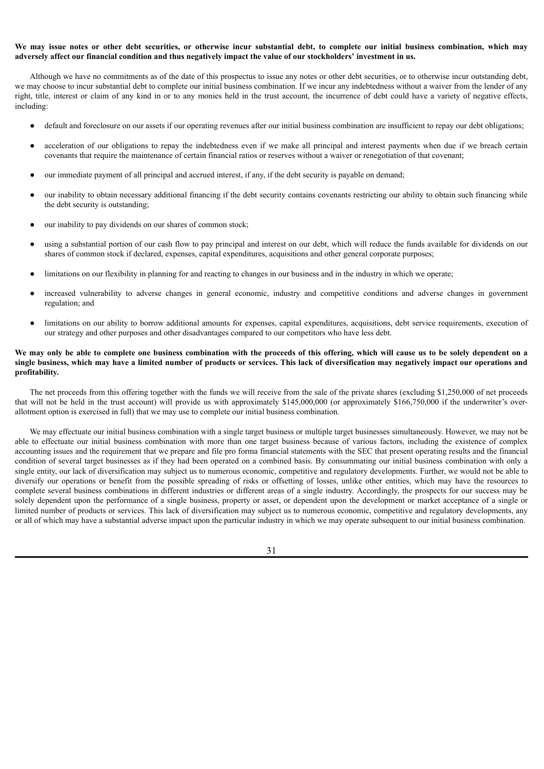## We may issue notes or other debt securities, or otherwise incur substantial debt, to complete our initial business combination, which may adversely affect our financial condition and thus negatively impact the value of our stockholders' investment in us.

Although we have no commitments as of the date of this prospectus to issue any notes or other debt securities, or to otherwise incur outstanding debt, we may choose to incur substantial debt to complete our initial business combination. If we incur any indebtedness without a waiver from the lender of any right, title, interest or claim of any kind in or to any monies held in the trust account, the incurrence of debt could have a variety of negative effects, including:

- default and foreclosure on our assets if our operating revenues after our initial business combination are insufficient to repay our debt obligations;
- acceleration of our obligations to repay the indebtedness even if we make all principal and interest payments when due if we breach certain covenants that require the maintenance of certain financial ratios or reserves without a waiver or renegotiation of that covenant;
- our immediate payment of all principal and accrued interest, if any, if the debt security is payable on demand;
- our inability to obtain necessary additional financing if the debt security contains covenants restricting our ability to obtain such financing while the debt security is outstanding;
- our inability to pay dividends on our shares of common stock;
- using a substantial portion of our cash flow to pay principal and interest on our debt, which will reduce the funds available for dividends on our shares of common stock if declared, expenses, capital expenditures, acquisitions and other general corporate purposes;
- limitations on our flexibility in planning for and reacting to changes in our business and in the industry in which we operate;
- increased vulnerability to adverse changes in general economic, industry and competitive conditions and adverse changes in government regulation; and
- limitations on our ability to borrow additional amounts for expenses, capital expenditures, acquisitions, debt service requirements, execution of our strategy and other purposes and other disadvantages compared to our competitors who have less debt.

## We may only be able to complete one business combination with the proceeds of this offering, which will cause us to be solely dependent on a single business, which may have a limited number of products or services. This lack of diversification may negatively impact our operations and **profitability.**

The net proceeds from this offering together with the funds we will receive from the sale of the private shares (excluding \$1,250,000 of net proceeds that will not be held in the trust account) will provide us with approximately \$145,000,000 (or approximately \$166,750,000 if the underwriter's overallotment option is exercised in full) that we may use to complete our initial business combination.

We may effectuate our initial business combination with a single target business or multiple target businesses simultaneously. However, we may not be able to effectuate our initial business combination with more than one target business because of various factors, including the existence of complex accounting issues and the requirement that we prepare and file pro forma financial statements with the SEC that present operating results and the financial condition of several target businesses as if they had been operated on a combined basis. By consummating our initial business combination with only a single entity, our lack of diversification may subject us to numerous economic, competitive and regulatory developments. Further, we would not be able to diversify our operations or benefit from the possible spreading of risks or offsetting of losses, unlike other entities, which may have the resources to complete several business combinations in different industries or different areas of a single industry. Accordingly, the prospects for our success may be solely dependent upon the performance of a single business, property or asset, or dependent upon the development or market acceptance of a single or limited number of products or services. This lack of diversification may subject us to numerous economic, competitive and regulatory developments, any or all of which may have a substantial adverse impact upon the particular industry in which we may operate subsequent to our initial business combination.

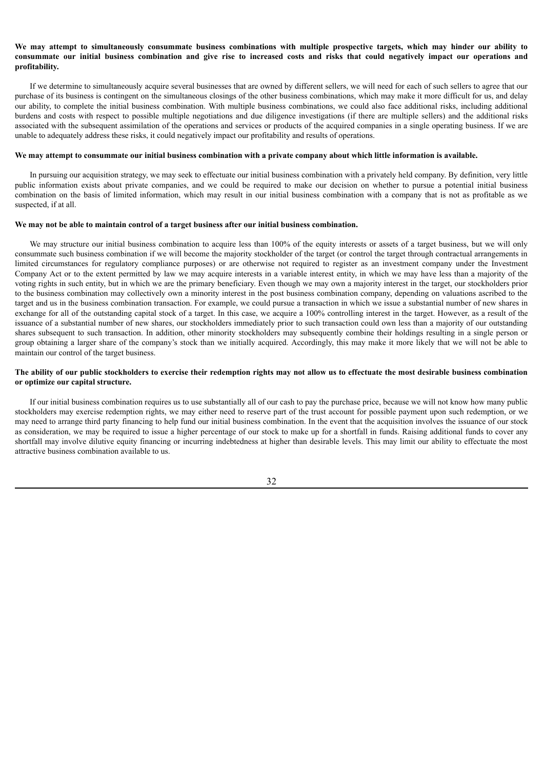## We may attempt to simultaneously consummate business combinations with multiple prospective targets, which may hinder our ability to consummate our initial business combination and give rise to increased costs and risks that could negatively impact our operations and **profitability.**

If we determine to simultaneously acquire several businesses that are owned by different sellers, we will need for each of such sellers to agree that our purchase of its business is contingent on the simultaneous closings of the other business combinations, which may make it more difficult for us, and delay our ability, to complete the initial business combination. With multiple business combinations, we could also face additional risks, including additional burdens and costs with respect to possible multiple negotiations and due diligence investigations (if there are multiple sellers) and the additional risks associated with the subsequent assimilation of the operations and services or products of the acquired companies in a single operating business. If we are unable to adequately address these risks, it could negatively impact our profitability and results of operations.

#### We may attempt to consummate our initial business combination with a private company about which little information is available.

In pursuing our acquisition strategy, we may seek to effectuate our initial business combination with a privately held company. By definition, very little public information exists about private companies, and we could be required to make our decision on whether to pursue a potential initial business combination on the basis of limited information, which may result in our initial business combination with a company that is not as profitable as we suspected, if at all.

#### **We may not be able to maintain control of a target business after our initial business combination.**

We may structure our initial business combination to acquire less than 100% of the equity interests or assets of a target business, but we will only consummate such business combination if we will become the majority stockholder of the target (or control the target through contractual arrangements in limited circumstances for regulatory compliance purposes) or are otherwise not required to register as an investment company under the Investment Company Act or to the extent permitted by law we may acquire interests in a variable interest entity, in which we may have less than a majority of the voting rights in such entity, but in which we are the primary beneficiary. Even though we may own a majority interest in the target, our stockholders prior to the business combination may collectively own a minority interest in the post business combination company, depending on valuations ascribed to the target and us in the business combination transaction. For example, we could pursue a transaction in which we issue a substantial number of new shares in exchange for all of the outstanding capital stock of a target. In this case, we acquire a 100% controlling interest in the target. However, as a result of the issuance of a substantial number of new shares, our stockholders immediately prior to such transaction could own less than a majority of our outstanding shares subsequent to such transaction. In addition, other minority stockholders may subsequently combine their holdings resulting in a single person or group obtaining a larger share of the company's stock than we initially acquired. Accordingly, this may make it more likely that we will not be able to maintain our control of the target business.

## The ability of our public stockholders to exercise their redemption rights may not allow us to effectuate the most desirable business combination **or optimize our capital structure.**

If our initial business combination requires us to use substantially all of our cash to pay the purchase price, because we will not know how many public stockholders may exercise redemption rights, we may either need to reserve part of the trust account for possible payment upon such redemption, or we may need to arrange third party financing to help fund our initial business combination. In the event that the acquisition involves the issuance of our stock as consideration, we may be required to issue a higher percentage of our stock to make up for a shortfall in funds. Raising additional funds to cover any shortfall may involve dilutive equity financing or incurring indebtedness at higher than desirable levels. This may limit our ability to effectuate the most attractive business combination available to us.

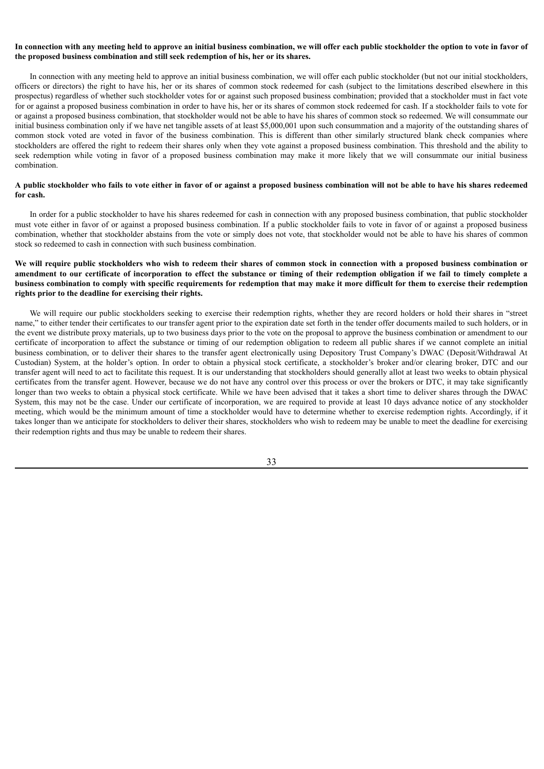## In connection with any meeting held to approve an initial business combination, we will offer each public stockholder the option to vote in favor of **the proposed business combination and still seek redemption of his, her or its shares.**

In connection with any meeting held to approve an initial business combination, we will offer each public stockholder (but not our initial stockholders, officers or directors) the right to have his, her or its shares of common stock redeemed for cash (subject to the limitations described elsewhere in this prospectus) regardless of whether such stockholder votes for or against such proposed business combination; provided that a stockholder must in fact vote for or against a proposed business combination in order to have his, her or its shares of common stock redeemed for cash. If a stockholder fails to vote for or against a proposed business combination, that stockholder would not be able to have his shares of common stock so redeemed. We will consummate our initial business combination only if we have net tangible assets of at least \$5,000,001 upon such consummation and a majority of the outstanding shares of common stock voted are voted in favor of the business combination. This is different than other similarly structured blank check companies where stockholders are offered the right to redeem their shares only when they vote against a proposed business combination. This threshold and the ability to seek redemption while voting in favor of a proposed business combination may make it more likely that we will consummate our initial business combination.

## A public stockholder who fails to vote either in favor of or against a proposed business combination will not be able to have his shares redeemed **for cash.**

In order for a public stockholder to have his shares redeemed for cash in connection with any proposed business combination, that public stockholder must vote either in favor of or against a proposed business combination. If a public stockholder fails to vote in favor of or against a proposed business combination, whether that stockholder abstains from the vote or simply does not vote, that stockholder would not be able to have his shares of common stock so redeemed to cash in connection with such business combination.

## We will require public stockholders who wish to redeem their shares of common stock in connection with a proposed business combination or amendment to our certificate of incorporation to effect the substance or timing of their redemption obligation if we fail to timely complete a business combination to comply with specific requirements for redemption that may make it more difficult for them to exercise their redemption **rights prior to the deadline for exercising their rights.**

We will require our public stockholders seeking to exercise their redemption rights, whether they are record holders or hold their shares in "street" name," to either tender their certificates to our transfer agent prior to the expiration date set forth in the tender offer documents mailed to such holders, or in the event we distribute proxy materials, up to two business days prior to the vote on the proposal to approve the business combination or amendment to our certificate of incorporation to affect the substance or timing of our redemption obligation to redeem all public shares if we cannot complete an initial business combination, or to deliver their shares to the transfer agent electronically using Depository Trust Company's DWAC (Deposit/Withdrawal At Custodian) System, at the holder's option. In order to obtain a physical stock certificate, a stockholder's broker and/or clearing broker, DTC and our transfer agent will need to act to facilitate this request. It is our understanding that stockholders should generally allot at least two weeks to obtain physical certificates from the transfer agent. However, because we do not have any control over this process or over the brokers or DTC, it may take significantly longer than two weeks to obtain a physical stock certificate. While we have been advised that it takes a short time to deliver shares through the DWAC System, this may not be the case. Under our certificate of incorporation, we are required to provide at least 10 days advance notice of any stockholder meeting, which would be the minimum amount of time a stockholder would have to determine whether to exercise redemption rights. Accordingly, if it takes longer than we anticipate for stockholders to deliver their shares, stockholders who wish to redeem may be unable to meet the deadline for exercising their redemption rights and thus may be unable to redeem their shares.

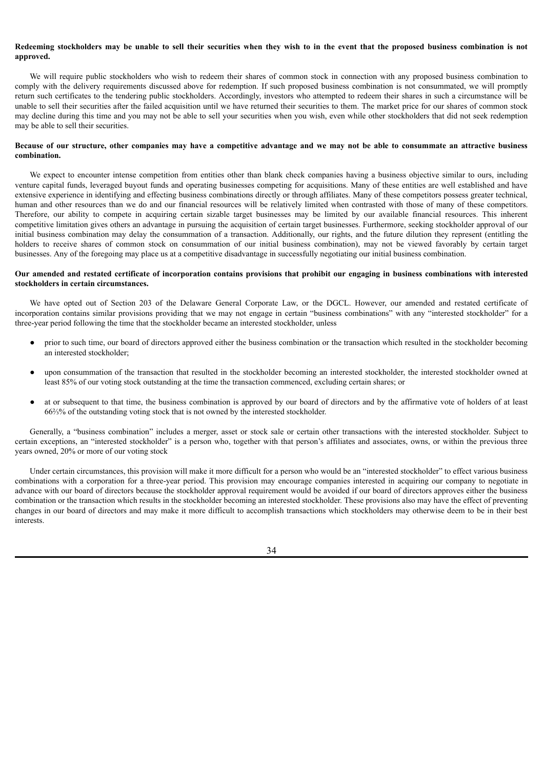# Redeeming stockholders may be unable to sell their securities when they wish to in the event that the proposed business combination is not **approved.**

We will require public stockholders who wish to redeem their shares of common stock in connection with any proposed business combination to comply with the delivery requirements discussed above for redemption. If such proposed business combination is not consummated, we will promptly return such certificates to the tendering public stockholders. Accordingly, investors who attempted to redeem their shares in such a circumstance will be unable to sell their securities after the failed acquisition until we have returned their securities to them. The market price for our shares of common stock may decline during this time and you may not be able to sell your securities when you wish, even while other stockholders that did not seek redemption may be able to sell their securities.

# Because of our structure, other companies may have a competitive advantage and we may not be able to consummate an attractive business **combination.**

We expect to encounter intense competition from entities other than blank check companies having a business objective similar to ours, including venture capital funds, leveraged buyout funds and operating businesses competing for acquisitions. Many of these entities are well established and have extensive experience in identifying and effecting business combinations directly or through affiliates. Many of these competitors possess greater technical, human and other resources than we do and our financial resources will be relatively limited when contrasted with those of many of these competitors. Therefore, our ability to compete in acquiring certain sizable target businesses may be limited by our available financial resources. This inherent competitive limitation gives others an advantage in pursuing the acquisition of certain target businesses. Furthermore, seeking stockholder approval of our initial business combination may delay the consummation of a transaction. Additionally, our rights, and the future dilution they represent (entitling the holders to receive shares of common stock on consummation of our initial business combination), may not be viewed favorably by certain target businesses. Any of the foregoing may place us at a competitive disadvantage in successfully negotiating our initial business combination.

# Our amended and restated certificate of incorporation contains provisions that prohibit our engaging in business combinations with interested **stockholders in certain circumstances.**

We have opted out of Section 203 of the Delaware General Corporate Law, or the DGCL. However, our amended and restated certificate of incorporation contains similar provisions providing that we may not engage in certain "business combinations" with any "interested stockholder" for a three-year period following the time that the stockholder became an interested stockholder, unless

- prior to such time, our board of directors approved either the business combination or the transaction which resulted in the stockholder becoming an interested stockholder;
- upon consummation of the transaction that resulted in the stockholder becoming an interested stockholder, the interested stockholder owned at least 85% of our voting stock outstanding at the time the transaction commenced, excluding certain shares; or
- at or subsequent to that time, the business combination is approved by our board of directors and by the affirmative vote of holders of at least 66⅔% of the outstanding voting stock that is not owned by the interested stockholder.

Generally, a "business combination" includes a merger, asset or stock sale or certain other transactions with the interested stockholder. Subject to certain exceptions, an "interested stockholder" is a person who, together with that person's affiliates and associates, owns, or within the previous three years owned, 20% or more of our voting stock

Under certain circumstances, this provision will make it more difficult for a person who would be an "interested stockholder" to effect various business combinations with a corporation for a three-year period. This provision may encourage companies interested in acquiring our company to negotiate in advance with our board of directors because the stockholder approval requirement would be avoided if our board of directors approves either the business combination or the transaction which results in the stockholder becoming an interested stockholder. These provisions also may have the effect of preventing changes in our board of directors and may make it more difficult to accomplish transactions which stockholders may otherwise deem to be in their best interests.

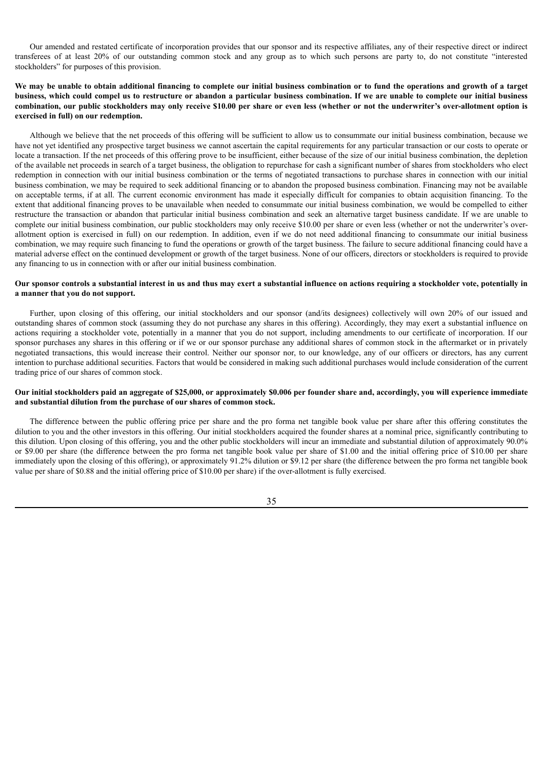Our amended and restated certificate of incorporation provides that our sponsor and its respective affiliates, any of their respective direct or indirect transferees of at least 20% of our outstanding common stock and any group as to which such persons are party to, do not constitute "interested stockholders" for purposes of this provision.

# We may be unable to obtain additional financing to complete our initial business combination or to fund the operations and growth of a target business, which could compel us to restructure or abandon a particular business combination. If we are unable to complete our initial business combination, our public stockholders may only receive \$10.00 per share or even less (whether or not the underwriter's over-allotment option is **exercised in full) on our redemption.**

Although we believe that the net proceeds of this offering will be sufficient to allow us to consummate our initial business combination, because we have not yet identified any prospective target business we cannot ascertain the capital requirements for any particular transaction or our costs to operate or locate a transaction. If the net proceeds of this offering prove to be insufficient, either because of the size of our initial business combination, the depletion of the available net proceeds in search of a target business, the obligation to repurchase for cash a significant number of shares from stockholders who elect redemption in connection with our initial business combination or the terms of negotiated transactions to purchase shares in connection with our initial business combination, we may be required to seek additional financing or to abandon the proposed business combination. Financing may not be available on acceptable terms, if at all. The current economic environment has made it especially difficult for companies to obtain acquisition financing. To the extent that additional financing proves to be unavailable when needed to consummate our initial business combination, we would be compelled to either restructure the transaction or abandon that particular initial business combination and seek an alternative target business candidate. If we are unable to complete our initial business combination, our public stockholders may only receive \$10.00 per share or even less (whether or not the underwriter's overallotment option is exercised in full) on our redemption. In addition, even if we do not need additional financing to consummate our initial business combination, we may require such financing to fund the operations or growth of the target business. The failure to secure additional financing could have a material adverse effect on the continued development or growth of the target business. None of our officers, directors or stockholders is required to provide any financing to us in connection with or after our initial business combination.

# Our sponsor controls a substantial interest in us and thus may exert a substantial influence on actions requiring a stockholder vote, potentially in **a manner that you do not support.**

Further, upon closing of this offering, our initial stockholders and our sponsor (and/its designees) collectively will own 20% of our issued and outstanding shares of common stock (assuming they do not purchase any shares in this offering). Accordingly, they may exert a substantial influence on actions requiring a stockholder vote, potentially in a manner that you do not support, including amendments to our certificate of incorporation. If our sponsor purchases any shares in this offering or if we or our sponsor purchase any additional shares of common stock in the aftermarket or in privately negotiated transactions, this would increase their control. Neither our sponsor nor, to our knowledge, any of our officers or directors, has any current intention to purchase additional securities. Factors that would be considered in making such additional purchases would include consideration of the current trading price of our shares of common stock.

## Our initial stockholders paid an aggregate of \$25,000, or approximately \$0.006 per founder share and, accordingly, you will experience immediate **and substantial dilution from the purchase of our shares of common stock.**

The difference between the public offering price per share and the pro forma net tangible book value per share after this offering constitutes the dilution to you and the other investors in this offering. Our initial stockholders acquired the founder shares at a nominal price, significantly contributing to this dilution. Upon closing of this offering, you and the other public stockholders will incur an immediate and substantial dilution of approximately 90.0% or \$9.00 per share (the difference between the pro forma net tangible book value per share of \$1.00 and the initial offering price of \$10.00 per share immediately upon the closing of this offering), or approximately 91.2% dilution or \$9.12 per share (the difference between the pro forma net tangible book value per share of \$0.88 and the initial offering price of \$10.00 per share) if the over-allotment is fully exercised.

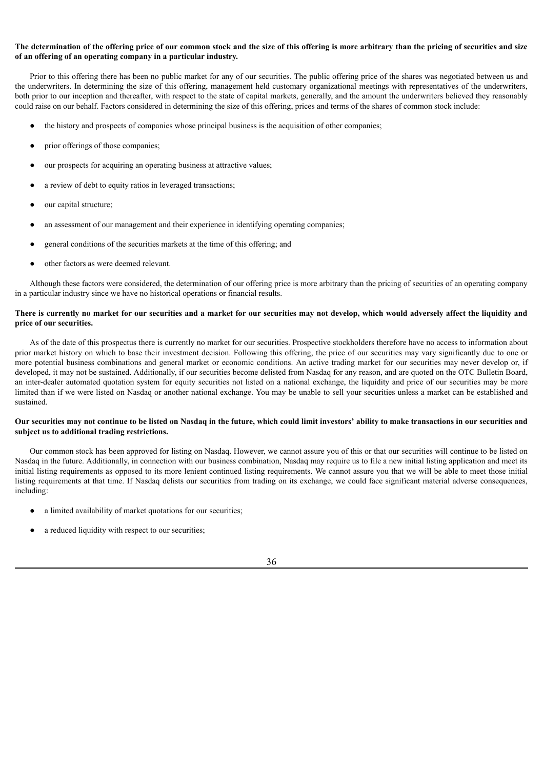# The determination of the offering price of our common stock and the size of this offering is more arbitrary than the pricing of securities and size **of an offering of an operating company in a particular industry.**

Prior to this offering there has been no public market for any of our securities. The public offering price of the shares was negotiated between us and the underwriters. In determining the size of this offering, management held customary organizational meetings with representatives of the underwriters, both prior to our inception and thereafter, with respect to the state of capital markets, generally, and the amount the underwriters believed they reasonably could raise on our behalf. Factors considered in determining the size of this offering, prices and terms of the shares of common stock include:

- the history and prospects of companies whose principal business is the acquisition of other companies;
- prior offerings of those companies;
- our prospects for acquiring an operating business at attractive values;
- a review of debt to equity ratios in leveraged transactions;
- our capital structure;
- an assessment of our management and their experience in identifying operating companies;
- general conditions of the securities markets at the time of this offering; and
- other factors as were deemed relevant.

Although these factors were considered, the determination of our offering price is more arbitrary than the pricing of securities of an operating company in a particular industry since we have no historical operations or financial results.

## There is currently no market for our securities and a market for our securities may not develop, which would adversely affect the liquidity and **price of our securities.**

As of the date of this prospectus there is currently no market for our securities. Prospective stockholders therefore have no access to information about prior market history on which to base their investment decision. Following this offering, the price of our securities may vary significantly due to one or more potential business combinations and general market or economic conditions. An active trading market for our securities may never develop or, if developed, it may not be sustained. Additionally, if our securities become delisted from Nasdaq for any reason, and are quoted on the OTC Bulletin Board, an inter-dealer automated quotation system for equity securities not listed on a national exchange, the liquidity and price of our securities may be more limited than if we were listed on Nasdaq or another national exchange. You may be unable to sell your securities unless a market can be established and sustained.

### Our securities may not continue to be listed on Nasdaq in the future, which could limit investors' ability to make transactions in our securities and **subject us to additional trading restrictions.**

Our common stock has been approved for listing on Nasdaq. However, we cannot assure you of this or that our securities will continue to be listed on Nasdaq in the future. Additionally, in connection with our business combination, Nasdaq may require us to file a new initial listing application and meet its initial listing requirements as opposed to its more lenient continued listing requirements. We cannot assure you that we will be able to meet those initial listing requirements at that time. If Nasdaq delists our securities from trading on its exchange, we could face significant material adverse consequences, including:

- a limited availability of market quotations for our securities;
- a reduced liquidity with respect to our securities;

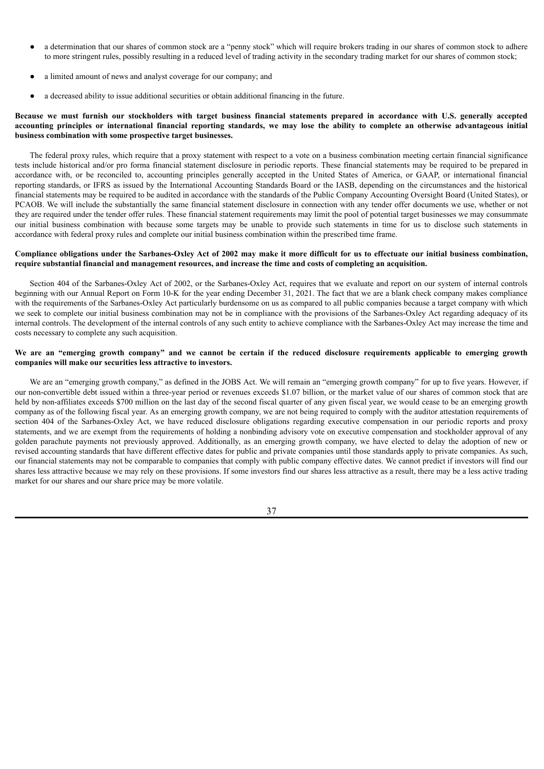- a determination that our shares of common stock are a "penny stock" which will require brokers trading in our shares of common stock to adhere to more stringent rules, possibly resulting in a reduced level of trading activity in the secondary trading market for our shares of common stock;
- a limited amount of news and analyst coverage for our company; and
- a decreased ability to issue additional securities or obtain additional financing in the future.

# Because we must furnish our stockholders with target business financial statements prepared in accordance with U.S. generally accepted accounting principles or international financial reporting standards, we may lose the ability to complete an otherwise advantageous initial **business combination with some prospective target businesses.**

The federal proxy rules, which require that a proxy statement with respect to a vote on a business combination meeting certain financial significance tests include historical and/or pro forma financial statement disclosure in periodic reports. These financial statements may be required to be prepared in accordance with, or be reconciled to, accounting principles generally accepted in the United States of America, or GAAP, or international financial reporting standards, or IFRS as issued by the International Accounting Standards Board or the IASB, depending on the circumstances and the historical financial statements may be required to be audited in accordance with the standards of the Public Company Accounting Oversight Board (United States), or PCAOB. We will include the substantially the same financial statement disclosure in connection with any tender offer documents we use, whether or not they are required under the tender offer rules. These financial statement requirements may limit the pool of potential target businesses we may consummate our initial business combination with because some targets may be unable to provide such statements in time for us to disclose such statements in accordance with federal proxy rules and complete our initial business combination within the prescribed time frame.

# Compliance obligations under the Sarbanes-Oxley Act of 2002 may make it more difficult for us to effectuate our initial business combination, require substantial financial and management resources, and increase the time and costs of completing an acquisition.

Section 404 of the Sarbanes-Oxley Act of 2002, or the Sarbanes-Oxley Act, requires that we evaluate and report on our system of internal controls beginning with our Annual Report on Form 10-K for the year ending December 31, 2021. The fact that we are a blank check company makes compliance with the requirements of the Sarbanes-Oxley Act particularly burdensome on us as compared to all public companies because a target company with which we seek to complete our initial business combination may not be in compliance with the provisions of the Sarbanes-Oxley Act regarding adequacy of its internal controls. The development of the internal controls of any such entity to achieve compliance with the Sarbanes-Oxley Act may increase the time and costs necessary to complete any such acquisition.

### We are an "emerging growth company" and we cannot be certain if the reduced disclosure requirements applicable to emerging growth **companies will make our securities less attractive to investors.**

We are an "emerging growth company," as defined in the JOBS Act. We will remain an "emerging growth company" for up to five years. However, if our non-convertible debt issued within a three-year period or revenues exceeds \$1.07 billion, or the market value of our shares of common stock that are held by non-affiliates exceeds \$700 million on the last day of the second fiscal quarter of any given fiscal year, we would cease to be an emerging growth company as of the following fiscal year. As an emerging growth company, we are not being required to comply with the auditor attestation requirements of section 404 of the Sarbanes-Oxley Act, we have reduced disclosure obligations regarding executive compensation in our periodic reports and proxy statements, and we are exempt from the requirements of holding a nonbinding advisory vote on executive compensation and stockholder approval of any golden parachute payments not previously approved. Additionally, as an emerging growth company, we have elected to delay the adoption of new or revised accounting standards that have different effective dates for public and private companies until those standards apply to private companies. As such, our financial statements may not be comparable to companies that comply with public company effective dates. We cannot predict if investors will find our shares less attractive because we may rely on these provisions. If some investors find our shares less attractive as a result, there may be a less active trading market for our shares and our share price may be more volatile.

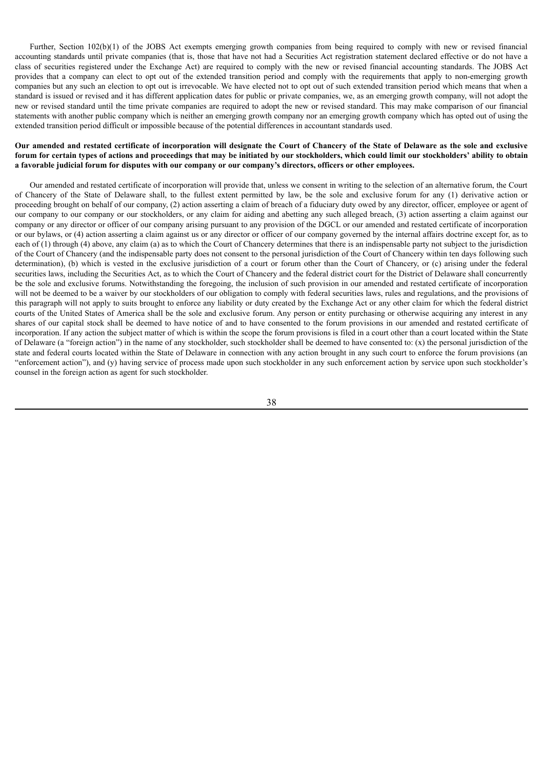Further, Section 102(b)(1) of the JOBS Act exempts emerging growth companies from being required to comply with new or revised financial accounting standards until private companies (that is, those that have not had a Securities Act registration statement declared effective or do not have a class of securities registered under the Exchange Act) are required to comply with the new or revised financial accounting standards. The JOBS Act provides that a company can elect to opt out of the extended transition period and comply with the requirements that apply to non-emerging growth companies but any such an election to opt out is irrevocable. We have elected not to opt out of such extended transition period which means that when a standard is issued or revised and it has different application dates for public or private companies, we, as an emerging growth company, will not adopt the new or revised standard until the time private companies are required to adopt the new or revised standard. This may make comparison of our financial statements with another public company which is neither an emerging growth company nor an emerging growth company which has opted out of using the extended transition period difficult or impossible because of the potential differences in accountant standards used.

# Our amended and restated certificate of incorporation will designate the Court of Chancery of the State of Delaware as the sole and exclusive forum for certain types of actions and proceedings that may be initiated by our stockholders, which could limit our stockholders' ability to obtain a favorable judicial forum for disputes with our company or our company's directors, officers or other employees.

Our amended and restated certificate of incorporation will provide that, unless we consent in writing to the selection of an alternative forum, the Court of Chancery of the State of Delaware shall, to the fullest extent permitted by law, be the sole and exclusive forum for any (1) derivative action or proceeding brought on behalf of our company, (2) action asserting a claim of breach of a fiduciary duty owed by any director, officer, employee or agent of our company to our company or our stockholders, or any claim for aiding and abetting any such alleged breach, (3) action asserting a claim against our company or any director or officer of our company arising pursuant to any provision of the DGCL or our amended and restated certificate of incorporation or our bylaws, or (4) action asserting a claim against us or any director or officer of our company governed by the internal affairs doctrine except for, as to each of (1) through (4) above, any claim (a) as to which the Court of Chancery determines that there is an indispensable party not subject to the jurisdiction of the Court of Chancery (and the indispensable party does not consent to the personal jurisdiction of the Court of Chancery within ten days following such determination), (b) which is vested in the exclusive jurisdiction of a court or forum other than the Court of Chancery, or (c) arising under the federal securities laws, including the Securities Act, as to which the Court of Chancery and the federal district court for the District of Delaware shall concurrently be the sole and exclusive forums. Notwithstanding the foregoing, the inclusion of such provision in our amended and restated certificate of incorporation will not be deemed to be a waiver by our stockholders of our obligation to comply with federal securities laws, rules and regulations, and the provisions of this paragraph will not apply to suits brought to enforce any liability or duty created by the Exchange Act or any other claim for which the federal district courts of the United States of America shall be the sole and exclusive forum. Any person or entity purchasing or otherwise acquiring any interest in any shares of our capital stock shall be deemed to have notice of and to have consented to the forum provisions in our amended and restated certificate of incorporation. If any action the subject matter of which is within the scope the forum provisions is filed in a court other than a court located within the State of Delaware (a "foreign action") in the name of any stockholder, such stockholder shall be deemed to have consented to: (x) the personal jurisdiction of the state and federal courts located within the State of Delaware in connection with any action brought in any such court to enforce the forum provisions (an "enforcement action"), and (y) having service of process made upon such stockholder in any such enforcement action by service upon such stockholder's counsel in the foreign action as agent for such stockholder.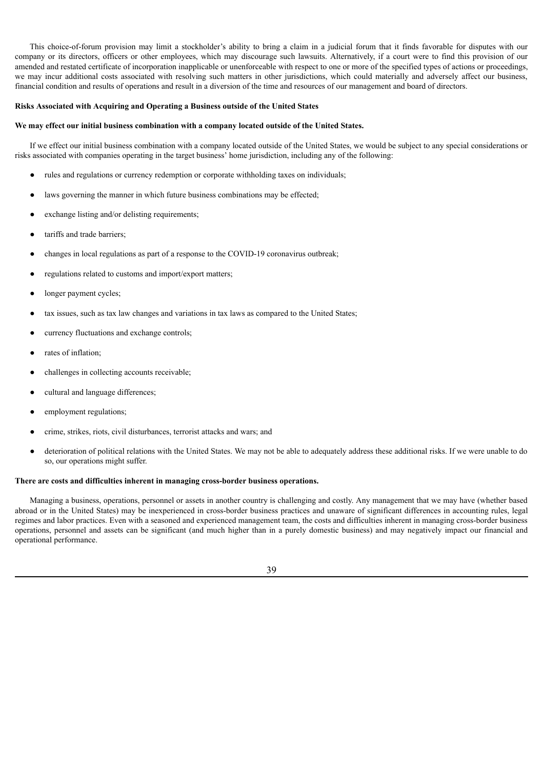This choice-of-forum provision may limit a stockholder's ability to bring a claim in a judicial forum that it finds favorable for disputes with our company or its directors, officers or other employees, which may discourage such lawsuits. Alternatively, if a court were to find this provision of our amended and restated certificate of incorporation inapplicable or unenforceable with respect to one or more of the specified types of actions or proceedings, we may incur additional costs associated with resolving such matters in other jurisdictions, which could materially and adversely affect our business, financial condition and results of operations and result in a diversion of the time and resources of our management and board of directors.

## **Risks Associated with Acquiring and Operating a Business outside of the United States**

### **We may effect our initial business combination with a company located outside of the United States.**

If we effect our initial business combination with a company located outside of the United States, we would be subject to any special considerations or risks associated with companies operating in the target business' home jurisdiction, including any of the following:

- rules and regulations or currency redemption or corporate withholding taxes on individuals;
- laws governing the manner in which future business combinations may be effected;
- exchange listing and/or delisting requirements;
- tariffs and trade barriers;
- changes in local regulations as part of a response to the COVID-19 coronavirus outbreak;
- regulations related to customs and import/export matters;
- longer payment cycles;
- tax issues, such as tax law changes and variations in tax laws as compared to the United States;
- currency fluctuations and exchange controls;
- rates of inflation:
- challenges in collecting accounts receivable;
- cultural and language differences;
- employment regulations;
- crime, strikes, riots, civil disturbances, terrorist attacks and wars; and
- deterioration of political relations with the United States. We may not be able to adequately address these additional risks. If we were unable to do so, our operations might suffer.

#### **There are costs and difficulties inherent in managing cross-border business operations.**

Managing a business, operations, personnel or assets in another country is challenging and costly. Any management that we may have (whether based abroad or in the United States) may be inexperienced in cross-border business practices and unaware of significant differences in accounting rules, legal regimes and labor practices. Even with a seasoned and experienced management team, the costs and difficulties inherent in managing cross-border business operations, personnel and assets can be significant (and much higher than in a purely domestic business) and may negatively impact our financial and operational performance.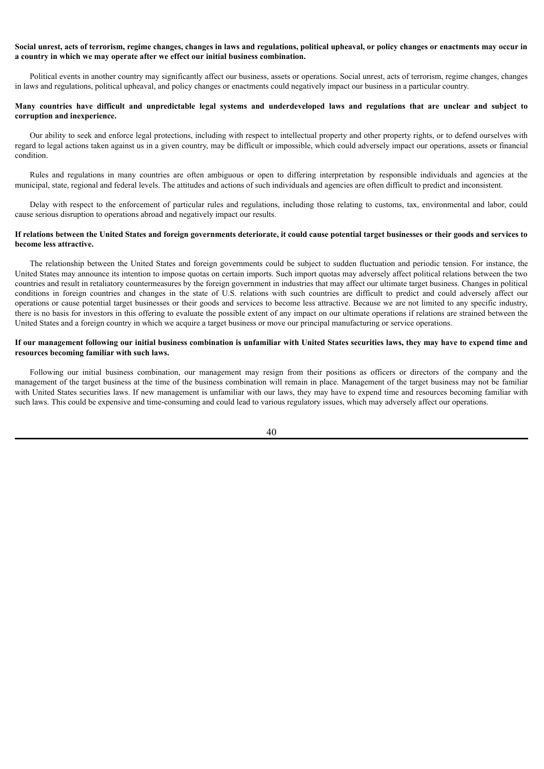# Social unrest, acts of terrorism, regime changes, changes in laws and regulations, political unheaval, or policy changes or enactments may occur in **a country in which we may operate after we effect our initial business combination.**

Political events in another country may significantly affect our business, assets or operations. Social unrest, acts of terrorism, regime changes, changes in laws and regulations, political upheaval, and policy changes or enactments could negatively impact our business in a particular country.

## Many countries have difficult and unpredictable legal systems and underdeveloped laws and regulations that are unclear and subject to **corruption and inexperience.**

Our ability to seek and enforce legal protections, including with respect to intellectual property and other property rights, or to defend ourselves with regard to legal actions taken against us in a given country, may be difficult or impossible, which could adversely impact our operations, assets or financial condition.

Rules and regulations in many countries are often ambiguous or open to differing interpretation by responsible individuals and agencies at the municipal, state, regional and federal levels. The attitudes and actions of such individuals and agencies are often difficult to predict and inconsistent.

Delay with respect to the enforcement of particular rules and regulations, including those relating to customs, tax, environmental and labor, could cause serious disruption to operations abroad and negatively impact our results.

## If relations between the United States and foreign governments deteriorate, it could cause potential target businesses or their goods and services to **become less attractive.**

The relationship between the United States and foreign governments could be subject to sudden fluctuation and periodic tension. For instance, the United States may announce its intention to impose quotas on certain imports. Such import quotas may adversely affect political relations between the two countries and result in retaliatory countermeasures by the foreign government in industries that may affect our ultimate target business. Changes in political conditions in foreign countries and changes in the state of U.S. relations with such countries are difficult to predict and could adversely affect our operations or cause potential target businesses or their goods and services to become less attractive. Because we are not limited to any specific industry, there is no basis for investors in this offering to evaluate the possible extent of any impact on our ultimate operations if relations are strained between the United States and a foreign country in which we acquire a target business or move our principal manufacturing or service operations.

# If our management following our initial business combination is unfamiliar with United States securities laws, they may have to expend time and **resources becoming familiar with such laws.**

Following our initial business combination, our management may resign from their positions as officers or directors of the company and the management of the target business at the time of the business combination will remain in place. Management of the target business may not be familiar with United States securities laws. If new management is unfamiliar with our laws, they may have to expend time and resources becoming familiar with such laws. This could be expensive and time-consuming and could lead to various regulatory issues, which may adversely affect our operations.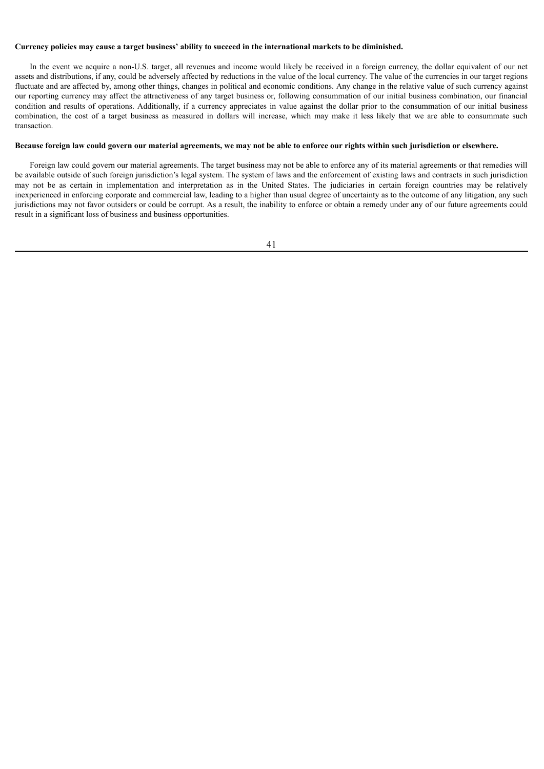### Currency policies may cause a target business' ability to succeed in the international markets to be diminished.

In the event we acquire a non-U.S. target, all revenues and income would likely be received in a foreign currency, the dollar equivalent of our net assets and distributions, if any, could be adversely affected by reductions in the value of the local currency. The value of the currencies in our target regions fluctuate and are affected by, among other things, changes in political and economic conditions. Any change in the relative value of such currency against our reporting currency may affect the attractiveness of any target business or, following consummation of our initial business combination, our financial condition and results of operations. Additionally, if a currency appreciates in value against the dollar prior to the consummation of our initial business combination, the cost of a target business as measured in dollars will increase, which may make it less likely that we are able to consummate such transaction.

## Because foreign law could govern our material agreements, we may not be able to enforce our rights within such jurisdiction or elsewhere.

Foreign law could govern our material agreements. The target business may not be able to enforce any of its material agreements or that remedies will be available outside of such foreign jurisdiction's legal system. The system of laws and the enforcement of existing laws and contracts in such jurisdiction may not be as certain in implementation and interpretation as in the United States. The judiciaries in certain foreign countries may be relatively inexperienced in enforcing corporate and commercial law, leading to a higher than usual degree of uncertainty as to the outcome of any litigation, any such jurisdictions may not favor outsiders or could be corrupt. As a result, the inability to enforce or obtain a remedy under any of our future agreements could result in a significant loss of business and business opportunities.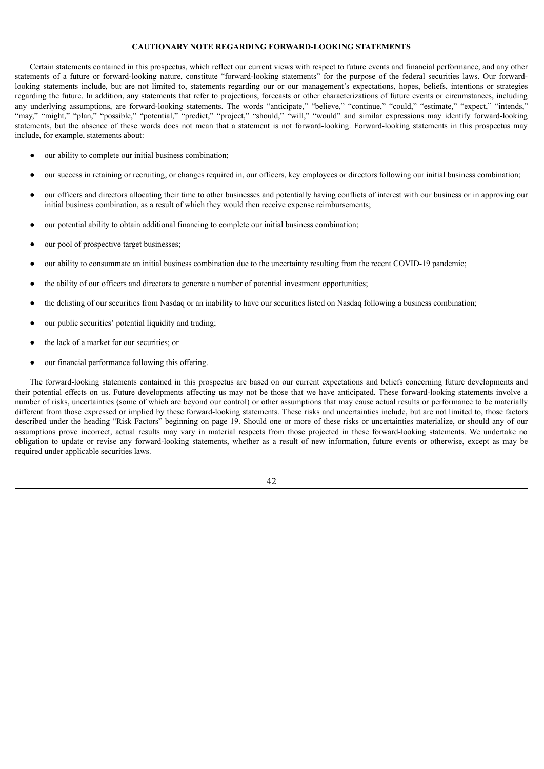# **CAUTIONARY NOTE REGARDING FORWARD-LOOKING STATEMENTS**

Certain statements contained in this prospectus, which reflect our current views with respect to future events and financial performance, and any other statements of a future or forward-looking nature, constitute "forward-looking statements" for the purpose of the federal securities laws. Our forwardlooking statements include, but are not limited to, statements regarding our or our management's expectations, hopes, beliefs, intentions or strategies regarding the future. In addition, any statements that refer to projections, forecasts or other characterizations of future events or circumstances, including any underlying assumptions, are forward-looking statements. The words "anticipate," "believe," "continue," "could," "estimate," "expect," "intends," "may," "might," "plan," "possible," "potential," "predict," "project," "should," "will," "would" and similar expressions may identify forward-looking statements, but the absence of these words does not mean that a statement is not forward-looking. Forward-looking statements in this prospectus may include, for example, statements about:

- our ability to complete our initial business combination;
- our success in retaining or recruiting, or changes required in, our officers, key employees or directors following our initial business combination;
- our officers and directors allocating their time to other businesses and potentially having conflicts of interest with our business or in approving our initial business combination, as a result of which they would then receive expense reimbursements;
- our potential ability to obtain additional financing to complete our initial business combination;
- our pool of prospective target businesses;
- our ability to consummate an initial business combination due to the uncertainty resulting from the recent COVID-19 pandemic;
- the ability of our officers and directors to generate a number of potential investment opportunities;
- the delisting of our securities from Nasdaq or an inability to have our securities listed on Nasdaq following a business combination;
- our public securities' potential liquidity and trading;
- the lack of a market for our securities; or
- our financial performance following this offering.

The forward-looking statements contained in this prospectus are based on our current expectations and beliefs concerning future developments and their potential effects on us. Future developments affecting us may not be those that we have anticipated. These forward-looking statements involve a number of risks, uncertainties (some of which are beyond our control) or other assumptions that may cause actual results or performance to be materially different from those expressed or implied by these forward-looking statements. These risks and uncertainties include, but are not limited to, those factors described under the heading "Risk Factors" beginning on page 19. Should one or more of these risks or uncertainties materialize, or should any of our assumptions prove incorrect, actual results may vary in material respects from those projected in these forward-looking statements. We undertake no obligation to update or revise any forward-looking statements, whether as a result of new information, future events or otherwise, except as may be required under applicable securities laws.

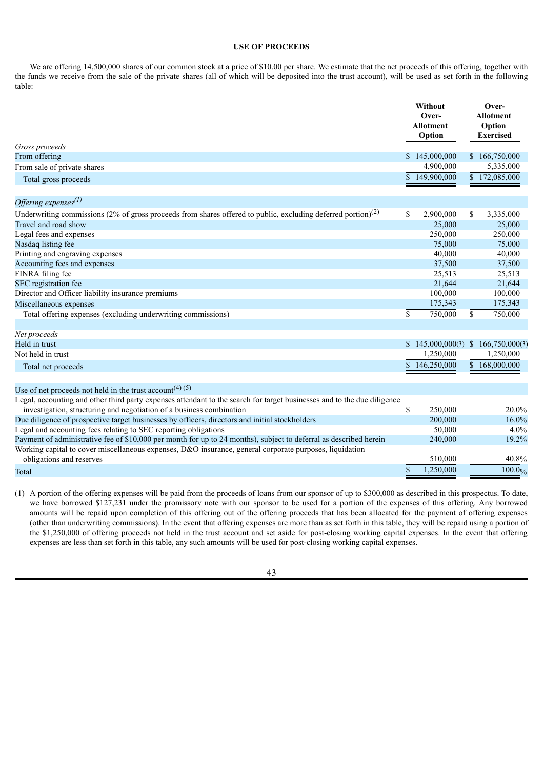# **USE OF PROCEEDS**

We are offering 14,500,000 shares of our common stock at a price of \$10.00 per share. We estimate that the net proceeds of this offering, together with the funds we receive from the sale of the private shares (all of which will be deposited into the trust account), will be used as set forth in the following table:

|                                                                                                                                                                   | Without<br>Over-<br><b>Allotment</b><br>Option | Over-<br><b>Allotment</b><br>Option<br><b>Exercised</b> |
|-------------------------------------------------------------------------------------------------------------------------------------------------------------------|------------------------------------------------|---------------------------------------------------------|
| Gross proceeds                                                                                                                                                    |                                                |                                                         |
| From offering                                                                                                                                                     | \$145,000,000                                  | \$166,750,000                                           |
| From sale of private shares                                                                                                                                       | 4,900,000                                      | 5,335,000                                               |
| Total gross proceeds                                                                                                                                              | \$<br>149,900,000                              | 172,085,000                                             |
| Offering expenses $^{(1)}$                                                                                                                                        |                                                |                                                         |
| Underwriting commissions (2% of gross proceeds from shares offered to public, excluding deferred portion) <sup>(2)</sup>                                          | \$<br>2,900,000                                | \$<br>3,335,000                                         |
| Travel and road show                                                                                                                                              | 25,000                                         | 25,000                                                  |
| Legal fees and expenses                                                                                                                                           | 250,000                                        | 250,000                                                 |
| Nasdaq listing fee                                                                                                                                                | 75,000                                         | 75,000                                                  |
| Printing and engraving expenses                                                                                                                                   | 40,000                                         | 40,000                                                  |
| Accounting fees and expenses                                                                                                                                      | 37,500                                         | 37,500                                                  |
| FINRA filing fee                                                                                                                                                  | 25,513                                         | 25,513                                                  |
| SEC registration fee                                                                                                                                              | 21,644                                         | 21,644                                                  |
| Director and Officer liability insurance premiums                                                                                                                 | 100,000                                        | 100,000                                                 |
| Miscellaneous expenses                                                                                                                                            | 175,343                                        | 175,343                                                 |
| Total offering expenses (excluding underwriting commissions)                                                                                                      | \$<br>750,000                                  | \$<br>750,000                                           |
| Net proceeds                                                                                                                                                      |                                                |                                                         |
| Held in trust                                                                                                                                                     | $$145,000,000(3)$ \$                           | 166,750,000(3)                                          |
| Not held in trust                                                                                                                                                 | 1,250,000                                      | 1,250,000                                               |
| Total net proceeds                                                                                                                                                | \$146,250,000                                  | \$168,000,000                                           |
| Use of net proceeds not held in the trust account <sup>(4) (5)</sup>                                                                                              |                                                |                                                         |
| Legal, accounting and other third party expenses attendant to the search for target businesses and to the due diligence                                           |                                                | 20.0%                                                   |
| investigation, structuring and negotiation of a business combination                                                                                              | \$<br>250,000<br>200,000                       | $16.0\%$                                                |
| Due diligence of prospective target businesses by officers, directors and initial stockholders<br>Legal and accounting fees relating to SEC reporting obligations |                                                | 4.0%                                                    |
| Payment of administrative fee of \$10,000 per month for up to 24 months), subject to deferral as described herein                                                 | 50,000<br>240,000                              | 19.2%                                                   |
| Working capital to cover miscellaneous expenses, D&O insurance, general corporate purposes, liquidation                                                           |                                                |                                                         |
| obligations and reserves                                                                                                                                          | 510,000                                        | 40.8%                                                   |
| Total                                                                                                                                                             | \$<br>1,250,000                                | 100.0%                                                  |

(1) A portion of the offering expenses will be paid from the proceeds of loans from our sponsor of up to \$300,000 as described in this prospectus. To date, we have borrowed \$127,231 under the promissory note with our sponsor to be used for a portion of the expenses of this offering. Any borrowed amounts will be repaid upon completion of this offering out of the offering proceeds that has been allocated for the payment of offering expenses (other than underwriting commissions). In the event that offering expenses are more than as set forth in this table, they will be repaid using a portion of the \$1,250,000 of offering proceeds not held in the trust account and set aside for post-closing working capital expenses. In the event that offering expenses are less than set forth in this table, any such amounts will be used for post-closing working capital expenses.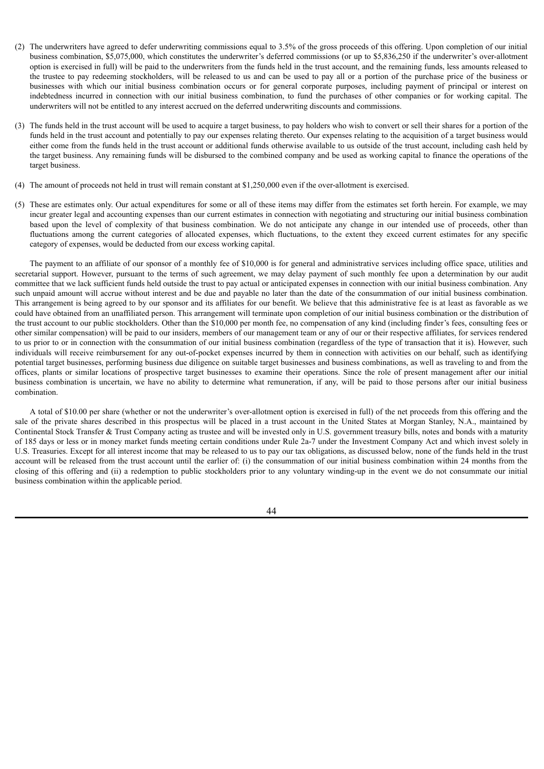- (2) The underwriters have agreed to defer underwriting commissions equal to 3.5% of the gross proceeds of this offering. Upon completion of our initial business combination, \$5,075,000, which constitutes the underwriter's deferred commissions (or up to \$5,836,250 if the underwriter's over-allotment option is exercised in full) will be paid to the underwriters from the funds held in the trust account, and the remaining funds, less amounts released to the trustee to pay redeeming stockholders, will be released to us and can be used to pay all or a portion of the purchase price of the business or businesses with which our initial business combination occurs or for general corporate purposes, including payment of principal or interest on indebtedness incurred in connection with our initial business combination, to fund the purchases of other companies or for working capital. The underwriters will not be entitled to any interest accrued on the deferred underwriting discounts and commissions.
- (3) The funds held in the trust account will be used to acquire a target business, to pay holders who wish to convert or sell their shares for a portion of the funds held in the trust account and potentially to pay our expenses relating thereto. Our expenses relating to the acquisition of a target business would either come from the funds held in the trust account or additional funds otherwise available to us outside of the trust account, including cash held by the target business. Any remaining funds will be disbursed to the combined company and be used as working capital to finance the operations of the target business.
- (4) The amount of proceeds not held in trust will remain constant at \$1,250,000 even if the over-allotment is exercised.
- (5) These are estimates only. Our actual expenditures for some or all of these items may differ from the estimates set forth herein. For example, we may incur greater legal and accounting expenses than our current estimates in connection with negotiating and structuring our initial business combination based upon the level of complexity of that business combination. We do not anticipate any change in our intended use of proceeds, other than fluctuations among the current categories of allocated expenses, which fluctuations, to the extent they exceed current estimates for any specific category of expenses, would be deducted from our excess working capital.

The payment to an affiliate of our sponsor of a monthly fee of \$10,000 is for general and administrative services including office space, utilities and secretarial support. However, pursuant to the terms of such agreement, we may delay payment of such monthly fee upon a determination by our audit committee that we lack sufficient funds held outside the trust to pay actual or anticipated expenses in connection with our initial business combination. Any such unpaid amount will accrue without interest and be due and payable no later than the date of the consummation of our initial business combination. This arrangement is being agreed to by our sponsor and its affiliates for our benefit. We believe that this administrative fee is at least as favorable as we could have obtained from an unaffiliated person. This arrangement will terminate upon completion of our initial business combination or the distribution of the trust account to our public stockholders. Other than the \$10,000 per month fee, no compensation of any kind (including finder's fees, consulting fees or other similar compensation) will be paid to our insiders, members of our management team or any of our or their respective affiliates, for services rendered to us prior to or in connection with the consummation of our initial business combination (regardless of the type of transaction that it is). However, such individuals will receive reimbursement for any out-of-pocket expenses incurred by them in connection with activities on our behalf, such as identifying potential target businesses, performing business due diligence on suitable target businesses and business combinations, as well as traveling to and from the offices, plants or similar locations of prospective target businesses to examine their operations. Since the role of present management after our initial business combination is uncertain, we have no ability to determine what remuneration, if any, will be paid to those persons after our initial business combination.

A total of \$10.00 per share (whether or not the underwriter's over-allotment option is exercised in full) of the net proceeds from this offering and the sale of the private shares described in this prospectus will be placed in a trust account in the United States at Morgan Stanley, N.A., maintained by Continental Stock Transfer & Trust Company acting as trustee and will be invested only in U.S. government treasury bills, notes and bonds with a maturity of 185 days or less or in money market funds meeting certain conditions under Rule 2a-7 under the Investment Company Act and which invest solely in U.S. Treasuries. Except for all interest income that may be released to us to pay our tax obligations, as discussed below, none of the funds held in the trust account will be released from the trust account until the earlier of: (i) the consummation of our initial business combination within 24 months from the closing of this offering and (ii) a redemption to public stockholders prior to any voluntary winding-up in the event we do not consummate our initial business combination within the applicable period.

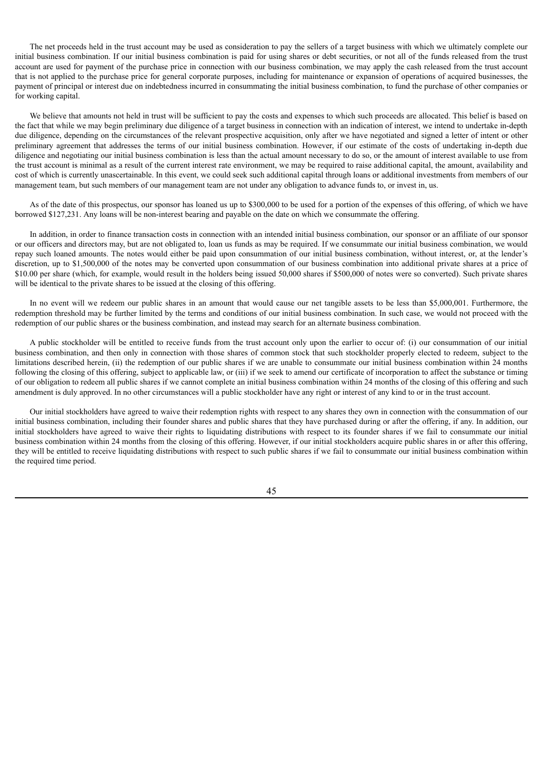The net proceeds held in the trust account may be used as consideration to pay the sellers of a target business with which we ultimately complete our initial business combination. If our initial business combination is paid for using shares or debt securities, or not all of the funds released from the trust account are used for payment of the purchase price in connection with our business combination, we may apply the cash released from the trust account that is not applied to the purchase price for general corporate purposes, including for maintenance or expansion of operations of acquired businesses, the payment of principal or interest due on indebtedness incurred in consummating the initial business combination, to fund the purchase of other companies or for working capital.

We believe that amounts not held in trust will be sufficient to pay the costs and expenses to which such proceeds are allocated. This belief is based on the fact that while we may begin preliminary due diligence of a target business in connection with an indication of interest, we intend to undertake in-depth due diligence, depending on the circumstances of the relevant prospective acquisition, only after we have negotiated and signed a letter of intent or other preliminary agreement that addresses the terms of our initial business combination. However, if our estimate of the costs of undertaking in-depth due diligence and negotiating our initial business combination is less than the actual amount necessary to do so, or the amount of interest available to use from the trust account is minimal as a result of the current interest rate environment, we may be required to raise additional capital, the amount, availability and cost of which is currently unascertainable. In this event, we could seek such additional capital through loans or additional investments from members of our management team, but such members of our management team are not under any obligation to advance funds to, or invest in, us.

As of the date of this prospectus, our sponsor has loaned us up to \$300,000 to be used for a portion of the expenses of this offering, of which we have borrowed \$127,231. Any loans will be non-interest bearing and payable on the date on which we consummate the offering.

In addition, in order to finance transaction costs in connection with an intended initial business combination, our sponsor or an affiliate of our sponsor or our officers and directors may, but are not obligated to, loan us funds as may be required. If we consummate our initial business combination, we would repay such loaned amounts. The notes would either be paid upon consummation of our initial business combination, without interest, or, at the lender's discretion, up to \$1,500,000 of the notes may be converted upon consummation of our business combination into additional private shares at a price of \$10.00 per share (which, for example, would result in the holders being issued 50,000 shares if \$500,000 of notes were so converted). Such private shares will be identical to the private shares to be issued at the closing of this offering.

In no event will we redeem our public shares in an amount that would cause our net tangible assets to be less than \$5,000,001. Furthermore, the redemption threshold may be further limited by the terms and conditions of our initial business combination. In such case, we would not proceed with the redemption of our public shares or the business combination, and instead may search for an alternate business combination.

A public stockholder will be entitled to receive funds from the trust account only upon the earlier to occur of: (i) our consummation of our initial business combination, and then only in connection with those shares of common stock that such stockholder properly elected to redeem, subject to the limitations described herein, (ii) the redemption of our public shares if we are unable to consummate our initial business combination within 24 months following the closing of this offering, subject to applicable law, or (iii) if we seek to amend our certificate of incorporation to affect the substance or timing of our obligation to redeem all public shares if we cannot complete an initial business combination within 24 months of the closing of this offering and such amendment is duly approved. In no other circumstances will a public stockholder have any right or interest of any kind to or in the trust account.

Our initial stockholders have agreed to waive their redemption rights with respect to any shares they own in connection with the consummation of our initial business combination, including their founder shares and public shares that they have purchased during or after the offering, if any. In addition, our initial stockholders have agreed to waive their rights to liquidating distributions with respect to its founder shares if we fail to consummate our initial business combination within 24 months from the closing of this offering. However, if our initial stockholders acquire public shares in or after this offering, they will be entitled to receive liquidating distributions with respect to such public shares if we fail to consummate our initial business combination within the required time period.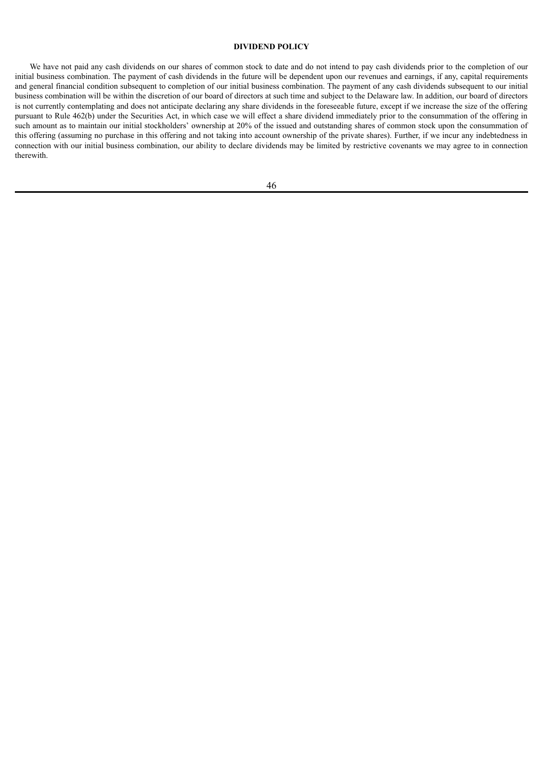# **DIVIDEND POLICY**

We have not paid any cash dividends on our shares of common stock to date and do not intend to pay cash dividends prior to the completion of our initial business combination. The payment of cash dividends in the future will be dependent upon our revenues and earnings, if any, capital requirements and general financial condition subsequent to completion of our initial business combination. The payment of any cash dividends subsequent to our initial business combination will be within the discretion of our board of directors at such time and subject to the Delaware law. In addition, our board of directors is not currently contemplating and does not anticipate declaring any share dividends in the foreseeable future, except if we increase the size of the offering pursuant to Rule 462(b) under the Securities Act, in which case we will effect a share dividend immediately prior to the consummation of the offering in such amount as to maintain our initial stockholders' ownership at 20% of the issued and outstanding shares of common stock upon the consummation of this offering (assuming no purchase in this offering and not taking into account ownership of the private shares). Further, if we incur any indebtedness in connection with our initial business combination, our ability to declare dividends may be limited by restrictive covenants we may agree to in connection therewith.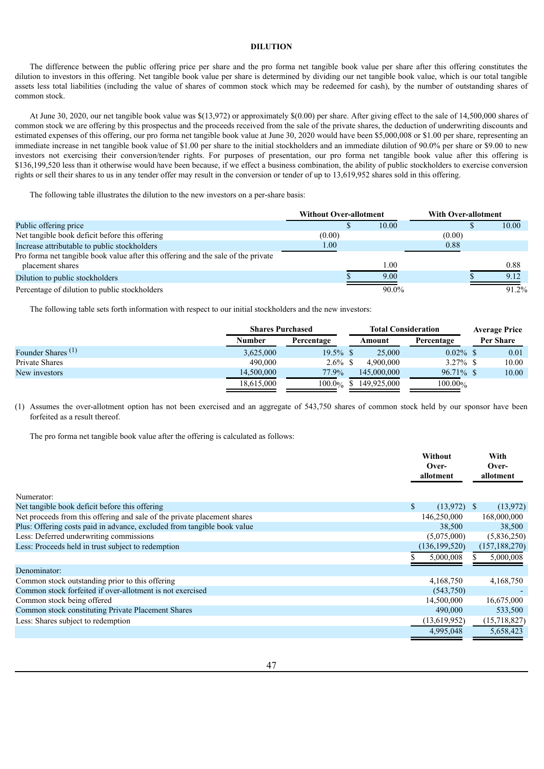# **DILUTION**

The difference between the public offering price per share and the pro forma net tangible book value per share after this offering constitutes the dilution to investors in this offering. Net tangible book value per share is determined by dividing our net tangible book value, which is our total tangible assets less total liabilities (including the value of shares of common stock which may be redeemed for cash), by the number of outstanding shares of common stock.

At June 30, 2020, our net tangible book value was \$(13,972) or approximately \$(0.00) per share. After giving effect to the sale of 14,500,000 shares of common stock we are offering by this prospectus and the proceeds received from the sale of the private shares, the deduction of underwriting discounts and estimated expenses of this offering, our pro forma net tangible book value at June 30, 2020 would have been \$5,000,008 or \$1.00 per share, representing an immediate increase in net tangible book value of \$1.00 per share to the initial stockholders and an immediate dilution of 90.0% per share or \$9.00 to new investors not exercising their conversion/tender rights. For purposes of presentation, our pro forma net tangible book value after this offering is \$136,199,520 less than it otherwise would have been because, if we effect a business combination, the ability of public stockholders to exercise conversion rights or sell their shares to us in any tender offer may result in the conversion or tender of up to 13,619,952 shares sold in this offering.

The following table illustrates the dilution to the new investors on a per-share basis:

|                                                                                   | <b>Without Over-allotment</b> |          | <b>With Over-allotment</b> |  |       |  |
|-----------------------------------------------------------------------------------|-------------------------------|----------|----------------------------|--|-------|--|
| Public offering price                                                             |                               | 10.00    |                            |  | 10.00 |  |
| Net tangible book deficit before this offering                                    | (0.00)                        |          | (0.00)                     |  |       |  |
| Increase attributable to public stockholders                                      | 1.00                          |          | 0.88                       |  |       |  |
| Pro forma net tangible book value after this offering and the sale of the private |                               |          |                            |  |       |  |
| placement shares                                                                  |                               | $1.00\,$ |                            |  | 0.88  |  |
| Dilution to public stockholders                                                   |                               | 9.00     |                            |  | 9.12  |  |
| Percentage of dilution to public stockholders                                     |                               | $90.0\%$ |                            |  | 91.2% |  |

The following table sets forth information with respect to our initial stockholders and the new investors:

| <b>Shares Purchased</b> |            |        |                           | <b>Average Price</b> |                            |            |                                            |
|-------------------------|------------|--------|---------------------------|----------------------|----------------------------|------------|--------------------------------------------|
| Number                  | Percentage | Amount |                           | Percentage           | Per Share                  |            |                                            |
| 3,625,000               |            |        | 25,000                    |                      |                            |            | 0.01                                       |
| 490,000                 |            |        | 4.900.000                 |                      |                            |            | 10.00                                      |
| 14,500,000              | 77.9%      |        | 145,000,000               |                      |                            |            | 10.00                                      |
| 18,615,000              | $100.0\%$  |        | 149,925,000               |                      |                            |            |                                            |
|                         |            |        | $19.5\%$ \$<br>$2.6\%$ \$ |                      | <b>Total Consideration</b> | $100.00\%$ | $0.02\%$ \$<br>$3.27\%$ \$<br>$96.71\%$ \$ |

(1) Assumes the over-allotment option has not been exercised and an aggregate of 543,750 shares of common stock held by our sponsor have been forfeited as a result thereof.

The pro forma net tangible book value after the offering is calculated as follows:

|                                                                          |    | Without<br>Over-<br>allotment |    |                 |  | With<br>Over-<br>allotment |  |
|--------------------------------------------------------------------------|----|-------------------------------|----|-----------------|--|----------------------------|--|
| Numerator:                                                               |    |                               |    |                 |  |                            |  |
| Net tangible book deficit before this offering                           | \$ | (13,972)                      | -S | (13,972)        |  |                            |  |
| Net proceeds from this offering and sale of the private placement shares |    | 146,250,000                   |    | 168,000,000     |  |                            |  |
| Plus: Offering costs paid in advance, excluded from tangible book value  |    | 38,500                        |    | 38,500          |  |                            |  |
| Less: Deferred underwriting commissions                                  |    | (5,075,000)                   |    | (5,836,250)     |  |                            |  |
| Less: Proceeds held in trust subject to redemption                       |    | (136, 199, 520)               |    | (157, 188, 270) |  |                            |  |
|                                                                          |    | 5,000,008                     |    | 5,000,008       |  |                            |  |
| Denominator:                                                             |    |                               |    |                 |  |                            |  |
| Common stock outstanding prior to this offering                          |    | 4,168,750                     |    | 4,168,750       |  |                            |  |
| Common stock forfeited if over-allotment is not exercised                |    | (543,750)                     |    |                 |  |                            |  |
| Common stock being offered                                               |    | 14,500,000                    |    | 16,675,000      |  |                            |  |
| Common stock constituting Private Placement Shares                       |    | 490,000                       |    | 533,500         |  |                            |  |
| Less: Shares subject to redemption                                       |    | (13,619,952)                  |    | (15,718,827)    |  |                            |  |
|                                                                          |    | 4,995,048                     |    | 5,658,423       |  |                            |  |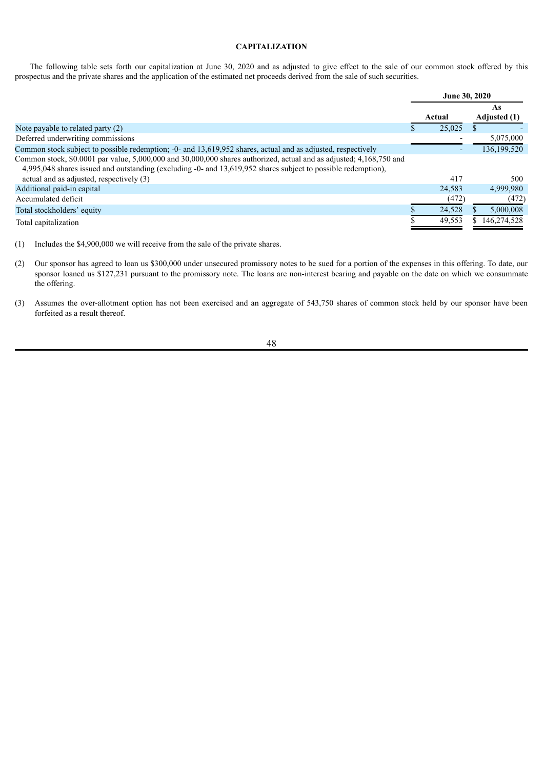# **CAPITALIZATION**

The following table sets forth our capitalization at June 30, 2020 and as adjusted to give effect to the sale of our common stock offered by this prospectus and the private shares and the application of the estimated net proceeds derived from the sale of such securities.

|                                                                                                                                                                                                                                      | June 30, 2020 |        |                    |
|--------------------------------------------------------------------------------------------------------------------------------------------------------------------------------------------------------------------------------------|---------------|--------|--------------------|
|                                                                                                                                                                                                                                      |               | Actual | As<br>Adjusted (1) |
| Note payable to related party $(2)$                                                                                                                                                                                                  |               | 25,025 |                    |
| Deferred underwriting commissions                                                                                                                                                                                                    |               |        | 5,075,000          |
| Common stock subject to possible redemption; -0- and 13,619,952 shares, actual and as adjusted, respectively                                                                                                                         |               |        | 136,199,520        |
| Common stock, \$0.0001 par value, 5,000,000 and 30,000,000 shares authorized, actual and as adjusted; 4,168,750 and<br>4,995,048 shares issued and outstanding (excluding -0- and 13,619,952 shares subject to possible redemption), |               |        |                    |
| actual and as adjusted, respectively (3)                                                                                                                                                                                             |               | 417    | 500                |
| Additional paid-in capital                                                                                                                                                                                                           |               | 24,583 | 4,999,980          |
| Accumulated deficit                                                                                                                                                                                                                  |               | (472)  | (472)              |
| Total stockholders' equity                                                                                                                                                                                                           |               | 24,528 | 5,000,008          |
| Total capitalization                                                                                                                                                                                                                 |               | 49,553 | 146,274,528        |

(1) Includes the \$4,900,000 we will receive from the sale of the private shares.

- (2) Our sponsor has agreed to loan us \$300,000 under unsecured promissory notes to be sued for a portion of the expenses in this offering. To date, our sponsor loaned us \$127,231 pursuant to the promissory note. The loans are non-interest bearing and payable on the date on which we consummate the offering.
- (3) Assumes the over-allotment option has not been exercised and an aggregate of 543,750 shares of common stock held by our sponsor have been forfeited as a result thereof.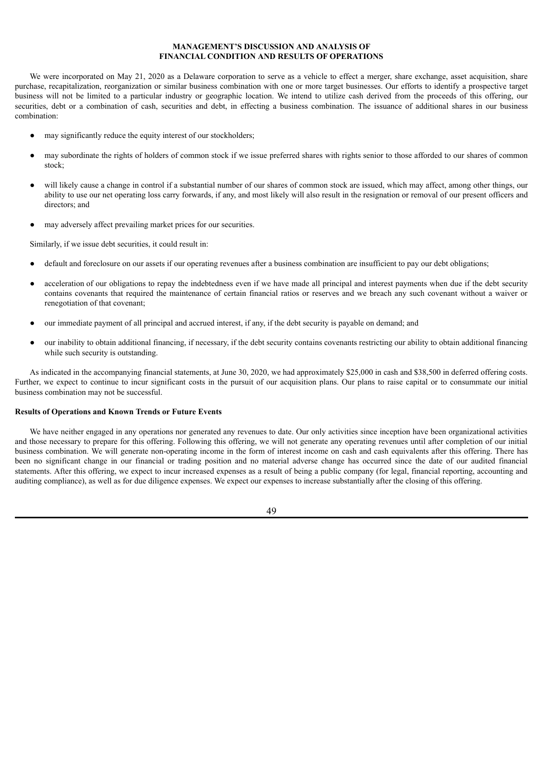# **MANAGEMENT'S DISCUSSION AND ANALYSIS OF FINANCIAL CONDITION AND RESULTS OF OPERATIONS**

We were incorporated on May 21, 2020 as a Delaware corporation to serve as a vehicle to effect a merger, share exchange, asset acquisition, share purchase, recapitalization, reorganization or similar business combination with one or more target businesses. Our efforts to identify a prospective target business will not be limited to a particular industry or geographic location. We intend to utilize cash derived from the proceeds of this offering, our securities, debt or a combination of cash, securities and debt, in effecting a business combination. The issuance of additional shares in our business combination:

- may significantly reduce the equity interest of our stockholders;
- may subordinate the rights of holders of common stock if we issue preferred shares with rights senior to those afforded to our shares of common stock;
- will likely cause a change in control if a substantial number of our shares of common stock are issued, which may affect, among other things, our ability to use our net operating loss carry forwards, if any, and most likely will also result in the resignation or removal of our present officers and directors; and
- may adversely affect prevailing market prices for our securities.

Similarly, if we issue debt securities, it could result in:

- default and foreclosure on our assets if our operating revenues after a business combination are insufficient to pay our debt obligations;
- acceleration of our obligations to repay the indebtedness even if we have made all principal and interest payments when due if the debt security contains covenants that required the maintenance of certain financial ratios or reserves and we breach any such covenant without a waiver or renegotiation of that covenant;
- our immediate payment of all principal and accrued interest, if any, if the debt security is payable on demand; and
- our inability to obtain additional financing, if necessary, if the debt security contains covenants restricting our ability to obtain additional financing while such security is outstanding.

As indicated in the accompanying financial statements, at June 30, 2020, we had approximately \$25,000 in cash and \$38,500 in deferred offering costs. Further, we expect to continue to incur significant costs in the pursuit of our acquisition plans. Our plans to raise capital or to consummate our initial business combination may not be successful.

#### **Results of Operations and Known Trends or Future Events**

We have neither engaged in any operations nor generated any revenues to date. Our only activities since inception have been organizational activities and those necessary to prepare for this offering. Following this offering, we will not generate any operating revenues until after completion of our initial business combination. We will generate non-operating income in the form of interest income on cash and cash equivalents after this offering. There has been no significant change in our financial or trading position and no material adverse change has occurred since the date of our audited financial statements. After this offering, we expect to incur increased expenses as a result of being a public company (for legal, financial reporting, accounting and auditing compliance), as well as for due diligence expenses. We expect our expenses to increase substantially after the closing of this offering.

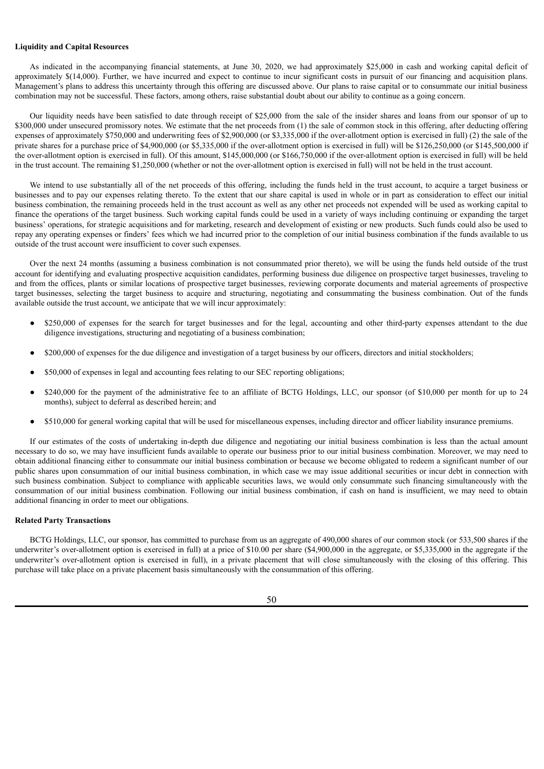### **Liquidity and Capital Resources**

As indicated in the accompanying financial statements, at June 30, 2020, we had approximately \$25,000 in cash and working capital deficit of approximately \$(14,000). Further, we have incurred and expect to continue to incur significant costs in pursuit of our financing and acquisition plans. Management's plans to address this uncertainty through this offering are discussed above. Our plans to raise capital or to consummate our initial business combination may not be successful. These factors, among others, raise substantial doubt about our ability to continue as a going concern.

Our liquidity needs have been satisfied to date through receipt of \$25,000 from the sale of the insider shares and loans from our sponsor of up to \$300,000 under unsecured promissory notes. We estimate that the net proceeds from (1) the sale of common stock in this offering, after deducting offering expenses of approximately \$750,000 and underwriting fees of \$2,900,000 (or \$3,335,000 if the over-allotment option is exercised in full) (2) the sale of the private shares for a purchase price of \$4,900,000 (or \$5,335,000 if the over-allotment option is exercised in full) will be \$126,250,000 (or \$145,500,000 if the over-allotment option is exercised in full). Of this amount, \$145,000,000 (or \$166,750,000 if the over-allotment option is exercised in full) will be held in the trust account. The remaining \$1,250,000 (whether or not the over-allotment option is exercised in full) will not be held in the trust account.

We intend to use substantially all of the net proceeds of this offering, including the funds held in the trust account, to acquire a target business or businesses and to pay our expenses relating thereto. To the extent that our share capital is used in whole or in part as consideration to effect our initial business combination, the remaining proceeds held in the trust account as well as any other net proceeds not expended will be used as working capital to finance the operations of the target business. Such working capital funds could be used in a variety of ways including continuing or expanding the target business' operations, for strategic acquisitions and for marketing, research and development of existing or new products. Such funds could also be used to repay any operating expenses or finders' fees which we had incurred prior to the completion of our initial business combination if the funds available to us outside of the trust account were insufficient to cover such expenses.

Over the next 24 months (assuming a business combination is not consummated prior thereto), we will be using the funds held outside of the trust account for identifying and evaluating prospective acquisition candidates, performing business due diligence on prospective target businesses, traveling to and from the offices, plants or similar locations of prospective target businesses, reviewing corporate documents and material agreements of prospective target businesses, selecting the target business to acquire and structuring, negotiating and consummating the business combination. Out of the funds available outside the trust account, we anticipate that we will incur approximately:

- \$250,000 of expenses for the search for target businesses and for the legal, accounting and other third-party expenses attendant to the due diligence investigations, structuring and negotiating of a business combination;
- \$200,000 of expenses for the due diligence and investigation of a target business by our officers, directors and initial stockholders;
- \$50,000 of expenses in legal and accounting fees relating to our SEC reporting obligations;
- \$240,000 for the payment of the administrative fee to an affiliate of BCTG Holdings, LLC, our sponsor (of \$10,000 per month for up to 24 months), subject to deferral as described herein; and
- \$510,000 for general working capital that will be used for miscellaneous expenses, including director and officer liability insurance premiums.

If our estimates of the costs of undertaking in-depth due diligence and negotiating our initial business combination is less than the actual amount necessary to do so, we may have insufficient funds available to operate our business prior to our initial business combination. Moreover, we may need to obtain additional financing either to consummate our initial business combination or because we become obligated to redeem a significant number of our public shares upon consummation of our initial business combination, in which case we may issue additional securities or incur debt in connection with such business combination. Subject to compliance with applicable securities laws, we would only consummate such financing simultaneously with the consummation of our initial business combination. Following our initial business combination, if cash on hand is insufficient, we may need to obtain additional financing in order to meet our obligations.

### **Related Party Transactions**

BCTG Holdings, LLC, our sponsor, has committed to purchase from us an aggregate of 490,000 shares of our common stock (or 533,500 shares if the underwriter's over-allotment option is exercised in full) at a price of \$10.00 per share (\$4,900,000 in the aggregate, or \$5,335,000 in the aggregate if the underwriter's over-allotment option is exercised in full), in a private placement that will close simultaneously with the closing of this offering. This purchase will take place on a private placement basis simultaneously with the consummation of this offering.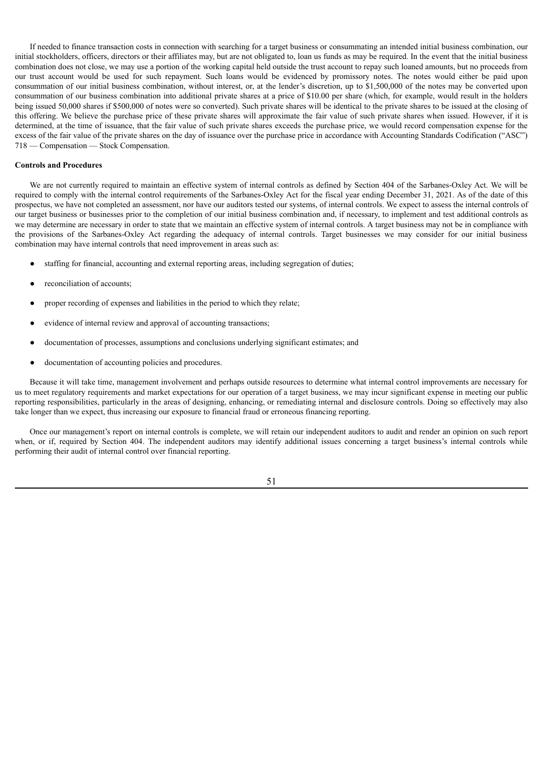If needed to finance transaction costs in connection with searching for a target business or consummating an intended initial business combination, our initial stockholders, officers, directors or their affiliates may, but are not obligated to, loan us funds as may be required. In the event that the initial business combination does not close, we may use a portion of the working capital held outside the trust account to repay such loaned amounts, but no proceeds from our trust account would be used for such repayment. Such loans would be evidenced by promissory notes. The notes would either be paid upon consummation of our initial business combination, without interest, or, at the lender's discretion, up to \$1,500,000 of the notes may be converted upon consummation of our business combination into additional private shares at a price of \$10.00 per share (which, for example, would result in the holders being issued 50,000 shares if \$500,000 of notes were so converted). Such private shares will be identical to the private shares to be issued at the closing of this offering. We believe the purchase price of these private shares will approximate the fair value of such private shares when issued. However, if it is determined, at the time of issuance, that the fair value of such private shares exceeds the purchase price, we would record compensation expense for the excess of the fair value of the private shares on the day of issuance over the purchase price in accordance with Accounting Standards Codification ("ASC") 718 — Compensation — Stock Compensation.

### **Controls and Procedures**

We are not currently required to maintain an effective system of internal controls as defined by Section 404 of the Sarbanes-Oxley Act. We will be required to comply with the internal control requirements of the Sarbanes-Oxley Act for the fiscal year ending December 31, 2021. As of the date of this prospectus, we have not completed an assessment, nor have our auditors tested our systems, of internal controls. We expect to assess the internal controls of our target business or businesses prior to the completion of our initial business combination and, if necessary, to implement and test additional controls as we may determine are necessary in order to state that we maintain an effective system of internal controls. A target business may not be in compliance with the provisions of the Sarbanes-Oxley Act regarding the adequacy of internal controls. Target businesses we may consider for our initial business combination may have internal controls that need improvement in areas such as:

- staffing for financial, accounting and external reporting areas, including segregation of duties;
- reconciliation of accounts;
- proper recording of expenses and liabilities in the period to which they relate;
- evidence of internal review and approval of accounting transactions;
- documentation of processes, assumptions and conclusions underlying significant estimates; and
- documentation of accounting policies and procedures.

Because it will take time, management involvement and perhaps outside resources to determine what internal control improvements are necessary for us to meet regulatory requirements and market expectations for our operation of a target business, we may incur significant expense in meeting our public reporting responsibilities, particularly in the areas of designing, enhancing, or remediating internal and disclosure controls. Doing so effectively may also take longer than we expect, thus increasing our exposure to financial fraud or erroneous financing reporting.

Once our management's report on internal controls is complete, we will retain our independent auditors to audit and render an opinion on such report when, or if, required by Section 404. The independent auditors may identify additional issues concerning a target business's internal controls while performing their audit of internal control over financial reporting.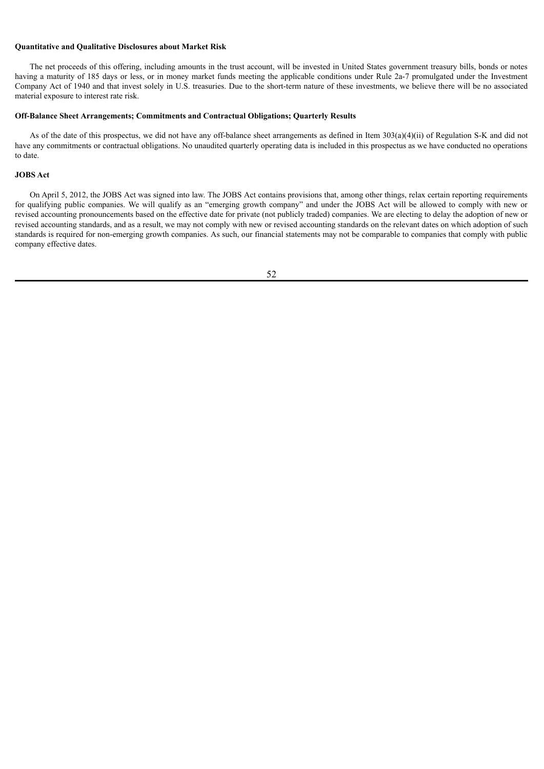# **Quantitative and Qualitative Disclosures about Market Risk**

The net proceeds of this offering, including amounts in the trust account, will be invested in United States government treasury bills, bonds or notes having a maturity of 185 days or less, or in money market funds meeting the applicable conditions under Rule 2a-7 promulgated under the Investment Company Act of 1940 and that invest solely in U.S. treasuries. Due to the short-term nature of these investments, we believe there will be no associated material exposure to interest rate risk.

### **Off-Balance Sheet Arrangements; Commitments and Contractual Obligations; Quarterly Results**

As of the date of this prospectus, we did not have any off-balance sheet arrangements as defined in Item 303(a)(4)(ii) of Regulation S-K and did not have any commitments or contractual obligations. No unaudited quarterly operating data is included in this prospectus as we have conducted no operations to date.

# **JOBS Act**

On April 5, 2012, the JOBS Act was signed into law. The JOBS Act contains provisions that, among other things, relax certain reporting requirements for qualifying public companies. We will qualify as an "emerging growth company" and under the JOBS Act will be allowed to comply with new or revised accounting pronouncements based on the effective date for private (not publicly traded) companies. We are electing to delay the adoption of new or revised accounting standards, and as a result, we may not comply with new or revised accounting standards on the relevant dates on which adoption of such standards is required for non-emerging growth companies. As such, our financial statements may not be comparable to companies that comply with public company effective dates.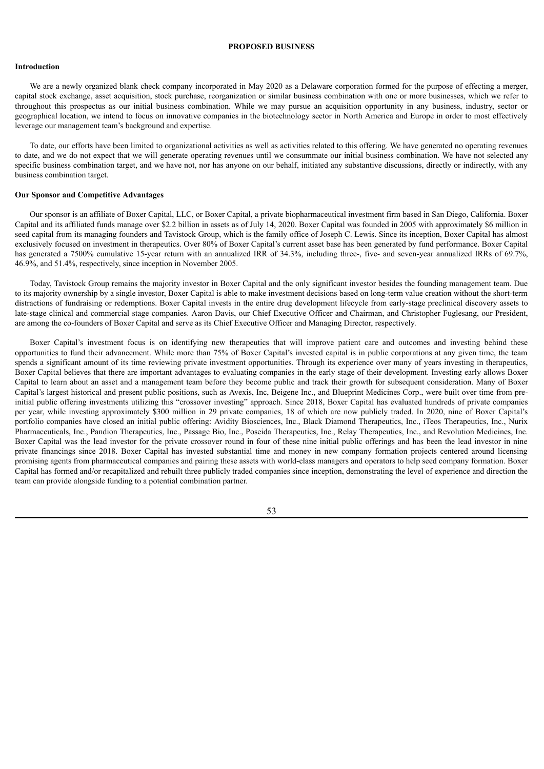#### **PROPOSED BUSINESS**

### **Introduction**

We are a newly organized blank check company incorporated in May 2020 as a Delaware corporation formed for the purpose of effecting a merger, capital stock exchange, asset acquisition, stock purchase, reorganization or similar business combination with one or more businesses, which we refer to throughout this prospectus as our initial business combination. While we may pursue an acquisition opportunity in any business, industry, sector or geographical location, we intend to focus on innovative companies in the biotechnology sector in North America and Europe in order to most effectively leverage our management team's background and expertise.

To date, our efforts have been limited to organizational activities as well as activities related to this offering. We have generated no operating revenues to date, and we do not expect that we will generate operating revenues until we consummate our initial business combination. We have not selected any specific business combination target, and we have not, nor has anyone on our behalf, initiated any substantive discussions, directly or indirectly, with any business combination target.

## **Our Sponsor and Competitive Advantages**

Our sponsor is an affiliate of Boxer Capital, LLC, or Boxer Capital, a private biopharmaceutical investment firm based in San Diego, California. Boxer Capital and its affiliated funds manage over \$2.2 billion in assets as of July 14, 2020. Boxer Capital was founded in 2005 with approximately \$6 million in seed capital from its managing founders and Tavistock Group, which is the family office of Joseph C. Lewis. Since its inception, Boxer Capital has almost exclusively focused on investment in therapeutics. Over 80% of Boxer Capital's current asset base has been generated by fund performance. Boxer Capital has generated a 7500% cumulative 15-year return with an annualized IRR of 34.3%, including three-, five- and seven-year annualized IRRs of 69.7%, 46.9%, and 51.4%, respectively, since inception in November 2005.

Today, Tavistock Group remains the majority investor in Boxer Capital and the only significant investor besides the founding management team. Due to its majority ownership by a single investor, Boxer Capital is able to make investment decisions based on long-term value creation without the short-term distractions of fundraising or redemptions. Boxer Capital invests in the entire drug development lifecycle from early-stage preclinical discovery assets to late-stage clinical and commercial stage companies. Aaron Davis, our Chief Executive Officer and Chairman, and Christopher Fuglesang, our President, are among the co-founders of Boxer Capital and serve as its Chief Executive Officer and Managing Director, respectively.

Boxer Capital's investment focus is on identifying new therapeutics that will improve patient care and outcomes and investing behind these opportunities to fund their advancement. While more than 75% of Boxer Capital's invested capital is in public corporations at any given time, the team spends a significant amount of its time reviewing private investment opportunities. Through its experience over many of years investing in therapeutics, Boxer Capital believes that there are important advantages to evaluating companies in the early stage of their development. Investing early allows Boxer Capital to learn about an asset and a management team before they become public and track their growth for subsequent consideration. Many of Boxer Capital's largest historical and present public positions, such as Avexis, Inc, Beigene Inc., and Blueprint Medicines Corp., were built over time from preinitial public offering investments utilizing this "crossover investing" approach. Since 2018, Boxer Capital has evaluated hundreds of private companies per year, while investing approximately \$300 million in 29 private companies, 18 of which are now publicly traded. In 2020, nine of Boxer Capital's portfolio companies have closed an initial public offering: Avidity Biosciences, Inc., Black Diamond Therapeutics, Inc., iTeos Therapeutics, Inc., Nurix Pharmaceuticals, Inc., Pandion Therapeutics, Inc., Passage Bio, Inc., Poseida Therapeutics, Inc., Relay Therapeutics, Inc., and Revolution Medicines, Inc. Boxer Capital was the lead investor for the private crossover round in four of these nine initial public offerings and has been the lead investor in nine private financings since 2018. Boxer Capital has invested substantial time and money in new company formation projects centered around licensing promising agents from pharmaceutical companies and pairing these assets with world-class managers and operators to help seed company formation. Boxer Capital has formed and/or recapitalized and rebuilt three publicly traded companies since inception, demonstrating the level of experience and direction the team can provide alongside funding to a potential combination partner.

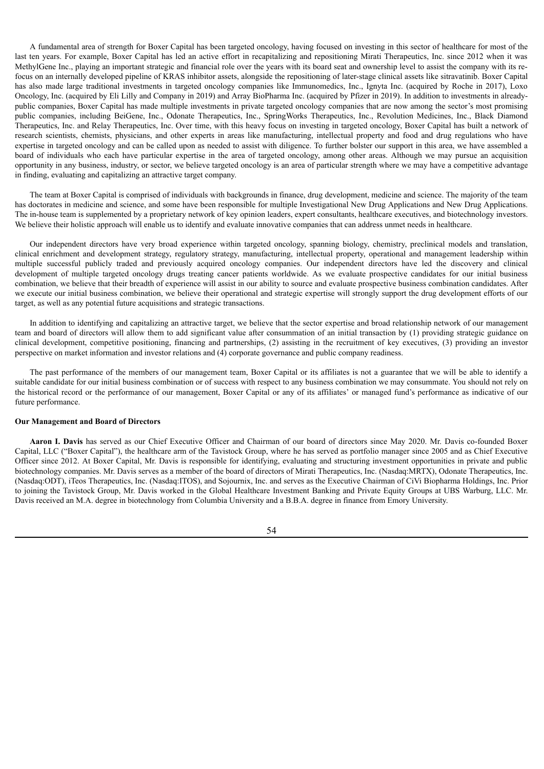A fundamental area of strength for Boxer Capital has been targeted oncology, having focused on investing in this sector of healthcare for most of the last ten years. For example, Boxer Capital has led an active effort in recapitalizing and repositioning Mirati Therapeutics, Inc. since 2012 when it was MethylGene Inc., playing an important strategic and financial role over the years with its board seat and ownership level to assist the company with its refocus on an internally developed pipeline of KRAS inhibitor assets, alongside the repositioning of later-stage clinical assets like sitravatinib. Boxer Capital has also made large traditional investments in targeted oncology companies like Immunomedics, Inc., Ignyta Inc. (acquired by Roche in 2017), Loxo Oncology, Inc. (acquired by Eli Lilly and Company in 2019) and Array BioPharma Inc. (acquired by Pfizer in 2019). In addition to investments in alreadypublic companies, Boxer Capital has made multiple investments in private targeted oncology companies that are now among the sector's most promising public companies, including BeiGene, Inc., Odonate Therapeutics, Inc., SpringWorks Therapeutics, Inc., Revolution Medicines, Inc., Black Diamond Therapeutics, Inc. and Relay Therapeutics, Inc. Over time, with this heavy focus on investing in targeted oncology, Boxer Capital has built a network of research scientists, chemists, physicians, and other experts in areas like manufacturing, intellectual property and food and drug regulations who have expertise in targeted oncology and can be called upon as needed to assist with diligence. To further bolster our support in this area, we have assembled a board of individuals who each have particular expertise in the area of targeted oncology, among other areas. Although we may pursue an acquisition opportunity in any business, industry, or sector, we believe targeted oncology is an area of particular strength where we may have a competitive advantage in finding, evaluating and capitalizing an attractive target company.

The team at Boxer Capital is comprised of individuals with backgrounds in finance, drug development, medicine and science. The majority of the team has doctorates in medicine and science, and some have been responsible for multiple Investigational New Drug Applications and New Drug Applications. The in-house team is supplemented by a proprietary network of key opinion leaders, expert consultants, healthcare executives, and biotechnology investors. We believe their holistic approach will enable us to identify and evaluate innovative companies that can address unmet needs in healthcare.

Our independent directors have very broad experience within targeted oncology, spanning biology, chemistry, preclinical models and translation, clinical enrichment and development strategy, regulatory strategy, manufacturing, intellectual property, operational and management leadership within multiple successful publicly traded and previously acquired oncology companies. Our independent directors have led the discovery and clinical development of multiple targeted oncology drugs treating cancer patients worldwide. As we evaluate prospective candidates for our initial business combination, we believe that their breadth of experience will assist in our ability to source and evaluate prospective business combination candidates. After we execute our initial business combination, we believe their operational and strategic expertise will strongly support the drug development efforts of our target, as well as any potential future acquisitions and strategic transactions.

In addition to identifying and capitalizing an attractive target, we believe that the sector expertise and broad relationship network of our management team and board of directors will allow them to add significant value after consummation of an initial transaction by (1) providing strategic guidance on clinical development, competitive positioning, financing and partnerships, (2) assisting in the recruitment of key executives, (3) providing an investor perspective on market information and investor relations and (4) corporate governance and public company readiness.

The past performance of the members of our management team, Boxer Capital or its affiliates is not a guarantee that we will be able to identify a suitable candidate for our initial business combination or of success with respect to any business combination we may consummate. You should not rely on the historical record or the performance of our management, Boxer Capital or any of its affiliates' or managed fund's performance as indicative of our future performance.

#### **Our Management and Board of Directors**

**Aaron I. Davis** has served as our Chief Executive Officer and Chairman of our board of directors since May 2020. Mr. Davis co-founded Boxer Capital, LLC ("Boxer Capital"), the healthcare arm of the Tavistock Group, where he has served as portfolio manager since 2005 and as Chief Executive Officer since 2012. At Boxer Capital, Mr. Davis is responsible for identifying, evaluating and structuring investment opportunities in private and public biotechnology companies. Mr. Davis serves as a member of the board of directors of Mirati Therapeutics, Inc. (Nasdaq:MRTX), Odonate Therapeutics, Inc. (Nasdaq:ODT), iTeos Therapeutics, Inc. (Nasdaq:ITOS), and Sojournix, Inc. and serves as the Executive Chairman of CiVi Biopharma Holdings, Inc. Prior to joining the Tavistock Group, Mr. Davis worked in the Global Healthcare Investment Banking and Private Equity Groups at UBS Warburg, LLC. Mr. Davis received an M.A. degree in biotechnology from Columbia University and a B.B.A. degree in finance from Emory University.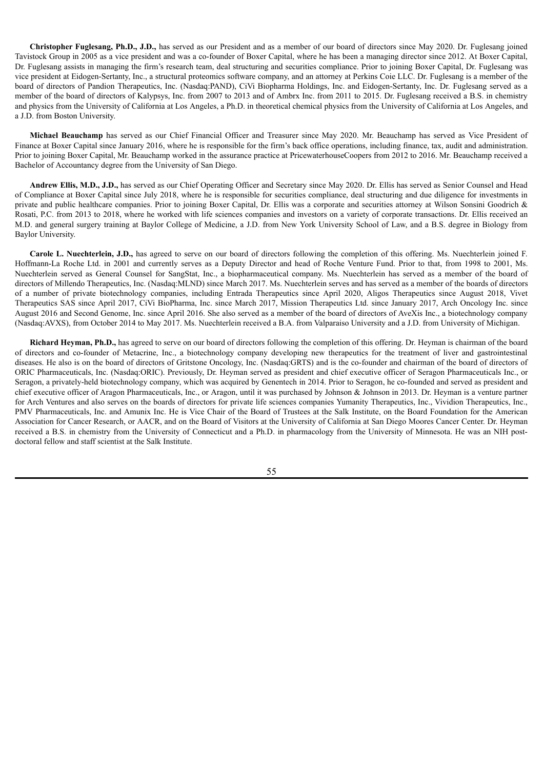**Christopher Fuglesang, Ph.D., J.D.,** has served as our President and as a member of our board of directors since May 2020. Dr. Fuglesang joined Tavistock Group in 2005 as a vice president and was a co-founder of Boxer Capital, where he has been a managing director since 2012. At Boxer Capital, Dr. Fuglesang assists in managing the firm's research team, deal structuring and securities compliance. Prior to joining Boxer Capital, Dr. Fuglesang was vice president at Eidogen-Sertanty, Inc., a structural proteomics software company, and an attorney at Perkins Coie LLC. Dr. Fuglesang is a member of the board of directors of Pandion Therapeutics, Inc. (Nasdaq:PAND), CiVi Biopharma Holdings, Inc. and Eidogen-Sertanty, Inc. Dr. Fuglesang served as a member of the board of directors of Kalypsys, Inc. from 2007 to 2013 and of Ambrx Inc. from 2011 to 2015. Dr. Fuglesang received a B.S. in chemistry and physics from the University of California at Los Angeles, a Ph.D. in theoretical chemical physics from the University of California at Los Angeles, and a J.D. from Boston University.

**Michael Beauchamp** has served as our Chief Financial Officer and Treasurer since May 2020. Mr. Beauchamp has served as Vice President of Finance at Boxer Capital since January 2016, where he is responsible for the firm's back office operations, including finance, tax, audit and administration. Prior to joining Boxer Capital, Mr. Beauchamp worked in the assurance practice at PricewaterhouseCoopers from 2012 to 2016. Mr. Beauchamp received a Bachelor of Accountancy degree from the University of San Diego.

**Andrew Ellis, M.D., J.D.,** has served as our Chief Operating Officer and Secretary since May 2020. Dr. Ellis has served as Senior Counsel and Head of Compliance at Boxer Capital since July 2018, where he is responsible for securities compliance, deal structuring and due diligence for investments in private and public healthcare companies. Prior to joining Boxer Capital, Dr. Ellis was a corporate and securities attorney at Wilson Sonsini Goodrich & Rosati, P.C. from 2013 to 2018, where he worked with life sciences companies and investors on a variety of corporate transactions. Dr. Ellis received an M.D. and general surgery training at Baylor College of Medicine, a J.D. from New York University School of Law, and a B.S. degree in Biology from Baylor University.

**Carole L. Nuechterlein, J.D.,** has agreed to serve on our board of directors following the completion of this offering. Ms. Nuechterlein joined F. Hoffmann-La Roche Ltd. in 2001 and currently serves as a Deputy Director and head of Roche Venture Fund. Prior to that, from 1998 to 2001, Ms. Nuechterlein served as General Counsel for SangStat, Inc., a biopharmaceutical company. Ms. Nuechterlein has served as a member of the board of directors of Millendo Therapeutics, Inc. (Nasdaq:MLND) since March 2017. Ms. Nuechterlein serves and has served as a member of the boards of directors of a number of private biotechnology companies, including Entrada Therapeutics since April 2020, Aligos Therapeutics since August 2018, Vivet Therapeutics SAS since April 2017, CiVi BioPharma, Inc. since March 2017, Mission Therapeutics Ltd. since January 2017, Arch Oncology Inc. since August 2016 and Second Genome, Inc. since April 2016. She also served as a member of the board of directors of AveXis Inc., a biotechnology company (Nasdaq:AVXS), from October 2014 to May 2017. Ms. Nuechterlein received a B.A. from Valparaiso University and a J.D. from University of Michigan.

**Richard Heyman, Ph.D.,** has agreed to serve on our board of directors following the completion of this offering. Dr. Heyman is chairman of the board of directors and co-founder of Metacrine, Inc., a biotechnology company developing new therapeutics for the treatment of liver and gastrointestinal diseases. He also is on the board of directors of Gritstone Oncology, Inc. (Nasdaq:GRTS) and is the co-founder and chairman of the board of directors of ORIC Pharmaceuticals, Inc. (Nasdaq:ORIC). Previously, Dr. Heyman served as president and chief executive officer of Seragon Pharmaceuticals Inc., or Seragon, a privately-held biotechnology company, which was acquired by Genentech in 2014. Prior to Seragon, he co-founded and served as president and chief executive officer of Aragon Pharmaceuticals, Inc., or Aragon, until it was purchased by Johnson & Johnson in 2013. Dr. Heyman is a venture partner for Arch Ventures and also serves on the boards of directors for private life sciences companies Yumanity Therapeutics, Inc., Vividion Therapeutics, Inc., PMV Pharmaceuticals, Inc. and Amunix Inc. He is Vice Chair of the Board of Trustees at the Salk Institute, on the Board Foundation for the American Association for Cancer Research, or AACR, and on the Board of Visitors at the University of California at San Diego Moores Cancer Center. Dr. Heyman received a B.S. in chemistry from the University of Connecticut and a Ph.D. in pharmacology from the University of Minnesota. He was an NIH postdoctoral fellow and staff scientist at the Salk Institute.

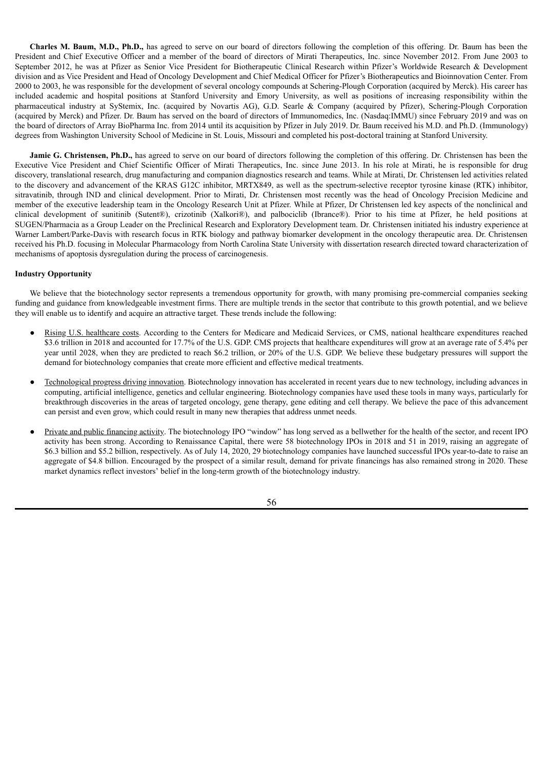**Charles M. Baum, M.D., Ph.D.,** has agreed to serve on our board of directors following the completion of this offering. Dr. Baum has been the President and Chief Executive Officer and a member of the board of directors of Mirati Therapeutics, Inc. since November 2012. From June 2003 to September 2012, he was at Pfizer as Senior Vice President for Biotherapeutic Clinical Research within Pfizer's Worldwide Research & Development division and as Vice President and Head of Oncology Development and Chief Medical Officer for Pfizer's Biotherapeutics and Bioinnovation Center. From 2000 to 2003, he was responsible for the development of several oncology compounds at Schering-Plough Corporation (acquired by Merck). His career has included academic and hospital positions at Stanford University and Emory University, as well as positions of increasing responsibility within the pharmaceutical industry at SyStemix, Inc. (acquired by Novartis AG), G.D. Searle & Company (acquired by Pfizer), Schering-Plough Corporation (acquired by Merck) and Pfizer. Dr. Baum has served on the board of directors of Immunomedics, Inc. (Nasdaq:IMMU) since February 2019 and was on the board of directors of Array BioPharma Inc. from 2014 until its acquisition by Pfizer in July 2019. Dr. Baum received his M.D. and Ph.D. (Immunology) degrees from Washington University School of Medicine in St. Louis, Missouri and completed his post-doctoral training at Stanford University.

**Jamie G. Christensen, Ph.D.,** has agreed to serve on our board of directors following the completion of this offering. Dr. Christensen has been the Executive Vice President and Chief Scientific Officer of Mirati Therapeutics, Inc. since June 2013. In his role at Mirati, he is responsible for drug discovery, translational research, drug manufacturing and companion diagnostics research and teams. While at Mirati, Dr. Christensen led activities related to the discovery and advancement of the KRAS G12C inhibitor, MRTX849, as well as the spectrum-selective receptor tyrosine kinase (RTK) inhibitor, sitravatinib, through IND and clinical development. Prior to Mirati, Dr. Christensen most recently was the head of Oncology Precision Medicine and member of the executive leadership team in the Oncology Research Unit at Pfizer. While at Pfizer, Dr Christensen led key aspects of the nonclinical and clinical development of sunitinib (Sutent®), crizotinib (Xalkori®), and palbociclib (Ibrance®). Prior to his time at Pfizer, he held positions at SUGEN/Pharmacia as a Group Leader on the Preclinical Research and Exploratory Development team. Dr. Christensen initiated his industry experience at Warner Lambert/Parke-Davis with research focus in RTK biology and pathway biomarker development in the oncology therapeutic area. Dr. Christensen received his Ph.D. focusing in Molecular Pharmacology from North Carolina State University with dissertation research directed toward characterization of mechanisms of apoptosis dysregulation during the process of carcinogenesis.

## **Industry Opportunity**

We believe that the biotechnology sector represents a tremendous opportunity for growth, with many promising pre-commercial companies seeking funding and guidance from knowledgeable investment firms. There are multiple trends in the sector that contribute to this growth potential, and we believe they will enable us to identify and acquire an attractive target. These trends include the following:

- Rising U.S. healthcare costs. According to the Centers for Medicare and Medicaid Services, or CMS, national healthcare expenditures reached \$3.6 trillion in 2018 and accounted for 17.7% of the U.S. GDP. CMS projects that healthcare expenditures will grow at an average rate of 5.4% per year until 2028, when they are predicted to reach \$6.2 trillion, or 20% of the U.S. GDP. We believe these budgetary pressures will support the demand for biotechnology companies that create more efficient and effective medical treatments.
- Technological progress driving innovation. Biotechnology innovation has accelerated in recent years due to new technology, including advances in computing, artificial intelligence, genetics and cellular engineering. Biotechnology companies have used these tools in many ways, particularly for breakthrough discoveries in the areas of targeted oncology, gene therapy, gene editing and cell therapy. We believe the pace of this advancement can persist and even grow, which could result in many new therapies that address unmet needs.
- Private and public financing activity. The biotechnology IPO "window" has long served as a bellwether for the health of the sector, and recent IPO activity has been strong. According to Renaissance Capital, there were 58 biotechnology IPOs in 2018 and 51 in 2019, raising an aggregate of \$6.3 billion and \$5.2 billion, respectively. As of July 14, 2020, 29 biotechnology companies have launched successful IPOs year-to-date to raise an aggregate of \$4.8 billion. Encouraged by the prospect of a similar result, demand for private financings has also remained strong in 2020. These market dynamics reflect investors' belief in the long-term growth of the biotechnology industry.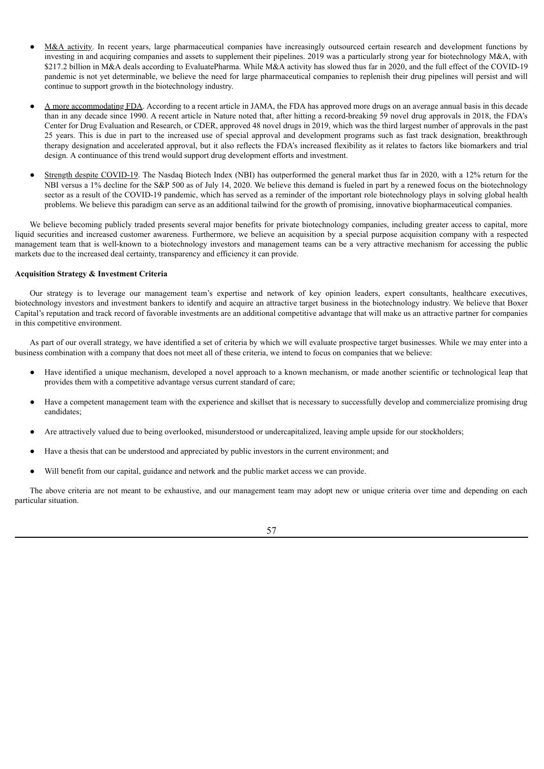- M&A activity. In recent years, large pharmaceutical companies have increasingly outsourced certain research and development functions by investing in and acquiring companies and assets to supplement their pipelines. 2019 was a particularly strong year for biotechnology M&A, with \$217.2 billion in M&A deals according to EvaluatePharma. While M&A activity has slowed thus far in 2020, and the full effect of the COVID-19 pandemic is not yet determinable, we believe the need for large pharmaceutical companies to replenish their drug pipelines will persist and will continue to support growth in the biotechnology industry.
- A more accommodating FDA. According to a recent article in JAMA, the FDA has approved more drugs on an average annual basis in this decade than in any decade since 1990. A recent article in Nature noted that, after hitting a record-breaking 59 novel drug approvals in 2018, the FDA's Center for Drug Evaluation and Research, or CDER, approved 48 novel drugs in 2019, which was the third largest number of approvals in the past 25 years. This is due in part to the increased use of special approval and development programs such as fast track designation, breakthrough therapy designation and accelerated approval, but it also reflects the FDA's increased flexibility as it relates to factors like biomarkers and trial design. A continuance of this trend would support drug development efforts and investment.
- Strength despite COVID-19. The Nasdaq Biotech Index (NBI) has outperformed the general market thus far in 2020, with a 12% return for the NBI versus a 1% decline for the S&P 500 as of July 14, 2020. We believe this demand is fueled in part by a renewed focus on the biotechnology sector as a result of the COVID-19 pandemic, which has served as a reminder of the important role biotechnology plays in solving global health problems. We believe this paradigm can serve as an additional tailwind for the growth of promising, innovative biopharmaceutical companies.

We believe becoming publicly traded presents several major benefits for private biotechnology companies, including greater access to capital, more liquid securities and increased customer awareness. Furthermore, we believe an acquisition by a special purpose acquisition company with a respected management team that is well-known to a biotechnology investors and management teams can be a very attractive mechanism for accessing the public markets due to the increased deal certainty, transparency and efficiency it can provide.

# **Acquisition Strategy & Investment Criteria**

Our strategy is to leverage our management team's expertise and network of key opinion leaders, expert consultants, healthcare executives, biotechnology investors and investment bankers to identify and acquire an attractive target business in the biotechnology industry. We believe that Boxer Capital's reputation and track record of favorable investments are an additional competitive advantage that will make us an attractive partner for companies in this competitive environment.

As part of our overall strategy, we have identified a set of criteria by which we will evaluate prospective target businesses. While we may enter into a business combination with a company that does not meet all of these criteria, we intend to focus on companies that we believe:

- Have identified a unique mechanism, developed a novel approach to a known mechanism, or made another scientific or technological leap that provides them with a competitive advantage versus current standard of care;
- Have a competent management team with the experience and skillset that is necessary to successfully develop and commercialize promising drug candidates;
- Are attractively valued due to being overlooked, misunderstood or undercapitalized, leaving ample upside for our stockholders;
- Have a thesis that can be understood and appreciated by public investors in the current environment; and
- Will benefit from our capital, guidance and network and the public market access we can provide.

The above criteria are not meant to be exhaustive, and our management team may adopt new or unique criteria over time and depending on each particular situation.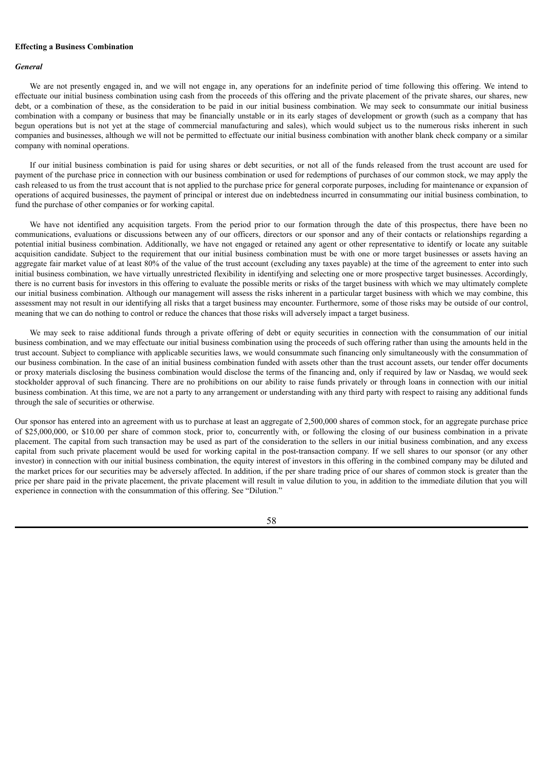### **Effecting a Business Combination**

### *General*

We are not presently engaged in, and we will not engage in, any operations for an indefinite period of time following this offering. We intend to effectuate our initial business combination using cash from the proceeds of this offering and the private placement of the private shares, our shares, new debt, or a combination of these, as the consideration to be paid in our initial business combination. We may seek to consummate our initial business combination with a company or business that may be financially unstable or in its early stages of development or growth (such as a company that has begun operations but is not yet at the stage of commercial manufacturing and sales), which would subject us to the numerous risks inherent in such companies and businesses, although we will not be permitted to effectuate our initial business combination with another blank check company or a similar company with nominal operations.

If our initial business combination is paid for using shares or debt securities, or not all of the funds released from the trust account are used for payment of the purchase price in connection with our business combination or used for redemptions of purchases of our common stock, we may apply the cash released to us from the trust account that is not applied to the purchase price for general corporate purposes, including for maintenance or expansion of operations of acquired businesses, the payment of principal or interest due on indebtedness incurred in consummating our initial business combination, to fund the purchase of other companies or for working capital.

We have not identified any acquisition targets. From the period prior to our formation through the date of this prospectus, there have been no communications, evaluations or discussions between any of our officers, directors or our sponsor and any of their contacts or relationships regarding a potential initial business combination. Additionally, we have not engaged or retained any agent or other representative to identify or locate any suitable acquisition candidate. Subject to the requirement that our initial business combination must be with one or more target businesses or assets having an aggregate fair market value of at least 80% of the value of the trust account (excluding any taxes payable) at the time of the agreement to enter into such initial business combination, we have virtually unrestricted flexibility in identifying and selecting one or more prospective target businesses. Accordingly, there is no current basis for investors in this offering to evaluate the possible merits or risks of the target business with which we may ultimately complete our initial business combination. Although our management will assess the risks inherent in a particular target business with which we may combine, this assessment may not result in our identifying all risks that a target business may encounter. Furthermore, some of those risks may be outside of our control, meaning that we can do nothing to control or reduce the chances that those risks will adversely impact a target business.

We may seek to raise additional funds through a private offering of debt or equity securities in connection with the consummation of our initial business combination, and we may effectuate our initial business combination using the proceeds of such offering rather than using the amounts held in the trust account. Subject to compliance with applicable securities laws, we would consummate such financing only simultaneously with the consummation of our business combination. In the case of an initial business combination funded with assets other than the trust account assets, our tender offer documents or proxy materials disclosing the business combination would disclose the terms of the financing and, only if required by law or Nasdaq, we would seek stockholder approval of such financing. There are no prohibitions on our ability to raise funds privately or through loans in connection with our initial business combination. At this time, we are not a party to any arrangement or understanding with any third party with respect to raising any additional funds through the sale of securities or otherwise.

Our sponsor has entered into an agreement with us to purchase at least an aggregate of 2,500,000 shares of common stock, for an aggregate purchase price of \$25,000,000, or \$10.00 per share of common stock, prior to, concurrently with, or following the closing of our business combination in a private placement. The capital from such transaction may be used as part of the consideration to the sellers in our initial business combination, and any excess capital from such private placement would be used for working capital in the post-transaction company. If we sell shares to our sponsor (or any other investor) in connection with our initial business combination, the equity interest of investors in this offering in the combined company may be diluted and the market prices for our securities may be adversely affected. In addition, if the per share trading price of our shares of common stock is greater than the price per share paid in the private placement, the private placement will result in value dilution to you, in addition to the immediate dilution that you will experience in connection with the consummation of this offering. See "Dilution."

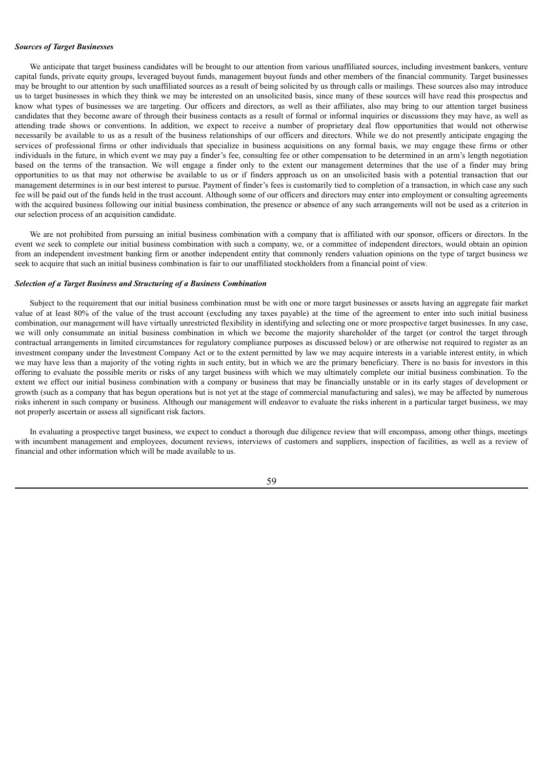### *Sources of Target Businesses*

We anticipate that target business candidates will be brought to our attention from various unaffiliated sources, including investment bankers, venture capital funds, private equity groups, leveraged buyout funds, management buyout funds and other members of the financial community. Target businesses may be brought to our attention by such unaffiliated sources as a result of being solicited by us through calls or mailings. These sources also may introduce us to target businesses in which they think we may be interested on an unsolicited basis, since many of these sources will have read this prospectus and know what types of businesses we are targeting. Our officers and directors, as well as their affiliates, also may bring to our attention target business candidates that they become aware of through their business contacts as a result of formal or informal inquiries or discussions they may have, as well as attending trade shows or conventions. In addition, we expect to receive a number of proprietary deal flow opportunities that would not otherwise necessarily be available to us as a result of the business relationships of our officers and directors. While we do not presently anticipate engaging the services of professional firms or other individuals that specialize in business acquisitions on any formal basis, we may engage these firms or other individuals in the future, in which event we may pay a finder's fee, consulting fee or other compensation to be determined in an arm's length negotiation based on the terms of the transaction. We will engage a finder only to the extent our management determines that the use of a finder may bring opportunities to us that may not otherwise be available to us or if finders approach us on an unsolicited basis with a potential transaction that our management determines is in our best interest to pursue. Payment of finder's fees is customarily tied to completion of a transaction, in which case any such fee will be paid out of the funds held in the trust account. Although some of our officers and directors may enter into employment or consulting agreements with the acquired business following our initial business combination, the presence or absence of any such arrangements will not be used as a criterion in our selection process of an acquisition candidate.

We are not prohibited from pursuing an initial business combination with a company that is affiliated with our sponsor, officers or directors. In the event we seek to complete our initial business combination with such a company, we, or a committee of independent directors, would obtain an opinion from an independent investment banking firm or another independent entity that commonly renders valuation opinions on the type of target business we seek to acquire that such an initial business combination is fair to our unaffiliated stockholders from a financial point of view.

### *Selection of a Target Business and Structuring of a Business Combination*

Subject to the requirement that our initial business combination must be with one or more target businesses or assets having an aggregate fair market value of at least 80% of the value of the trust account (excluding any taxes payable) at the time of the agreement to enter into such initial business combination, our management will have virtually unrestricted flexibility in identifying and selecting one or more prospective target businesses. In any case, we will only consummate an initial business combination in which we become the majority shareholder of the target (or control the target through contractual arrangements in limited circumstances for regulatory compliance purposes as discussed below) or are otherwise not required to register as an investment company under the Investment Company Act or to the extent permitted by law we may acquire interests in a variable interest entity, in which we may have less than a majority of the voting rights in such entity, but in which we are the primary beneficiary. There is no basis for investors in this offering to evaluate the possible merits or risks of any target business with which we may ultimately complete our initial business combination. To the extent we effect our initial business combination with a company or business that may be financially unstable or in its early stages of development or growth (such as a company that has begun operations but is not yet at the stage of commercial manufacturing and sales), we may be affected by numerous risks inherent in such company or business. Although our management will endeavor to evaluate the risks inherent in a particular target business, we may not properly ascertain or assess all significant risk factors.

In evaluating a prospective target business, we expect to conduct a thorough due diligence review that will encompass, among other things, meetings with incumbent management and employees, document reviews, interviews of customers and suppliers, inspection of facilities, as well as a review of financial and other information which will be made available to us.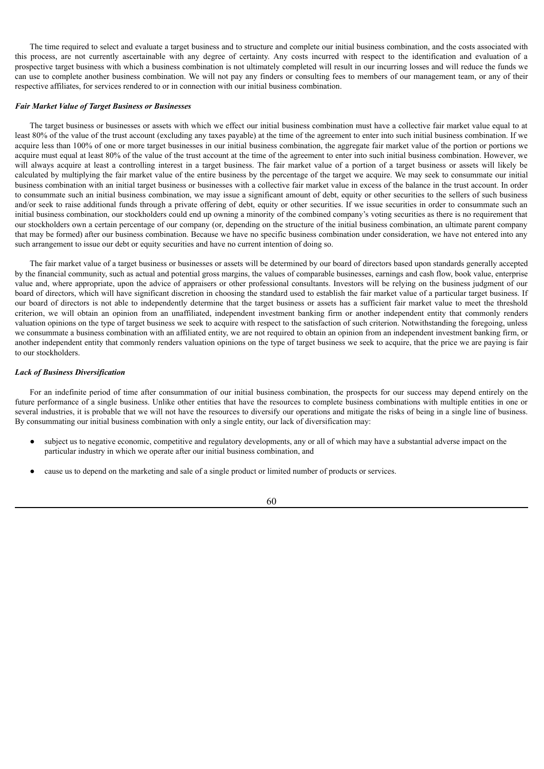The time required to select and evaluate a target business and to structure and complete our initial business combination, and the costs associated with this process, are not currently ascertainable with any degree of certainty. Any costs incurred with respect to the identification and evaluation of a prospective target business with which a business combination is not ultimately completed will result in our incurring losses and will reduce the funds we can use to complete another business combination. We will not pay any finders or consulting fees to members of our management team, or any of their respective affiliates, for services rendered to or in connection with our initial business combination.

#### *Fair Market Value of Target Business or Businesses*

The target business or businesses or assets with which we effect our initial business combination must have a collective fair market value equal to at least 80% of the value of the trust account (excluding any taxes payable) at the time of the agreement to enter into such initial business combination. If we acquire less than 100% of one or more target businesses in our initial business combination, the aggregate fair market value of the portion or portions we acquire must equal at least 80% of the value of the trust account at the time of the agreement to enter into such initial business combination. However, we will always acquire at least a controlling interest in a target business. The fair market value of a portion of a target business or assets will likely be calculated by multiplying the fair market value of the entire business by the percentage of the target we acquire. We may seek to consummate our initial business combination with an initial target business or businesses with a collective fair market value in excess of the balance in the trust account. In order to consummate such an initial business combination, we may issue a significant amount of debt, equity or other securities to the sellers of such business and/or seek to raise additional funds through a private offering of debt, equity or other securities. If we issue securities in order to consummate such an initial business combination, our stockholders could end up owning a minority of the combined company's voting securities as there is no requirement that our stockholders own a certain percentage of our company (or, depending on the structure of the initial business combination, an ultimate parent company that may be formed) after our business combination. Because we have no specific business combination under consideration, we have not entered into any such arrangement to issue our debt or equity securities and have no current intention of doing so.

The fair market value of a target business or businesses or assets will be determined by our board of directors based upon standards generally accepted by the financial community, such as actual and potential gross margins, the values of comparable businesses, earnings and cash flow, book value, enterprise value and, where appropriate, upon the advice of appraisers or other professional consultants. Investors will be relying on the business judgment of our board of directors, which will have significant discretion in choosing the standard used to establish the fair market value of a particular target business. If our board of directors is not able to independently determine that the target business or assets has a sufficient fair market value to meet the threshold criterion, we will obtain an opinion from an unaffiliated, independent investment banking firm or another independent entity that commonly renders valuation opinions on the type of target business we seek to acquire with respect to the satisfaction of such criterion. Notwithstanding the foregoing, unless we consummate a business combination with an affiliated entity, we are not required to obtain an opinion from an independent investment banking firm, or another independent entity that commonly renders valuation opinions on the type of target business we seek to acquire, that the price we are paying is fair to our stockholders.

#### *Lack of Business Diversification*

For an indefinite period of time after consummation of our initial business combination, the prospects for our success may depend entirely on the future performance of a single business. Unlike other entities that have the resources to complete business combinations with multiple entities in one or several industries, it is probable that we will not have the resources to diversify our operations and mitigate the risks of being in a single line of business. By consummating our initial business combination with only a single entity, our lack of diversification may:

- subject us to negative economic, competitive and regulatory developments, any or all of which may have a substantial adverse impact on the particular industry in which we operate after our initial business combination, and
- cause us to depend on the marketing and sale of a single product or limited number of products or services.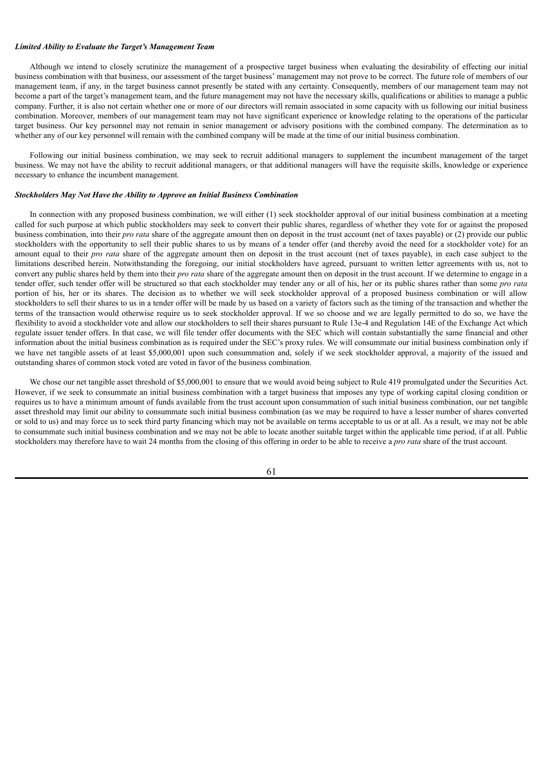### *Limited Ability to Evaluate the Target's Management Team*

Although we intend to closely scrutinize the management of a prospective target business when evaluating the desirability of effecting our initial business combination with that business, our assessment of the target business' management may not prove to be correct. The future role of members of our management team, if any, in the target business cannot presently be stated with any certainty. Consequently, members of our management team may not become a part of the target's management team, and the future management may not have the necessary skills, qualifications or abilities to manage a public company. Further, it is also not certain whether one or more of our directors will remain associated in some capacity with us following our initial business combination. Moreover, members of our management team may not have significant experience or knowledge relating to the operations of the particular target business. Our key personnel may not remain in senior management or advisory positions with the combined company. The determination as to whether any of our key personnel will remain with the combined company will be made at the time of our initial business combination.

Following our initial business combination, we may seek to recruit additional managers to supplement the incumbent management of the target business. We may not have the ability to recruit additional managers, or that additional managers will have the requisite skills, knowledge or experience necessary to enhance the incumbent management.

### *Stockholders May Not Have the Ability to Approve an Initial Business Combination*

In connection with any proposed business combination, we will either (1) seek stockholder approval of our initial business combination at a meeting called for such purpose at which public stockholders may seek to convert their public shares, regardless of whether they vote for or against the proposed business combination, into their *pro rata* share of the aggregate amount then on deposit in the trust account (net of taxes payable) or (2) provide our public stockholders with the opportunity to sell their public shares to us by means of a tender offer (and thereby avoid the need for a stockholder vote) for an amount equal to their *pro rata* share of the aggregate amount then on deposit in the trust account (net of taxes payable), in each case subject to the limitations described herein. Notwithstanding the foregoing, our initial stockholders have agreed, pursuant to written letter agreements with us, not to convert any public shares held by them into their *pro rata* share of the aggregate amount then on deposit in the trust account. If we determine to engage in a tender offer, such tender offer will be structured so that each stockholder may tender any or all of his, her or its public shares rather than some *pro rata* portion of his, her or its shares. The decision as to whether we will seek stockholder approval of a proposed business combination or will allow stockholders to sell their shares to us in a tender offer will be made by us based on a variety of factors such as the timing of the transaction and whether the terms of the transaction would otherwise require us to seek stockholder approval. If we so choose and we are legally permitted to do so, we have the flexibility to avoid a stockholder vote and allow our stockholders to sell their shares pursuant to Rule 13e-4 and Regulation 14E of the Exchange Act which regulate issuer tender offers. In that case, we will file tender offer documents with the SEC which will contain substantially the same financial and other information about the initial business combination as is required under the SEC's proxy rules. We will consummate our initial business combination only if we have net tangible assets of at least \$5,000,001 upon such consummation and, solely if we seek stockholder approval, a majority of the issued and outstanding shares of common stock voted are voted in favor of the business combination.

We chose our net tangible asset threshold of \$5,000,001 to ensure that we would avoid being subject to Rule 419 promulgated under the Securities Act. However, if we seek to consummate an initial business combination with a target business that imposes any type of working capital closing condition or requires us to have a minimum amount of funds available from the trust account upon consummation of such initial business combination, our net tangible asset threshold may limit our ability to consummate such initial business combination (as we may be required to have a lesser number of shares converted or sold to us) and may force us to seek third party financing which may not be available on terms acceptable to us or at all. As a result, we may not be able to consummate such initial business combination and we may not be able to locate another suitable target within the applicable time period, if at all. Public stockholders may therefore have to wait 24 months from the closing of this offering in order to be able to receive a *pro rata* share of the trust account.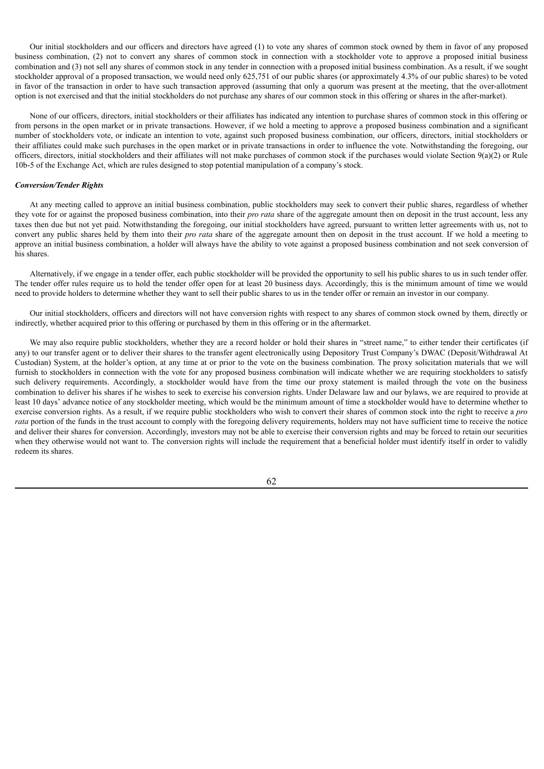Our initial stockholders and our officers and directors have agreed (1) to vote any shares of common stock owned by them in favor of any proposed business combination, (2) not to convert any shares of common stock in connection with a stockholder vote to approve a proposed initial business combination and (3) not sell any shares of common stock in any tender in connection with a proposed initial business combination. As a result, if we sought stockholder approval of a proposed transaction, we would need only 625,751 of our public shares (or approximately 4.3% of our public shares) to be voted in favor of the transaction in order to have such transaction approved (assuming that only a quorum was present at the meeting, that the over-allotment option is not exercised and that the initial stockholders do not purchase any shares of our common stock in this offering or shares in the after-market).

None of our officers, directors, initial stockholders or their affiliates has indicated any intention to purchase shares of common stock in this offering or from persons in the open market or in private transactions. However, if we hold a meeting to approve a proposed business combination and a significant number of stockholders vote, or indicate an intention to vote, against such proposed business combination, our officers, directors, initial stockholders or their affiliates could make such purchases in the open market or in private transactions in order to influence the vote. Notwithstanding the foregoing, our officers, directors, initial stockholders and their affiliates will not make purchases of common stock if the purchases would violate Section 9(a)(2) or Rule 10b-5 of the Exchange Act, which are rules designed to stop potential manipulation of a company's stock.

### *Conversion/Tender Rights*

At any meeting called to approve an initial business combination, public stockholders may seek to convert their public shares, regardless of whether they vote for or against the proposed business combination, into their *pro rata* share of the aggregate amount then on deposit in the trust account, less any taxes then due but not yet paid. Notwithstanding the foregoing, our initial stockholders have agreed, pursuant to written letter agreements with us, not to convert any public shares held by them into their *pro rata* share of the aggregate amount then on deposit in the trust account. If we hold a meeting to approve an initial business combination, a holder will always have the ability to vote against a proposed business combination and not seek conversion of his shares.

Alternatively, if we engage in a tender offer, each public stockholder will be provided the opportunity to sell his public shares to us in such tender offer. The tender offer rules require us to hold the tender offer open for at least 20 business days. Accordingly, this is the minimum amount of time we would need to provide holders to determine whether they want to sell their public shares to us in the tender offer or remain an investor in our company.

Our initial stockholders, officers and directors will not have conversion rights with respect to any shares of common stock owned by them, directly or indirectly, whether acquired prior to this offering or purchased by them in this offering or in the aftermarket.

We may also require public stockholders, whether they are a record holder or hold their shares in "street name," to either tender their certificates (if any) to our transfer agent or to deliver their shares to the transfer agent electronically using Depository Trust Company's DWAC (Deposit/Withdrawal At Custodian) System, at the holder's option, at any time at or prior to the vote on the business combination. The proxy solicitation materials that we will furnish to stockholders in connection with the vote for any proposed business combination will indicate whether we are requiring stockholders to satisfy such delivery requirements. Accordingly, a stockholder would have from the time our proxy statement is mailed through the vote on the business combination to deliver his shares if he wishes to seek to exercise his conversion rights. Under Delaware law and our bylaws, we are required to provide at least 10 days' advance notice of any stockholder meeting, which would be the minimum amount of time a stockholder would have to determine whether to exercise conversion rights. As a result, if we require public stockholders who wish to convert their shares of common stock into the right to receive a *pro rata* portion of the funds in the trust account to comply with the foregoing delivery requirements, holders may not have sufficient time to receive the notice and deliver their shares for conversion. Accordingly, investors may not be able to exercise their conversion rights and may be forced to retain our securities when they otherwise would not want to. The conversion rights will include the requirement that a beneficial holder must identify itself in order to validly redeem its shares.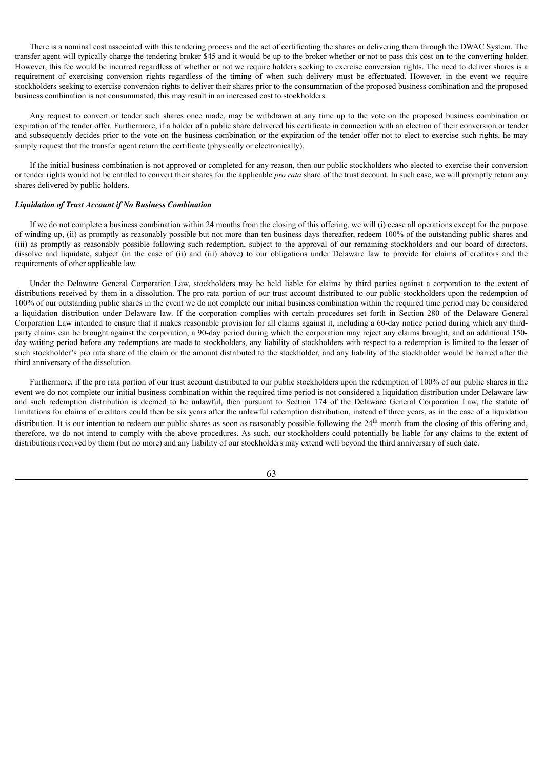There is a nominal cost associated with this tendering process and the act of certificating the shares or delivering them through the DWAC System. The transfer agent will typically charge the tendering broker \$45 and it would be up to the broker whether or not to pass this cost on to the converting holder. However, this fee would be incurred regardless of whether or not we require holders seeking to exercise conversion rights. The need to deliver shares is a requirement of exercising conversion rights regardless of the timing of when such delivery must be effectuated. However, in the event we require stockholders seeking to exercise conversion rights to deliver their shares prior to the consummation of the proposed business combination and the proposed business combination is not consummated, this may result in an increased cost to stockholders.

Any request to convert or tender such shares once made, may be withdrawn at any time up to the vote on the proposed business combination or expiration of the tender offer. Furthermore, if a holder of a public share delivered his certificate in connection with an election of their conversion or tender and subsequently decides prior to the vote on the business combination or the expiration of the tender offer not to elect to exercise such rights, he may simply request that the transfer agent return the certificate (physically or electronically).

If the initial business combination is not approved or completed for any reason, then our public stockholders who elected to exercise their conversion or tender rights would not be entitled to convert their shares for the applicable *pro rata* share of the trust account. In such case, we will promptly return any shares delivered by public holders.

#### *Liquidation of Trust Account if No Business Combination*

If we do not complete a business combination within 24 months from the closing of this offering, we will (i) cease all operations except for the purpose of winding up, (ii) as promptly as reasonably possible but not more than ten business days thereafter, redeem 100% of the outstanding public shares and (iii) as promptly as reasonably possible following such redemption, subject to the approval of our remaining stockholders and our board of directors, dissolve and liquidate, subject (in the case of (ii) and (iii) above) to our obligations under Delaware law to provide for claims of creditors and the requirements of other applicable law.

Under the Delaware General Corporation Law, stockholders may be held liable for claims by third parties against a corporation to the extent of distributions received by them in a dissolution. The pro rata portion of our trust account distributed to our public stockholders upon the redemption of 100% of our outstanding public shares in the event we do not complete our initial business combination within the required time period may be considered a liquidation distribution under Delaware law. If the corporation complies with certain procedures set forth in Section 280 of the Delaware General Corporation Law intended to ensure that it makes reasonable provision for all claims against it, including a 60-day notice period during which any thirdparty claims can be brought against the corporation, a 90-day period during which the corporation may reject any claims brought, and an additional 150 day waiting period before any redemptions are made to stockholders, any liability of stockholders with respect to a redemption is limited to the lesser of such stockholder's pro rata share of the claim or the amount distributed to the stockholder, and any liability of the stockholder would be barred after the third anniversary of the dissolution.

Furthermore, if the pro rata portion of our trust account distributed to our public stockholders upon the redemption of 100% of our public shares in the event we do not complete our initial business combination within the required time period is not considered a liquidation distribution under Delaware law and such redemption distribution is deemed to be unlawful, then pursuant to Section 174 of the Delaware General Corporation Law, the statute of limitations for claims of creditors could then be six years after the unlawful redemption distribution, instead of three years, as in the case of a liquidation distribution. It is our intention to redeem our public shares as soon as reasonably possible following the  $24<sup>th</sup>$  month from the closing of this offering and, therefore, we do not intend to comply with the above procedures. As such, our stockholders could potentially be liable for any claims to the extent of distributions received by them (but no more) and any liability of our stockholders may extend well beyond the third anniversary of such date.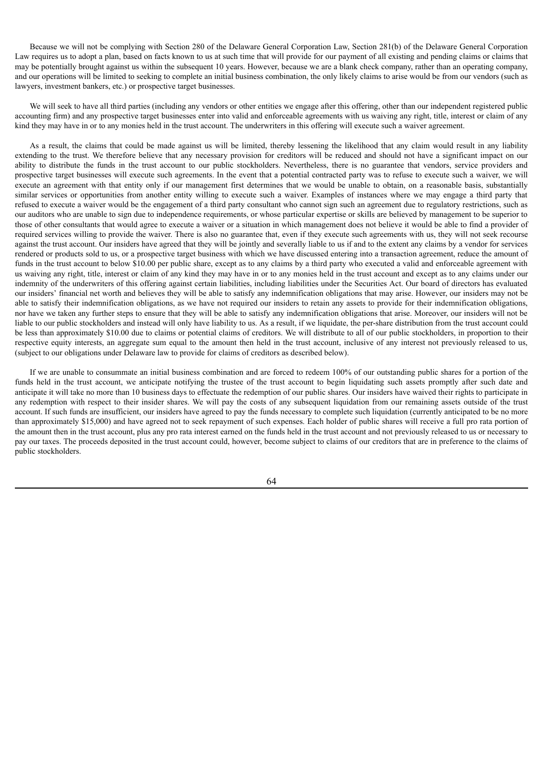Because we will not be complying with Section 280 of the Delaware General Corporation Law, Section 281(b) of the Delaware General Corporation Law requires us to adopt a plan, based on facts known to us at such time that will provide for our payment of all existing and pending claims or claims that may be potentially brought against us within the subsequent 10 years. However, because we are a blank check company, rather than an operating company, and our operations will be limited to seeking to complete an initial business combination, the only likely claims to arise would be from our vendors (such as lawyers, investment bankers, etc.) or prospective target businesses.

We will seek to have all third parties (including any vendors or other entities we engage after this offering, other than our independent registered public accounting firm) and any prospective target businesses enter into valid and enforceable agreements with us waiving any right, title, interest or claim of any kind they may have in or to any monies held in the trust account. The underwriters in this offering will execute such a waiver agreement.

As a result, the claims that could be made against us will be limited, thereby lessening the likelihood that any claim would result in any liability extending to the trust. We therefore believe that any necessary provision for creditors will be reduced and should not have a significant impact on our ability to distribute the funds in the trust account to our public stockholders. Nevertheless, there is no guarantee that vendors, service providers and prospective target businesses will execute such agreements. In the event that a potential contracted party was to refuse to execute such a waiver, we will execute an agreement with that entity only if our management first determines that we would be unable to obtain, on a reasonable basis, substantially similar services or opportunities from another entity willing to execute such a waiver. Examples of instances where we may engage a third party that refused to execute a waiver would be the engagement of a third party consultant who cannot sign such an agreement due to regulatory restrictions, such as our auditors who are unable to sign due to independence requirements, or whose particular expertise or skills are believed by management to be superior to those of other consultants that would agree to execute a waiver or a situation in which management does not believe it would be able to find a provider of required services willing to provide the waiver. There is also no guarantee that, even if they execute such agreements with us, they will not seek recourse against the trust account. Our insiders have agreed that they will be jointly and severally liable to us if and to the extent any claims by a vendor for services rendered or products sold to us, or a prospective target business with which we have discussed entering into a transaction agreement, reduce the amount of funds in the trust account to below \$10.00 per public share, except as to any claims by a third party who executed a valid and enforceable agreement with us waiving any right, title, interest or claim of any kind they may have in or to any monies held in the trust account and except as to any claims under our indemnity of the underwriters of this offering against certain liabilities, including liabilities under the Securities Act. Our board of directors has evaluated our insiders' financial net worth and believes they will be able to satisfy any indemnification obligations that may arise. However, our insiders may not be able to satisfy their indemnification obligations, as we have not required our insiders to retain any assets to provide for their indemnification obligations, nor have we taken any further steps to ensure that they will be able to satisfy any indemnification obligations that arise. Moreover, our insiders will not be liable to our public stockholders and instead will only have liability to us. As a result, if we liquidate, the per-share distribution from the trust account could be less than approximately \$10.00 due to claims or potential claims of creditors. We will distribute to all of our public stockholders, in proportion to their respective equity interests, an aggregate sum equal to the amount then held in the trust account, inclusive of any interest not previously released to us, (subject to our obligations under Delaware law to provide for claims of creditors as described below).

If we are unable to consummate an initial business combination and are forced to redeem 100% of our outstanding public shares for a portion of the funds held in the trust account, we anticipate notifying the trustee of the trust account to begin liquidating such assets promptly after such date and anticipate it will take no more than 10 business days to effectuate the redemption of our public shares. Our insiders have waived their rights to participate in any redemption with respect to their insider shares. We will pay the costs of any subsequent liquidation from our remaining assets outside of the trust account. If such funds are insufficient, our insiders have agreed to pay the funds necessary to complete such liquidation (currently anticipated to be no more than approximately \$15,000) and have agreed not to seek repayment of such expenses. Each holder of public shares will receive a full pro rata portion of the amount then in the trust account, plus any pro rata interest earned on the funds held in the trust account and not previously released to us or necessary to pay our taxes. The proceeds deposited in the trust account could, however, become subject to claims of our creditors that are in preference to the claims of public stockholders.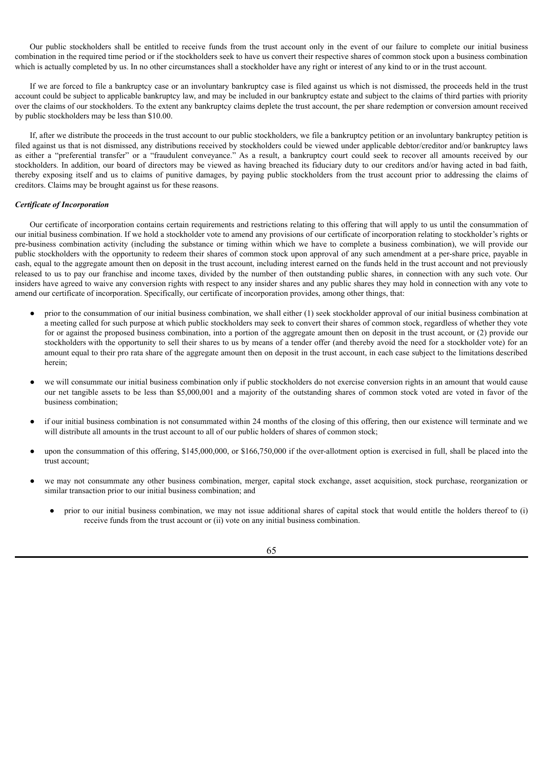Our public stockholders shall be entitled to receive funds from the trust account only in the event of our failure to complete our initial business combination in the required time period or if the stockholders seek to have us convert their respective shares of common stock upon a business combination which is actually completed by us. In no other circumstances shall a stockholder have any right or interest of any kind to or in the trust account.

If we are forced to file a bankruptcy case or an involuntary bankruptcy case is filed against us which is not dismissed, the proceeds held in the trust account could be subject to applicable bankruptcy law, and may be included in our bankruptcy estate and subject to the claims of third parties with priority over the claims of our stockholders. To the extent any bankruptcy claims deplete the trust account, the per share redemption or conversion amount received by public stockholders may be less than \$10.00.

If, after we distribute the proceeds in the trust account to our public stockholders, we file a bankruptcy petition or an involuntary bankruptcy petition is filed against us that is not dismissed, any distributions received by stockholders could be viewed under applicable debtor/creditor and/or bankruptcy laws as either a "preferential transfer" or a "fraudulent conveyance." As a result, a bankruptcy court could seek to recover all amounts received by our stockholders. In addition, our board of directors may be viewed as having breached its fiduciary duty to our creditors and/or having acted in bad faith, thereby exposing itself and us to claims of punitive damages, by paying public stockholders from the trust account prior to addressing the claims of creditors. Claims may be brought against us for these reasons.

### *Certificate of Incorporation*

Our certificate of incorporation contains certain requirements and restrictions relating to this offering that will apply to us until the consummation of our initial business combination. If we hold a stockholder vote to amend any provisions of our certificate of incorporation relating to stockholder's rights or pre-business combination activity (including the substance or timing within which we have to complete a business combination), we will provide our public stockholders with the opportunity to redeem their shares of common stock upon approval of any such amendment at a per-share price, payable in cash, equal to the aggregate amount then on deposit in the trust account, including interest earned on the funds held in the trust account and not previously released to us to pay our franchise and income taxes, divided by the number of then outstanding public shares, in connection with any such vote. Our insiders have agreed to waive any conversion rights with respect to any insider shares and any public shares they may hold in connection with any vote to amend our certificate of incorporation. Specifically, our certificate of incorporation provides, among other things, that:

- prior to the consummation of our initial business combination, we shall either (1) seek stockholder approval of our initial business combination at a meeting called for such purpose at which public stockholders may seek to convert their shares of common stock, regardless of whether they vote for or against the proposed business combination, into a portion of the aggregate amount then on deposit in the trust account, or (2) provide our stockholders with the opportunity to sell their shares to us by means of a tender offer (and thereby avoid the need for a stockholder vote) for an amount equal to their pro rata share of the aggregate amount then on deposit in the trust account, in each case subject to the limitations described herein;
- we will consummate our initial business combination only if public stockholders do not exercise conversion rights in an amount that would cause our net tangible assets to be less than \$5,000,001 and a majority of the outstanding shares of common stock voted are voted in favor of the business combination;
- if our initial business combination is not consummated within 24 months of the closing of this offering, then our existence will terminate and we will distribute all amounts in the trust account to all of our public holders of shares of common stock;
- upon the consummation of this offering, \$145,000,000, or \$166,750,000 if the over-allotment option is exercised in full, shall be placed into the trust account;
- we may not consummate any other business combination, merger, capital stock exchange, asset acquisition, stock purchase, reorganization or similar transaction prior to our initial business combination; and
	- prior to our initial business combination, we may not issue additional shares of capital stock that would entitle the holders thereof to (i) receive funds from the trust account or (ii) vote on any initial business combination.

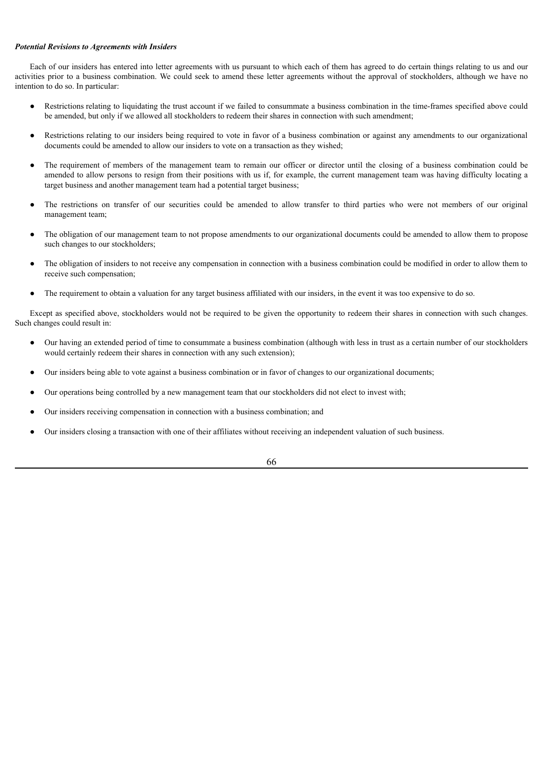# *Potential Revisions to Agreements with Insiders*

Each of our insiders has entered into letter agreements with us pursuant to which each of them has agreed to do certain things relating to us and our activities prior to a business combination. We could seek to amend these letter agreements without the approval of stockholders, although we have no intention to do so. In particular:

- Restrictions relating to liquidating the trust account if we failed to consummate a business combination in the time-frames specified above could be amended, but only if we allowed all stockholders to redeem their shares in connection with such amendment;
- Restrictions relating to our insiders being required to vote in favor of a business combination or against any amendments to our organizational documents could be amended to allow our insiders to vote on a transaction as they wished;
- The requirement of members of the management team to remain our officer or director until the closing of a business combination could be amended to allow persons to resign from their positions with us if, for example, the current management team was having difficulty locating a target business and another management team had a potential target business;
- The restrictions on transfer of our securities could be amended to allow transfer to third parties who were not members of our original management team;
- The obligation of our management team to not propose amendments to our organizational documents could be amended to allow them to propose such changes to our stockholders;
- The obligation of insiders to not receive any compensation in connection with a business combination could be modified in order to allow them to receive such compensation;
- The requirement to obtain a valuation for any target business affiliated with our insiders, in the event it was too expensive to do so.

Except as specified above, stockholders would not be required to be given the opportunity to redeem their shares in connection with such changes. Such changes could result in:

- Our having an extended period of time to consummate a business combination (although with less in trust as a certain number of our stockholders would certainly redeem their shares in connection with any such extension);
- Our insiders being able to vote against a business combination or in favor of changes to our organizational documents;
- Our operations being controlled by a new management team that our stockholders did not elect to invest with;
- Our insiders receiving compensation in connection with a business combination; and
- Our insiders closing a transaction with one of their affiliates without receiving an independent valuation of such business.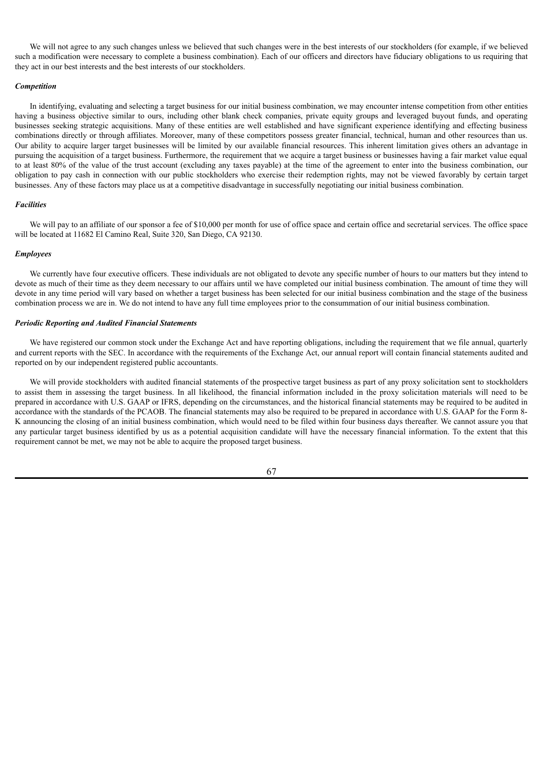We will not agree to any such changes unless we believed that such changes were in the best interests of our stockholders (for example, if we believed such a modification were necessary to complete a business combination). Each of our officers and directors have fiduciary obligations to us requiring that they act in our best interests and the best interests of our stockholders.

#### *Competition*

In identifying, evaluating and selecting a target business for our initial business combination, we may encounter intense competition from other entities having a business objective similar to ours, including other blank check companies, private equity groups and leveraged buyout funds, and operating businesses seeking strategic acquisitions. Many of these entities are well established and have significant experience identifying and effecting business combinations directly or through affiliates. Moreover, many of these competitors possess greater financial, technical, human and other resources than us. Our ability to acquire larger target businesses will be limited by our available financial resources. This inherent limitation gives others an advantage in pursuing the acquisition of a target business. Furthermore, the requirement that we acquire a target business or businesses having a fair market value equal to at least 80% of the value of the trust account (excluding any taxes payable) at the time of the agreement to enter into the business combination, our obligation to pay cash in connection with our public stockholders who exercise their redemption rights, may not be viewed favorably by certain target businesses. Any of these factors may place us at a competitive disadvantage in successfully negotiating our initial business combination.

#### *Facilities*

We will pay to an affiliate of our sponsor a fee of \$10,000 per month for use of office space and certain office and secretarial services. The office space will be located at 11682 El Camino Real, Suite 320, San Diego, CA 92130.

# *Employees*

We currently have four executive officers. These individuals are not obligated to devote any specific number of hours to our matters but they intend to devote as much of their time as they deem necessary to our affairs until we have completed our initial business combination. The amount of time they will devote in any time period will vary based on whether a target business has been selected for our initial business combination and the stage of the business combination process we are in. We do not intend to have any full time employees prior to the consummation of our initial business combination.

# *Periodic Reporting and Audited Financial Statements*

We have registered our common stock under the Exchange Act and have reporting obligations, including the requirement that we file annual, quarterly and current reports with the SEC. In accordance with the requirements of the Exchange Act, our annual report will contain financial statements audited and reported on by our independent registered public accountants.

We will provide stockholders with audited financial statements of the prospective target business as part of any proxy solicitation sent to stockholders to assist them in assessing the target business. In all likelihood, the financial information included in the proxy solicitation materials will need to be prepared in accordance with U.S. GAAP or IFRS, depending on the circumstances, and the historical financial statements may be required to be audited in accordance with the standards of the PCAOB. The financial statements may also be required to be prepared in accordance with U.S. GAAP for the Form 8- K announcing the closing of an initial business combination, which would need to be filed within four business days thereafter. We cannot assure you that any particular target business identified by us as a potential acquisition candidate will have the necessary financial information. To the extent that this requirement cannot be met, we may not be able to acquire the proposed target business.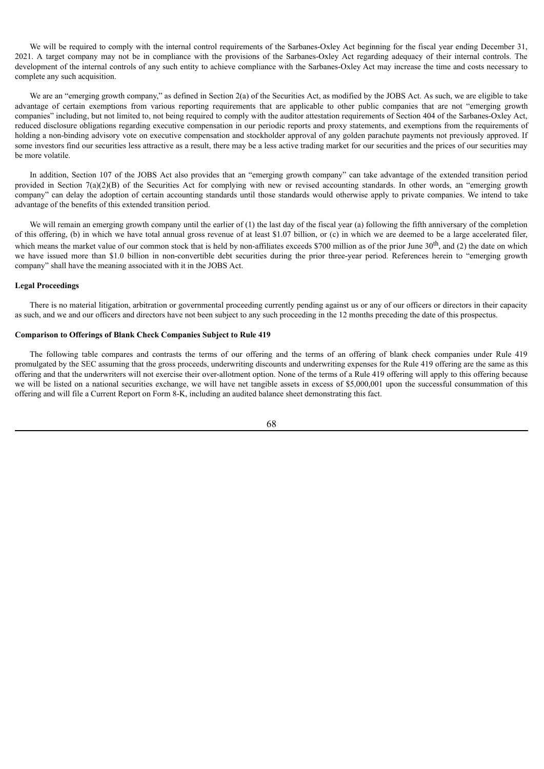We will be required to comply with the internal control requirements of the Sarbanes-Oxley Act beginning for the fiscal year ending December 31, 2021. A target company may not be in compliance with the provisions of the Sarbanes-Oxley Act regarding adequacy of their internal controls. The development of the internal controls of any such entity to achieve compliance with the Sarbanes-Oxley Act may increase the time and costs necessary to complete any such acquisition.

We are an "emerging growth company," as defined in Section 2(a) of the Securities Act, as modified by the JOBS Act. As such, we are eligible to take advantage of certain exemptions from various reporting requirements that are applicable to other public companies that are not "emerging growth companies" including, but not limited to, not being required to comply with the auditor attestation requirements of Section 404 of the Sarbanes-Oxley Act, reduced disclosure obligations regarding executive compensation in our periodic reports and proxy statements, and exemptions from the requirements of holding a non-binding advisory vote on executive compensation and stockholder approval of any golden parachute payments not previously approved. If some investors find our securities less attractive as a result, there may be a less active trading market for our securities and the prices of our securities may be more volatile.

In addition, Section 107 of the JOBS Act also provides that an "emerging growth company" can take advantage of the extended transition period provided in Section 7(a)(2)(B) of the Securities Act for complying with new or revised accounting standards. In other words, an "emerging growth company" can delay the adoption of certain accounting standards until those standards would otherwise apply to private companies. We intend to take advantage of the benefits of this extended transition period.

We will remain an emerging growth company until the earlier of (1) the last day of the fiscal year (a) following the fifth anniversary of the completion of this offering, (b) in which we have total annual gross revenue of at least \$1.07 billion, or (c) in which we are deemed to be a large accelerated filer, which means the market value of our common stock that is held by non-affiliates exceeds \$700 million as of the prior June  $30<sup>th</sup>$ , and (2) the date on which we have issued more than \$1.0 billion in non-convertible debt securities during the prior three-year period. References herein to "emerging growth company" shall have the meaning associated with it in the JOBS Act.

## **Legal Proceedings**

There is no material litigation, arbitration or governmental proceeding currently pending against us or any of our officers or directors in their capacity as such, and we and our officers and directors have not been subject to any such proceeding in the 12 months preceding the date of this prospectus.

### **Comparison to Offerings of Blank Check Companies Subject to Rule 419**

The following table compares and contrasts the terms of our offering and the terms of an offering of blank check companies under Rule 419 promulgated by the SEC assuming that the gross proceeds, underwriting discounts and underwriting expenses for the Rule 419 offering are the same as this offering and that the underwriters will not exercise their over-allotment option. None of the terms of a Rule 419 offering will apply to this offering because we will be listed on a national securities exchange, we will have net tangible assets in excess of \$5,000,001 upon the successful consummation of this offering and will file a Current Report on Form 8-K, including an audited balance sheet demonstrating this fact.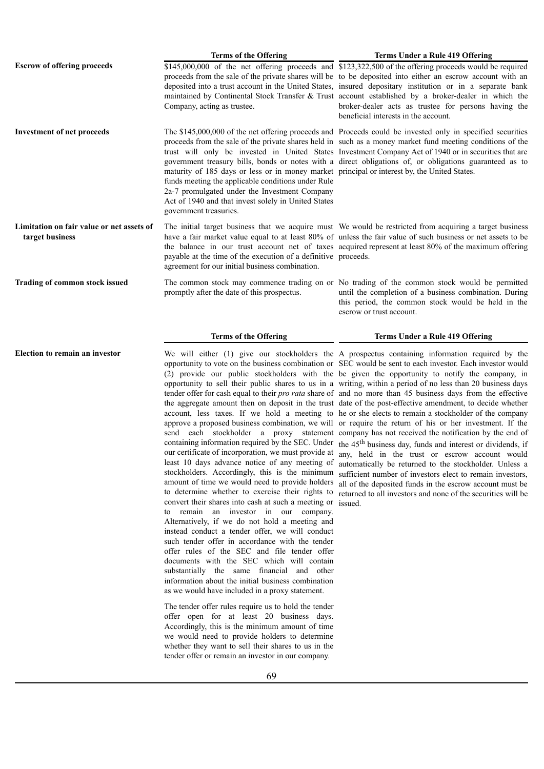|                                                              | <b>Terms of the Offering</b>                                                                                                                                                                                                                                                         | Terms Under a Rule 419 Offering                                                                                                                                                                                                                                                                                                                                                                                                                                                                                                              |
|--------------------------------------------------------------|--------------------------------------------------------------------------------------------------------------------------------------------------------------------------------------------------------------------------------------------------------------------------------------|----------------------------------------------------------------------------------------------------------------------------------------------------------------------------------------------------------------------------------------------------------------------------------------------------------------------------------------------------------------------------------------------------------------------------------------------------------------------------------------------------------------------------------------------|
| <b>Escrow of offering proceeds</b>                           | Company, acting as trustee.                                                                                                                                                                                                                                                          | $$145,000,000$ of the net offering proceeds and $$123,322,500$ of the offering proceeds would be required<br>proceeds from the sale of the private shares will be to be deposited into either an escrow account with an<br>deposited into a trust account in the United States, insured depositary institution or in a separate bank<br>maintained by Continental Stock Transfer & Trust account established by a broker-dealer in which the<br>broker-dealer acts as trustee for persons having the<br>beneficial interests in the account. |
| <b>Investment of net proceeds</b>                            | maturity of 185 days or less or in money market principal or interest by, the United States.<br>funds meeting the applicable conditions under Rule<br>2a-7 promulgated under the Investment Company<br>Act of 1940 and that invest solely in United States<br>government treasuries. | The \$145,000,000 of the net offering proceeds and Proceeds could be invested only in specified securities<br>proceeds from the sale of the private shares held in such as a money market fund meeting conditions of the<br>trust will only be invested in United States Investment Company Act of 1940 or in securities that are<br>government treasury bills, bonds or notes with a direct obligations of, or obligations guaranteed as to                                                                                                 |
| Limitation on fair value or net assets of<br>target business | payable at the time of the execution of a definitive proceeds.<br>agreement for our initial business combination.                                                                                                                                                                    | The initial target business that we acquire must We would be restricted from acquiring a target business<br>have a fair market value equal to at least 80% of unless the fair value of such business or net assets to be<br>the balance in our trust account net of taxes acquired represent at least 80% of the maximum offering                                                                                                                                                                                                            |
| Trading of common stock issued                               | promptly after the date of this prospectus.                                                                                                                                                                                                                                          | The common stock may commence trading on or No trading of the common stock would be permitted<br>until the completion of a business combination. During<br>this period, the common stock would be held in the<br>escrow or trust account.                                                                                                                                                                                                                                                                                                    |

# **Terms of the Offering Terms Under a Rule 419 Offering**

our certificate of incorporation, we must provide at least 10 days advance notice of any meeting of stockholders. Accordingly, this is the minimum amount of time we would need to provide holders to determine whether to exercise their rights to convert their shares into cash at such a meeting or to remain an investor in our company. Alternatively, if we do not hold a meeting and instead conduct a tender offer, we will conduct such tender offer in accordance with the tender offer rules of the SEC and file tender offer documents with the SEC which will contain substantially the same financial and other information about the initial business combination as we would have included in a proxy statement.

The tender offer rules require us to hold the tender offer open for at least 20 business days. Accordingly, this is the minimum amount of time we would need to provide holders to determine whether they want to sell their shares to us in the tender offer or remain an investor in our company.

**Election to remain an investor** We will either (1) give our stockholders the A prospectus containing information required by the opportunity to vote on the business combination or SEC would be sent to each investor. Each investor would (2) provide our public stockholders with the be given the opportunity to notify the company, in opportunity to sell their public shares to us in a writing, within a period of no less than 20 business days tender offer for cash equal to their *pro rata* share of and no more than 45 business days from the effective the aggregate amount then on deposit in the trust date of the post-effective amendment, to decide whether account, less taxes. If we hold a meeting to he or she elects to remain a stockholder of the company approve a proposed business combination, we will or require the return of his or her investment. If the send each stockholder a proxy statement company has not received the notification by the end of containing information required by the SEC. Under the 45<sup>th</sup> business day, funds and interest or dividends, if any, held in the trust or escrow account would automatically be returned to the stockholder. Unless a sufficient number of investors elect to remain investors, all of the deposited funds in the escrow account must be returned to all investors and none of the securities will be issued.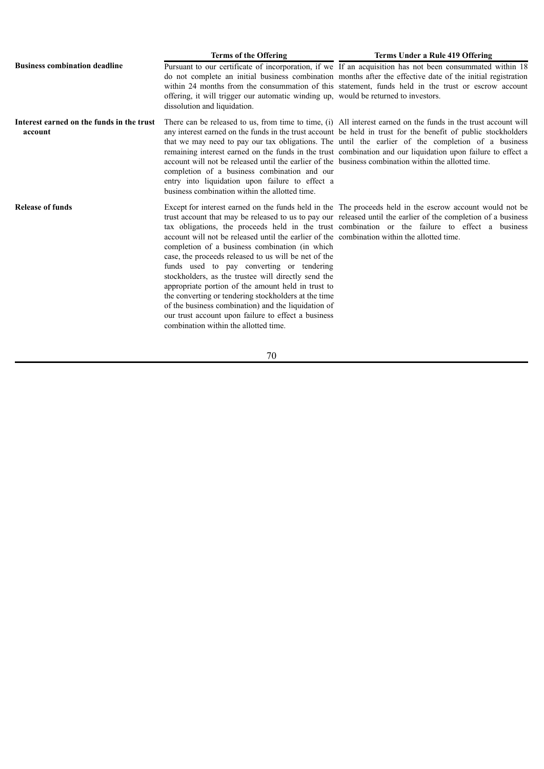|                                                      | <b>Terms of the Offering</b>                                                                                                                                                                                                                                                                                                                                                                                                                                                                                                                                                   | Terms Under a Rule 419 Offering                                                                                                                                                                                                                                                                                                                                                                                                                       |
|------------------------------------------------------|--------------------------------------------------------------------------------------------------------------------------------------------------------------------------------------------------------------------------------------------------------------------------------------------------------------------------------------------------------------------------------------------------------------------------------------------------------------------------------------------------------------------------------------------------------------------------------|-------------------------------------------------------------------------------------------------------------------------------------------------------------------------------------------------------------------------------------------------------------------------------------------------------------------------------------------------------------------------------------------------------------------------------------------------------|
| <b>Business combination deadline</b>                 | offering, it will trigger our automatic winding up, would be returned to investors.<br>dissolution and liquidation.                                                                                                                                                                                                                                                                                                                                                                                                                                                            | Pursuant to our certificate of incorporation, if we If an acquisition has not been consummated within 18<br>do not complete an initial business combination months after the effective date of the initial registration<br>within 24 months from the consummation of this statement, funds held in the trust or escrow account                                                                                                                        |
| Interest earned on the funds in the trust<br>account | account will not be released until the earlier of the business combination within the allotted time.<br>completion of a business combination and our<br>entry into liquidation upon failure to effect a<br>business combination within the allotted time.                                                                                                                                                                                                                                                                                                                      | There can be released to us, from time to time, (i) All interest earned on the funds in the trust account will<br>any interest earned on the funds in the trust account be held in trust for the benefit of public stockholders<br>that we may need to pay our tax obligations. The until the earlier of the completion of a business<br>remaining interest earned on the funds in the trust combination and our liquidation upon failure to effect a |
| <b>Release of funds</b>                              | account will not be released until the earlier of the combination within the allotted time.<br>completion of a business combination (in which<br>case, the proceeds released to us will be net of the<br>funds used to pay converting or tendering<br>stockholders, as the trustee will directly send the<br>appropriate portion of the amount held in trust to<br>the converting or tendering stockholders at the time<br>of the business combination) and the liquidation of<br>our trust account upon failure to effect a business<br>combination within the allotted time. | Except for interest earned on the funds held in the The proceeds held in the escrow account would not be<br>trust account that may be released to us to pay our released until the earlier of the completion of a business<br>tax obligations, the proceeds held in the trust combination or the failure to effect a business                                                                                                                         |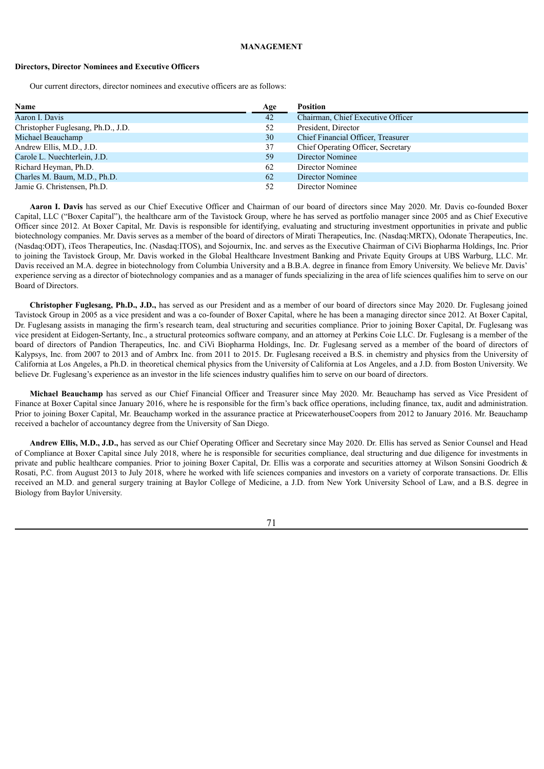#### **MANAGEMENT**

#### **Directors, Director Nominees and Executive Officers**

Our current directors, director nominees and executive officers are as follows:

| <b>Name</b>                        | Age | <b>Position</b>                    |
|------------------------------------|-----|------------------------------------|
| Aaron I. Davis                     | 42  | Chairman, Chief Executive Officer  |
| Christopher Fuglesang, Ph.D., J.D. | 52  | President, Director                |
| Michael Beauchamp                  | 30  | Chief Financial Officer, Treasurer |
| Andrew Ellis, M.D., J.D.           | 37  | Chief Operating Officer, Secretary |
| Carole L. Nuechterlein, J.D.       | 59  | Director Nominee                   |
| Richard Heyman, Ph.D.              | 62  | Director Nominee                   |
| Charles M. Baum, M.D., Ph.D.       | 62  | Director Nominee                   |
| Jamie G. Christensen, Ph.D.        | 52  | Director Nominee                   |

**Aaron I. Davis** has served as our Chief Executive Officer and Chairman of our board of directors since May 2020. Mr. Davis co-founded Boxer Capital, LLC ("Boxer Capital"), the healthcare arm of the Tavistock Group, where he has served as portfolio manager since 2005 and as Chief Executive Officer since 2012. At Boxer Capital, Mr. Davis is responsible for identifying, evaluating and structuring investment opportunities in private and public biotechnology companies. Mr. Davis serves as a member of the board of directors of Mirati Therapeutics, Inc. (Nasdaq:MRTX), Odonate Therapeutics, Inc. (Nasdaq:ODT), iTeos Therapeutics, Inc. (Nasdaq:ITOS), and Sojournix, Inc. and serves as the Executive Chairman of CiVi Biopharma Holdings, Inc. Prior to joining the Tavistock Group, Mr. Davis worked in the Global Healthcare Investment Banking and Private Equity Groups at UBS Warburg, LLC. Mr. Davis received an M.A. degree in biotechnology from Columbia University and a B.B.A. degree in finance from Emory University. We believe Mr. Davis' experience serving as a director of biotechnology companies and as a manager of funds specializing in the area of life sciences qualifies him to serve on our Board of Directors.

**Christopher Fuglesang, Ph.D., J.D.,** has served as our President and as a member of our board of directors since May 2020. Dr. Fuglesang joined Tavistock Group in 2005 as a vice president and was a co-founder of Boxer Capital, where he has been a managing director since 2012. At Boxer Capital, Dr. Fuglesang assists in managing the firm's research team, deal structuring and securities compliance. Prior to joining Boxer Capital, Dr. Fuglesang was vice president at Eidogen-Sertanty, Inc., a structural proteomics software company, and an attorney at Perkins Coie LLC. Dr. Fuglesang is a member of the board of directors of Pandion Therapeutics, Inc. and CiVi Biopharma Holdings, Inc. Dr. Fuglesang served as a member of the board of directors of Kalypsys, Inc. from 2007 to 2013 and of Ambrx Inc. from 2011 to 2015. Dr. Fuglesang received a B.S. in chemistry and physics from the University of California at Los Angeles, a Ph.D. in theoretical chemical physics from the University of California at Los Angeles, and a J.D. from Boston University. We believe Dr. Fuglesang's experience as an investor in the life sciences industry qualifies him to serve on our board of directors.

**Michael Beauchamp** has served as our Chief Financial Officer and Treasurer since May 2020. Mr. Beauchamp has served as Vice President of Finance at Boxer Capital since January 2016, where he is responsible for the firm's back office operations, including finance, tax, audit and administration. Prior to joining Boxer Capital, Mr. Beauchamp worked in the assurance practice at PricewaterhouseCoopers from 2012 to January 2016. Mr. Beauchamp received a bachelor of accountancy degree from the University of San Diego.

**Andrew Ellis, M.D., J.D.,** has served as our Chief Operating Officer and Secretary since May 2020. Dr. Ellis has served as Senior Counsel and Head of Compliance at Boxer Capital since July 2018, where he is responsible for securities compliance, deal structuring and due diligence for investments in private and public healthcare companies. Prior to joining Boxer Capital, Dr. Ellis was a corporate and securities attorney at Wilson Sonsini Goodrich & Rosati, P.C. from August 2013 to July 2018, where he worked with life sciences companies and investors on a variety of corporate transactions. Dr. Ellis received an M.D. and general surgery training at Baylor College of Medicine, a J.D. from New York University School of Law, and a B.S. degree in Biology from Baylor University.

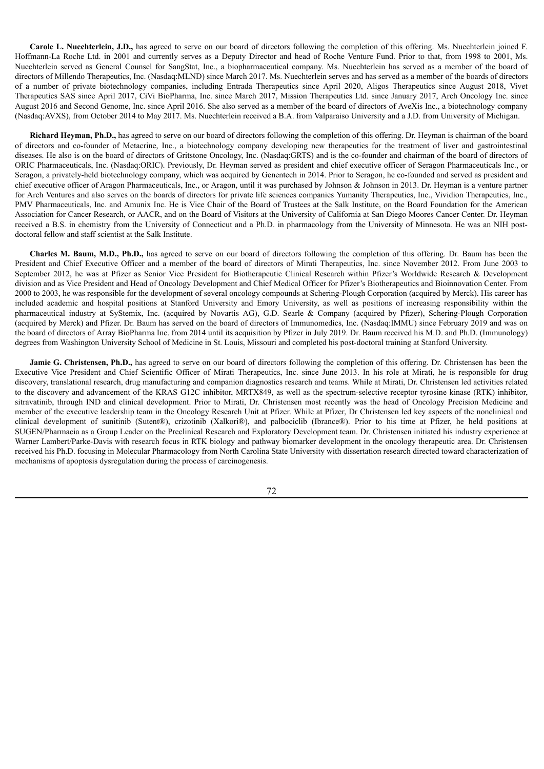**Carole L. Nuechterlein, J.D.,** has agreed to serve on our board of directors following the completion of this offering. Ms. Nuechterlein joined F. Hoffmann-La Roche Ltd. in 2001 and currently serves as a Deputy Director and head of Roche Venture Fund. Prior to that, from 1998 to 2001, Ms. Nuechterlein served as General Counsel for SangStat, Inc., a biopharmaceutical company. Ms. Nuechterlein has served as a member of the board of directors of Millendo Therapeutics, Inc. (Nasdaq:MLND) since March 2017. Ms. Nuechterlein serves and has served as a member of the boards of directors of a number of private biotechnology companies, including Entrada Therapeutics since April 2020, Aligos Therapeutics since August 2018, Vivet Therapeutics SAS since April 2017, CiVi BioPharma, Inc. since March 2017, Mission Therapeutics Ltd. since January 2017, Arch Oncology Inc. since August 2016 and Second Genome, Inc. since April 2016. She also served as a member of the board of directors of AveXis Inc., a biotechnology company (Nasdaq:AVXS), from October 2014 to May 2017. Ms. Nuechterlein received a B.A. from Valparaiso University and a J.D. from University of Michigan.

**Richard Heyman, Ph.D.,** has agreed to serve on our board of directors following the completion of this offering. Dr. Heyman is chairman of the board of directors and co-founder of Metacrine, Inc., a biotechnology company developing new therapeutics for the treatment of liver and gastrointestinal diseases. He also is on the board of directors of Gritstone Oncology, Inc. (Nasdaq:GRTS) and is the co-founder and chairman of the board of directors of ORIC Pharmaceuticals, Inc. (Nasdaq:ORIC). Previously, Dr. Heyman served as president and chief executive officer of Seragon Pharmaceuticals Inc., or Seragon, a privately-held biotechnology company, which was acquired by Genentech in 2014. Prior to Seragon, he co-founded and served as president and chief executive officer of Aragon Pharmaceuticals, Inc., or Aragon, until it was purchased by Johnson & Johnson in 2013. Dr. Heyman is a venture partner for Arch Ventures and also serves on the boards of directors for private life sciences companies Yumanity Therapeutics, Inc., Vividion Therapeutics, Inc., PMV Pharmaceuticals, Inc. and Amunix Inc. He is Vice Chair of the Board of Trustees at the Salk Institute, on the Board Foundation for the American Association for Cancer Research, or AACR, and on the Board of Visitors at the University of California at San Diego Moores Cancer Center. Dr. Heyman received a B.S. in chemistry from the University of Connecticut and a Ph.D. in pharmacology from the University of Minnesota. He was an NIH postdoctoral fellow and staff scientist at the Salk Institute.

**Charles M. Baum, M.D., Ph.D.,** has agreed to serve on our board of directors following the completion of this offering. Dr. Baum has been the President and Chief Executive Officer and a member of the board of directors of Mirati Therapeutics, Inc. since November 2012. From June 2003 to September 2012, he was at Pfizer as Senior Vice President for Biotherapeutic Clinical Research within Pfizer's Worldwide Research & Development division and as Vice President and Head of Oncology Development and Chief Medical Officer for Pfizer's Biotherapeutics and Bioinnovation Center. From 2000 to 2003, he was responsible for the development of several oncology compounds at Schering-Plough Corporation (acquired by Merck). His career has included academic and hospital positions at Stanford University and Emory University, as well as positions of increasing responsibility within the pharmaceutical industry at SyStemix, Inc. (acquired by Novartis AG), G.D. Searle & Company (acquired by Pfizer), Schering-Plough Corporation (acquired by Merck) and Pfizer. Dr. Baum has served on the board of directors of Immunomedics, Inc. (Nasdaq:IMMU) since February 2019 and was on the board of directors of Array BioPharma Inc. from 2014 until its acquisition by Pfizer in July 2019. Dr. Baum received his M.D. and Ph.D. (Immunology) degrees from Washington University School of Medicine in St. Louis, Missouri and completed his post-doctoral training at Stanford University.

**Jamie G. Christensen, Ph.D.,** has agreed to serve on our board of directors following the completion of this offering. Dr. Christensen has been the Executive Vice President and Chief Scientific Officer of Mirati Therapeutics, Inc. since June 2013. In his role at Mirati, he is responsible for drug discovery, translational research, drug manufacturing and companion diagnostics research and teams. While at Mirati, Dr. Christensen led activities related to the discovery and advancement of the KRAS G12C inhibitor, MRTX849, as well as the spectrum-selective receptor tyrosine kinase (RTK) inhibitor, sitravatinib, through IND and clinical development. Prior to Mirati, Dr. Christensen most recently was the head of Oncology Precision Medicine and member of the executive leadership team in the Oncology Research Unit at Pfizer. While at Pfizer, Dr Christensen led key aspects of the nonclinical and clinical development of sunitinib (Sutent®), crizotinib (Xalkori®), and palbociclib (Ibrance®). Prior to his time at Pfizer, he held positions at SUGEN/Pharmacia as a Group Leader on the Preclinical Research and Exploratory Development team. Dr. Christensen initiated his industry experience at Warner Lambert/Parke-Davis with research focus in RTK biology and pathway biomarker development in the oncology therapeutic area. Dr. Christensen received his Ph.D. focusing in Molecular Pharmacology from North Carolina State University with dissertation research directed toward characterization of mechanisms of apoptosis dysregulation during the process of carcinogenesis.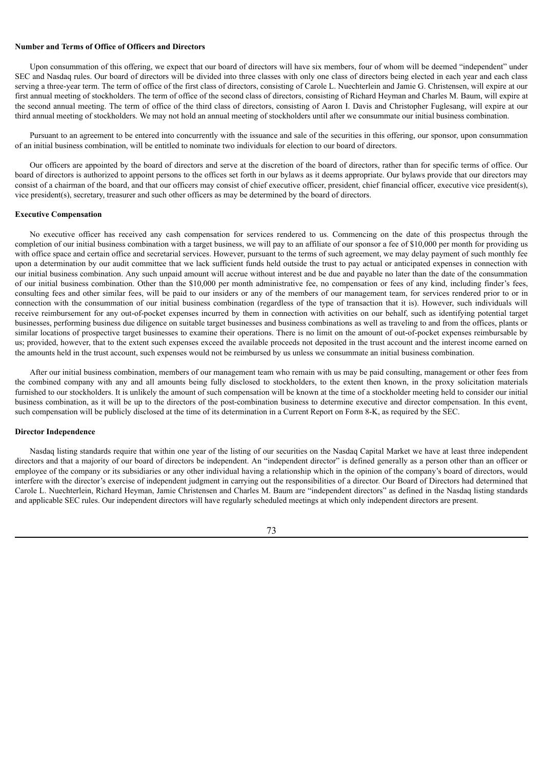# **Number and Terms of Office of Officers and Directors**

Upon consummation of this offering, we expect that our board of directors will have six members, four of whom will be deemed "independent" under SEC and Nasdaq rules. Our board of directors will be divided into three classes with only one class of directors being elected in each year and each class serving a three-year term. The term of office of the first class of directors, consisting of Carole L. Nuechterlein and Jamie G. Christensen, will expire at our first annual meeting of stockholders. The term of office of the second class of directors, consisting of Richard Heyman and Charles M. Baum, will expire at the second annual meeting. The term of office of the third class of directors, consisting of Aaron I. Davis and Christopher Fuglesang, will expire at our third annual meeting of stockholders. We may not hold an annual meeting of stockholders until after we consummate our initial business combination.

Pursuant to an agreement to be entered into concurrently with the issuance and sale of the securities in this offering, our sponsor, upon consummation of an initial business combination, will be entitled to nominate two individuals for election to our board of directors.

Our officers are appointed by the board of directors and serve at the discretion of the board of directors, rather than for specific terms of office. Our board of directors is authorized to appoint persons to the offices set forth in our bylaws as it deems appropriate. Our bylaws provide that our directors may consist of a chairman of the board, and that our officers may consist of chief executive officer, president, chief financial officer, executive vice president(s), vice president(s), secretary, treasurer and such other officers as may be determined by the board of directors.

#### **Executive Compensation**

No executive officer has received any cash compensation for services rendered to us. Commencing on the date of this prospectus through the completion of our initial business combination with a target business, we will pay to an affiliate of our sponsor a fee of \$10,000 per month for providing us with office space and certain office and secretarial services. However, pursuant to the terms of such agreement, we may delay payment of such monthly fee upon a determination by our audit committee that we lack sufficient funds held outside the trust to pay actual or anticipated expenses in connection with our initial business combination. Any such unpaid amount will accrue without interest and be due and payable no later than the date of the consummation of our initial business combination. Other than the \$10,000 per month administrative fee, no compensation or fees of any kind, including finder's fees, consulting fees and other similar fees, will be paid to our insiders or any of the members of our management team, for services rendered prior to or in connection with the consummation of our initial business combination (regardless of the type of transaction that it is). However, such individuals will receive reimbursement for any out-of-pocket expenses incurred by them in connection with activities on our behalf, such as identifying potential target businesses, performing business due diligence on suitable target businesses and business combinations as well as traveling to and from the offices, plants or similar locations of prospective target businesses to examine their operations. There is no limit on the amount of out-of-pocket expenses reimbursable by us; provided, however, that to the extent such expenses exceed the available proceeds not deposited in the trust account and the interest income earned on the amounts held in the trust account, such expenses would not be reimbursed by us unless we consummate an initial business combination.

After our initial business combination, members of our management team who remain with us may be paid consulting, management or other fees from the combined company with any and all amounts being fully disclosed to stockholders, to the extent then known, in the proxy solicitation materials furnished to our stockholders. It is unlikely the amount of such compensation will be known at the time of a stockholder meeting held to consider our initial business combination, as it will be up to the directors of the post-combination business to determine executive and director compensation. In this event, such compensation will be publicly disclosed at the time of its determination in a Current Report on Form 8-K, as required by the SEC.

#### **Director Independence**

Nasdaq listing standards require that within one year of the listing of our securities on the Nasdaq Capital Market we have at least three independent directors and that a majority of our board of directors be independent. An "independent director" is defined generally as a person other than an officer or employee of the company or its subsidiaries or any other individual having a relationship which in the opinion of the company's board of directors, would interfere with the director's exercise of independent judgment in carrying out the responsibilities of a director. Our Board of Directors had determined that Carole L. Nuechterlein, Richard Heyman, Jamie Christensen and Charles M. Baum are "independent directors" as defined in the Nasdaq listing standards and applicable SEC rules. Our independent directors will have regularly scheduled meetings at which only independent directors are present.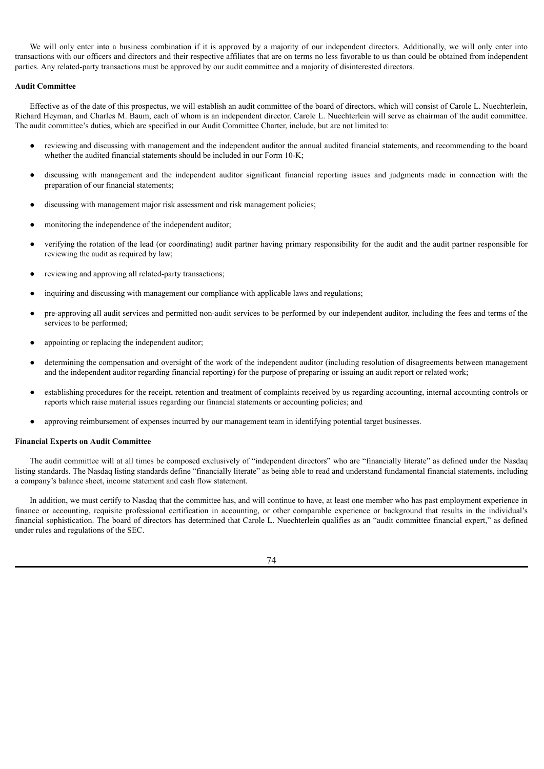We will only enter into a business combination if it is approved by a majority of our independent directors. Additionally, we will only enter into transactions with our officers and directors and their respective affiliates that are on terms no less favorable to us than could be obtained from independent parties. Any related-party transactions must be approved by our audit committee and a majority of disinterested directors.

## **Audit Committee**

Effective as of the date of this prospectus, we will establish an audit committee of the board of directors, which will consist of Carole L. Nuechterlein, Richard Heyman, and Charles M. Baum, each of whom is an independent director. Carole L. Nuechterlein will serve as chairman of the audit committee. The audit committee's duties, which are specified in our Audit Committee Charter, include, but are not limited to:

- reviewing and discussing with management and the independent auditor the annual audited financial statements, and recommending to the board whether the audited financial statements should be included in our Form 10-K;
- discussing with management and the independent auditor significant financial reporting issues and judgments made in connection with the preparation of our financial statements;
- discussing with management major risk assessment and risk management policies;
- monitoring the independence of the independent auditor;
- verifying the rotation of the lead (or coordinating) audit partner having primary responsibility for the audit and the audit partner responsible for reviewing the audit as required by law;
- reviewing and approving all related-party transactions;
- inquiring and discussing with management our compliance with applicable laws and regulations;
- pre-approving all audit services and permitted non-audit services to be performed by our independent auditor, including the fees and terms of the services to be performed;
- appointing or replacing the independent auditor;
- determining the compensation and oversight of the work of the independent auditor (including resolution of disagreements between management and the independent auditor regarding financial reporting) for the purpose of preparing or issuing an audit report or related work;
- establishing procedures for the receipt, retention and treatment of complaints received by us regarding accounting, internal accounting controls or reports which raise material issues regarding our financial statements or accounting policies; and
- approving reimbursement of expenses incurred by our management team in identifying potential target businesses.

#### **Financial Experts on Audit Committee**

The audit committee will at all times be composed exclusively of "independent directors" who are "financially literate" as defined under the Nasdaq listing standards. The Nasdaq listing standards define "financially literate" as being able to read and understand fundamental financial statements, including a company's balance sheet, income statement and cash flow statement.

In addition, we must certify to Nasdaq that the committee has, and will continue to have, at least one member who has past employment experience in finance or accounting, requisite professional certification in accounting, or other comparable experience or background that results in the individual's financial sophistication. The board of directors has determined that Carole L. Nuechterlein qualifies as an "audit committee financial expert," as defined under rules and regulations of the SEC.

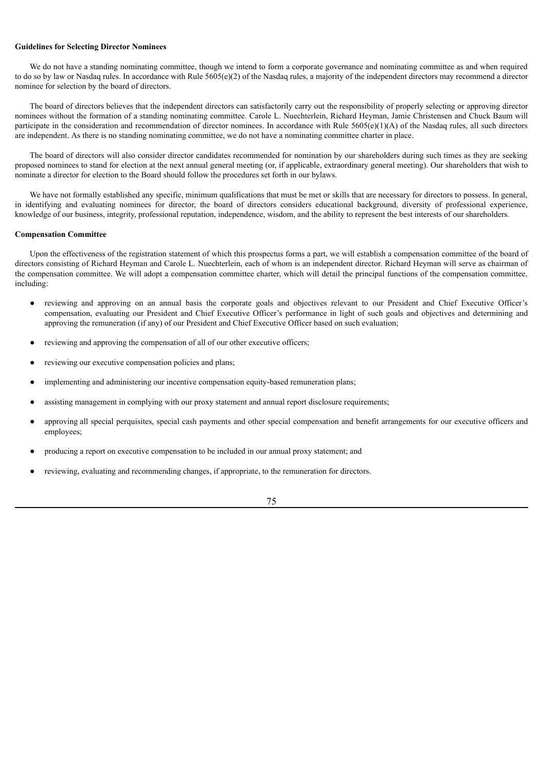#### **Guidelines for Selecting Director Nominees**

We do not have a standing nominating committee, though we intend to form a corporate governance and nominating committee as and when required to do so by law or Nasdaq rules. In accordance with Rule  $5605(e)(2)$  of the Nasdaq rules, a majority of the independent directors may recommend a director nominee for selection by the board of directors.

The board of directors believes that the independent directors can satisfactorily carry out the responsibility of properly selecting or approving director nominees without the formation of a standing nominating committee. Carole L. Nuechterlein, Richard Heyman, Jamie Christensen and Chuck Baum will participate in the consideration and recommendation of director nominees. In accordance with Rule  $5605(e)(1)(A)$  of the Nasdaq rules, all such directors are independent. As there is no standing nominating committee, we do not have a nominating committee charter in place.

The board of directors will also consider director candidates recommended for nomination by our shareholders during such times as they are seeking proposed nominees to stand for election at the next annual general meeting (or, if applicable, extraordinary general meeting). Our shareholders that wish to nominate a director for election to the Board should follow the procedures set forth in our bylaws.

We have not formally established any specific, minimum qualifications that must be met or skills that are necessary for directors to possess. In general, in identifying and evaluating nominees for director, the board of directors considers educational background, diversity of professional experience, knowledge of our business, integrity, professional reputation, independence, wisdom, and the ability to represent the best interests of our shareholders.

#### **Compensation Committee**

Upon the effectiveness of the registration statement of which this prospectus forms a part, we will establish a compensation committee of the board of directors consisting of Richard Heyman and Carole L. Nuechterlein, each of whom is an independent director. Richard Heyman will serve as chairman of the compensation committee. We will adopt a compensation committee charter, which will detail the principal functions of the compensation committee, including:

- reviewing and approving on an annual basis the corporate goals and objectives relevant to our President and Chief Executive Officer's compensation, evaluating our President and Chief Executive Officer's performance in light of such goals and objectives and determining and approving the remuneration (if any) of our President and Chief Executive Officer based on such evaluation;
- reviewing and approving the compensation of all of our other executive officers;
- reviewing our executive compensation policies and plans;
- implementing and administering our incentive compensation equity-based remuneration plans;
- assisting management in complying with our proxy statement and annual report disclosure requirements;
- approving all special perquisites, special cash payments and other special compensation and benefit arrangements for our executive officers and employees;
- producing a report on executive compensation to be included in our annual proxy statement; and
- reviewing, evaluating and recommending changes, if appropriate, to the remuneration for directors.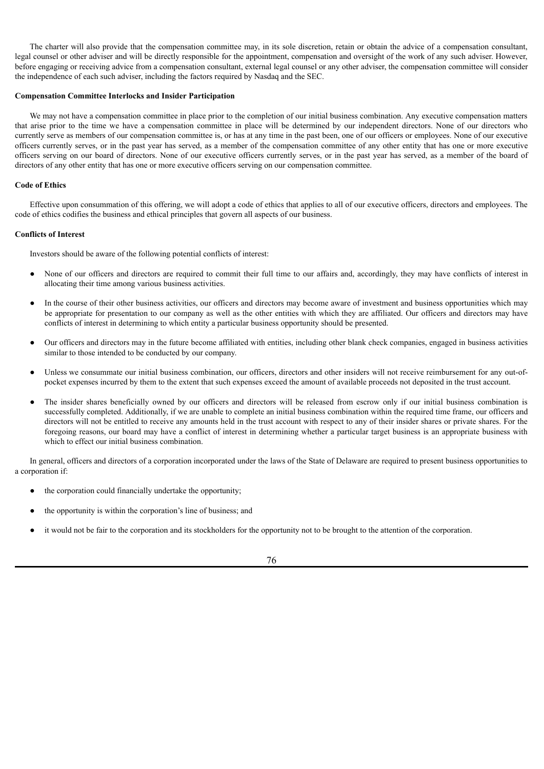The charter will also provide that the compensation committee may, in its sole discretion, retain or obtain the advice of a compensation consultant, legal counsel or other adviser and will be directly responsible for the appointment, compensation and oversight of the work of any such adviser. However, before engaging or receiving advice from a compensation consultant, external legal counsel or any other adviser, the compensation committee will consider the independence of each such adviser, including the factors required by Nasdaq and the SEC.

#### **Compensation Committee Interlocks and Insider Participation**

We may not have a compensation committee in place prior to the completion of our initial business combination. Any executive compensation matters that arise prior to the time we have a compensation committee in place will be determined by our independent directors. None of our directors who currently serve as members of our compensation committee is, or has at any time in the past been, one of our officers or employees. None of our executive officers currently serves, or in the past year has served, as a member of the compensation committee of any other entity that has one or more executive officers serving on our board of directors. None of our executive officers currently serves, or in the past year has served, as a member of the board of directors of any other entity that has one or more executive officers serving on our compensation committee.

#### **Code of Ethics**

Effective upon consummation of this offering, we will adopt a code of ethics that applies to all of our executive officers, directors and employees. The code of ethics codifies the business and ethical principles that govern all aspects of our business.

# **Conflicts of Interest**

Investors should be aware of the following potential conflicts of interest:

- None of our officers and directors are required to commit their full time to our affairs and, accordingly, they may have conflicts of interest in allocating their time among various business activities.
- In the course of their other business activities, our officers and directors may become aware of investment and business opportunities which may be appropriate for presentation to our company as well as the other entities with which they are affiliated. Our officers and directors may have conflicts of interest in determining to which entity a particular business opportunity should be presented.
- Our officers and directors may in the future become affiliated with entities, including other blank check companies, engaged in business activities similar to those intended to be conducted by our company.
- Unless we consummate our initial business combination, our officers, directors and other insiders will not receive reimbursement for any out-ofpocket expenses incurred by them to the extent that such expenses exceed the amount of available proceeds not deposited in the trust account.
- The insider shares beneficially owned by our officers and directors will be released from escrow only if our initial business combination is successfully completed. Additionally, if we are unable to complete an initial business combination within the required time frame, our officers and directors will not be entitled to receive any amounts held in the trust account with respect to any of their insider shares or private shares. For the foregoing reasons, our board may have a conflict of interest in determining whether a particular target business is an appropriate business with which to effect our initial business combination.

In general, officers and directors of a corporation incorporated under the laws of the State of Delaware are required to present business opportunities to a corporation if:

- the corporation could financially undertake the opportunity;
- the opportunity is within the corporation's line of business; and
- it would not be fair to the corporation and its stockholders for the opportunity not to be brought to the attention of the corporation.

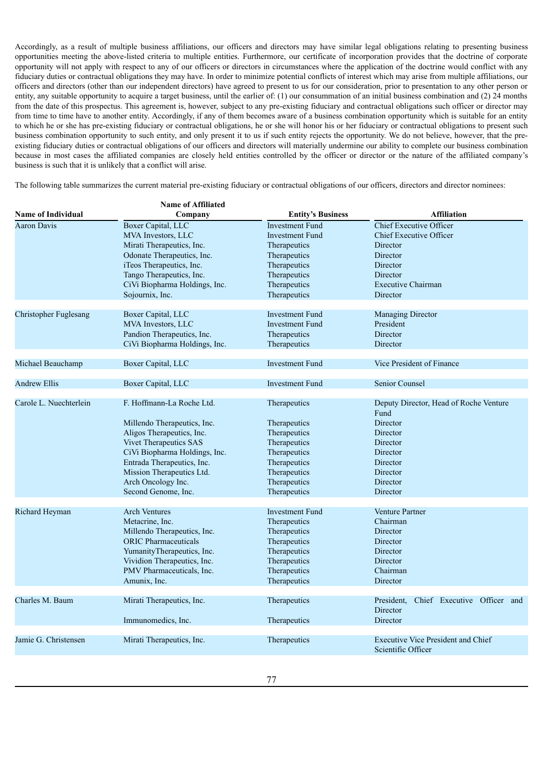Accordingly, as a result of multiple business affiliations, our officers and directors may have similar legal obligations relating to presenting business opportunities meeting the above-listed criteria to multiple entities. Furthermore, our certificate of incorporation provides that the doctrine of corporate opportunity will not apply with respect to any of our officers or directors in circumstances where the application of the doctrine would conflict with any fiduciary duties or contractual obligations they may have. In order to minimize potential conflicts of interest which may arise from multiple affiliations, our officers and directors (other than our independent directors) have agreed to present to us for our consideration, prior to presentation to any other person or entity, any suitable opportunity to acquire a target business, until the earlier of: (1) our consummation of an initial business combination and (2) 24 months from the date of this prospectus. This agreement is, however, subject to any pre-existing fiduciary and contractual obligations such officer or director may from time to time have to another entity. Accordingly, if any of them becomes aware of a business combination opportunity which is suitable for an entity to which he or she has pre-existing fiduciary or contractual obligations, he or she will honor his or her fiduciary or contractual obligations to present such business combination opportunity to such entity, and only present it to us if such entity rejects the opportunity. We do not believe, however, that the preexisting fiduciary duties or contractual obligations of our officers and directors will materially undermine our ability to complete our business combination because in most cases the affiliated companies are closely held entities controlled by the officer or director or the nature of the affiliated company's business is such that it is unlikely that a conflict will arise.

The following table summarizes the current material pre-existing fiduciary or contractual obligations of our officers, directors and director nominees:

|                           | <b>Name of Affiliated</b>     |                          |                                                                 |
|---------------------------|-------------------------------|--------------------------|-----------------------------------------------------------------|
| <b>Name of Individual</b> | Company                       | <b>Entity's Business</b> | <b>Affiliation</b>                                              |
| <b>Aaron Davis</b>        | Boxer Capital, LLC            | <b>Investment Fund</b>   | <b>Chief Executive Officer</b>                                  |
|                           | MVA Investors, LLC            | <b>Investment Fund</b>   | <b>Chief Executive Officer</b>                                  |
|                           | Mirati Therapeutics, Inc.     | Therapeutics             | Director                                                        |
|                           | Odonate Therapeutics, Inc.    | Therapeutics             | Director                                                        |
|                           | iTeos Therapeutics, Inc.      | Therapeutics             | Director                                                        |
|                           | Tango Therapeutics, Inc.      | Therapeutics             | Director                                                        |
|                           | CiVi Biopharma Holdings, Inc. | Therapeutics             | <b>Executive Chairman</b>                                       |
|                           | Sojournix, Inc.               | Therapeutics             | Director                                                        |
|                           |                               |                          |                                                                 |
| Christopher Fuglesang     | Boxer Capital, LLC            | <b>Investment Fund</b>   | Managing Director                                               |
|                           | MVA Investors, LLC            | <b>Investment Fund</b>   | President                                                       |
|                           | Pandion Therapeutics, Inc.    | Therapeutics             | Director                                                        |
|                           | CiVi Biopharma Holdings, Inc. | Therapeutics             | Director                                                        |
| Michael Beauchamp         | Boxer Capital, LLC            | <b>Investment Fund</b>   | Vice President of Finance                                       |
|                           |                               |                          |                                                                 |
| Andrew Ellis              | Boxer Capital, LLC            | <b>Investment Fund</b>   | Senior Counsel                                                  |
| Carole L. Nuechterlein    | F. Hoffmann-La Roche Ltd.     | Therapeutics             | Deputy Director, Head of Roche Venture                          |
|                           |                               |                          | Fund                                                            |
|                           | Millendo Therapeutics, Inc.   | Therapeutics             | Director                                                        |
|                           | Aligos Therapeutics, Inc.     | Therapeutics             | Director                                                        |
|                           | Vivet Therapeutics SAS        | Therapeutics             | Director                                                        |
|                           | CiVi Biopharma Holdings, Inc. | Therapeutics             | Director                                                        |
|                           | Entrada Therapeutics, Inc.    | Therapeutics             | Director                                                        |
|                           | Mission Therapeutics Ltd.     | Therapeutics             | Director                                                        |
|                           | Arch Oncology Inc.            | Therapeutics             | Director                                                        |
|                           | Second Genome, Inc.           | Therapeutics             | Director                                                        |
|                           |                               |                          |                                                                 |
| Richard Heyman            | <b>Arch Ventures</b>          | <b>Investment Fund</b>   | <b>Venture Partner</b>                                          |
|                           | Metacrine, Inc.               | Therapeutics             | Chairman                                                        |
|                           | Millendo Therapeutics, Inc.   | Therapeutics             | Director                                                        |
|                           | <b>ORIC</b> Pharmaceuticals   | Therapeutics             | Director                                                        |
|                           | YumanityTherapeutics, Inc.    | Therapeutics             | Director                                                        |
|                           | Vividion Therapeutics, Inc.   | Therapeutics             | Director                                                        |
|                           | PMV Pharmaceuticals, Inc.     | Therapeutics             | Chairman                                                        |
|                           | Amunix, Inc.                  | <b>Therapeutics</b>      | Director                                                        |
| Charles M. Baum           | Mirati Therapeutics, Inc.     | Therapeutics             | President,<br>Chief Executive Officer and                       |
|                           |                               |                          | Director                                                        |
|                           | Immunomedics, Inc.            | Therapeutics             | Director                                                        |
|                           |                               |                          |                                                                 |
| Jamie G. Christensen      | Mirati Therapeutics, Inc.     | Therapeutics             | <b>Executive Vice President and Chief</b><br>Scientific Officer |
|                           |                               |                          |                                                                 |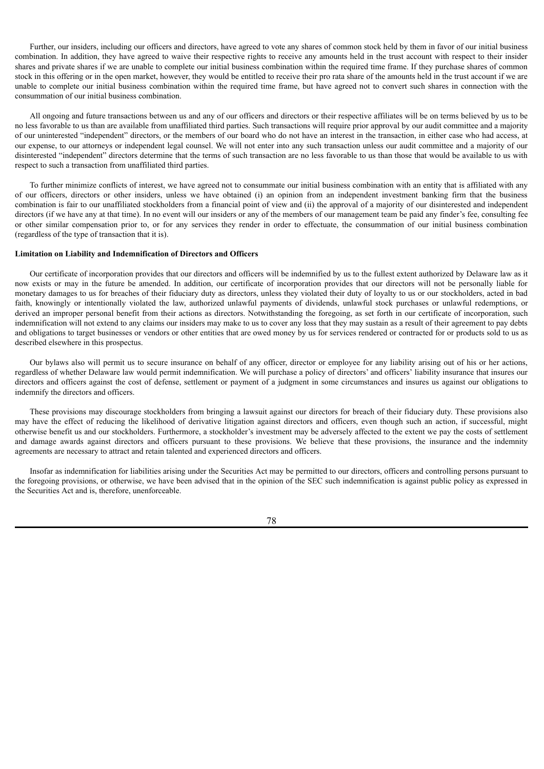Further, our insiders, including our officers and directors, have agreed to vote any shares of common stock held by them in favor of our initial business combination. In addition, they have agreed to waive their respective rights to receive any amounts held in the trust account with respect to their insider shares and private shares if we are unable to complete our initial business combination within the required time frame. If they purchase shares of common stock in this offering or in the open market, however, they would be entitled to receive their pro rata share of the amounts held in the trust account if we are unable to complete our initial business combination within the required time frame, but have agreed not to convert such shares in connection with the consummation of our initial business combination.

All ongoing and future transactions between us and any of our officers and directors or their respective affiliates will be on terms believed by us to be no less favorable to us than are available from unaffiliated third parties. Such transactions will require prior approval by our audit committee and a majority of our uninterested "independent" directors, or the members of our board who do not have an interest in the transaction, in either case who had access, at our expense, to our attorneys or independent legal counsel. We will not enter into any such transaction unless our audit committee and a majority of our disinterested "independent" directors determine that the terms of such transaction are no less favorable to us than those that would be available to us with respect to such a transaction from unaffiliated third parties.

To further minimize conflicts of interest, we have agreed not to consummate our initial business combination with an entity that is affiliated with any of our officers, directors or other insiders, unless we have obtained (i) an opinion from an independent investment banking firm that the business combination is fair to our unaffiliated stockholders from a financial point of view and (ii) the approval of a majority of our disinterested and independent directors (if we have any at that time). In no event will our insiders or any of the members of our management team be paid any finder's fee, consulting fee or other similar compensation prior to, or for any services they render in order to effectuate, the consummation of our initial business combination (regardless of the type of transaction that it is).

#### **Limitation on Liability and Indemnification of Directors and Officers**

Our certificate of incorporation provides that our directors and officers will be indemnified by us to the fullest extent authorized by Delaware law as it now exists or may in the future be amended. In addition, our certificate of incorporation provides that our directors will not be personally liable for monetary damages to us for breaches of their fiduciary duty as directors, unless they violated their duty of loyalty to us or our stockholders, acted in bad faith, knowingly or intentionally violated the law, authorized unlawful payments of dividends, unlawful stock purchases or unlawful redemptions, or derived an improper personal benefit from their actions as directors. Notwithstanding the foregoing, as set forth in our certificate of incorporation, such indemnification will not extend to any claims our insiders may make to us to cover any loss that they may sustain as a result of their agreement to pay debts and obligations to target businesses or vendors or other entities that are owed money by us for services rendered or contracted for or products sold to us as described elsewhere in this prospectus.

Our bylaws also will permit us to secure insurance on behalf of any officer, director or employee for any liability arising out of his or her actions, regardless of whether Delaware law would permit indemnification. We will purchase a policy of directors' and officers' liability insurance that insures our directors and officers against the cost of defense, settlement or payment of a judgment in some circumstances and insures us against our obligations to indemnify the directors and officers.

These provisions may discourage stockholders from bringing a lawsuit against our directors for breach of their fiduciary duty. These provisions also may have the effect of reducing the likelihood of derivative litigation against directors and officers, even though such an action, if successful, might otherwise benefit us and our stockholders. Furthermore, a stockholder's investment may be adversely affected to the extent we pay the costs of settlement and damage awards against directors and officers pursuant to these provisions. We believe that these provisions, the insurance and the indemnity agreements are necessary to attract and retain talented and experienced directors and officers.

Insofar as indemnification for liabilities arising under the Securities Act may be permitted to our directors, officers and controlling persons pursuant to the foregoing provisions, or otherwise, we have been advised that in the opinion of the SEC such indemnification is against public policy as expressed in the Securities Act and is, therefore, unenforceable.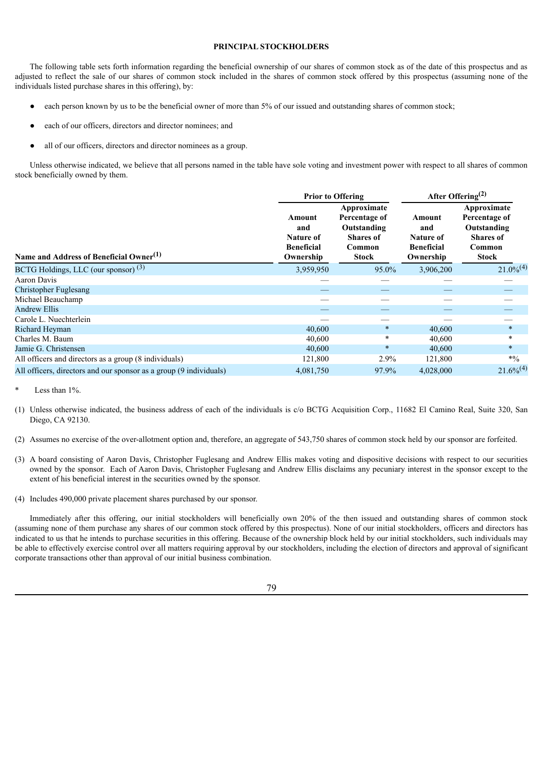# **PRINCIPAL STOCKHOLDERS**

The following table sets forth information regarding the beneficial ownership of our shares of common stock as of the date of this prospectus and as adjusted to reflect the sale of our shares of common stock included in the shares of common stock offered by this prospectus (assuming none of the individuals listed purchase shares in this offering), by:

- each person known by us to be the beneficial owner of more than 5% of our issued and outstanding shares of common stock;
- each of our officers, directors and director nominees; and
- all of our officers, directors and director nominees as a group.

Unless otherwise indicated, we believe that all persons named in the table have sole voting and investment power with respect to all shares of common stock beneficially owned by them.

|                                                                    |                                                                     | <b>Prior to Offering</b>                                                           | After Offering <sup>(2)</sup>                                |                                                                                           |  |  |  |
|--------------------------------------------------------------------|---------------------------------------------------------------------|------------------------------------------------------------------------------------|--------------------------------------------------------------|-------------------------------------------------------------------------------------------|--|--|--|
| Name and Address of Beneficial Owner <sup>(1)</sup>                | Amount<br>and<br><b>Nature of</b><br><b>Beneficial</b><br>Ownership | Approximate<br>Percentage of<br>Outstanding<br><b>Shares of</b><br>Common<br>Stock | Amount<br>and<br>Nature of<br><b>Beneficial</b><br>Ownership | Approximate<br>Percentage of<br>Outstanding<br><b>Shares of</b><br>Common<br><b>Stock</b> |  |  |  |
| BCTG Holdings, LLC (our sponsor) <sup>(3)</sup>                    | 3,959,950                                                           | 95.0%                                                                              | 3,906,200                                                    | $21.0\%^{(4)}$                                                                            |  |  |  |
| Aaron Davis                                                        |                                                                     |                                                                                    |                                                              |                                                                                           |  |  |  |
| <b>Christopher Fuglesang</b>                                       |                                                                     |                                                                                    |                                                              |                                                                                           |  |  |  |
| Michael Beauchamp                                                  |                                                                     |                                                                                    |                                                              |                                                                                           |  |  |  |
| <b>Andrew Ellis</b>                                                |                                                                     |                                                                                    |                                                              |                                                                                           |  |  |  |
| Carole L. Nuechterlein                                             |                                                                     |                                                                                    |                                                              |                                                                                           |  |  |  |
| Richard Heyman                                                     | 40,600                                                              | $\ast$                                                                             | 40,600                                                       | $\ast$                                                                                    |  |  |  |
| Charles M. Baum                                                    | 40,600                                                              | $\ast$                                                                             | 40,600                                                       | $\ast$                                                                                    |  |  |  |
| Jamie G. Christensen                                               | 40,600                                                              | $\ast$                                                                             | 40,600                                                       | $\ast$                                                                                    |  |  |  |
| All officers and directors as a group (8 individuals)              | 121,800                                                             | 2.9%                                                                               | 121,800                                                      | $*9/0$                                                                                    |  |  |  |
| All officers, directors and our sponsor as a group (9 individuals) | 4,081,750                                                           | 97.9%                                                                              | 4,028,000                                                    | $21.6\%^{(4)}$                                                                            |  |  |  |

- Less than  $1\%$ .
- (1) Unless otherwise indicated, the business address of each of the individuals is c/o BCTG Acquisition Corp., 11682 El Camino Real, Suite 320, San Diego, CA 92130.
- (2) Assumes no exercise of the over-allotment option and, therefore, an aggregate of 543,750 shares of common stock held by our sponsor are forfeited.
- (3) A board consisting of Aaron Davis, Christopher Fuglesang and Andrew Ellis makes voting and dispositive decisions with respect to our securities owned by the sponsor. Each of Aaron Davis, Christopher Fuglesang and Andrew Ellis disclaims any pecuniary interest in the sponsor except to the extent of his beneficial interest in the securities owned by the sponsor.
- (4) Includes 490,000 private placement shares purchased by our sponsor.

Immediately after this offering, our initial stockholders will beneficially own 20% of the then issued and outstanding shares of common stock (assuming none of them purchase any shares of our common stock offered by this prospectus). None of our initial stockholders, officers and directors has indicated to us that he intends to purchase securities in this offering. Because of the ownership block held by our initial stockholders, such individuals may be able to effectively exercise control over all matters requiring approval by our stockholders, including the election of directors and approval of significant corporate transactions other than approval of our initial business combination.

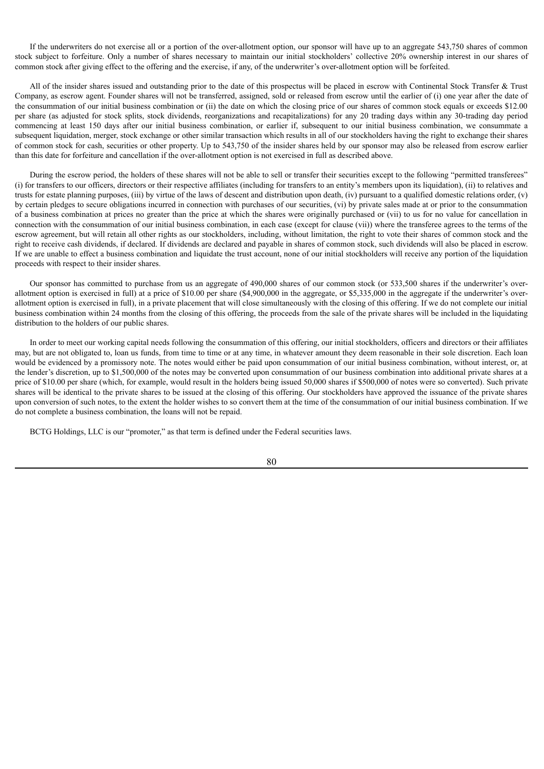If the underwriters do not exercise all or a portion of the over-allotment option, our sponsor will have up to an aggregate 543,750 shares of common stock subject to forfeiture. Only a number of shares necessary to maintain our initial stockholders' collective 20% ownership interest in our shares of common stock after giving effect to the offering and the exercise, if any, of the underwriter's over-allotment option will be forfeited.

All of the insider shares issued and outstanding prior to the date of this prospectus will be placed in escrow with Continental Stock Transfer  $\&$  Trust Company, as escrow agent. Founder shares will not be transferred, assigned, sold or released from escrow until the earlier of (i) one year after the date of the consummation of our initial business combination or (ii) the date on which the closing price of our shares of common stock equals or exceeds \$12.00 per share (as adjusted for stock splits, stock dividends, reorganizations and recapitalizations) for any 20 trading days within any 30-trading day period commencing at least 150 days after our initial business combination, or earlier if, subsequent to our initial business combination, we consummate a subsequent liquidation, merger, stock exchange or other similar transaction which results in all of our stockholders having the right to exchange their shares of common stock for cash, securities or other property. Up to 543,750 of the insider shares held by our sponsor may also be released from escrow earlier than this date for forfeiture and cancellation if the over-allotment option is not exercised in full as described above.

During the escrow period, the holders of these shares will not be able to sell or transfer their securities except to the following "permitted transferees" (i) for transfers to our officers, directors or their respective affiliates (including for transfers to an entity's members upon its liquidation), (ii) to relatives and trusts for estate planning purposes, (iii) by virtue of the laws of descent and distribution upon death, (iv) pursuant to a qualified domestic relations order, (v) by certain pledges to secure obligations incurred in connection with purchases of our securities, (vi) by private sales made at or prior to the consummation of a business combination at prices no greater than the price at which the shares were originally purchased or (vii) to us for no value for cancellation in connection with the consummation of our initial business combination, in each case (except for clause (vii)) where the transferee agrees to the terms of the escrow agreement, but will retain all other rights as our stockholders, including, without limitation, the right to vote their shares of common stock and the right to receive cash dividends, if declared. If dividends are declared and payable in shares of common stock, such dividends will also be placed in escrow. If we are unable to effect a business combination and liquidate the trust account, none of our initial stockholders will receive any portion of the liquidation proceeds with respect to their insider shares.

Our sponsor has committed to purchase from us an aggregate of 490,000 shares of our common stock (or 533,500 shares if the underwriter's overallotment option is exercised in full) at a price of \$10.00 per share (\$4,900,000 in the aggregate, or \$5,335,000 in the aggregate if the underwriter's overallotment option is exercised in full), in a private placement that will close simultaneously with the closing of this offering. If we do not complete our initial business combination within 24 months from the closing of this offering, the proceeds from the sale of the private shares will be included in the liquidating distribution to the holders of our public shares.

In order to meet our working capital needs following the consummation of this offering, our initial stockholders, officers and directors or their affiliates may, but are not obligated to, loan us funds, from time to time or at any time, in whatever amount they deem reasonable in their sole discretion. Each loan would be evidenced by a promissory note. The notes would either be paid upon consummation of our initial business combination, without interest, or, at the lender's discretion, up to \$1,500,000 of the notes may be converted upon consummation of our business combination into additional private shares at a price of \$10.00 per share (which, for example, would result in the holders being issued 50,000 shares if \$500,000 of notes were so converted). Such private shares will be identical to the private shares to be issued at the closing of this offering. Our stockholders have approved the issuance of the private shares upon conversion of such notes, to the extent the holder wishes to so convert them at the time of the consummation of our initial business combination. If we do not complete a business combination, the loans will not be repaid.

BCTG Holdings, LLC is our "promoter," as that term is defined under the Federal securities laws.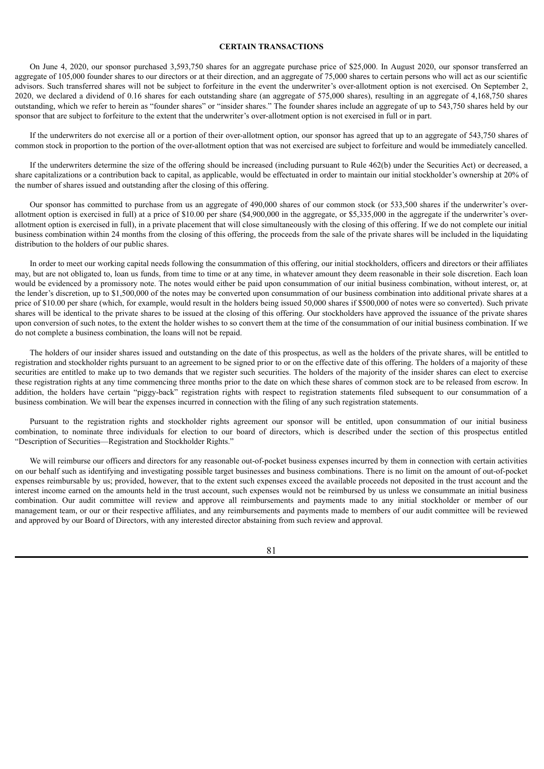# **CERTAIN TRANSACTIONS**

On June 4, 2020, our sponsor purchased 3,593,750 shares for an aggregate purchase price of \$25,000. In August 2020, our sponsor transferred an aggregate of 105,000 founder shares to our directors or at their direction, and an aggregate of 75,000 shares to certain persons who will act as our scientific advisors. Such transferred shares will not be subject to forfeiture in the event the underwriter's over-allotment option is not exercised. On September 2, 2020, we declared a dividend of 0.16 shares for each outstanding share (an aggregate of 575,000 shares), resulting in an aggregate of 4,168,750 shares outstanding, which we refer to herein as "founder shares" or "insider shares." The founder shares include an aggregate of up to 543,750 shares held by our sponsor that are subject to forfeiture to the extent that the underwriter's over-allotment option is not exercised in full or in part.

If the underwriters do not exercise all or a portion of their over-allotment option, our sponsor has agreed that up to an aggregate of 543,750 shares of common stock in proportion to the portion of the over-allotment option that was not exercised are subject to forfeiture and would be immediately cancelled.

If the underwriters determine the size of the offering should be increased (including pursuant to Rule 462(b) under the Securities Act) or decreased, a share capitalizations or a contribution back to capital, as applicable, would be effectuated in order to maintain our initial stockholder's ownership at 20% of the number of shares issued and outstanding after the closing of this offering.

Our sponsor has committed to purchase from us an aggregate of 490,000 shares of our common stock (or 533,500 shares if the underwriter's overallotment option is exercised in full) at a price of \$10.00 per share (\$4,900,000 in the aggregate, or \$5,335,000 in the aggregate if the underwriter's overallotment option is exercised in full), in a private placement that will close simultaneously with the closing of this offering. If we do not complete our initial business combination within 24 months from the closing of this offering, the proceeds from the sale of the private shares will be included in the liquidating distribution to the holders of our public shares.

In order to meet our working capital needs following the consummation of this offering, our initial stockholders, officers and directors or their affiliates may, but are not obligated to, loan us funds, from time to time or at any time, in whatever amount they deem reasonable in their sole discretion. Each loan would be evidenced by a promissory note. The notes would either be paid upon consummation of our initial business combination, without interest, or, at the lender's discretion, up to \$1,500,000 of the notes may be converted upon consummation of our business combination into additional private shares at a price of \$10.00 per share (which, for example, would result in the holders being issued 50,000 shares if \$500,000 of notes were so converted). Such private shares will be identical to the private shares to be issued at the closing of this offering. Our stockholders have approved the issuance of the private shares upon conversion of such notes, to the extent the holder wishes to so convert them at the time of the consummation of our initial business combination. If we do not complete a business combination, the loans will not be repaid.

The holders of our insider shares issued and outstanding on the date of this prospectus, as well as the holders of the private shares, will be entitled to registration and stockholder rights pursuant to an agreement to be signed prior to or on the effective date of this offering. The holders of a majority of these securities are entitled to make up to two demands that we register such securities. The holders of the majority of the insider shares can elect to exercise these registration rights at any time commencing three months prior to the date on which these shares of common stock are to be released from escrow. In addition, the holders have certain "piggy-back" registration rights with respect to registration statements filed subsequent to our consummation of a business combination. We will bear the expenses incurred in connection with the filing of any such registration statements.

Pursuant to the registration rights and stockholder rights agreement our sponsor will be entitled, upon consummation of our initial business combination, to nominate three individuals for election to our board of directors, which is described under the section of this prospectus entitled "Description of Securities—Registration and Stockholder Rights."

We will reimburse our officers and directors for any reasonable out-of-pocket business expenses incurred by them in connection with certain activities on our behalf such as identifying and investigating possible target businesses and business combinations. There is no limit on the amount of out-of-pocket expenses reimbursable by us; provided, however, that to the extent such expenses exceed the available proceeds not deposited in the trust account and the interest income earned on the amounts held in the trust account, such expenses would not be reimbursed by us unless we consummate an initial business combination. Our audit committee will review and approve all reimbursements and payments made to any initial stockholder or member of our management team, or our or their respective affiliates, and any reimbursements and payments made to members of our audit committee will be reviewed and approved by our Board of Directors, with any interested director abstaining from such review and approval.

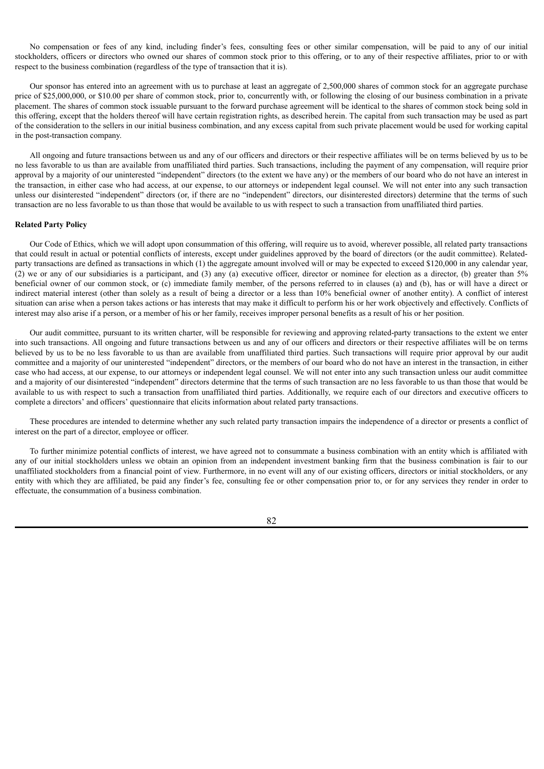No compensation or fees of any kind, including finder's fees, consulting fees or other similar compensation, will be paid to any of our initial stockholders, officers or directors who owned our shares of common stock prior to this offering, or to any of their respective affiliates, prior to or with respect to the business combination (regardless of the type of transaction that it is).

Our sponsor has entered into an agreement with us to purchase at least an aggregate of 2,500,000 shares of common stock for an aggregate purchase price of \$25,000,000, or \$10.00 per share of common stock, prior to, concurrently with, or following the closing of our business combination in a private placement. The shares of common stock issuable pursuant to the forward purchase agreement will be identical to the shares of common stock being sold in this offering, except that the holders thereof will have certain registration rights, as described herein. The capital from such transaction may be used as part of the consideration to the sellers in our initial business combination, and any excess capital from such private placement would be used for working capital in the post-transaction company.

All ongoing and future transactions between us and any of our officers and directors or their respective affiliates will be on terms believed by us to be no less favorable to us than are available from unaffiliated third parties. Such transactions, including the payment of any compensation, will require prior approval by a majority of our uninterested "independent" directors (to the extent we have any) or the members of our board who do not have an interest in the transaction, in either case who had access, at our expense, to our attorneys or independent legal counsel. We will not enter into any such transaction unless our disinterested "independent" directors (or, if there are no "independent" directors, our disinterested directors) determine that the terms of such transaction are no less favorable to us than those that would be available to us with respect to such a transaction from unaffiliated third parties.

#### **Related Party Policy**

Our Code of Ethics, which we will adopt upon consummation of this offering, will require us to avoid, wherever possible, all related party transactions that could result in actual or potential conflicts of interests, except under guidelines approved by the board of directors (or the audit committee). Relatedparty transactions are defined as transactions in which (1) the aggregate amount involved will or may be expected to exceed \$120,000 in any calendar year, (2) we or any of our subsidiaries is a participant, and (3) any (a) executive officer, director or nominee for election as a director, (b) greater than 5% beneficial owner of our common stock, or (c) immediate family member, of the persons referred to in clauses (a) and (b), has or will have a direct or indirect material interest (other than solely as a result of being a director or a less than 10% beneficial owner of another entity). A conflict of interest situation can arise when a person takes actions or has interests that may make it difficult to perform his or her work objectively and effectively. Conflicts of interest may also arise if a person, or a member of his or her family, receives improper personal benefits as a result of his or her position.

Our audit committee, pursuant to its written charter, will be responsible for reviewing and approving related-party transactions to the extent we enter into such transactions. All ongoing and future transactions between us and any of our officers and directors or their respective affiliates will be on terms believed by us to be no less favorable to us than are available from unaffiliated third parties. Such transactions will require prior approval by our audit committee and a majority of our uninterested "independent" directors, or the members of our board who do not have an interest in the transaction, in either case who had access, at our expense, to our attorneys or independent legal counsel. We will not enter into any such transaction unless our audit committee and a majority of our disinterested "independent" directors determine that the terms of such transaction are no less favorable to us than those that would be available to us with respect to such a transaction from unaffiliated third parties. Additionally, we require each of our directors and executive officers to complete a directors' and officers' questionnaire that elicits information about related party transactions.

These procedures are intended to determine whether any such related party transaction impairs the independence of a director or presents a conflict of interest on the part of a director, employee or officer.

To further minimize potential conflicts of interest, we have agreed not to consummate a business combination with an entity which is affiliated with any of our initial stockholders unless we obtain an opinion from an independent investment banking firm that the business combination is fair to our unaffiliated stockholders from a financial point of view. Furthermore, in no event will any of our existing officers, directors or initial stockholders, or any entity with which they are affiliated, be paid any finder's fee, consulting fee or other compensation prior to, or for any services they render in order to effectuate, the consummation of a business combination.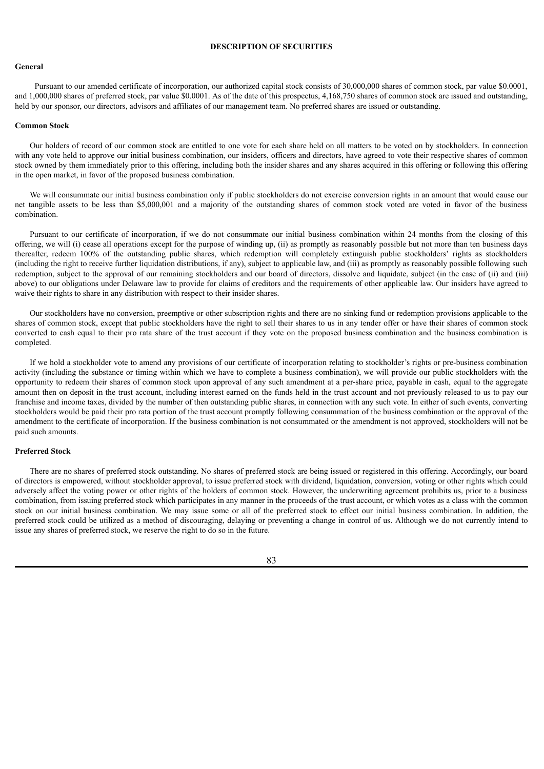# **DESCRIPTION OF SECURITIES**

# **General**

Pursuant to our amended certificate of incorporation, our authorized capital stock consists of 30,000,000 shares of common stock, par value \$0.0001, and 1,000,000 shares of preferred stock, par value \$0.0001. As of the date of this prospectus, 4,168,750 shares of common stock are issued and outstanding, held by our sponsor, our directors, advisors and affiliates of our management team. No preferred shares are issued or outstanding.

#### **Common Stock**

Our holders of record of our common stock are entitled to one vote for each share held on all matters to be voted on by stockholders. In connection with any vote held to approve our initial business combination, our insiders, officers and directors, have agreed to vote their respective shares of common stock owned by them immediately prior to this offering, including both the insider shares and any shares acquired in this offering or following this offering in the open market, in favor of the proposed business combination.

We will consummate our initial business combination only if public stockholders do not exercise conversion rights in an amount that would cause our net tangible assets to be less than \$5,000,001 and a majority of the outstanding shares of common stock voted are voted in favor of the business combination.

Pursuant to our certificate of incorporation, if we do not consummate our initial business combination within 24 months from the closing of this offering, we will (i) cease all operations except for the purpose of winding up, (ii) as promptly as reasonably possible but not more than ten business days thereafter, redeem 100% of the outstanding public shares, which redemption will completely extinguish public stockholders' rights as stockholders (including the right to receive further liquidation distributions, if any), subject to applicable law, and (iii) as promptly as reasonably possible following such redemption, subject to the approval of our remaining stockholders and our board of directors, dissolve and liquidate, subject (in the case of (ii) and (iii) above) to our obligations under Delaware law to provide for claims of creditors and the requirements of other applicable law. Our insiders have agreed to waive their rights to share in any distribution with respect to their insider shares.

Our stockholders have no conversion, preemptive or other subscription rights and there are no sinking fund or redemption provisions applicable to the shares of common stock, except that public stockholders have the right to sell their shares to us in any tender offer or have their shares of common stock converted to cash equal to their pro rata share of the trust account if they vote on the proposed business combination and the business combination is completed.

If we hold a stockholder vote to amend any provisions of our certificate of incorporation relating to stockholder's rights or pre-business combination activity (including the substance or timing within which we have to complete a business combination), we will provide our public stockholders with the opportunity to redeem their shares of common stock upon approval of any such amendment at a per-share price, payable in cash, equal to the aggregate amount then on deposit in the trust account, including interest earned on the funds held in the trust account and not previously released to us to pay our franchise and income taxes, divided by the number of then outstanding public shares, in connection with any such vote. In either of such events, converting stockholders would be paid their pro rata portion of the trust account promptly following consummation of the business combination or the approval of the amendment to the certificate of incorporation. If the business combination is not consummated or the amendment is not approved, stockholders will not be paid such amounts.

#### **Preferred Stock**

There are no shares of preferred stock outstanding. No shares of preferred stock are being issued or registered in this offering. Accordingly, our board of directors is empowered, without stockholder approval, to issue preferred stock with dividend, liquidation, conversion, voting or other rights which could adversely affect the voting power or other rights of the holders of common stock. However, the underwriting agreement prohibits us, prior to a business combination, from issuing preferred stock which participates in any manner in the proceeds of the trust account, or which votes as a class with the common stock on our initial business combination. We may issue some or all of the preferred stock to effect our initial business combination. In addition, the preferred stock could be utilized as a method of discouraging, delaying or preventing a change in control of us. Although we do not currently intend to issue any shares of preferred stock, we reserve the right to do so in the future.

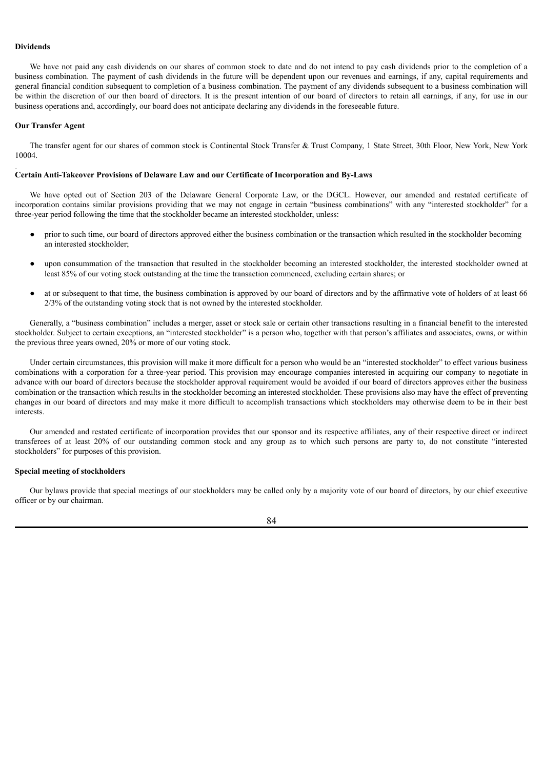# **Dividends**

We have not paid any cash dividends on our shares of common stock to date and do not intend to pay cash dividends prior to the completion of a business combination. The payment of cash dividends in the future will be dependent upon our revenues and earnings, if any, capital requirements and general financial condition subsequent to completion of a business combination. The payment of any dividends subsequent to a business combination will be within the discretion of our then board of directors. It is the present intention of our board of directors to retain all earnings, if any, for use in our business operations and, accordingly, our board does not anticipate declaring any dividends in the foreseeable future.

#### **Our Transfer Agent**

The transfer agent for our shares of common stock is Continental Stock Transfer & Trust Company, 1 State Street, 30th Floor, New York, New York 10004.

# **Certain Anti-Takeover Provisions of Delaware Law and our Certificate of Incorporation and By-Laws**

We have opted out of Section 203 of the Delaware General Corporate Law, or the DGCL. However, our amended and restated certificate of incorporation contains similar provisions providing that we may not engage in certain "business combinations" with any "interested stockholder" for a three-year period following the time that the stockholder became an interested stockholder, unless:

- prior to such time, our board of directors approved either the business combination or the transaction which resulted in the stockholder becoming an interested stockholder;
- upon consummation of the transaction that resulted in the stockholder becoming an interested stockholder, the interested stockholder owned at least 85% of our voting stock outstanding at the time the transaction commenced, excluding certain shares; or
- at or subsequent to that time, the business combination is approved by our board of directors and by the affirmative vote of holders of at least 66 2/3% of the outstanding voting stock that is not owned by the interested stockholder.

Generally, a "business combination" includes a merger, asset or stock sale or certain other transactions resulting in a financial benefit to the interested stockholder. Subject to certain exceptions, an "interested stockholder" is a person who, together with that person's affiliates and associates, owns, or within the previous three years owned, 20% or more of our voting stock.

Under certain circumstances, this provision will make it more difficult for a person who would be an "interested stockholder" to effect various business combinations with a corporation for a three-year period. This provision may encourage companies interested in acquiring our company to negotiate in advance with our board of directors because the stockholder approval requirement would be avoided if our board of directors approves either the business combination or the transaction which results in the stockholder becoming an interested stockholder. These provisions also may have the effect of preventing changes in our board of directors and may make it more difficult to accomplish transactions which stockholders may otherwise deem to be in their best interests.

Our amended and restated certificate of incorporation provides that our sponsor and its respective affiliates, any of their respective direct or indirect transferees of at least 20% of our outstanding common stock and any group as to which such persons are party to, do not constitute "interested stockholders" for purposes of this provision.

#### **Special meeting of stockholders**

Our bylaws provide that special meetings of our stockholders may be called only by a majority vote of our board of directors, by our chief executive officer or by our chairman.

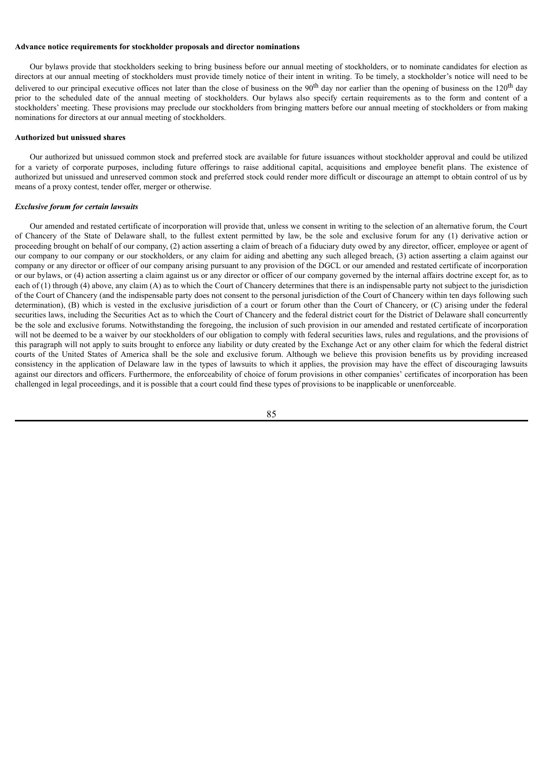#### **Advance notice requirements for stockholder proposals and director nominations**

Our bylaws provide that stockholders seeking to bring business before our annual meeting of stockholders, or to nominate candidates for election as directors at our annual meeting of stockholders must provide timely notice of their intent in writing. To be timely, a stockholder's notice will need to be delivered to our principal executive offices not later than the close of business on the  $90<sup>th</sup>$  day nor earlier than the opening of business on the  $120<sup>th</sup>$  day prior to the scheduled date of the annual meeting of stockholders. Our bylaws also specify certain requirements as to the form and content of a stockholders' meeting. These provisions may preclude our stockholders from bringing matters before our annual meeting of stockholders or from making nominations for directors at our annual meeting of stockholders.

#### **Authorized but unissued shares**

Our authorized but unissued common stock and preferred stock are available for future issuances without stockholder approval and could be utilized for a variety of corporate purposes, including future offerings to raise additional capital, acquisitions and employee benefit plans. The existence of authorized but unissued and unreserved common stock and preferred stock could render more difficult or discourage an attempt to obtain control of us by means of a proxy contest, tender offer, merger or otherwise.

#### *Exclusive forum for certain lawsuits*

Our amended and restated certificate of incorporation will provide that, unless we consent in writing to the selection of an alternative forum, the Court of Chancery of the State of Delaware shall, to the fullest extent permitted by law, be the sole and exclusive forum for any (1) derivative action or proceeding brought on behalf of our company, (2) action asserting a claim of breach of a fiduciary duty owed by any director, officer, employee or agent of our company to our company or our stockholders, or any claim for aiding and abetting any such alleged breach, (3) action asserting a claim against our company or any director or officer of our company arising pursuant to any provision of the DGCL or our amended and restated certificate of incorporation or our bylaws, or (4) action asserting a claim against us or any director or officer of our company governed by the internal affairs doctrine except for, as to each of  $(1)$  through  $(4)$  above, any claim  $(A)$  as to which the Court of Chancery determines that there is an indispensable party not subject to the jurisdiction of the Court of Chancery (and the indispensable party does not consent to the personal jurisdiction of the Court of Chancery within ten days following such determination), (B) which is vested in the exclusive jurisdiction of a court or forum other than the Court of Chancery, or (C) arising under the federal securities laws, including the Securities Act as to which the Court of Chancery and the federal district court for the District of Delaware shall concurrently be the sole and exclusive forums. Notwithstanding the foregoing, the inclusion of such provision in our amended and restated certificate of incorporation will not be deemed to be a waiver by our stockholders of our obligation to comply with federal securities laws, rules and regulations, and the provisions of this paragraph will not apply to suits brought to enforce any liability or duty created by the Exchange Act or any other claim for which the federal district courts of the United States of America shall be the sole and exclusive forum. Although we believe this provision benefits us by providing increased consistency in the application of Delaware law in the types of lawsuits to which it applies, the provision may have the effect of discouraging lawsuits against our directors and officers. Furthermore, the enforceability of choice of forum provisions in other companies' certificates of incorporation has been challenged in legal proceedings, and it is possible that a court could find these types of provisions to be inapplicable or unenforceable.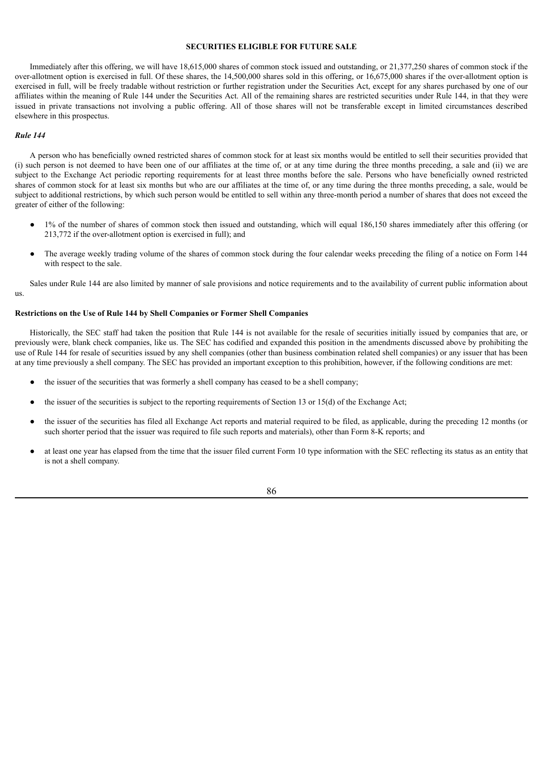# **SECURITIES ELIGIBLE FOR FUTURE SALE**

Immediately after this offering, we will have 18,615,000 shares of common stock issued and outstanding, or 21,377,250 shares of common stock if the over-allotment option is exercised in full. Of these shares, the 14,500,000 shares sold in this offering, or 16,675,000 shares if the over-allotment option is exercised in full, will be freely tradable without restriction or further registration under the Securities Act, except for any shares purchased by one of our affiliates within the meaning of Rule 144 under the Securities Act. All of the remaining shares are restricted securities under Rule 144, in that they were issued in private transactions not involving a public offering. All of those shares will not be transferable except in limited circumstances described elsewhere in this prospectus.

#### *Rule 144*

A person who has beneficially owned restricted shares of common stock for at least six months would be entitled to sell their securities provided that (i) such person is not deemed to have been one of our affiliates at the time of, or at any time during the three months preceding, a sale and (ii) we are subject to the Exchange Act periodic reporting requirements for at least three months before the sale. Persons who have beneficially owned restricted shares of common stock for at least six months but who are our affiliates at the time of, or any time during the three months preceding, a sale, would be subject to additional restrictions, by which such person would be entitled to sell within any three-month period a number of shares that does not exceed the greater of either of the following:

- 1% of the number of shares of common stock then issued and outstanding, which will equal 186,150 shares immediately after this offering (or 213,772 if the over-allotment option is exercised in full); and
- The average weekly trading volume of the shares of common stock during the four calendar weeks preceding the filing of a notice on Form 144 with respect to the sale.

Sales under Rule 144 are also limited by manner of sale provisions and notice requirements and to the availability of current public information about us.

#### **Restrictions on the Use of Rule 144 by Shell Companies or Former Shell Companies**

Historically, the SEC staff had taken the position that Rule 144 is not available for the resale of securities initially issued by companies that are, or previously were, blank check companies, like us. The SEC has codified and expanded this position in the amendments discussed above by prohibiting the use of Rule 144 for resale of securities issued by any shell companies (other than business combination related shell companies) or any issuer that has been at any time previously a shell company. The SEC has provided an important exception to this prohibition, however, if the following conditions are met:

- the issuer of the securities that was formerly a shell company has ceased to be a shell company;
- the issuer of the securities is subject to the reporting requirements of Section 13 or 15(d) of the Exchange Act;
- the issuer of the securities has filed all Exchange Act reports and material required to be filed, as applicable, during the preceding 12 months (or such shorter period that the issuer was required to file such reports and materials), other than Form 8-K reports; and
- at least one year has elapsed from the time that the issuer filed current Form 10 type information with the SEC reflecting its status as an entity that is not a shell company.

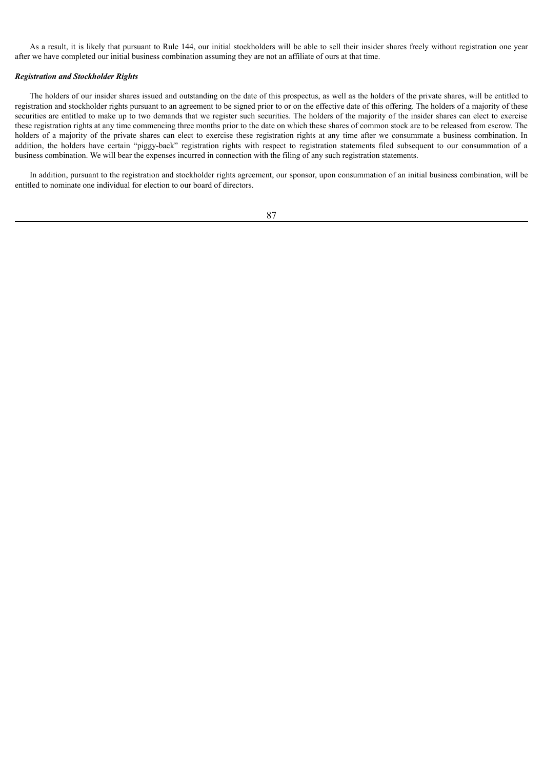As a result, it is likely that pursuant to Rule 144, our initial stockholders will be able to sell their insider shares freely without registration one year after we have completed our initial business combination assuming they are not an affiliate of ours at that time.

#### *Registration and Stockholder Rights*

The holders of our insider shares issued and outstanding on the date of this prospectus, as well as the holders of the private shares, will be entitled to registration and stockholder rights pursuant to an agreement to be signed prior to or on the effective date of this offering. The holders of a majority of these securities are entitled to make up to two demands that we register such securities. The holders of the majority of the insider shares can elect to exercise these registration rights at any time commencing three months prior to the date on which these shares of common stock are to be released from escrow. The holders of a majority of the private shares can elect to exercise these registration rights at any time after we consummate a business combination. In addition, the holders have certain "piggy-back" registration rights with respect to registration statements filed subsequent to our consummation of a business combination. We will bear the expenses incurred in connection with the filing of any such registration statements.

In addition, pursuant to the registration and stockholder rights agreement, our sponsor, upon consummation of an initial business combination, will be entitled to nominate one individual for election to our board of directors.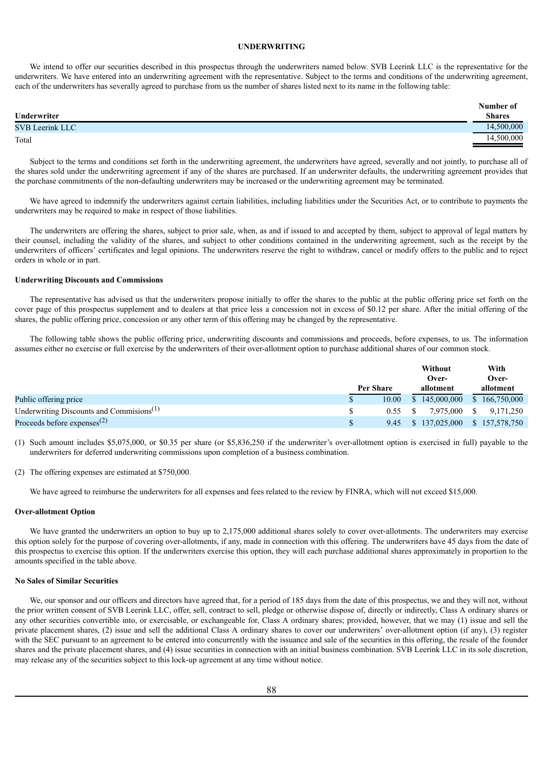# **UNDERWRITING**

We intend to offer our securities described in this prospectus through the underwriters named below. SVB Leerink LLC is the representative for the underwriters. We have entered into an underwriting agreement with the representative. Subject to the terms and conditions of the underwriting agreement, each of the underwriters has severally agreed to purchase from us the number of shares listed next to its name in the following table:

| Underwriter            | Number of<br><b>Shares</b> |
|------------------------|----------------------------|
| <b>SVB Leerink LLC</b> | 14.500,000                 |
| Total                  | 14.500.000                 |

Subject to the terms and conditions set forth in the underwriting agreement, the underwriters have agreed, severally and not jointly, to purchase all of the shares sold under the underwriting agreement if any of the shares are purchased. If an underwriter defaults, the underwriting agreement provides that the purchase commitments of the non-defaulting underwriters may be increased or the underwriting agreement may be terminated.

We have agreed to indemnify the underwriters against certain liabilities, including liabilities under the Securities Act, or to contribute to payments the underwriters may be required to make in respect of those liabilities.

The underwriters are offering the shares, subject to prior sale, when, as and if issued to and accepted by them, subject to approval of legal matters by their counsel, including the validity of the shares, and subject to other conditions contained in the underwriting agreement, such as the receipt by the underwriters of officers' certificates and legal opinions. The underwriters reserve the right to withdraw, cancel or modify offers to the public and to reject orders in whole or in part.

#### **Underwriting Discounts and Commissions**

The representative has advised us that the underwriters propose initially to offer the shares to the public at the public offering price set forth on the cover page of this prospectus supplement and to dealers at that price less a concession not in excess of \$0.12 per share. After the initial offering of the shares, the public offering price, concession or any other term of this offering may be changed by the representative.

The following table shows the public offering price, underwriting discounts and commissions and proceeds, before expenses, to us. The information assumes either no exercise or full exercise by the underwriters of their over-allotment option to purchase additional shares of our common stock.

|                                                                   |                  | Without                                    |                        |
|-------------------------------------------------------------------|------------------|--------------------------------------------|------------------------|
|                                                                   |                  | Over-                                      | Over-                  |
|                                                                   | <b>Per Share</b> | allotment                                  | allotment              |
| Public offering price                                             | 10.00            | \$145,000,000                              | \$166,750,000          |
| Underwriting Discounts and Commisions <sup><math>(1)</math></sup> | 0.55 S           |                                            | 7,975,000 \$ 9,171,250 |
| Proceeds before expenses <sup>(2)</sup>                           | 9.45             | \$\;\;\;137,025,000\;\;\;\;\;\;157,578,750 |                        |

(1) Such amount includes \$5,075,000, or \$0.35 per share (or \$5,836,250 if the underwriter's over-allotment option is exercised in full) payable to the underwriters for deferred underwriting commissions upon completion of a business combination.

#### (2) The offering expenses are estimated at \$750,000.

We have agreed to reimburse the underwriters for all expenses and fees related to the review by FINRA, which will not exceed \$15,000.

#### **Over-allotment Option**

We have granted the underwriters an option to buy up to 2,175,000 additional shares solely to cover over-allotments. The underwriters may exercise this option solely for the purpose of covering over-allotments, if any, made in connection with this offering. The underwriters have 45 days from the date of this prospectus to exercise this option. If the underwriters exercise this option, they will each purchase additional shares approximately in proportion to the amounts specified in the table above.

#### **No Sales of Similar Securities**

We, our sponsor and our officers and directors have agreed that, for a period of 185 days from the date of this prospectus, we and they will not, without the prior written consent of SVB Leerink LLC, offer, sell, contract to sell, pledge or otherwise dispose of, directly or indirectly, Class A ordinary shares or any other securities convertible into, or exercisable, or exchangeable for, Class A ordinary shares; provided, however, that we may (1) issue and sell the private placement shares, (2) issue and sell the additional Class A ordinary shares to cover our underwriters' over-allotment option (if any), (3) register with the SEC pursuant to an agreement to be entered into concurrently with the issuance and sale of the securities in this offering, the resale of the founder shares and the private placement shares, and (4) issue securities in connection with an initial business combination. SVB Leerink LLC in its sole discretion, may release any of the securities subject to this lock-up agreement at any time without notice.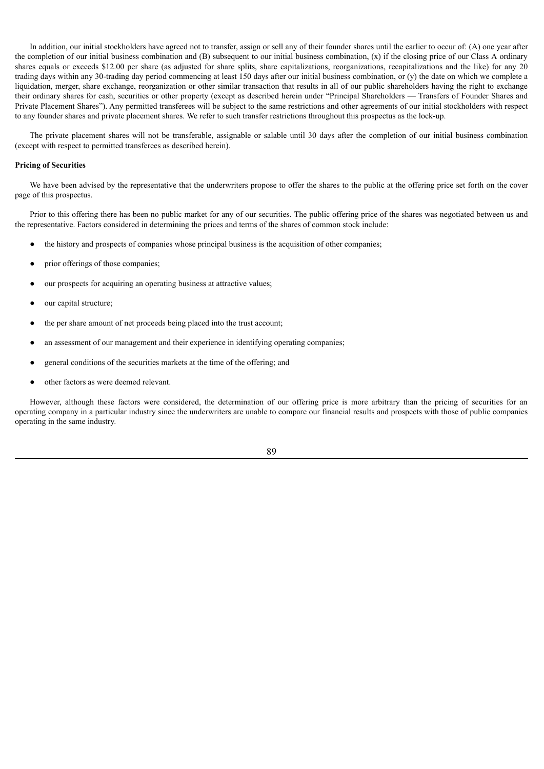In addition, our initial stockholders have agreed not to transfer, assign or sell any of their founder shares until the earlier to occur of: (A) one year after the completion of our initial business combination and  $(B)$  subsequent to our initial business combination,  $(x)$  if the closing price of our Class A ordinary shares equals or exceeds \$12.00 per share (as adjusted for share splits, share capitalizations, reorganizations, recapitalizations and the like) for any 20 trading days within any 30-trading day period commencing at least 150 days after our initial business combination, or (y) the date on which we complete a liquidation, merger, share exchange, reorganization or other similar transaction that results in all of our public shareholders having the right to exchange their ordinary shares for cash, securities or other property (except as described herein under "Principal Shareholders — Transfers of Founder Shares and Private Placement Shares"). Any permitted transferees will be subject to the same restrictions and other agreements of our initial stockholders with respect to any founder shares and private placement shares. We refer to such transfer restrictions throughout this prospectus as the lock-up.

The private placement shares will not be transferable, assignable or salable until 30 days after the completion of our initial business combination (except with respect to permitted transferees as described herein).

#### **Pricing of Securities**

We have been advised by the representative that the underwriters propose to offer the shares to the public at the offering price set forth on the cover page of this prospectus.

Prior to this offering there has been no public market for any of our securities. The public offering price of the shares was negotiated between us and the representative. Factors considered in determining the prices and terms of the shares of common stock include:

- the history and prospects of companies whose principal business is the acquisition of other companies;
- prior offerings of those companies;
- our prospects for acquiring an operating business at attractive values;
- our capital structure;
- the per share amount of net proceeds being placed into the trust account;
- an assessment of our management and their experience in identifying operating companies;
- general conditions of the securities markets at the time of the offering; and
- other factors as were deemed relevant.

However, although these factors were considered, the determination of our offering price is more arbitrary than the pricing of securities for an operating company in a particular industry since the underwriters are unable to compare our financial results and prospects with those of public companies operating in the same industry.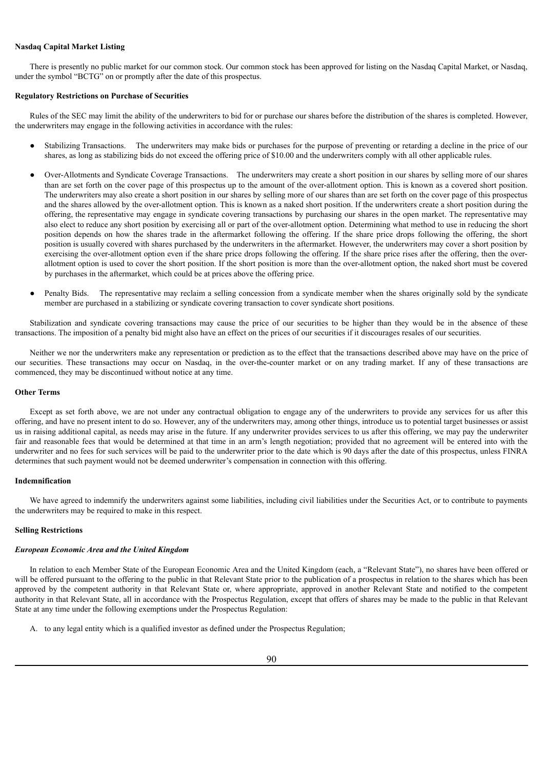#### **Nasdaq Capital Market Listing**

There is presently no public market for our common stock. Our common stock has been approved for listing on the Nasdaq Capital Market, or Nasdaq, under the symbol "BCTG" on or promptly after the date of this prospectus.

#### **Regulatory Restrictions on Purchase of Securities**

Rules of the SEC may limit the ability of the underwriters to bid for or purchase our shares before the distribution of the shares is completed. However, the underwriters may engage in the following activities in accordance with the rules:

- Stabilizing Transactions. The underwriters may make bids or purchases for the purpose of preventing or retarding a decline in the price of our shares, as long as stabilizing bids do not exceed the offering price of \$10.00 and the underwriters comply with all other applicable rules.
- Over-Allotments and Syndicate Coverage Transactions. The underwriters may create a short position in our shares by selling more of our shares than are set forth on the cover page of this prospectus up to the amount of the over-allotment option. This is known as a covered short position. The underwriters may also create a short position in our shares by selling more of our shares than are set forth on the cover page of this prospectus and the shares allowed by the over-allotment option. This is known as a naked short position. If the underwriters create a short position during the offering, the representative may engage in syndicate covering transactions by purchasing our shares in the open market. The representative may also elect to reduce any short position by exercising all or part of the over-allotment option. Determining what method to use in reducing the short position depends on how the shares trade in the aftermarket following the offering. If the share price drops following the offering, the short position is usually covered with shares purchased by the underwriters in the aftermarket. However, the underwriters may cover a short position by exercising the over-allotment option even if the share price drops following the offering. If the share price rises after the offering, then the overallotment option is used to cover the short position. If the short position is more than the over-allotment option, the naked short must be covered by purchases in the aftermarket, which could be at prices above the offering price.
- Penalty Bids. The representative may reclaim a selling concession from a syndicate member when the shares originally sold by the syndicate member are purchased in a stabilizing or syndicate covering transaction to cover syndicate short positions.

Stabilization and syndicate covering transactions may cause the price of our securities to be higher than they would be in the absence of these transactions. The imposition of a penalty bid might also have an effect on the prices of our securities if it discourages resales of our securities.

Neither we nor the underwriters make any representation or prediction as to the effect that the transactions described above may have on the price of our securities. These transactions may occur on Nasdaq, in the over-the-counter market or on any trading market. If any of these transactions are commenced, they may be discontinued without notice at any time.

#### **Other Terms**

Except as set forth above, we are not under any contractual obligation to engage any of the underwriters to provide any services for us after this offering, and have no present intent to do so. However, any of the underwriters may, among other things, introduce us to potential target businesses or assist us in raising additional capital, as needs may arise in the future. If any underwriter provides services to us after this offering, we may pay the underwriter fair and reasonable fees that would be determined at that time in an arm's length negotiation; provided that no agreement will be entered into with the underwriter and no fees for such services will be paid to the underwriter prior to the date which is 90 days after the date of this prospectus, unless FINRA determines that such payment would not be deemed underwriter's compensation in connection with this offering.

#### **Indemnification**

We have agreed to indemnify the underwriters against some liabilities, including civil liabilities under the Securities Act, or to contribute to payments the underwriters may be required to make in this respect.

#### **Selling Restrictions**

#### *European Economic Area and the United Kingdom*

In relation to each Member State of the European Economic Area and the United Kingdom (each, a "Relevant State"), no shares have been offered or will be offered pursuant to the offering to the public in that Relevant State prior to the publication of a prospectus in relation to the shares which has been approved by the competent authority in that Relevant State or, where appropriate, approved in another Relevant State and notified to the competent authority in that Relevant State, all in accordance with the Prospectus Regulation, except that offers of shares may be made to the public in that Relevant State at any time under the following exemptions under the Prospectus Regulation:

A. to any legal entity which is a qualified investor as defined under the Prospectus Regulation;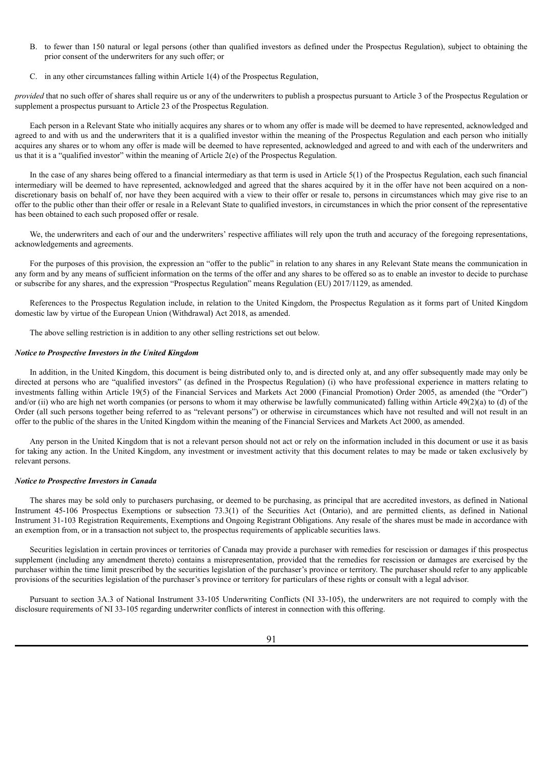- B. to fewer than 150 natural or legal persons (other than qualified investors as defined under the Prospectus Regulation), subject to obtaining the prior consent of the underwriters for any such offer; or
- C. in any other circumstances falling within Article 1(4) of the Prospectus Regulation,

*provided* that no such offer of shares shall require us or any of the underwriters to publish a prospectus pursuant to Article 3 of the Prospectus Regulation or supplement a prospectus pursuant to Article 23 of the Prospectus Regulation.

Each person in a Relevant State who initially acquires any shares or to whom any offer is made will be deemed to have represented, acknowledged and agreed to and with us and the underwriters that it is a qualified investor within the meaning of the Prospectus Regulation and each person who initially acquires any shares or to whom any offer is made will be deemed to have represented, acknowledged and agreed to and with each of the underwriters and us that it is a "qualified investor" within the meaning of Article 2(e) of the Prospectus Regulation.

In the case of any shares being offered to a financial intermediary as that term is used in Article 5(1) of the Prospectus Regulation, each such financial intermediary will be deemed to have represented, acknowledged and agreed that the shares acquired by it in the offer have not been acquired on a nondiscretionary basis on behalf of, nor have they been acquired with a view to their offer or resale to, persons in circumstances which may give rise to an offer to the public other than their offer or resale in a Relevant State to qualified investors, in circumstances in which the prior consent of the representative has been obtained to each such proposed offer or resale.

We, the underwriters and each of our and the underwriters' respective affiliates will rely upon the truth and accuracy of the foregoing representations, acknowledgements and agreements.

For the purposes of this provision, the expression an "offer to the public" in relation to any shares in any Relevant State means the communication in any form and by any means of sufficient information on the terms of the offer and any shares to be offered so as to enable an investor to decide to purchase or subscribe for any shares, and the expression "Prospectus Regulation" means Regulation (EU) 2017/1129, as amended.

References to the Prospectus Regulation include, in relation to the United Kingdom, the Prospectus Regulation as it forms part of United Kingdom domestic law by virtue of the European Union (Withdrawal) Act 2018, as amended.

The above selling restriction is in addition to any other selling restrictions set out below.

#### *Notice to Prospective Investors in the United Kingdom*

In addition, in the United Kingdom, this document is being distributed only to, and is directed only at, and any offer subsequently made may only be directed at persons who are "qualified investors" (as defined in the Prospectus Regulation) (i) who have professional experience in matters relating to investments falling within Article 19(5) of the Financial Services and Markets Act 2000 (Financial Promotion) Order 2005, as amended (the "Order") and/or (ii) who are high net worth companies (or persons to whom it may otherwise be lawfully communicated) falling within Article 49(2)(a) to (d) of the Order (all such persons together being referred to as "relevant persons") or otherwise in circumstances which have not resulted and will not result in an offer to the public of the shares in the United Kingdom within the meaning of the Financial Services and Markets Act 2000, as amended.

Any person in the United Kingdom that is not a relevant person should not act or rely on the information included in this document or use it as basis for taking any action. In the United Kingdom, any investment or investment activity that this document relates to may be made or taken exclusively by relevant persons.

#### *Notice to Prospective Investors in Canada*

The shares may be sold only to purchasers purchasing, or deemed to be purchasing, as principal that are accredited investors, as defined in National Instrument 45-106 Prospectus Exemptions or subsection 73.3(1) of the Securities Act (Ontario), and are permitted clients, as defined in National Instrument 31-103 Registration Requirements, Exemptions and Ongoing Registrant Obligations. Any resale of the shares must be made in accordance with an exemption from, or in a transaction not subject to, the prospectus requirements of applicable securities laws.

Securities legislation in certain provinces or territories of Canada may provide a purchaser with remedies for rescission or damages if this prospectus supplement (including any amendment thereto) contains a misrepresentation, provided that the remedies for rescission or damages are exercised by the purchaser within the time limit prescribed by the securities legislation of the purchaser's province or territory. The purchaser should refer to any applicable provisions of the securities legislation of the purchaser's province or territory for particulars of these rights or consult with a legal advisor.

Pursuant to section 3A.3 of National Instrument 33-105 Underwriting Conflicts (NI 33-105), the underwriters are not required to comply with the disclosure requirements of NI 33-105 regarding underwriter conflicts of interest in connection with this offering.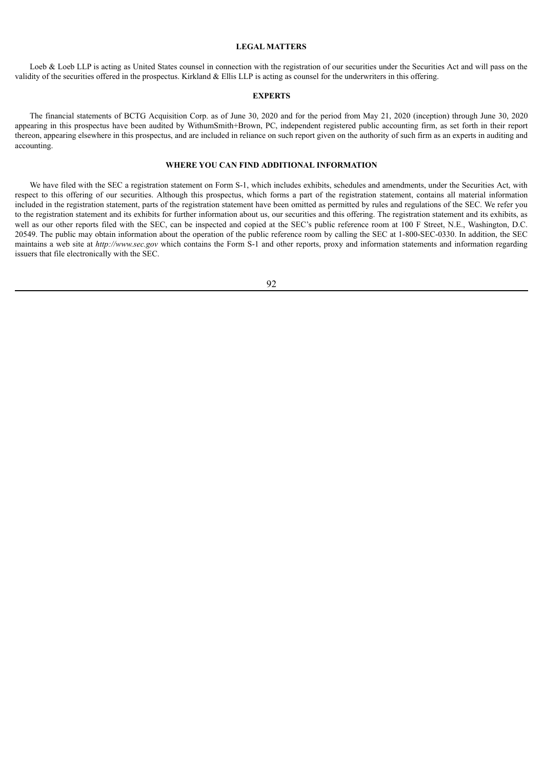#### **LEGAL MATTERS**

Loeb & Loeb LLP is acting as United States counsel in connection with the registration of our securities under the Securities Act and will pass on the validity of the securities offered in the prospectus. Kirkland  $\&$  Ellis LLP is acting as counsel for the underwriters in this offering.

# **EXPERTS**

The financial statements of BCTG Acquisition Corp. as of June 30, 2020 and for the period from May 21, 2020 (inception) through June 30, 2020 appearing in this prospectus have been audited by WithumSmith+Brown, PC, independent registered public accounting firm, as set forth in their report thereon, appearing elsewhere in this prospectus, and are included in reliance on such report given on the authority of such firm as an experts in auditing and accounting.

# **WHERE YOU CAN FIND ADDITIONAL INFORMATION**

We have filed with the SEC a registration statement on Form S-1, which includes exhibits, schedules and amendments, under the Securities Act, with respect to this offering of our securities. Although this prospectus, which forms a part of the registration statement, contains all material information included in the registration statement, parts of the registration statement have been omitted as permitted by rules and regulations of the SEC. We refer you to the registration statement and its exhibits for further information about us, our securities and this offering. The registration statement and its exhibits, as well as our other reports filed with the SEC, can be inspected and copied at the SEC's public reference room at 100 F Street, N.E., Washington, D.C. 20549. The public may obtain information about the operation of the public reference room by calling the SEC at 1-800-SEC-0330. In addition, the SEC maintains a web site at *http://www.sec.gov* which contains the Form S-1 and other reports, proxy and information statements and information regarding issuers that file electronically with the SEC.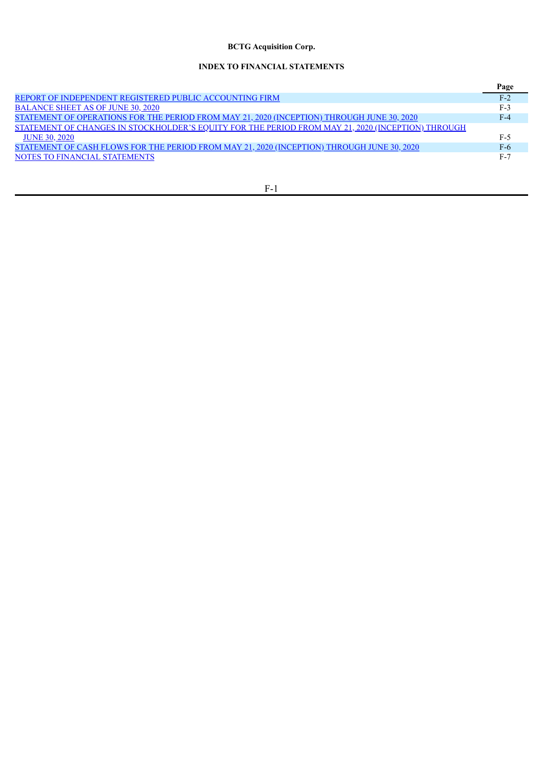# **BCTG Acquisition Corp.**

# **INDEX TO FINANCIAL STATEMENTS**

|                                                                                                          | Page  |
|----------------------------------------------------------------------------------------------------------|-------|
| REPORT OF INDEPENDENT REGISTERED PUBLIC ACCOUNTING FIRM                                                  | $F-2$ |
| <b>BALANCE SHEET AS OF JUNE 30, 2020</b>                                                                 | $F-3$ |
| STATEMENT OF OPERATIONS FOR THE PERIOD FROM MAY 21, 2020 (INCEPTION) THROUGH JUNE 30, 2020               | $F-4$ |
| <u>STATEMENT OF CHANGES IN STOCKHOLDER'S EQUITY FOR THE PERIOD FROM MAY 21, 2020 (INCEPTION) THROUGH</u> |       |
| <b>JUNE 30, 2020</b>                                                                                     | $F-5$ |
| STATEMENT OF CASH FLOWS FOR THE PERIOD FROM MAY 21, 2020 (INCEPTION) THROUGH JUNE 30, 2020               | $F-6$ |
| NOTES TO FINANCIAL STATEMENTS                                                                            | $F-7$ |
|                                                                                                          |       |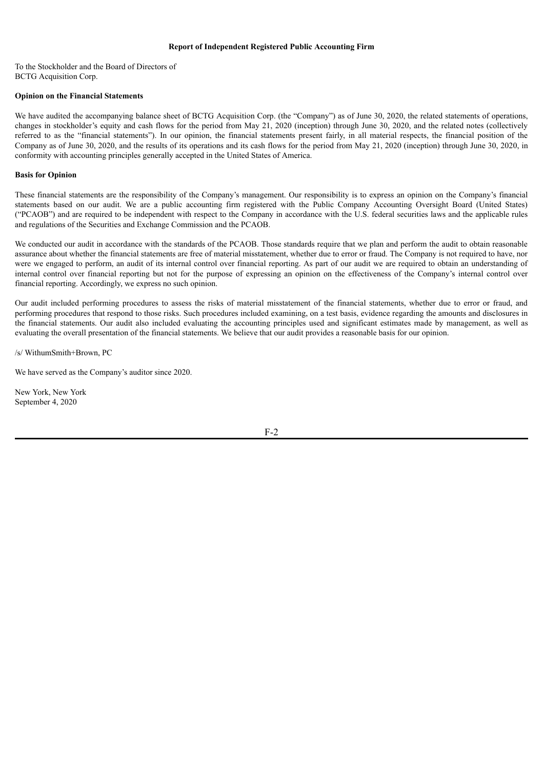#### **Report of Independent Registered Public Accounting Firm**

<span id="page-96-0"></span>To the Stockholder and the Board of Directors of BCTG Acquisition Corp.

#### **Opinion on the Financial Statements**

We have audited the accompanying balance sheet of BCTG Acquisition Corp. (the "Company") as of June 30, 2020, the related statements of operations, changes in stockholder's equity and cash flows for the period from May 21, 2020 (inception) through June 30, 2020, and the related notes (collectively referred to as the "financial statements"). In our opinion, the financial statements present fairly, in all material respects, the financial position of the Company as of June 30, 2020, and the results of its operations and its cash flows for the period from May 21, 2020 (inception) through June 30, 2020, in conformity with accounting principles generally accepted in the United States of America.

#### **Basis for Opinion**

These financial statements are the responsibility of the Company's management. Our responsibility is to express an opinion on the Company's financial statements based on our audit. We are a public accounting firm registered with the Public Company Accounting Oversight Board (United States) ("PCAOB") and are required to be independent with respect to the Company in accordance with the U.S. federal securities laws and the applicable rules and regulations of the Securities and Exchange Commission and the PCAOB.

We conducted our audit in accordance with the standards of the PCAOB. Those standards require that we plan and perform the audit to obtain reasonable assurance about whether the financial statements are free of material misstatement, whether due to error or fraud. The Company is not required to have, nor were we engaged to perform, an audit of its internal control over financial reporting. As part of our audit we are required to obtain an understanding of internal control over financial reporting but not for the purpose of expressing an opinion on the effectiveness of the Company's internal control over financial reporting. Accordingly, we express no such opinion.

Our audit included performing procedures to assess the risks of material misstatement of the financial statements, whether due to error or fraud, and performing procedures that respond to those risks. Such procedures included examining, on a test basis, evidence regarding the amounts and disclosures in the financial statements. Our audit also included evaluating the accounting principles used and significant estimates made by management, as well as evaluating the overall presentation of the financial statements. We believe that our audit provides a reasonable basis for our opinion.

/s/ WithumSmith+Brown, PC

We have served as the Company's auditor since 2020.

New York, New York September 4, 2020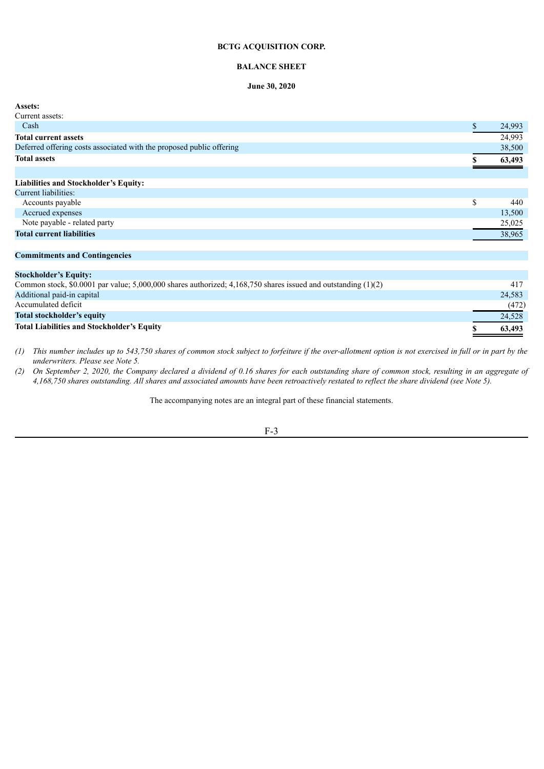# **BALANCE SHEET**

# **June 30, 2020**

<span id="page-97-0"></span>

| Assets:                                                                                                             |              |
|---------------------------------------------------------------------------------------------------------------------|--------------|
| Current assets:                                                                                                     |              |
| Cash                                                                                                                | \$<br>24,993 |
| <b>Total current assets</b>                                                                                         | 24,993       |
| Deferred offering costs associated with the proposed public offering                                                | 38,500       |
| <b>Total assets</b>                                                                                                 | 63,493       |
|                                                                                                                     |              |
| <b>Liabilities and Stockholder's Equity:</b>                                                                        |              |
| Current liabilities:                                                                                                |              |
| Accounts payable                                                                                                    | \$<br>440    |
| Accrued expenses                                                                                                    | 13,500       |
| Note payable - related party                                                                                        | 25,025       |
| <b>Total current liabilities</b>                                                                                    | 38,965       |
| <b>Commitments and Contingencies</b>                                                                                |              |
| <b>Stockholder's Equity:</b>                                                                                        |              |
| Common stock, \$0.0001 par value; $5,000,000$ shares authorized; $4,168,750$ shares issued and outstanding $(1)(2)$ | 417          |
| Additional paid-in capital                                                                                          | 24,583       |
| Accumulated deficit                                                                                                 | (472)        |
| Total stockholder's equity                                                                                          | 24,528       |
| <b>Total Liabilities and Stockholder's Equity</b>                                                                   | 63,493       |

(1) This number includes up to 543,750 shares of common stock subject to forfeiture if the over-allotment option is not exercised in full or in part by the *underwriters. Please see Note 5.*

(2) On September 2, 2020, the Company declared a dividend of 0.16 shares for each outstanding share of common stock, resulting in an aggregate of 4,168,750 shares outstanding. All shares and associated amounts have been retroactively restated to reflect the share dividend (see Note 5).

The accompanying notes are an integral part of these financial statements.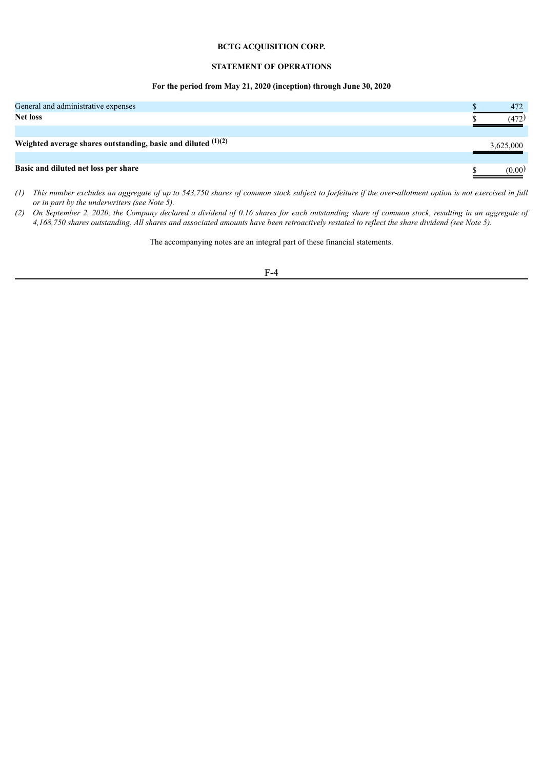# **STATEMENT OF OPERATIONS**

# **For the period from May 21, 2020 (inception) through June 30, 2020**

<span id="page-98-0"></span>

| General and administrative expenses                             | 472       |
|-----------------------------------------------------------------|-----------|
| <b>Net loss</b>                                                 | (472)     |
|                                                                 |           |
| Weighted average shares outstanding, basic and diluted $(1)(2)$ | 3,625,000 |
|                                                                 |           |
| Basic and diluted net loss per share                            | (0.00)    |

(1) This number excludes an aggregate of up to 543,750 shares of common stock subject to forfeiture if the over-allotment option is not exercised in full *or in part by the underwriters (see Note 5).*

(2) On September 2, 2020, the Company declared a dividend of 0.16 shares for each outstanding share of common stock, resulting in an aggregate of 4,168,750 shares outstanding. All shares and associated amounts have been retroactively restated to reflect the share dividend (see Note 5).

The accompanying notes are an integral part of these financial statements.

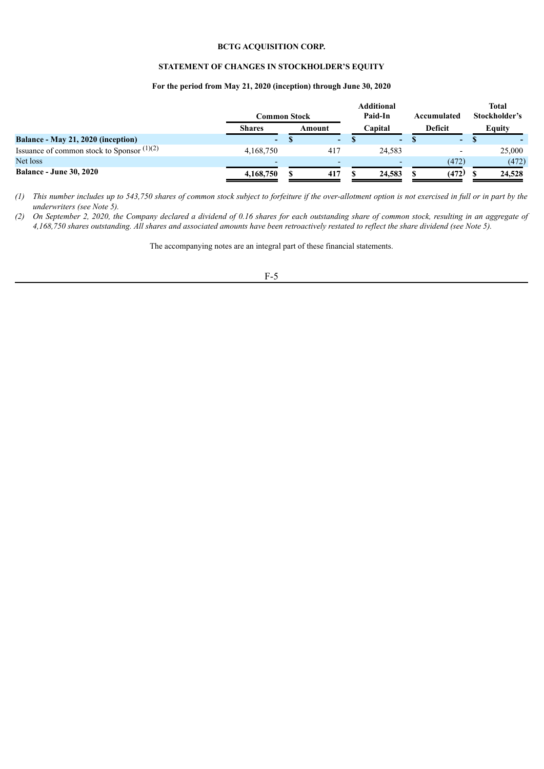# **STATEMENT OF CHANGES IN STOCKHOLDER'S EQUITY**

# **For the period from May 21, 2020 (inception) through June 30, 2020**

<span id="page-99-0"></span>

|                                              | Common Stock  |  |        | <b>Additional</b><br>Paid-In |                          |  | Accumulated    |  | Total<br>Stockholder's |  |
|----------------------------------------------|---------------|--|--------|------------------------------|--------------------------|--|----------------|--|------------------------|--|
|                                              | <b>Shares</b> |  | Amount |                              | Capital                  |  | <b>Deficit</b> |  | Equity                 |  |
| Balance - May 21, 2020 (inception)           | ۰.            |  | ۰.     |                              | $\sim$                   |  | ۰.             |  |                        |  |
| Issuance of common stock to Sponsor $(1)(2)$ | 4.168.750     |  | 417    |                              | 24.583                   |  |                |  | 25,000                 |  |
| Net loss                                     |               |  |        |                              | $\overline{\phantom{0}}$ |  | (472)          |  | (472)                  |  |
| <b>Balance - June 30, 2020</b>               | 4,168,750     |  | 417    |                              | 24,583                   |  | (472)          |  | 24,528                 |  |

(1) This number includes up to 543,750 shares of common stock subject to forfeiture if the over-allotment option is not exercised in full or in part by the *underwriters (see Note 5).*

(2) On September 2, 2020, the Company declared a dividend of 0.16 shares for each outstanding share of common stock, resulting in an aggregate of 4,168,750 shares outstanding. All shares and associated amounts have been retroactively restated to reflect the share dividend (see Note 5).

The accompanying notes are an integral part of these financial statements.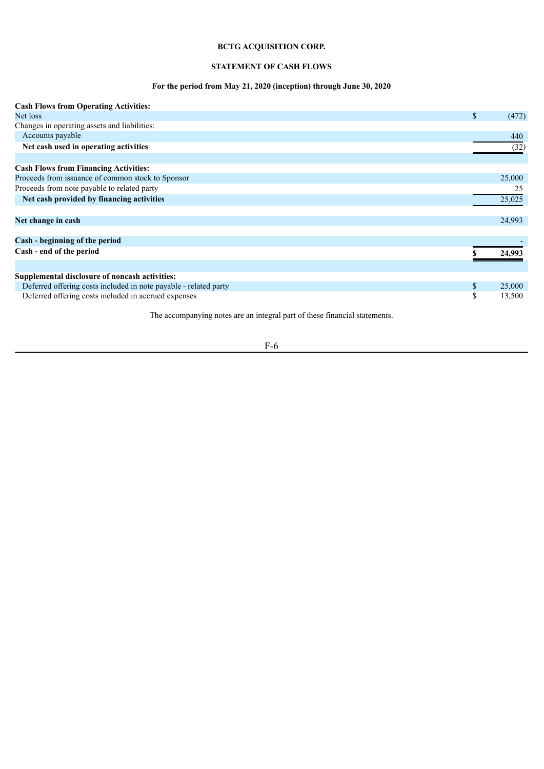# **STATEMENT OF CASH FLOWS**

# **For the period from May 21, 2020 (inception) through June 30, 2020**

<span id="page-100-0"></span>

| <b>Cash Flows from Operating Activities:</b>                     |              |
|------------------------------------------------------------------|--------------|
| Net loss                                                         | \$<br>(472)  |
| Changes in operating assets and liabilities:                     |              |
| Accounts payable                                                 | 440          |
| Net cash used in operating activities                            | (32)         |
|                                                                  |              |
| <b>Cash Flows from Financing Activities:</b>                     |              |
| Proceeds from issuance of common stock to Sponsor                | 25,000       |
| Proceeds from note payable to related party                      | 25           |
| Net cash provided by financing activities                        | 25,025       |
|                                                                  |              |
| Net change in cash                                               | 24,993       |
|                                                                  |              |
| Cash - beginning of the period                                   |              |
| Cash - end of the period                                         |              |
|                                                                  |              |
| Supplemental disclosure of noncash activities:                   |              |
| Deferred offering costs included in note payable - related party | \$<br>25,000 |
| Deferred offering costs included in accrued expenses             | \$<br>13,500 |

The accompanying notes are an integral part of these financial statements.

# F-6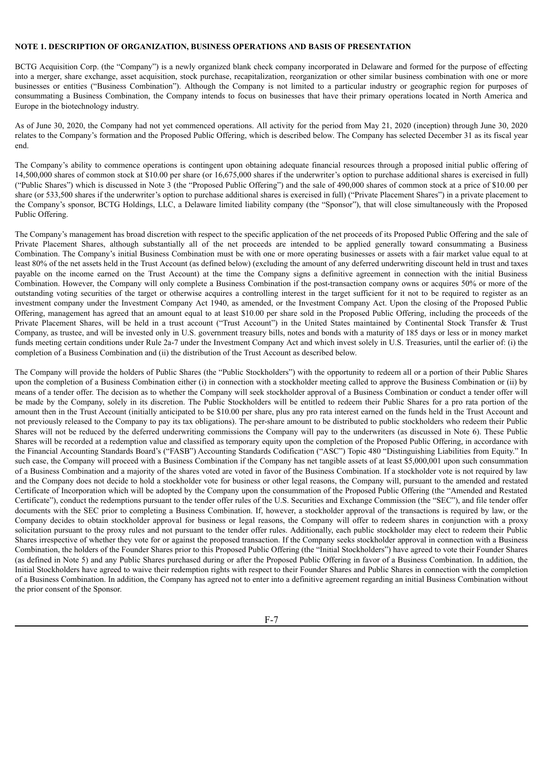# <span id="page-101-0"></span>**NOTE 1. DESCRIPTION OF ORGANIZATION, BUSINESS OPERATIONS AND BASIS OF PRESENTATION**

BCTG Acquisition Corp. (the "Company") is a newly organized blank check company incorporated in Delaware and formed for the purpose of effecting into a merger, share exchange, asset acquisition, stock purchase, recapitalization, reorganization or other similar business combination with one or more businesses or entities ("Business Combination"). Although the Company is not limited to a particular industry or geographic region for purposes of consummating a Business Combination, the Company intends to focus on businesses that have their primary operations located in North America and Europe in the biotechnology industry.

As of June 30, 2020, the Company had not yet commenced operations. All activity for the period from May 21, 2020 (inception) through June 30, 2020 relates to the Company's formation and the Proposed Public Offering, which is described below. The Company has selected December 31 as its fiscal year end.

The Company's ability to commence operations is contingent upon obtaining adequate financial resources through a proposed initial public offering of 14,500,000 shares of common stock at \$10.00 per share (or 16,675,000 shares if the underwriter's option to purchase additional shares is exercised in full) ("Public Shares") which is discussed in Note 3 (the "Proposed Public Offering") and the sale of 490,000 shares of common stock at a price of \$10.00 per share (or 533,500 shares if the underwriter's option to purchase additional shares is exercised in full) ("Private Placement Shares") in a private placement to the Company's sponsor, BCTG Holdings, LLC, a Delaware limited liability company (the "Sponsor"), that will close simultaneously with the Proposed Public Offering.

The Company's management has broad discretion with respect to the specific application of the net proceeds of its Proposed Public Offering and the sale of Private Placement Shares, although substantially all of the net proceeds are intended to be applied generally toward consummating a Business Combination. The Company's initial Business Combination must be with one or more operating businesses or assets with a fair market value equal to at least 80% of the net assets held in the Trust Account (as defined below) (excluding the amount of any deferred underwriting discount held in trust and taxes payable on the income earned on the Trust Account) at the time the Company signs a definitive agreement in connection with the initial Business Combination. However, the Company will only complete a Business Combination if the post-transaction company owns or acquires 50% or more of the outstanding voting securities of the target or otherwise acquires a controlling interest in the target sufficient for it not to be required to register as an investment company under the Investment Company Act 1940, as amended, or the Investment Company Act. Upon the closing of the Proposed Public Offering, management has agreed that an amount equal to at least \$10.00 per share sold in the Proposed Public Offering, including the proceeds of the Private Placement Shares, will be held in a trust account ("Trust Account") in the United States maintained by Continental Stock Transfer & Trust Company, as trustee, and will be invested only in U.S. government treasury bills, notes and bonds with a maturity of 185 days or less or in money market funds meeting certain conditions under Rule 2a-7 under the Investment Company Act and which invest solely in U.S. Treasuries, until the earlier of: (i) the completion of a Business Combination and (ii) the distribution of the Trust Account as described below.

The Company will provide the holders of Public Shares (the "Public Stockholders") with the opportunity to redeem all or a portion of their Public Shares upon the completion of a Business Combination either (i) in connection with a stockholder meeting called to approve the Business Combination or (ii) by means of a tender offer. The decision as to whether the Company will seek stockholder approval of a Business Combination or conduct a tender offer will be made by the Company, solely in its discretion. The Public Stockholders will be entitled to redeem their Public Shares for a pro rata portion of the amount then in the Trust Account (initially anticipated to be \$10.00 per share, plus any pro rata interest earned on the funds held in the Trust Account and not previously released to the Company to pay its tax obligations). The per-share amount to be distributed to public stockholders who redeem their Public Shares will not be reduced by the deferred underwriting commissions the Company will pay to the underwriters (as discussed in Note 6). These Public Shares will be recorded at a redemption value and classified as temporary equity upon the completion of the Proposed Public Offering, in accordance with the Financial Accounting Standards Board's ("FASB") Accounting Standards Codification ("ASC") Topic 480 "Distinguishing Liabilities from Equity." In such case, the Company will proceed with a Business Combination if the Company has net tangible assets of at least \$5,000,001 upon such consummation of a Business Combination and a majority of the shares voted are voted in favor of the Business Combination. If a stockholder vote is not required by law and the Company does not decide to hold a stockholder vote for business or other legal reasons, the Company will, pursuant to the amended and restated Certificate of Incorporation which will be adopted by the Company upon the consummation of the Proposed Public Offering (the "Amended and Restated Certificate"), conduct the redemptions pursuant to the tender offer rules of the U.S. Securities and Exchange Commission (the "SEC"), and file tender offer documents with the SEC prior to completing a Business Combination. If, however, a stockholder approval of the transactions is required by law, or the Company decides to obtain stockholder approval for business or legal reasons, the Company will offer to redeem shares in conjunction with a proxy solicitation pursuant to the proxy rules and not pursuant to the tender offer rules. Additionally, each public stockholder may elect to redeem their Public Shares irrespective of whether they vote for or against the proposed transaction. If the Company seeks stockholder approval in connection with a Business Combination, the holders of the Founder Shares prior to this Proposed Public Offering (the "Initial Stockholders") have agreed to vote their Founder Shares (as defined in Note 5) and any Public Shares purchased during or after the Proposed Public Offering in favor of a Business Combination. In addition, the Initial Stockholders have agreed to waive their redemption rights with respect to their Founder Shares and Public Shares in connection with the completion of a Business Combination. In addition, the Company has agreed not to enter into a definitive agreement regarding an initial Business Combination without the prior consent of the Sponsor.

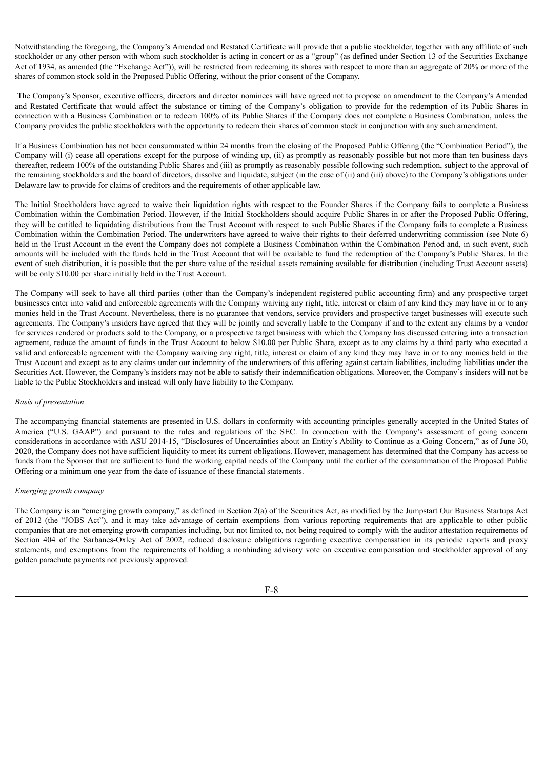Notwithstanding the foregoing, the Company's Amended and Restated Certificate will provide that a public stockholder, together with any affiliate of such stockholder or any other person with whom such stockholder is acting in concert or as a "group" (as defined under Section 13 of the Securities Exchange Act of 1934, as amended (the "Exchange Act")), will be restricted from redeeming its shares with respect to more than an aggregate of 20% or more of the shares of common stock sold in the Proposed Public Offering, without the prior consent of the Company.

The Company's Sponsor, executive officers, directors and director nominees will have agreed not to propose an amendment to the Company's Amended and Restated Certificate that would affect the substance or timing of the Company's obligation to provide for the redemption of its Public Shares in connection with a Business Combination or to redeem 100% of its Public Shares if the Company does not complete a Business Combination, unless the Company provides the public stockholders with the opportunity to redeem their shares of common stock in conjunction with any such amendment.

If a Business Combination has not been consummated within 24 months from the closing of the Proposed Public Offering (the "Combination Period"), the Company will (i) cease all operations except for the purpose of winding up, (ii) as promptly as reasonably possible but not more than ten business days thereafter, redeem 100% of the outstanding Public Shares and (iii) as promptly as reasonably possible following such redemption, subject to the approval of the remaining stockholders and the board of directors, dissolve and liquidate, subject (in the case of (ii) and (iii) above) to the Company's obligations under Delaware law to provide for claims of creditors and the requirements of other applicable law.

The Initial Stockholders have agreed to waive their liquidation rights with respect to the Founder Shares if the Company fails to complete a Business Combination within the Combination Period. However, if the Initial Stockholders should acquire Public Shares in or after the Proposed Public Offering, they will be entitled to liquidating distributions from the Trust Account with respect to such Public Shares if the Company fails to complete a Business Combination within the Combination Period. The underwriters have agreed to waive their rights to their deferred underwriting commission (see Note 6) held in the Trust Account in the event the Company does not complete a Business Combination within the Combination Period and, in such event, such amounts will be included with the funds held in the Trust Account that will be available to fund the redemption of the Company's Public Shares. In the event of such distribution, it is possible that the per share value of the residual assets remaining available for distribution (including Trust Account assets) will be only \$10.00 per share initially held in the Trust Account.

The Company will seek to have all third parties (other than the Company's independent registered public accounting firm) and any prospective target businesses enter into valid and enforceable agreements with the Company waiving any right, title, interest or claim of any kind they may have in or to any monies held in the Trust Account. Nevertheless, there is no guarantee that vendors, service providers and prospective target businesses will execute such agreements. The Company's insiders have agreed that they will be jointly and severally liable to the Company if and to the extent any claims by a vendor for services rendered or products sold to the Company, or a prospective target business with which the Company has discussed entering into a transaction agreement, reduce the amount of funds in the Trust Account to below \$10.00 per Public Share, except as to any claims by a third party who executed a valid and enforceable agreement with the Company waiving any right, title, interest or claim of any kind they may have in or to any monies held in the Trust Account and except as to any claims under our indemnity of the underwriters of this offering against certain liabilities, including liabilities under the Securities Act. However, the Company's insiders may not be able to satisfy their indemnification obligations. Moreover, the Company's insiders will not be liable to the Public Stockholders and instead will only have liability to the Company.

# *Basis of presentation*

The accompanying financial statements are presented in U.S. dollars in conformity with accounting principles generally accepted in the United States of America ("U.S. GAAP") and pursuant to the rules and regulations of the SEC. In connection with the Company's assessment of going concern considerations in accordance with ASU 2014-15, "Disclosures of Uncertainties about an Entity's Ability to Continue as a Going Concern," as of June 30, 2020, the Company does not have sufficient liquidity to meet its current obligations. However, management has determined that the Company has access to funds from the Sponsor that are sufficient to fund the working capital needs of the Company until the earlier of the consummation of the Proposed Public Offering or a minimum one year from the date of issuance of these financial statements.

#### *Emerging growth company*

The Company is an "emerging growth company," as defined in Section 2(a) of the Securities Act, as modified by the Jumpstart Our Business Startups Act of 2012 (the "JOBS Act"), and it may take advantage of certain exemptions from various reporting requirements that are applicable to other public companies that are not emerging growth companies including, but not limited to, not being required to comply with the auditor attestation requirements of Section 404 of the Sarbanes-Oxley Act of 2002, reduced disclosure obligations regarding executive compensation in its periodic reports and proxy statements, and exemptions from the requirements of holding a nonbinding advisory vote on executive compensation and stockholder approval of any golden parachute payments not previously approved.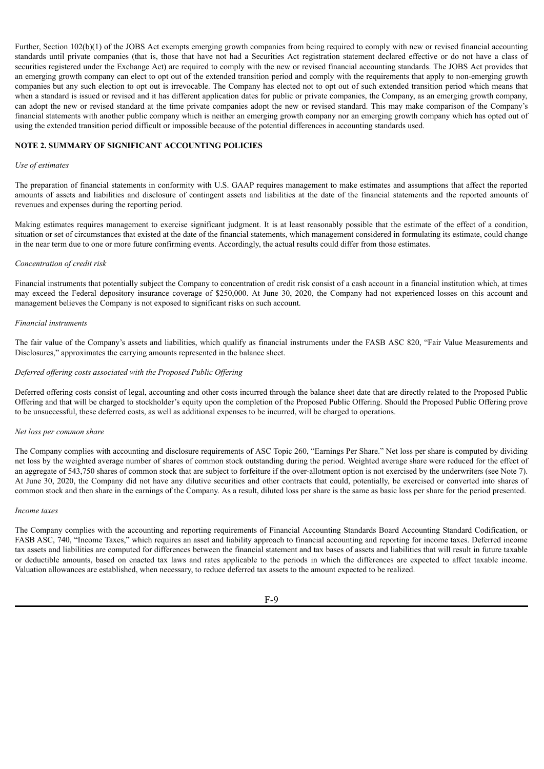Further, Section 102(b)(1) of the JOBS Act exempts emerging growth companies from being required to comply with new or revised financial accounting standards until private companies (that is, those that have not had a Securities Act registration statement declared effective or do not have a class of securities registered under the Exchange Act) are required to comply with the new or revised financial accounting standards. The JOBS Act provides that an emerging growth company can elect to opt out of the extended transition period and comply with the requirements that apply to non-emerging growth companies but any such election to opt out is irrevocable. The Company has elected not to opt out of such extended transition period which means that when a standard is issued or revised and it has different application dates for public or private companies, the Company, as an emerging growth company, can adopt the new or revised standard at the time private companies adopt the new or revised standard. This may make comparison of the Company's financial statements with another public company which is neither an emerging growth company nor an emerging growth company which has opted out of using the extended transition period difficult or impossible because of the potential differences in accounting standards used.

# **NOTE 2. SUMMARY OF SIGNIFICANT ACCOUNTING POLICIES**

#### *Use of estimates*

The preparation of financial statements in conformity with U.S. GAAP requires management to make estimates and assumptions that affect the reported amounts of assets and liabilities and disclosure of contingent assets and liabilities at the date of the financial statements and the reported amounts of revenues and expenses during the reporting period.

Making estimates requires management to exercise significant judgment. It is at least reasonably possible that the estimate of the effect of a condition, situation or set of circumstances that existed at the date of the financial statements, which management considered in formulating its estimate, could change in the near term due to one or more future confirming events. Accordingly, the actual results could differ from those estimates.

#### *Concentration of credit risk*

Financial instruments that potentially subject the Company to concentration of credit risk consist of a cash account in a financial institution which, at times may exceed the Federal depository insurance coverage of \$250,000. At June 30, 2020, the Company had not experienced losses on this account and management believes the Company is not exposed to significant risks on such account.

# *Financial instruments*

The fair value of the Company's assets and liabilities, which qualify as financial instruments under the FASB ASC 820, "Fair Value Measurements and Disclosures," approximates the carrying amounts represented in the balance sheet.

# *Deferred of ering costs associated with the Proposed Public Of ering*

Deferred offering costs consist of legal, accounting and other costs incurred through the balance sheet date that are directly related to the Proposed Public Offering and that will be charged to stockholder's equity upon the completion of the Proposed Public Offering. Should the Proposed Public Offering prove to be unsuccessful, these deferred costs, as well as additional expenses to be incurred, will be charged to operations.

#### *Net loss per common share*

The Company complies with accounting and disclosure requirements of ASC Topic 260, "Earnings Per Share." Net loss per share is computed by dividing net loss by the weighted average number of shares of common stock outstanding during the period. Weighted average share were reduced for the effect of an aggregate of 543,750 shares of common stock that are subject to forfeiture if the over-allotment option is not exercised by the underwriters (see Note 7). At June 30, 2020, the Company did not have any dilutive securities and other contracts that could, potentially, be exercised or converted into shares of common stock and then share in the earnings of the Company. As a result, diluted loss per share is the same as basic loss per share for the period presented.

#### *Income taxes*

The Company complies with the accounting and reporting requirements of Financial Accounting Standards Board Accounting Standard Codification, or FASB ASC, 740, "Income Taxes," which requires an asset and liability approach to financial accounting and reporting for income taxes. Deferred income tax assets and liabilities are computed for differences between the financial statement and tax bases of assets and liabilities that will result in future taxable or deductible amounts, based on enacted tax laws and rates applicable to the periods in which the differences are expected to affect taxable income. Valuation allowances are established, when necessary, to reduce deferred tax assets to the amount expected to be realized.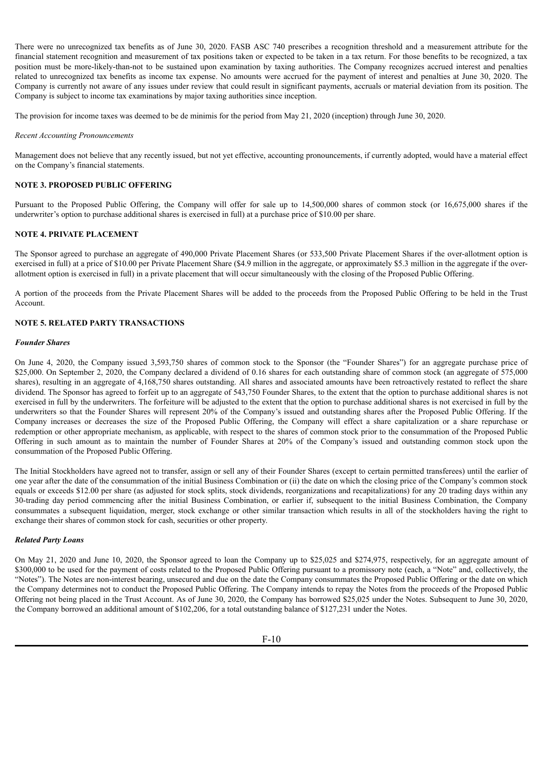There were no unrecognized tax benefits as of June 30, 2020. FASB ASC 740 prescribes a recognition threshold and a measurement attribute for the financial statement recognition and measurement of tax positions taken or expected to be taken in a tax return. For those benefits to be recognized, a tax position must be more-likely-than-not to be sustained upon examination by taxing authorities. The Company recognizes accrued interest and penalties related to unrecognized tax benefits as income tax expense. No amounts were accrued for the payment of interest and penalties at June 30, 2020. The Company is currently not aware of any issues under review that could result in significant payments, accruals or material deviation from its position. The Company is subject to income tax examinations by major taxing authorities since inception.

The provision for income taxes was deemed to be de minimis for the period from May 21, 2020 (inception) through June 30, 2020.

#### *Recent Accounting Pronouncements*

Management does not believe that any recently issued, but not yet effective, accounting pronouncements, if currently adopted, would have a material effect on the Company's financial statements.

# **NOTE 3. PROPOSED PUBLIC OFFERING**

Pursuant to the Proposed Public Offering, the Company will offer for sale up to 14,500,000 shares of common stock (or 16,675,000 shares if the underwriter's option to purchase additional shares is exercised in full) at a purchase price of \$10.00 per share.

# **NOTE 4. PRIVATE PLACEMENT**

The Sponsor agreed to purchase an aggregate of 490,000 Private Placement Shares (or 533,500 Private Placement Shares if the over-allotment option is exercised in full) at a price of \$10.00 per Private Placement Share (\$4.9 million in the aggregate, or approximately \$5.3 million in the aggregate if the overallotment option is exercised in full) in a private placement that will occur simultaneously with the closing of the Proposed Public Offering.

A portion of the proceeds from the Private Placement Shares will be added to the proceeds from the Proposed Public Offering to be held in the Trust Account.

#### **NOTE 5. RELATED PARTY TRANSACTIONS**

#### *Founder Shares*

On June 4, 2020, the Company issued 3,593,750 shares of common stock to the Sponsor (the "Founder Shares") for an aggregate purchase price of \$25,000. On September 2, 2020, the Company declared a dividend of 0.16 shares for each outstanding share of common stock (an aggregate of 575,000 shares), resulting in an aggregate of 4,168,750 shares outstanding. All shares and associated amounts have been retroactively restated to reflect the share dividend. The Sponsor has agreed to forfeit up to an aggregate of 543,750 Founder Shares, to the extent that the option to purchase additional shares is not exercised in full by the underwriters. The forfeiture will be adjusted to the extent that the option to purchase additional shares is not exercised in full by the underwriters so that the Founder Shares will represent 20% of the Company's issued and outstanding shares after the Proposed Public Offering. If the Company increases or decreases the size of the Proposed Public Offering, the Company will effect a share capitalization or a share repurchase or redemption or other appropriate mechanism, as applicable, with respect to the shares of common stock prior to the consummation of the Proposed Public Offering in such amount as to maintain the number of Founder Shares at 20% of the Company's issued and outstanding common stock upon the consummation of the Proposed Public Offering.

The Initial Stockholders have agreed not to transfer, assign or sell any of their Founder Shares (except to certain permitted transferees) until the earlier of one year after the date of the consummation of the initial Business Combination or (ii) the date on which the closing price of the Company's common stock equals or exceeds \$12.00 per share (as adjusted for stock splits, stock dividends, reorganizations and recapitalizations) for any 20 trading days within any 30-trading day period commencing after the initial Business Combination, or earlier if, subsequent to the initial Business Combination, the Company consummates a subsequent liquidation, merger, stock exchange or other similar transaction which results in all of the stockholders having the right to exchange their shares of common stock for cash, securities or other property.

#### *Related Party Loans*

On May 21, 2020 and June 10, 2020, the Sponsor agreed to loan the Company up to \$25,025 and \$274,975, respectively, for an aggregate amount of \$300,000 to be used for the payment of costs related to the Proposed Public Offering pursuant to a promissory note (each, a "Note" and, collectively, the "Notes"). The Notes are non-interest bearing, unsecured and due on the date the Company consummates the Proposed Public Offering or the date on which the Company determines not to conduct the Proposed Public Offering. The Company intends to repay the Notes from the proceeds of the Proposed Public Offering not being placed in the Trust Account. As of June 30, 2020, the Company has borrowed \$25,025 under the Notes. Subsequent to June 30, 2020, the Company borrowed an additional amount of \$102,206, for a total outstanding balance of \$127,231 under the Notes.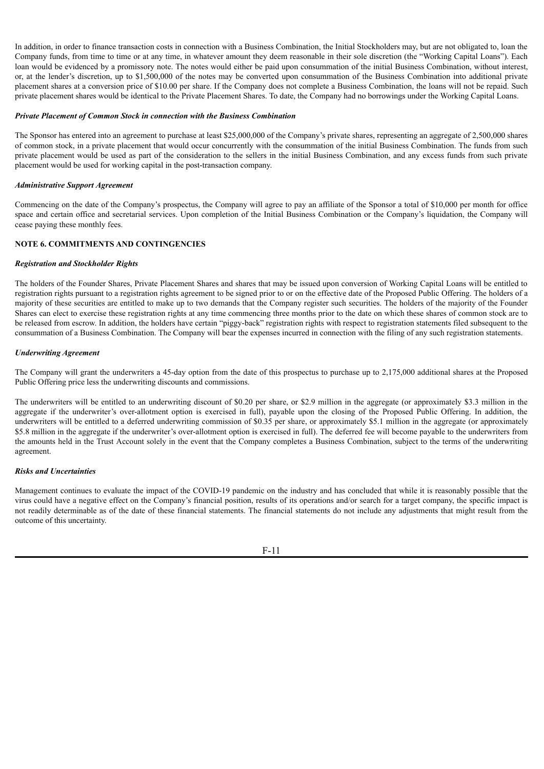In addition, in order to finance transaction costs in connection with a Business Combination, the Initial Stockholders may, but are not obligated to, loan the Company funds, from time to time or at any time, in whatever amount they deem reasonable in their sole discretion (the "Working Capital Loans"). Each loan would be evidenced by a promissory note. The notes would either be paid upon consummation of the initial Business Combination, without interest, or, at the lender's discretion, up to \$1,500,000 of the notes may be converted upon consummation of the Business Combination into additional private placement shares at a conversion price of \$10.00 per share. If the Company does not complete a Business Combination, the loans will not be repaid. Such private placement shares would be identical to the Private Placement Shares. To date, the Company had no borrowings under the Working Capital Loans.

#### *Private Placement of Common Stock in connection with the Business Combination*

The Sponsor has entered into an agreement to purchase at least \$25,000,000 of the Company's private shares, representing an aggregate of 2,500,000 shares of common stock, in a private placement that would occur concurrently with the consummation of the initial Business Combination. The funds from such private placement would be used as part of the consideration to the sellers in the initial Business Combination, and any excess funds from such private placement would be used for working capital in the post-transaction company.

# *Administrative Support Agreement*

Commencing on the date of the Company's prospectus, the Company will agree to pay an affiliate of the Sponsor a total of \$10,000 per month for office space and certain office and secretarial services. Upon completion of the Initial Business Combination or the Company's liquidation, the Company will cease paying these monthly fees.

# **NOTE 6. COMMITMENTS AND CONTINGENCIES**

#### *Registration and Stockholder Rights*

The holders of the Founder Shares, Private Placement Shares and shares that may be issued upon conversion of Working Capital Loans will be entitled to registration rights pursuant to a registration rights agreement to be signed prior to or on the effective date of the Proposed Public Offering. The holders of a majority of these securities are entitled to make up to two demands that the Company register such securities. The holders of the majority of the Founder Shares can elect to exercise these registration rights at any time commencing three months prior to the date on which these shares of common stock are to be released from escrow. In addition, the holders have certain "piggy-back" registration rights with respect to registration statements filed subsequent to the consummation of a Business Combination. The Company will bear the expenses incurred in connection with the filing of any such registration statements.

#### *Underwriting Agreement*

The Company will grant the underwriters a 45-day option from the date of this prospectus to purchase up to 2,175,000 additional shares at the Proposed Public Offering price less the underwriting discounts and commissions.

The underwriters will be entitled to an underwriting discount of \$0.20 per share, or \$2.9 million in the aggregate (or approximately \$3.3 million in the aggregate if the underwriter's over-allotment option is exercised in full), payable upon the closing of the Proposed Public Offering. In addition, the underwriters will be entitled to a deferred underwriting commission of \$0.35 per share, or approximately \$5.1 million in the aggregate (or approximately \$5.8 million in the aggregate if the underwriter's over-allotment option is exercised in full). The deferred fee will become payable to the underwriters from the amounts held in the Trust Account solely in the event that the Company completes a Business Combination, subject to the terms of the underwriting agreement.

#### *Risks and Uncertainties*

Management continues to evaluate the impact of the COVID-19 pandemic on the industry and has concluded that while it is reasonably possible that the virus could have a negative effect on the Company's financial position, results of its operations and/or search for a target company, the specific impact is not readily determinable as of the date of these financial statements. The financial statements do not include any adjustments that might result from the outcome of this uncertainty.

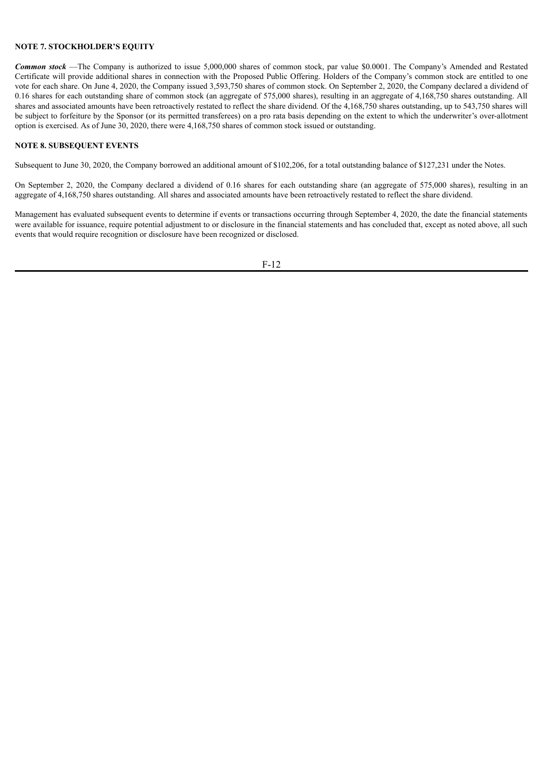# **NOTE 7. STOCKHOLDER'S EQUITY**

*Common stock* —The Company is authorized to issue 5,000,000 shares of common stock, par value \$0.0001. The Company's Amended and Restated Certificate will provide additional shares in connection with the Proposed Public Offering. Holders of the Company's common stock are entitled to one vote for each share. On June 4, 2020, the Company issued 3,593,750 shares of common stock. On September 2, 2020, the Company declared a dividend of 0.16 shares for each outstanding share of common stock (an aggregate of 575,000 shares), resulting in an aggregate of 4,168,750 shares outstanding. All shares and associated amounts have been retroactively restated to reflect the share dividend. Of the 4,168,750 shares outstanding, up to 543,750 shares will be subject to forfeiture by the Sponsor (or its permitted transferees) on a pro rata basis depending on the extent to which the underwriter's over-allotment option is exercised. As of June 30, 2020, there were 4,168,750 shares of common stock issued or outstanding.

#### **NOTE 8. SUBSEQUENT EVENTS**

Subsequent to June 30, 2020, the Company borrowed an additional amount of \$102,206, for a total outstanding balance of \$127,231 under the Notes.

On September 2, 2020, the Company declared a dividend of 0.16 shares for each outstanding share (an aggregate of 575,000 shares), resulting in an aggregate of 4,168,750 shares outstanding. All shares and associated amounts have been retroactively restated to reflect the share dividend.

Management has evaluated subsequent events to determine if events or transactions occurring through September 4, 2020, the date the financial statements were available for issuance, require potential adjustment to or disclosure in the financial statements and has concluded that, except as noted above, all such events that would require recognition or disclosure have been recognized or disclosed.

F-12